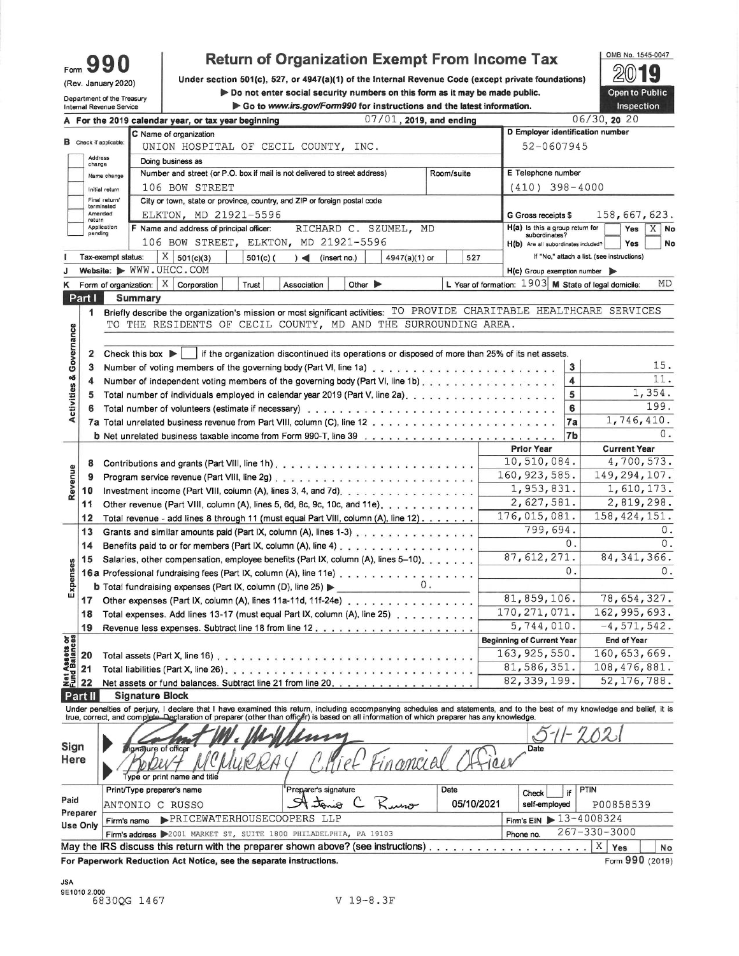| Form |  |  |
|------|--|--|

## (Rev. January 2020) Department of the Treasury<br>Internal Revenue Service

# **Return of Organization Exempt From Income Tax**

Under section 501(c), 527, or 4947(a)(1) of the Internal Revenue Code (except private foundations) Do not enter social security numbers on this form as it may be made public. Go to www.irs.gov/Form990 for instructions and the latest information.



|                                    |                                                                              |                       | A For the 2019 calendar year, or tax year beginning                                                                                                                        | 07/01, 2019, and ending                                                                         |                |                                                        | $06/30$ , 20 20                            |
|------------------------------------|------------------------------------------------------------------------------|-----------------------|----------------------------------------------------------------------------------------------------------------------------------------------------------------------------|-------------------------------------------------------------------------------------------------|----------------|--------------------------------------------------------|--------------------------------------------|
|                                    |                                                                              |                       | C Name of organization                                                                                                                                                     |                                                                                                 |                | D Employer identification number                       |                                            |
|                                    |                                                                              | Check if applicable:  | UNION HOSPITAL OF CECIL COUNTY, INC.                                                                                                                                       |                                                                                                 |                | 52-0607945                                             |                                            |
|                                    | Address<br>change                                                            |                       |                                                                                                                                                                            |                                                                                                 |                |                                                        |                                            |
|                                    |                                                                              | Name change           | E Telephone number                                                                                                                                                         |                                                                                                 |                |                                                        |                                            |
|                                    |                                                                              | Initial return        | $(410)$ 398-4000                                                                                                                                                           |                                                                                                 |                |                                                        |                                            |
|                                    |                                                                              | Final return/         | City or town, state or province, country, and ZiP or foreign postal code                                                                                                   |                                                                                                 |                |                                                        |                                            |
|                                    |                                                                              | terminated<br>Amended | ELKTON, MD 21921-5596                                                                                                                                                      |                                                                                                 |                | G Gross receipts \$                                    | 158,667,623.                               |
|                                    | return                                                                       | Application           | F Name and address of principal officer:                                                                                                                                   | RICHARD C. SZUMEL, MD                                                                           |                | $H(a)$ is this a group return for                      | $X$ No<br>Yes                              |
|                                    | pending                                                                      |                       | 106 BOW STREET, ELKTON, MD 21921-5596                                                                                                                                      |                                                                                                 |                | subordinates?<br>H(b) Are all subordinates included?   | Yes<br>No                                  |
|                                    |                                                                              | Tax-exempt status:    | X<br>501(c)(3)<br>$501(c)$ (                                                                                                                                               | $\rightarrow$<br>(insert no.)<br>4947(a)(1) or                                                  | 527            |                                                        | If "No," attach a list. (see instructions) |
| J                                  |                                                                              |                       | Website: WWW.UHCC.COM                                                                                                                                                      |                                                                                                 |                | H(c) Group exemption number                            |                                            |
|                                    |                                                                              |                       | Form of organization: $X$ Corporation                                                                                                                                      | Other $\blacktriangleright$                                                                     |                | L Year of formation: $1903$ M State of legal domicile: | MD                                         |
| κ                                  |                                                                              |                       | Trust                                                                                                                                                                      | Association                                                                                     |                |                                                        |                                            |
|                                    | Part I                                                                       |                       | Summary<br>Briefly describe the organization's mission or most significant activities: TO PROVIDE CHARITABLE HEALTHCARE SERVICES                                           |                                                                                                 |                |                                                        |                                            |
|                                    | 1                                                                            |                       | TO THE RESIDENTS OF CECIL COUNTY, MD AND THE SURROUNDING AREA.                                                                                                             |                                                                                                 |                |                                                        |                                            |
|                                    |                                                                              |                       |                                                                                                                                                                            |                                                                                                 |                |                                                        |                                            |
| <b>Activities &amp; Governance</b> |                                                                              |                       |                                                                                                                                                                            |                                                                                                 |                |                                                        |                                            |
|                                    | 2                                                                            |                       | Check this box $\blacktriangleright$                                                                                                                                       | if the organization discontinued its operations or disposed of more than 25% of its net assets. |                |                                                        |                                            |
|                                    | 3                                                                            |                       |                                                                                                                                                                            |                                                                                                 |                |                                                        | 15.<br>3                                   |
|                                    | 4                                                                            |                       | Number of independent voting members of the governing body (Part VI, line 1b),                                                                                             |                                                                                                 |                | 4                                                      | 11.                                        |
|                                    | 5                                                                            |                       | Total number of individuals employed in calendar year 2019 (Part V, line 2a).                                                                                              |                                                                                                 |                |                                                        | 1,354.<br>5                                |
|                                    | 6                                                                            |                       | Total number of volunteers (estimate if necessary) with the state of the state of volunteers (estimate if necessary)                                                       |                                                                                                 |                | 6                                                      | 199.                                       |
|                                    |                                                                              |                       |                                                                                                                                                                            |                                                                                                 |                | 7a                                                     | 1,746,410.                                 |
|                                    |                                                                              |                       |                                                                                                                                                                            |                                                                                                 |                | 7b                                                     | 0.                                         |
|                                    |                                                                              |                       |                                                                                                                                                                            |                                                                                                 |                | <b>Prior Year</b>                                      | <b>Current Year</b>                        |
|                                    | 8                                                                            |                       |                                                                                                                                                                            |                                                                                                 |                | 10,510,084.                                            | 4,700,573.                                 |
| Revenue                            | 9                                                                            |                       |                                                                                                                                                                            | 160, 923, 585.                                                                                  | 149, 294, 107. |                                                        |                                            |
|                                    | 10                                                                           |                       | Investment income (Part VIII, column (A), lines 3, 4, and 7d).                                                                                                             |                                                                                                 |                | 1,953,831.                                             | 1,610,173.                                 |
|                                    | 11                                                                           |                       | Other revenue (Part VIII, column (A), lines 5, 6d, 8c, 9c, 10c, and 11e).                                                                                                  |                                                                                                 |                | 2,627,581.                                             | 2,819,298.                                 |
|                                    | 12                                                                           |                       | Total revenue - add lines 8 through 11 (must equal Part VIII, column (A), line 12).                                                                                        |                                                                                                 |                | 176,015,081.                                           | 158, 424, 151.                             |
|                                    | 13                                                                           |                       | Grants and similar amounts paid (Part IX, column (A), lines 1-3)                                                                                                           |                                                                                                 |                | 799,694.                                               | 0.                                         |
|                                    | 14                                                                           |                       | Benefits paid to or for members (Part IX, column (A), line 4)                                                                                                              |                                                                                                 |                | $0$ .                                                  | $0$ .                                      |
|                                    | 15                                                                           |                       | Salaries, other compensation, employee benefits (Part IX, column (A), lines 5-10).                                                                                         |                                                                                                 |                | 87, 612, 271.                                          | 84, 341, 366.                              |
|                                    |                                                                              |                       | 16a Professional fundraising fees (Part IX, column (A), line 11e)                                                                                                          |                                                                                                 |                | 0.                                                     | 0.                                         |
| Expenses                           |                                                                              |                       | <b>b</b> Total fundraising expenses (Part IX, column (D), line $25$ )                                                                                                      |                                                                                                 | 0.             |                                                        |                                            |
|                                    | 17                                                                           |                       | Other expenses (Part IX, column (A), lines 11a-11d, 11f-24e)                                                                                                               |                                                                                                 |                | 81,859,106.                                            | 78,654,327.                                |
|                                    | 18                                                                           |                       | Total expenses. Add lines 13-17 (must equal Part IX, column (A), line 25)                                                                                                  |                                                                                                 |                | 170, 271, 071.                                         | 162, 995, 693.                             |
|                                    | 19                                                                           |                       |                                                                                                                                                                            |                                                                                                 |                | 5,744,010.                                             | $-4, 571, 542.$                            |
|                                    |                                                                              |                       |                                                                                                                                                                            |                                                                                                 |                | <b>Beginning of Current Year</b>                       | <b>End of Year</b>                         |
| sets or                            |                                                                              |                       | 20 Total assets (Part X, line 16)                                                                                                                                          |                                                                                                 |                | 163, 925, 550.                                         | 160, 653, 669.                             |
|                                    | $\begin{array}{c}\n 0.0000 \\  0.00000 \\  0.00000 \\  0.0000\n \end{array}$ |                       | Total liabilities (Part X, line 26).                                                                                                                                       |                                                                                                 |                | 81,586,351.                                            | 108, 476, 881.                             |
|                                    |                                                                              |                       | Net assets or fund balances. Subtract line 21 from line 20,                                                                                                                |                                                                                                 |                | 82, 339, 199.                                          | 52, 176, 788.                              |
|                                    | Part II                                                                      |                       | Signature Block                                                                                                                                                            |                                                                                                 |                |                                                        |                                            |
|                                    |                                                                              |                       | Under penalties of perjury, I declare that I have examined this return, including accompanying schedules and statements, and to the best of my knowledge and belief, it is |                                                                                                 |                |                                                        |                                            |
|                                    |                                                                              |                       | true, correct, and complete. Declaration of preparer (other than officer) is based on all information of which preparer has any knowledge.                                 |                                                                                                 |                |                                                        |                                            |
|                                    |                                                                              |                       |                                                                                                                                                                            |                                                                                                 |                |                                                        |                                            |
| Sign                               |                                                                              |                       | grajure of officer                                                                                                                                                         |                                                                                                 |                | Date                                                   |                                            |
| Here                               |                                                                              |                       |                                                                                                                                                                            |                                                                                                 |                |                                                        |                                            |
|                                    |                                                                              |                       | Type or print name and title                                                                                                                                               |                                                                                                 |                |                                                        |                                            |
|                                    |                                                                              |                       | Print/Type preparer's name                                                                                                                                                 | Preparer's signature                                                                            | Date           | if<br>Check                                            | <b>PTIN</b>                                |

| Form 990 (2019)<br>For Paperwork Reduction Act Notice, see the separate instructions. |                                                                                           |                |            |                              |                                                             |  |  |  |  |  |
|---------------------------------------------------------------------------------------|-------------------------------------------------------------------------------------------|----------------|------------|------------------------------|-------------------------------------------------------------|--|--|--|--|--|
|                                                                                       |                                                                                           |                |            |                              |                                                             |  |  |  |  |  |
|                                                                                       | Firm's address 2001 MARKET ST, SUITE 1800 PHILADELPHIA, PA 19103                          |                |            | Phone no. $267 - 330 - 3000$ |                                                             |  |  |  |  |  |
|                                                                                       | Use Only Firm's name PRICEWATERHOUSECOOPERS LLP<br>Firm's EIN $\triangleright$ 13-4008324 |                |            |                              |                                                             |  |  |  |  |  |
| Paid                                                                                  | ANTONIO C RUSSO                                                                           | Astonio C Runo | 05/10/2021 |                              | $\left  \right $ self-employed $\left  \right $ $P00858539$ |  |  |  |  |  |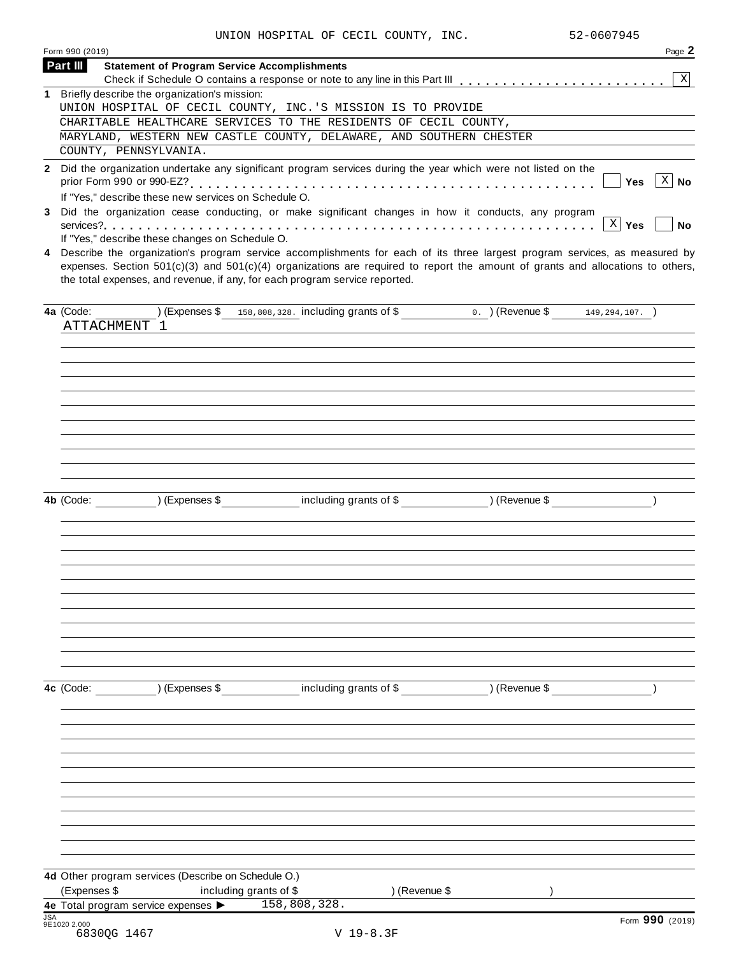|            | 52-0607945<br>UNION HOSPITAL OF CECIL COUNTY, INC.                                                                                                                                                                                                                                                                                                                                                                                 |
|------------|------------------------------------------------------------------------------------------------------------------------------------------------------------------------------------------------------------------------------------------------------------------------------------------------------------------------------------------------------------------------------------------------------------------------------------|
|            | Form 990 (2019)<br>Page 2<br>Part III<br><b>Statement of Program Service Accomplishments</b>                                                                                                                                                                                                                                                                                                                                       |
|            | $\mathbf{x}$<br>1 Briefly describe the organization's mission:<br>UNION HOSPITAL OF CECIL COUNTY, INC.'S MISSION IS TO PROVIDE<br>CHARITABLE HEALTHCARE SERVICES TO THE RESIDENTS OF CECIL COUNTY,<br>MARYLAND, WESTERN NEW CASTLE COUNTY, DELAWARE, AND SOUTHERN CHESTER                                                                                                                                                          |
|            | COUNTY, PENNSYLVANIA.<br>2 Did the organization undertake any significant program services during the year which were not listed on the                                                                                                                                                                                                                                                                                            |
|            | $\mathbf{X}$<br><b>Yes</b><br>No<br>If "Yes," describe these new services on Schedule O.<br>3 Did the organization cease conducting, or make significant changes in how it conducts, any program                                                                                                                                                                                                                                   |
|            | $X \mid Y$ es<br><b>No</b><br>If "Yes," describe these changes on Schedule O.<br>4 Describe the organization's program service accomplishments for each of its three largest program services, as measured by<br>expenses. Section $501(c)(3)$ and $501(c)(4)$ organizations are required to report the amount of grants and allocations to others,<br>the total expenses, and revenue, if any, for each program service reported. |
|            | (Expenses \$ 158,808,328. including grants of \$ 0. ) (Revenue \$ 149,294,107. )<br>4a (Code:<br>ATTACHMENT 1                                                                                                                                                                                                                                                                                                                      |
|            |                                                                                                                                                                                                                                                                                                                                                                                                                                    |
|            | including grants of \$ (Revenue \$)<br>4b (Code: ) (Expenses \$                                                                                                                                                                                                                                                                                                                                                                    |
|            | including grants of \$<br>) (Revenue \$<br>) (Expenses \$<br>4c (Code:                                                                                                                                                                                                                                                                                                                                                             |
|            |                                                                                                                                                                                                                                                                                                                                                                                                                                    |
|            | 4d Other program services (Describe on Schedule O.)<br>(Expenses \$<br>) (Revenue \$<br>including grants of \$                                                                                                                                                                                                                                                                                                                     |
| <b>JSA</b> | 158,808,328.<br>4e Total program service expenses ><br>Form 990 (2019)                                                                                                                                                                                                                                                                                                                                                             |
|            | 9E1020 2.000<br>6830QG 1467<br>$V$ 19-8.3F                                                                                                                                                                                                                                                                                                                                                                                         |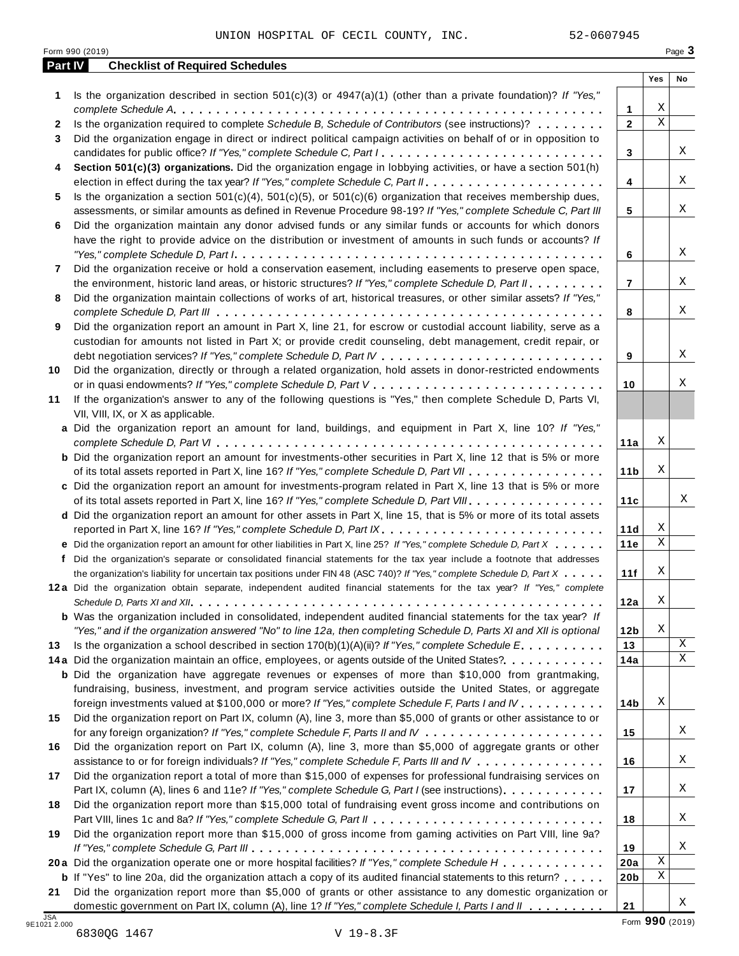| Part IV      | <b>Checklist of Required Schedules</b>                                                                                  |                 |             |    |
|--------------|-------------------------------------------------------------------------------------------------------------------------|-----------------|-------------|----|
|              |                                                                                                                         |                 | Yes         | No |
| 1            | Is the organization described in section $501(c)(3)$ or $4947(a)(1)$ (other than a private foundation)? If "Yes,"       |                 |             |    |
|              |                                                                                                                         | 1               | Χ           |    |
| $\mathbf{2}$ | Is the organization required to complete Schedule B, Schedule of Contributors (see instructions)?                       | $\overline{2}$  | $\mathbf X$ |    |
| 3            | Did the organization engage in direct or indirect political campaign activities on behalf of or in opposition to        |                 |             |    |
|              | candidates for public office? If "Yes," complete Schedule C, Part I.                                                    | 3               |             | Χ  |
| 4            | Section 501(c)(3) organizations. Did the organization engage in lobbying activities, or have a section 501(h)           |                 |             |    |
|              |                                                                                                                         | 4               |             | X  |
| 5            | Is the organization a section $501(c)(4)$ , $501(c)(5)$ , or $501(c)(6)$ organization that receives membership dues,    |                 |             |    |
|              | assessments, or similar amounts as defined in Revenue Procedure 98-19? If "Yes," complete Schedule C, Part III          | 5               |             | Χ  |
| 6            | Did the organization maintain any donor advised funds or any similar funds or accounts for which donors                 |                 |             |    |
|              | have the right to provide advice on the distribution or investment of amounts in such funds or accounts? If             |                 |             | X  |
|              |                                                                                                                         | 6               |             |    |
| 7            | Did the organization receive or hold a conservation easement, including easements to preserve open space,               |                 |             | Χ  |
|              | the environment, historic land areas, or historic structures? If "Yes," complete Schedule D, Part II.                   | $\overline{7}$  |             |    |
| 8            | Did the organization maintain collections of works of art, historical treasures, or other similar assets? If "Yes,"     |                 |             | Χ  |
|              | Did the organization report an amount in Part X, line 21, for escrow or custodial account liability, serve as a         | 8               |             |    |
| 9            | custodian for amounts not listed in Part X; or provide credit counseling, debt management, credit repair, or            |                 |             |    |
|              |                                                                                                                         | 9               |             | X  |
| 10           | Did the organization, directly or through a related organization, hold assets in donor-restricted endowments            |                 |             |    |
|              |                                                                                                                         | 10              |             | Χ  |
| 11           | If the organization's answer to any of the following questions is "Yes," then complete Schedule D, Parts VI,            |                 |             |    |
|              | VII, VIII, IX, or X as applicable.                                                                                      |                 |             |    |
|              | a Did the organization report an amount for land, buildings, and equipment in Part X, line 10? If "Yes,"                |                 |             |    |
|              |                                                                                                                         | 11a             | Χ           |    |
|              | <b>b</b> Did the organization report an amount for investments-other securities in Part X, line 12 that is 5% or more   |                 |             |    |
|              | of its total assets reported in Part X, line 16? If "Yes," complete Schedule D, Part VII                                | 11 <sub>b</sub> | Χ           |    |
|              | c Did the organization report an amount for investments-program related in Part X, line 13 that is 5% or more           |                 |             |    |
|              | of its total assets reported in Part X, line 16? If "Yes," complete Schedule D, Part VIII                               | 11c             |             | Χ  |
|              | d Did the organization report an amount for other assets in Part X, line 15, that is 5% or more of its total assets     |                 |             |    |
|              | reported in Part X, line 16? If "Yes," complete Schedule D, Part IX.                                                    | 11d             | Χ           |    |
|              | e Did the organization report an amount for other liabilities in Part X, line 25? If "Yes," complete Schedule D, Part X | 11e             | Χ           |    |
| f            | Did the organization's separate or consolidated financial statements for the tax year include a footnote that addresses |                 |             |    |
|              | the organization's liability for uncertain tax positions under FIN 48 (ASC 740)? If "Yes," complete Schedule D, Part X  | 11f             | Χ           |    |
|              | 12a Did the organization obtain separate, independent audited financial statements for the tax year? If "Yes," complete |                 |             |    |
|              |                                                                                                                         | 12a             | Χ           |    |
|              | <b>b</b> Was the organization included in consolidated, independent audited financial statements for the tax year? If   |                 |             |    |
|              | "Yes," and if the organization answered "No" to line 12a, then completing Schedule D, Parts XI and XII is optional      | 12 <sub>b</sub> | Χ           |    |
| 13           | Is the organization a school described in section $170(b)(1)(A)(ii)$ ? If "Yes," complete Schedule E.                   | 13              |             | X  |
|              | 14a Did the organization maintain an office, employees, or agents outside of the United States?.                        | 14a             |             | X  |
|              | <b>b</b> Did the organization have aggregate revenues or expenses of more than \$10,000 from grantmaking,               |                 |             |    |
|              | fundraising, business, investment, and program service activities outside the United States, or aggregate               |                 |             |    |
|              | foreign investments valued at \$100,000 or more? If "Yes," complete Schedule F, Parts I and IV                          | 14b             | Χ           |    |
| 15           | Did the organization report on Part IX, column (A), line 3, more than \$5,000 of grants or other assistance to or       |                 |             |    |
|              |                                                                                                                         | 15              |             | Χ  |
| 16           | Did the organization report on Part IX, column (A), line 3, more than \$5,000 of aggregate grants or other              |                 |             |    |
|              | assistance to or for foreign individuals? If "Yes," complete Schedule F, Parts III and IV                               | 16              |             | Χ  |
| 17           | Did the organization report a total of more than \$15,000 of expenses for professional fundraising services on          |                 |             |    |
|              | Part IX, column (A), lines 6 and 11e? If "Yes," complete Schedule G, Part I (see instructions)                          | 17              |             | Χ  |
| 18           | Did the organization report more than \$15,000 total of fundraising event gross income and contributions on             |                 |             |    |
|              |                                                                                                                         | 18              |             | Χ  |
| 19           | Did the organization report more than \$15,000 of gross income from gaming activities on Part VIII, line 9a?            |                 |             |    |
|              |                                                                                                                         | 19              |             | Χ  |
|              | 20a Did the organization operate one or more hospital facilities? If "Yes," complete Schedule H                         | 20a             | Χ           |    |
|              | <b>b</b> If "Yes" to line 20a, did the organization attach a copy of its audited financial statements to this return?   | 20 <sub>b</sub> | Χ           |    |
| 21           | Did the organization report more than \$5,000 of grants or other assistance to any domestic organization or             |                 |             |    |
|              | domestic government on Part IX, column (A), line 1? If "Yes," complete Schedule I, Parts I and II                       | 21              |             | Χ  |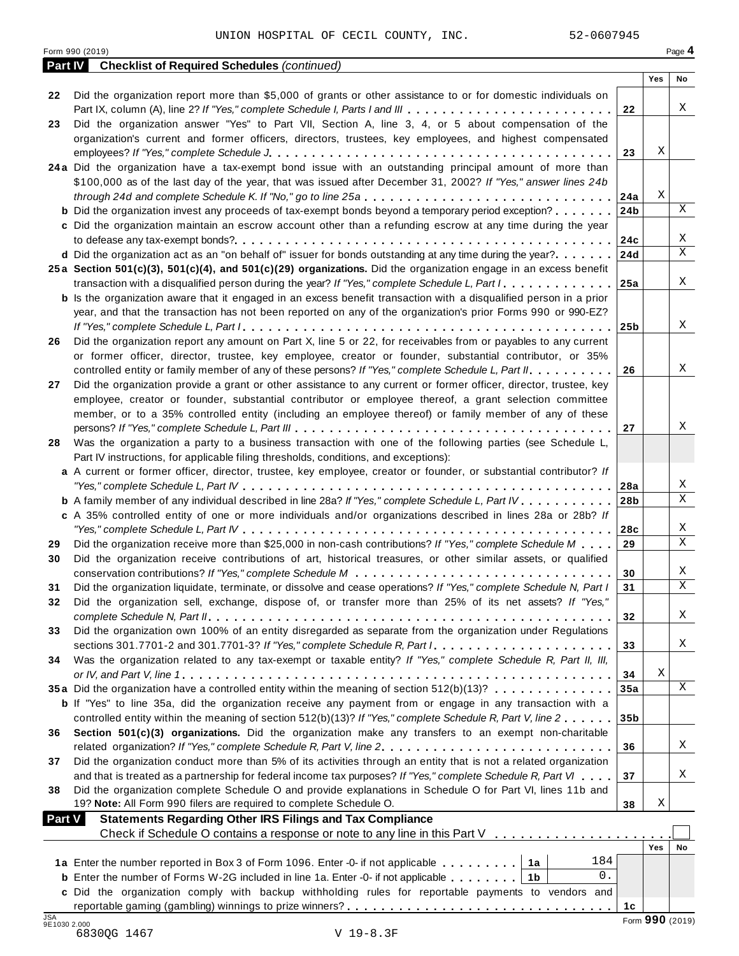|               | Form 990 (2019)                                                                                                           |                 |            | Page 4      |
|---------------|---------------------------------------------------------------------------------------------------------------------------|-----------------|------------|-------------|
| Part IV       | <b>Checklist of Required Schedules (continued)</b>                                                                        |                 |            |             |
|               |                                                                                                                           |                 | Yes        | No          |
| 22            | Did the organization report more than \$5,000 of grants or other assistance to or for domestic individuals on             |                 |            |             |
|               | Part IX, column (A), line 2? If "Yes," complete Schedule I, Parts I and III                                               | 22              |            | Χ           |
| 23            | Did the organization answer "Yes" to Part VII, Section A, line 3, 4, or 5 about compensation of the                       |                 |            |             |
|               | organization's current and former officers, directors, trustees, key employees, and highest compensated                   |                 |            |             |
|               |                                                                                                                           | 23              | Χ          |             |
|               | 24a Did the organization have a tax-exempt bond issue with an outstanding principal amount of more than                   |                 |            |             |
|               | \$100,000 as of the last day of the year, that was issued after December 31, 2002? If "Yes," answer lines 24b             |                 | Χ          |             |
|               | through 24d and complete Schedule K. If "No," go to line 25a                                                              | 24a             |            | X           |
|               | <b>b</b> Did the organization invest any proceeds of tax-exempt bonds beyond a temporary period exception?                | 24b             |            |             |
|               | c Did the organization maintain an escrow account other than a refunding escrow at any time during the year               | 24c             |            | Χ           |
|               | d Did the organization act as an "on behalf of" issuer for bonds outstanding at any time during the year?                 | 24d             |            | X           |
|               | 25a Section 501(c)(3), 501(c)(4), and 501(c)(29) organizations. Did the organization engage in an excess benefit          |                 |            |             |
|               | transaction with a disqualified person during the year? If "Yes," complete Schedule L, Part I                             | 25a             |            | Χ           |
|               | <b>b</b> Is the organization aware that it engaged in an excess benefit transaction with a disqualified person in a prior |                 |            |             |
|               | year, and that the transaction has not been reported on any of the organization's prior Forms 990 or 990-EZ?              |                 |            |             |
|               |                                                                                                                           | 25 <sub>b</sub> |            | Χ           |
| 26            | Did the organization report any amount on Part X, line 5 or 22, for receivables from or payables to any current           |                 |            |             |
|               | or former officer, director, trustee, key employee, creator or founder, substantial contributor, or 35%                   |                 |            |             |
|               | controlled entity or family member of any of these persons? If "Yes," complete Schedule L, Part II.                       | 26              |            | Χ           |
| 27            | Did the organization provide a grant or other assistance to any current or former officer, director, trustee, key         |                 |            |             |
|               | employee, creator or founder, substantial contributor or employee thereof, a grant selection committee                    |                 |            |             |
|               | member, or to a 35% controlled entity (including an employee thereof) or family member of any of these                    |                 |            |             |
|               |                                                                                                                           | 27              |            | Χ           |
| 28            | Was the organization a party to a business transaction with one of the following parties (see Schedule L,                 |                 |            |             |
|               | Part IV instructions, for applicable filing thresholds, conditions, and exceptions):                                      |                 |            |             |
|               | a A current or former officer, director, trustee, key employee, creator or founder, or substantial contributor? If        |                 |            |             |
|               |                                                                                                                           | 28a             |            | Χ           |
|               | <b>b</b> A family member of any individual described in line 28a? If "Yes," complete Schedule L, Part IV.                 | 28 <sub>b</sub> |            | X           |
|               | c A 35% controlled entity of one or more individuals and/or organizations described in lines 28a or 28b? If               |                 |            |             |
|               |                                                                                                                           | 28c             |            | Χ           |
| 29            | Did the organization receive more than \$25,000 in non-cash contributions? If "Yes," complete Schedule M                  | 29              |            | X           |
| 30            | Did the organization receive contributions of art, historical treasures, or other similar assets, or qualified            |                 |            |             |
|               |                                                                                                                           | 30              |            | Χ           |
| 31            | Did the organization liquidate, terminate, or dissolve and cease operations? If "Yes," complete Schedule N, Part I        | 31              |            | $\mathbf X$ |
| 32            | Did the organization sell, exchange, dispose of, or transfer more than 25% of its net assets? If "Yes,"                   |                 |            |             |
|               |                                                                                                                           | 32              |            | Χ           |
| 33            | Did the organization own 100% of an entity disregarded as separate from the organization under Regulations                |                 |            |             |
|               | sections 301.7701-2 and 301.7701-3? If "Yes," complete Schedule R, Part /                                                 | 33              |            | Χ           |
| 34            | Was the organization related to any tax-exempt or taxable entity? If "Yes," complete Schedule R, Part II, III,            |                 |            |             |
|               |                                                                                                                           | 34              | X          |             |
|               | 35a Did the organization have a controlled entity within the meaning of section 512(b)(13)?                               | 35a             |            | X           |
|               | b If "Yes" to line 35a, did the organization receive any payment from or engage in any transaction with a                 |                 |            |             |
|               | controlled entity within the meaning of section 512(b)(13)? If "Yes," complete Schedule R, Part V, line 2                 | 35 <sub>b</sub> |            |             |
| 36            | Section 501(c)(3) organizations. Did the organization make any transfers to an exempt non-charitable                      |                 |            |             |
|               | related organization? If "Yes," complete Schedule R, Part V, line 2.                                                      | 36              |            | Χ           |
| 37            | Did the organization conduct more than 5% of its activities through an entity that is not a related organization          |                 |            |             |
|               | and that is treated as a partnership for federal income tax purposes? If "Yes," complete Schedule R, Part VI              | 37              |            | Χ           |
| 38            | Did the organization complete Schedule O and provide explanations in Schedule O for Part VI, lines 11b and                |                 |            |             |
|               | 19? Note: All Form 990 filers are required to complete Schedule O.                                                        | 38              | Χ          |             |
| <b>Part V</b> | <b>Statements Regarding Other IRS Filings and Tax Compliance</b>                                                          |                 |            |             |
|               | Check if Schedule O contains a response or note to any line in this Part V                                                |                 |            |             |
|               |                                                                                                                           |                 | <b>Yes</b> | No          |
|               | 184<br>1a Enter the number reported in Box 3 of Form 1096. Enter -0- if not applicable   1a                               |                 |            |             |
|               | 0.<br><b>b</b> Enter the number of Forms W-2G included in line 1a. Enter -0- if not applicable $\ldots$ ,,,,,<br>1b       |                 |            |             |
|               | c Did the organization comply with backup withholding rules for reportable payments to vendors and                        |                 |            |             |
|               |                                                                                                                           | 1 <sub>c</sub>  |            |             |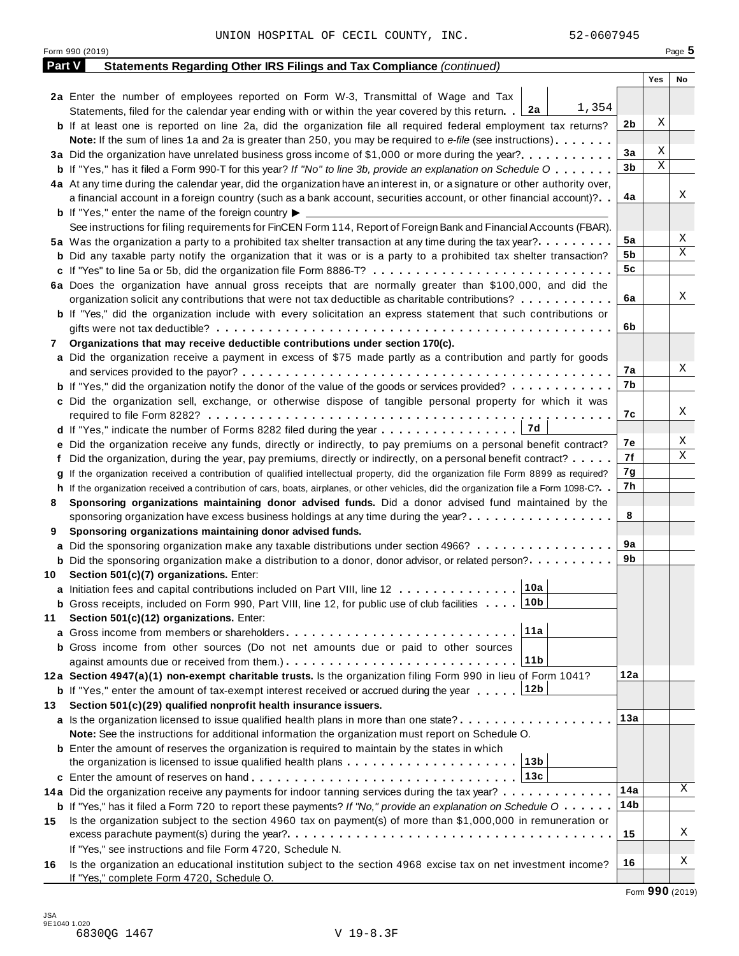|        | Form 990 (2019)                                                                                                                              |     |     | Page 5 |
|--------|----------------------------------------------------------------------------------------------------------------------------------------------|-----|-----|--------|
| Part V | <b>Statements Regarding Other IRS Filings and Tax Compliance (continued)</b>                                                                 |     |     |        |
|        |                                                                                                                                              |     | Yes | No     |
|        | 2a Enter the number of employees reported on Form W-3, Transmittal of Wage and Tax                                                           |     |     |        |
|        | 1,354<br>Statements, filed for the calendar year ending with or within the year covered by this return. 2a                                   |     |     |        |
|        | <b>b</b> If at least one is reported on line 2a, did the organization file all required federal employment tax returns?                      | 2b  | Χ   |        |
|        | <b>Note:</b> If the sum of lines 1a and 2a is greater than 250, you may be required to e-file (see instructions)                             |     |     |        |
|        | 3a Did the organization have unrelated business gross income of \$1,000 or more during the year?                                             | 3a  | Χ   |        |
|        | <b>b</b> If "Yes," has it filed a Form 990-T for this year? If "No" to line 3b, provide an explanation on Schedule O                         | 3b  | Χ   |        |
|        | 4a At any time during the calendar year, did the organization have an interest in, or a signature or other authority over,                   |     |     |        |
|        | a financial account in a foreign country (such as a bank account, securities account, or other financial account)?                           | 4a  |     | Χ      |
|        | <b>b</b> If "Yes," enter the name of the foreign country $\blacktriangleright$                                                               |     |     |        |
|        | See instructions for filing requirements for FinCEN Form 114, Report of Foreign Bank and Financial Accounts (FBAR).                          |     |     |        |
|        | 5a Was the organization a party to a prohibited tax shelter transaction at any time during the tax year?                                     | 5a  |     | Χ      |
|        | <b>b</b> Did any taxable party notify the organization that it was or is a party to a prohibited tax shelter transaction?                    | 5b  |     | Χ      |
|        | c If "Yes" to line 5a or 5b, did the organization file Form 8886-T?                                                                          | 5c  |     |        |
|        | 6a Does the organization have annual gross receipts that are normally greater than \$100,000, and did the                                    |     |     |        |
|        | organization solicit any contributions that were not tax deductible as charitable contributions?                                             | 6a  |     | Χ      |
|        | <b>b</b> If "Yes," did the organization include with every solicitation an express statement that such contributions or                      |     |     |        |
|        |                                                                                                                                              | 6b  |     |        |
| 7      | Organizations that may receive deductible contributions under section 170(c).                                                                |     |     |        |
|        | a Did the organization receive a payment in excess of \$75 made partly as a contribution and partly for goods                                |     |     |        |
|        |                                                                                                                                              | 7а  |     | Χ      |
|        | <b>b</b> If "Yes," did the organization notify the donor of the value of the goods or services provided?                                     | 7b  |     |        |
|        | c Did the organization sell, exchange, or otherwise dispose of tangible personal property for which it was                                   |     |     |        |
|        |                                                                                                                                              | 7с  |     | Χ      |
|        | 7d<br>d If "Yes," indicate the number of Forms 8282 filed during the year                                                                    |     |     |        |
|        | e Did the organization receive any funds, directly or indirectly, to pay premiums on a personal benefit contract?                            | 7е  |     | Χ      |
|        | f Did the organization, during the year, pay premiums, directly or indirectly, on a personal benefit contract?                               | 7f  |     | Χ      |
|        | g If the organization received a contribution of qualified intellectual property, did the organization file Form 8899 as required?           | 7g  |     |        |
|        | h If the organization received a contribution of cars, boats, airplanes, or other vehicles, did the organization file a Form 1098-C?         | 7h  |     |        |
| 8      | Sponsoring organizations maintaining donor advised funds. Did a donor advised fund maintained by the                                         |     |     |        |
|        | sponsoring organization have excess business holdings at any time during the year?                                                           | 8   |     |        |
| 9      | Sponsoring organizations maintaining donor advised funds.                                                                                    |     |     |        |
|        | a Did the sponsoring organization make any taxable distributions under section 4966?                                                         | 9а  |     |        |
|        | <b>b</b> Did the sponsoring organization make a distribution to a donor, donor advisor, or related person?                                   | 9b  |     |        |
|        | 10 Section 501(c)(7) organizations. Enter:                                                                                                   |     |     |        |
|        | 10a <br>a Initiation fees and capital contributions included on Part VIII, line 12                                                           |     |     |        |
|        | 10b                                                                                                                                          |     |     |        |
|        | <b>b</b> Gross receipts, included on Form 990, Part VIII, line 12, for public use of club facilities                                         |     |     |        |
| 11     | Section 501(c)(12) organizations. Enter:<br>11a                                                                                              |     |     |        |
|        | b Gross income from other sources (Do not net amounts due or paid to other sources                                                           |     |     |        |
|        | 11b                                                                                                                                          |     |     |        |
|        |                                                                                                                                              | 12a |     |        |
|        | 12a Section 4947(a)(1) non-exempt charitable trusts. Is the organization filing Form 990 in lieu of Form 1041?<br>12b                        |     |     |        |
|        | <b>b</b> If "Yes," enter the amount of tax-exempt interest received or accrued during the year                                               |     |     |        |
| 13     | Section 501(c)(29) qualified nonprofit health insurance issuers.                                                                             | 13а |     |        |
|        | a Is the organization licensed to issue qualified health plans in more than one state?                                                       |     |     |        |
|        | Note: See the instructions for additional information the organization must report on Schedule O.                                            |     |     |        |
|        | <b>b</b> Enter the amount of reserves the organization is required to maintain by the states in which                                        |     |     |        |
|        | 13b<br>the organization is licensed to issue qualified health plans $\ldots \ldots \ldots \ldots \ldots \ldots \ldots$                       |     |     |        |
|        | 13c                                                                                                                                          |     |     | Χ      |
|        | 14a Did the organization receive any payments for indoor tanning services during the tax year?                                               | 14a |     |        |
|        | <b>b</b> If "Yes," has it filed a Form 720 to report these payments? If "No," provide an explanation on Schedule $0 \cdot \cdot \cdot \cdot$ | 14b |     |        |
| 15     | Is the organization subject to the section 4960 tax on payment(s) of more than \$1,000,000 in remuneration or                                |     |     |        |
|        |                                                                                                                                              | 15  |     | Χ      |
|        | If "Yes," see instructions and file Form 4720, Schedule N.                                                                                   |     |     |        |
| 16     | Is the organization an educational institution subject to the section 4968 excise tax on net investment income?                              | 16  |     | Χ      |
|        | If "Yes," complete Form 4720, Schedule O.                                                                                                    |     |     |        |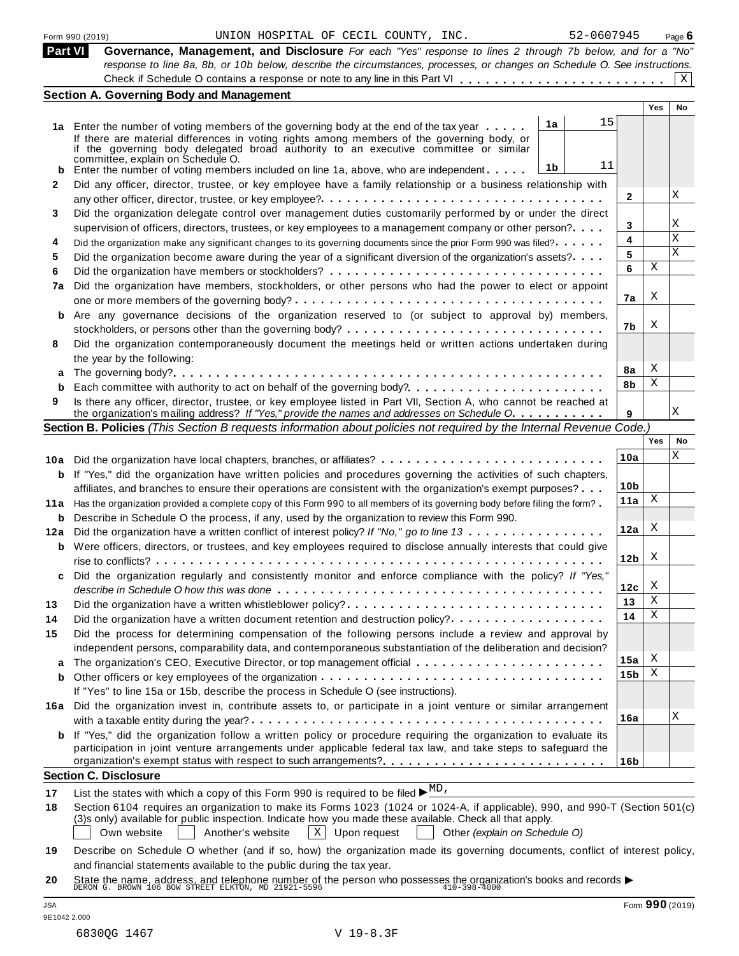|         | 52-0607945<br>UNION HOSPITAL OF CECIL COUNTY, INC.<br>Form 990 (2019)                                                                                                              |                 |     | Page $6$ |
|---------|------------------------------------------------------------------------------------------------------------------------------------------------------------------------------------|-----------------|-----|----------|
| Part VI | Governance, Management, and Disclosure For each "Yes" response to lines 2 through 7b below, and for a "No"                                                                         |                 |     |          |
|         | response to line 8a, 8b, or 10b below, describe the circumstances, processes, or changes on Schedule O. See instructions.                                                          |                 |     |          |
|         |                                                                                                                                                                                    |                 |     | X        |
|         | <b>Section A. Governing Body and Management</b>                                                                                                                                    |                 |     |          |
|         |                                                                                                                                                                                    |                 | Yes | No       |
|         | 15<br>1a<br>1a Enter the number of voting members of the governing body at the end of the tax year                                                                                 |                 |     |          |
|         | If there are material differences in voting rights among members of the governing body, or<br>if the governing body delegated broad authority to an executive committee or similar |                 |     |          |
|         | committee, explain on Schedule O.                                                                                                                                                  |                 |     |          |
| b       | 11<br>1b<br>Enter the number of voting members included on line 1a, above, who are independent                                                                                     |                 |     |          |
| 2       | Did any officer, director, trustee, or key employee have a family relationship or a business relationship with                                                                     |                 |     |          |
|         |                                                                                                                                                                                    | 2               |     | X        |
| 3       | Did the organization delegate control over management duties customarily performed by or under the direct                                                                          |                 |     |          |
|         | supervision of officers, directors, trustees, or key employees to a management company or other person?                                                                            | 3               |     | Χ        |
| 4       | Did the organization make any significant changes to its governing documents since the prior Form 990 was filed?                                                                   | 4               |     | Χ        |
| 5       | Did the organization become aware during the year of a significant diversion of the organization's assets?                                                                         | 5               |     | X        |
| 6       |                                                                                                                                                                                    | 6               | Χ   |          |
| 7a      | Did the organization have members, stockholders, or other persons who had the power to elect or appoint                                                                            |                 |     |          |
|         |                                                                                                                                                                                    | 7a              | X   |          |
|         | b Are any governance decisions of the organization reserved to (or subject to approval by) members,                                                                                |                 |     |          |
|         | stockholders, or persons other than the governing body? $\dots \dots \dots \dots \dots \dots \dots \dots \dots \dots \dots \dots$                                                  | 7b              | Χ   |          |
| 8       | Did the organization contemporaneously document the meetings held or written actions undertaken during                                                                             |                 |     |          |
|         | the year by the following:                                                                                                                                                         |                 |     |          |
| а       |                                                                                                                                                                                    | 8a              | Χ   |          |
|         |                                                                                                                                                                                    | 8b              | Χ   |          |
| 9       | Is there any officer, director, trustee, or key employee listed in Part VII, Section A, who cannot be reached at                                                                   |                 |     |          |
|         | the organization's mailing address? If "Yes," provide the names and addresses on Schedule O.                                                                                       | 9               |     | Χ        |
|         | Section B. Policies (This Section B requests information about policies not required by the Internal Revenue Code.)                                                                |                 |     |          |
|         |                                                                                                                                                                                    |                 | Yes | No       |
|         | 10a Did the organization have local chapters, branches, or affiliates?                                                                                                             | 10a             |     | Χ        |
|         | <b>b</b> If "Yes," did the organization have written policies and procedures governing the activities of such chapters,                                                            |                 |     |          |
|         | affiliates, and branches to ensure their operations are consistent with the organization's exempt purposes?                                                                        | 10 <sub>b</sub> |     |          |
|         | 11a Has the organization provided a complete copy of this Form 990 to all members of its governing body before filing the form?                                                    | 11a             | Χ   |          |
| b       | Describe in Schedule O the process, if any, used by the organization to review this Form 990.                                                                                      |                 |     |          |
| 12a     | Did the organization have a written conflict of interest policy? If "No," go to line 13                                                                                            | 12a             | X   |          |
|         | <b>b</b> Were officers, directors, or trustees, and key employees required to disclose annually interests that could give                                                          |                 |     |          |
|         |                                                                                                                                                                                    | 12 <sub>b</sub> | X   |          |
|         | Did the organization regularly and consistently monitor and enforce compliance with the policy? If "Yes,"                                                                          |                 |     |          |
|         |                                                                                                                                                                                    | 12c             | X   |          |
| 13      | Did the organization have a written whistleblower policy?                                                                                                                          | 13              | Χ   |          |
| 14      | Did the organization have a written document retention and destruction policy?                                                                                                     | 14              | Χ   |          |
| 15      | Did the process for determining compensation of the following persons include a review and approval by                                                                             |                 |     |          |
|         | independent persons, comparability data, and contemporaneous substantiation of the deliberation and decision?                                                                      |                 |     |          |
| а       |                                                                                                                                                                                    | 15a             | Χ   |          |
| b       |                                                                                                                                                                                    | 15 <sub>b</sub> | Χ   |          |
|         | If "Yes" to line 15a or 15b, describe the process in Schedule O (see instructions).                                                                                                |                 |     |          |
|         | 16a Did the organization invest in, contribute assets to, or participate in a joint venture or similar arrangement                                                                 |                 |     |          |
|         |                                                                                                                                                                                    | 16a             |     | X        |
|         | <b>b</b> If "Yes," did the organization follow a written policy or procedure requiring the organization to evaluate its                                                            |                 |     |          |
|         | participation in joint venture arrangements under applicable federal tax law, and take steps to safeguard the                                                                      |                 |     |          |
|         |                                                                                                                                                                                    | 16 <sub>b</sub> |     |          |
|         | <b>Section C. Disclosure</b>                                                                                                                                                       |                 |     |          |
| 17      | List the states with which a copy of this Form 990 is required to be filed $\blacktriangleright \frac{MD}{D}$                                                                      |                 |     |          |
| 18      | Section 6104 requires an organization to make its Forms 1023 (1024 or 1024-A, if applicable), 990, and 990-T (Section 501(c)                                                       |                 |     |          |
|         | (3)s only) available for public inspection. Indicate how you made these available. Check all that apply.                                                                           |                 |     |          |
|         | $\mathbf{X}$<br>Own website<br>Another's website<br>Upon request<br>Other (explain on Schedule O)                                                                                  |                 |     |          |
| 19      | Describe on Schedule O whether (and if so, how) the organization made its governing documents, conflict of interest policy,                                                        |                 |     |          |
|         | and financial statements available to the public during the tax year.                                                                                                              |                 |     |          |

**20** and infancial statements available to the public during the tax year.<br>State the name, address, and telephone number of the person who possesses the organization's books and records<br>DERON G. BROWN 106 BOW STREET ELKTON, MD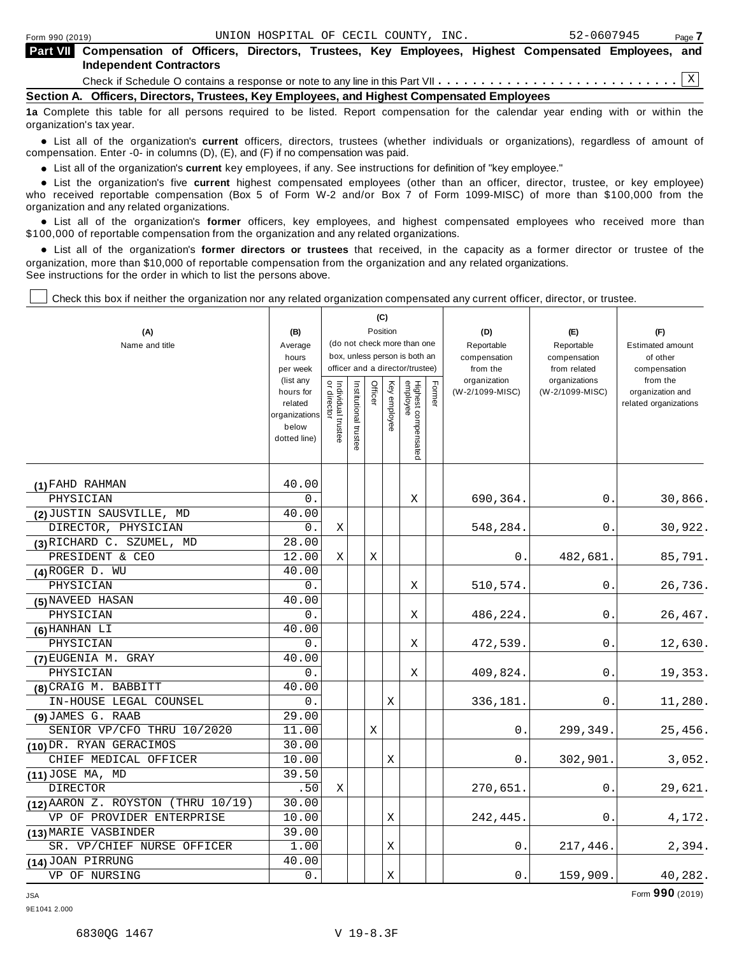| <b>Part VIII</b> Compensation of Officers, Directors, Trustees, Key Employees, Highest Compensated Employees, and<br><b>Independent Contractors</b> |  |  |  |  |  |  |  |  |  |  |  |
|-----------------------------------------------------------------------------------------------------------------------------------------------------|--|--|--|--|--|--|--|--|--|--|--|
|                                                                                                                                                     |  |  |  |  |  |  |  |  |  |  |  |
| Section A. Officers, Directors, Trustees, Key Employees, and Highest Compensated Employees                                                          |  |  |  |  |  |  |  |  |  |  |  |

**1a** Complete this table for all persons required to be listed. Report compensation for the calendar year ending with or within the organization's tax year.

anization's lax year.<br>● List all of the organization's **current** officers, directors, trustees (whether individuals or organizations), regardless of amount of<br>nnensation Enter -0- in columns (D) (E) and (E) if no compensa compensation. Enter -0- in columns (D), (E), and (F) if no compensation was paid.

• List all of the organization's **current** key employees, if any. See instructions for definition of "key employee."<br>● List the experientials five expect highest expressed explores (other than an efficer director of

**Example in the organization's current** key employees, if any. See instructions for definition of key employee.<br>• List the organization's five **current** highest compensated employees (other than an officer, director, trust who received reportable compensation (Box 5 of Form W-2 and/or Box 7 of Form 1099-MISC) of more than \$100,000 from the

organization and any related organizations.<br>• List all of the organization's **former** officers, key employees, and highest compensated employees who received more than<br>\$1.00.000 of reportable componention from the erganiza \$100,000 of reportable compensation from the organization and any related organizations.

% List all of the organization's **former directors or trustees** that received, in the capacity as a former director or trustee of the organization, more than \$10,000 of reportable compensation from the organization and any related organizations. See instructions for the order in which to list the persons above.

 $\mathbf{r}$ 

Check this box if neither the organization nor any related organization compensated any current officer, director, or trustee.

|                                                    |                                                                             |                                         |                                 |         | (C)          |                                 |        |                                 |                                  |                                                       |
|----------------------------------------------------|-----------------------------------------------------------------------------|-----------------------------------------|---------------------------------|---------|--------------|---------------------------------|--------|---------------------------------|----------------------------------|-------------------------------------------------------|
| (A)                                                | (B)                                                                         | Position<br>(do not check more than one |                                 |         |              | (D)                             | (E)    | (F)                             |                                  |                                                       |
| Name and title                                     | Average<br>hours                                                            | box, unless person is both an           |                                 |         |              |                                 |        | Reportable<br>compensation      | Reportable<br>compensation       | <b>Estimated amount</b><br>of other                   |
|                                                    | per week                                                                    |                                         | officer and a director/trustee) |         |              |                                 |        | from the                        | from related                     | compensation                                          |
|                                                    | (list any<br>hours for<br>related<br>organizations<br>below<br>dotted line) | Individual trustee<br>or director       | Institutional trustee           | Officer | Key employee | Highest compensated<br>employee | Former | organization<br>(W-2/1099-MISC) | organizations<br>(W-2/1099-MISC) | from the<br>organization and<br>related organizations |
|                                                    |                                                                             |                                         |                                 |         |              |                                 |        |                                 |                                  |                                                       |
| (1) FAHD RAHMAN                                    | 40.00                                                                       |                                         |                                 |         |              |                                 |        |                                 |                                  |                                                       |
| PHYSICIAN                                          | 0.                                                                          |                                         |                                 |         |              | Χ                               |        | 690,364.                        | 0.                               | 30,866.                                               |
| (2) JUSTIN SAUSVILLE, MD                           | 40.00                                                                       |                                         |                                 |         |              |                                 |        |                                 |                                  |                                                       |
| DIRECTOR, PHYSICIAN                                | 0.                                                                          | X                                       |                                 |         |              |                                 |        | 548,284.                        | 0.                               | 30,922.                                               |
| (3) RICHARD C. SZUMEL, MD                          | 28.00                                                                       |                                         |                                 |         |              |                                 |        |                                 |                                  |                                                       |
| PRESIDENT & CEO                                    | 12.00                                                                       | Χ                                       |                                 | Χ       |              |                                 |        | 0.                              | 482,681                          | 85,791.                                               |
| $(4)$ ROGER D. WU                                  | 40.00                                                                       |                                         |                                 |         |              |                                 |        |                                 |                                  |                                                       |
| PHYSICIAN                                          | Ο.                                                                          |                                         |                                 |         |              | Χ                               |        | 510,574.                        | 0.                               | 26,736.                                               |
| (5) NAVEED HASAN                                   | 40.00                                                                       |                                         |                                 |         |              |                                 |        |                                 |                                  |                                                       |
| PHYSICIAN                                          | 0.                                                                          |                                         |                                 |         |              | Χ                               |        | 486,224.                        | 0.                               | 26,467.                                               |
| $(6)$ HANHAN LI                                    | 40.00                                                                       |                                         |                                 |         |              |                                 |        |                                 |                                  |                                                       |
| PHYSICIAN                                          | 0.                                                                          |                                         |                                 |         |              | Χ                               |        | 472,539.                        | 0.                               | 12,630.                                               |
| (7) EUGENIA M. GRAY                                | 40.00                                                                       |                                         |                                 |         |              |                                 |        |                                 |                                  |                                                       |
| PHYSICIAN                                          | 0.                                                                          |                                         |                                 |         |              | X                               |        | 409,824.                        | 0.                               | 19,353.                                               |
| (8) CRAIG M. BABBITT                               | 40.00                                                                       |                                         |                                 |         |              |                                 |        |                                 |                                  |                                                       |
| IN-HOUSE LEGAL COUNSEL                             | 0.                                                                          |                                         |                                 |         | Χ            |                                 |        | 336,181.                        | 0.                               | 11,280.                                               |
| (9) JAMES G. RAAB                                  | 29.00                                                                       |                                         |                                 |         |              |                                 |        |                                 |                                  |                                                       |
| SENIOR VP/CFO THRU 10/2020                         | 11.00                                                                       |                                         |                                 | Χ       |              |                                 |        | 0.                              | 299,349.                         | 25,456.                                               |
| (10) DR. RYAN GERACIMOS                            | 30.00                                                                       |                                         |                                 |         |              |                                 |        |                                 |                                  |                                                       |
| CHIEF MEDICAL OFFICER                              | 10.00                                                                       |                                         |                                 |         | X            |                                 |        | 0.                              | 302,901.                         | 3,052.                                                |
| $(11)$ JOSE MA, MD                                 | 39.50                                                                       |                                         |                                 |         |              |                                 |        |                                 |                                  |                                                       |
| <b>DIRECTOR</b>                                    | .50                                                                         | Χ                                       |                                 |         |              |                                 |        | 270,651.                        | 0.                               | 29,621.                                               |
| $(12)$ AARON Z. ROYSTON (THRU $\overline{10/19}$ ) | 30.00                                                                       |                                         |                                 |         |              |                                 |        |                                 |                                  |                                                       |
| VP OF PROVIDER ENTERPRISE                          | 10.00                                                                       |                                         |                                 |         | Χ            |                                 |        | 242,445.                        | 0.                               | 4,172.                                                |
| (13) MARIE VASBINDER                               | 39.00                                                                       |                                         |                                 |         |              |                                 |        |                                 |                                  |                                                       |
| SR. VP/CHIEF NURSE OFFICER                         | 1.00                                                                        |                                         |                                 |         | Χ            |                                 |        | 0.                              | 217,446.                         | 2,394.                                                |
| (14) JOAN PIRRUNG                                  | 40.00                                                                       |                                         |                                 |         |              |                                 |        |                                 |                                  |                                                       |
| VP OF NURSING                                      | $0$ .                                                                       |                                         |                                 |         | X            |                                 |        | $0$ .                           | 159,909.                         | 40,282.                                               |

JSA Form **990** (2019)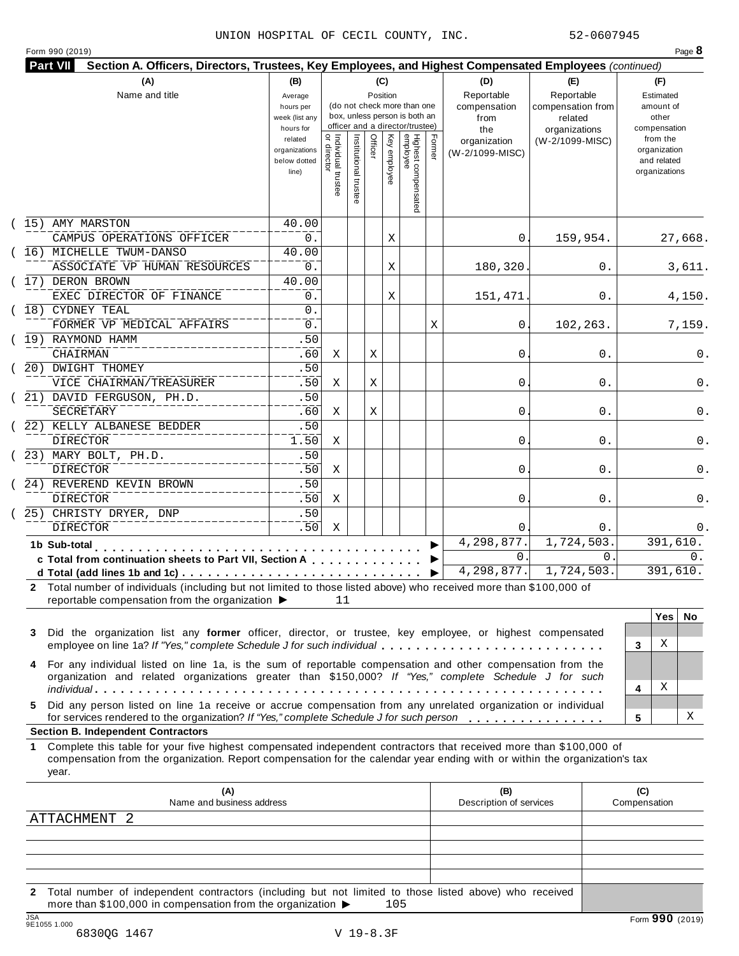| (A)                                                                                                                                                                                                                                              | (B)                  |                                           |                       | (C)          |                                                                  |        | (D)                             | (E)               | (F)                      |
|--------------------------------------------------------------------------------------------------------------------------------------------------------------------------------------------------------------------------------------------------|----------------------|-------------------------------------------|-----------------------|--------------|------------------------------------------------------------------|--------|---------------------------------|-------------------|--------------------------|
| Name and title                                                                                                                                                                                                                                   | Average              |                                           |                       | Position     |                                                                  |        | Reportable                      | Reportable        | Estimated                |
|                                                                                                                                                                                                                                                  | hours per            |                                           |                       |              | (do not check more than one                                      |        | compensation                    | compensation from | amount of                |
|                                                                                                                                                                                                                                                  | week (list any       |                                           |                       |              | box, unless person is both an<br>officer and a director/trustee) |        | from                            | related           | other                    |
|                                                                                                                                                                                                                                                  | hours for<br>related |                                           |                       |              |                                                                  |        | the                             | organizations     | compensation<br>from the |
|                                                                                                                                                                                                                                                  | organizations        |                                           |                       | Officer      |                                                                  | Former | organization<br>(W-2/1099-MISC) | (W-2/1099-MISC)   | organization             |
|                                                                                                                                                                                                                                                  | below dotted         |                                           |                       |              |                                                                  |        |                                 |                   | and related              |
|                                                                                                                                                                                                                                                  | line)                |                                           |                       | Key employee |                                                                  |        |                                 |                   | organizations            |
|                                                                                                                                                                                                                                                  |                      | <br>  Individual trustee<br>  or director | Institutional trustee |              | Highest compensated<br>employee                                  |        |                                 |                   |                          |
|                                                                                                                                                                                                                                                  |                      |                                           |                       |              |                                                                  |        |                                 |                   |                          |
| (15) AMY MARSTON                                                                                                                                                                                                                                 | 40.00                |                                           |                       |              |                                                                  |        |                                 |                   |                          |
| CAMPUS OPERATIONS OFFICER                                                                                                                                                                                                                        | 0.                   |                                           |                       |              | Χ                                                                |        | 0                               | 159,954.          | 27,668.                  |
| (16) MICHELLE TWUM-DANSO                                                                                                                                                                                                                         | 40.00                |                                           |                       |              |                                                                  |        |                                 |                   |                          |
| ASSOCIATE VP HUMAN RESOURCES                                                                                                                                                                                                                     | 0.                   |                                           |                       |              | Χ                                                                |        | 180,320.                        | 0.                | 3,611.                   |
| (17) DERON BROWN                                                                                                                                                                                                                                 | 40.00                |                                           |                       |              |                                                                  |        |                                 |                   |                          |
| EXEC DIRECTOR OF FINANCE                                                                                                                                                                                                                         |                      |                                           |                       |              |                                                                  |        |                                 |                   |                          |
| (18) CYDNEY TEAL                                                                                                                                                                                                                                 | 0.                   |                                           |                       |              | Χ                                                                |        | 151,471.                        | 0.                | 4,150.                   |
|                                                                                                                                                                                                                                                  | 0.                   |                                           |                       |              |                                                                  |        |                                 |                   |                          |
| FORMER VP MEDICAL AFFAIRS                                                                                                                                                                                                                        | 0.                   |                                           |                       |              |                                                                  | Χ      | 0                               | 102,263.          | 7,159.                   |
| (19) RAYMOND HAMM                                                                                                                                                                                                                                | .50                  |                                           |                       |              |                                                                  |        |                                 |                   |                          |
| CHAIRMAN<br>(20) DWIGHT THOMEY                                                                                                                                                                                                                   | .60                  | Χ                                         |                       | Χ            |                                                                  |        | 0                               | 0.                |                          |
| VICE CHAIRMAN/TREASURER                                                                                                                                                                                                                          | .50                  |                                           |                       |              |                                                                  |        | 0                               |                   |                          |
| (21) DAVID FERGUSON, PH.D.                                                                                                                                                                                                                       | .50<br>.50           | Χ                                         |                       | Χ            |                                                                  |        |                                 | 0.                |                          |
| SECRETARY                                                                                                                                                                                                                                        | .60                  |                                           |                       |              |                                                                  |        |                                 |                   |                          |
|                                                                                                                                                                                                                                                  |                      | Χ                                         |                       | Χ            |                                                                  |        | 0                               | 0.                |                          |
| (22) KELLY ALBANESE BEDDER                                                                                                                                                                                                                       | .50                  |                                           |                       |              |                                                                  |        |                                 |                   |                          |
| <b>DIRECTOR</b>                                                                                                                                                                                                                                  | 1.50                 | Χ                                         |                       |              |                                                                  |        | 0                               | 0.                |                          |
| (23) MARY BOLT, PH.D.                                                                                                                                                                                                                            | .50                  |                                           |                       |              |                                                                  |        |                                 |                   |                          |
| DIRECTOR                                                                                                                                                                                                                                         | .50                  | Χ                                         |                       |              |                                                                  |        | 0                               | 0.                |                          |
| (24) REVEREND KEVIN BROWN                                                                                                                                                                                                                        | .50                  |                                           |                       |              |                                                                  |        |                                 |                   |                          |
| <b>DIRECTOR</b>                                                                                                                                                                                                                                  | .50                  | Χ                                         |                       |              |                                                                  |        | 0                               | 0.                |                          |
| 25) CHRISTY DRYER, DNP                                                                                                                                                                                                                           | .50                  |                                           |                       |              |                                                                  |        |                                 |                   |                          |
| <b>DIRECTOR</b>                                                                                                                                                                                                                                  | .50                  | Χ                                         |                       |              |                                                                  |        | $\Omega$                        | 0.                |                          |
| 1b Sub-total                                                                                                                                                                                                                                     |                      |                                           |                       |              |                                                                  |        | 4,298,877.                      | 1,724,503.        | 391,610.                 |
| c Total from continuation sheets to Part VII, Section A                                                                                                                                                                                          |                      |                                           |                       |              |                                                                  |        | $\Omega$ .                      | $\Omega$ .        | 0.                       |
|                                                                                                                                                                                                                                                  |                      |                                           |                       |              |                                                                  | ▶      | 4,298,877.                      | 1,724,503.        | 391,610.                 |
| 2 Total number of individuals (including but not limited to those listed above) who received more than \$100,000 of                                                                                                                              |                      |                                           |                       |              |                                                                  |        |                                 |                   |                          |
|                                                                                                                                                                                                                                                  |                      | 11                                        |                       |              |                                                                  |        |                                 |                   |                          |
| reportable compensation from the organization ▶                                                                                                                                                                                                  |                      |                                           |                       |              |                                                                  |        |                                 |                   |                          |
|                                                                                                                                                                                                                                                  |                      |                                           |                       |              |                                                                  |        |                                 |                   | Yes                      |
|                                                                                                                                                                                                                                                  |                      |                                           |                       |              |                                                                  |        |                                 |                   |                          |
| Did the organization list any former officer, director, or trustee, key employee, or highest compensated<br>employee on line 1a? If "Yes," complete Schedule J for such individual                                                               |                      |                                           |                       |              |                                                                  |        |                                 |                   | Χ<br>3                   |
| 3                                                                                                                                                                                                                                                |                      |                                           |                       |              |                                                                  |        |                                 |                   |                          |
| For any individual listed on line 1a, is the sum of reportable compensation and other compensation from the<br>4                                                                                                                                 |                      |                                           |                       |              |                                                                  |        |                                 |                   |                          |
| organization and related organizations greater than \$150,000? If "Yes," complete Schedule J for such                                                                                                                                            |                      |                                           |                       |              |                                                                  |        |                                 |                   | Χ<br>4                   |
|                                                                                                                                                                                                                                                  |                      |                                           |                       |              |                                                                  |        |                                 |                   |                          |
| Did any person listed on line 1a receive or accrue compensation from any unrelated organization or individual                                                                                                                                    |                      |                                           |                       |              |                                                                  |        |                                 |                   | 5                        |
| for services rendered to the organization? If "Yes," complete Schedule J for such person                                                                                                                                                         |                      |                                           |                       |              |                                                                  |        |                                 |                   |                          |
| 5.<br><b>Section B. Independent Contractors</b><br>1.                                                                                                                                                                                            |                      |                                           |                       |              |                                                                  |        |                                 |                   |                          |
| Complete this table for your five highest compensated independent contractors that received more than \$100,000 of<br>compensation from the organization. Report compensation for the calendar year ending with or within the organization's tax |                      |                                           |                       |              |                                                                  |        |                                 |                   |                          |
| year.                                                                                                                                                                                                                                            |                      |                                           |                       |              |                                                                  |        |                                 |                   |                          |
|                                                                                                                                                                                                                                                  |                      |                                           |                       |              |                                                                  |        |                                 |                   |                          |
| (A)<br>Name and business address                                                                                                                                                                                                                 |                      |                                           |                       |              |                                                                  |        | (B)<br>Description of services  |                   | (C)<br>Compensation      |
| - 2                                                                                                                                                                                                                                              |                      |                                           |                       |              |                                                                  |        |                                 |                   |                          |
| ATTACHMENT                                                                                                                                                                                                                                       |                      |                                           |                       |              |                                                                  |        |                                 |                   | No.<br>х                 |

**2** Total number of independent contractors (including but not limited to those listed above) who received<br>more than \$100,000 in compensation from the organization  $\rightarrow$  105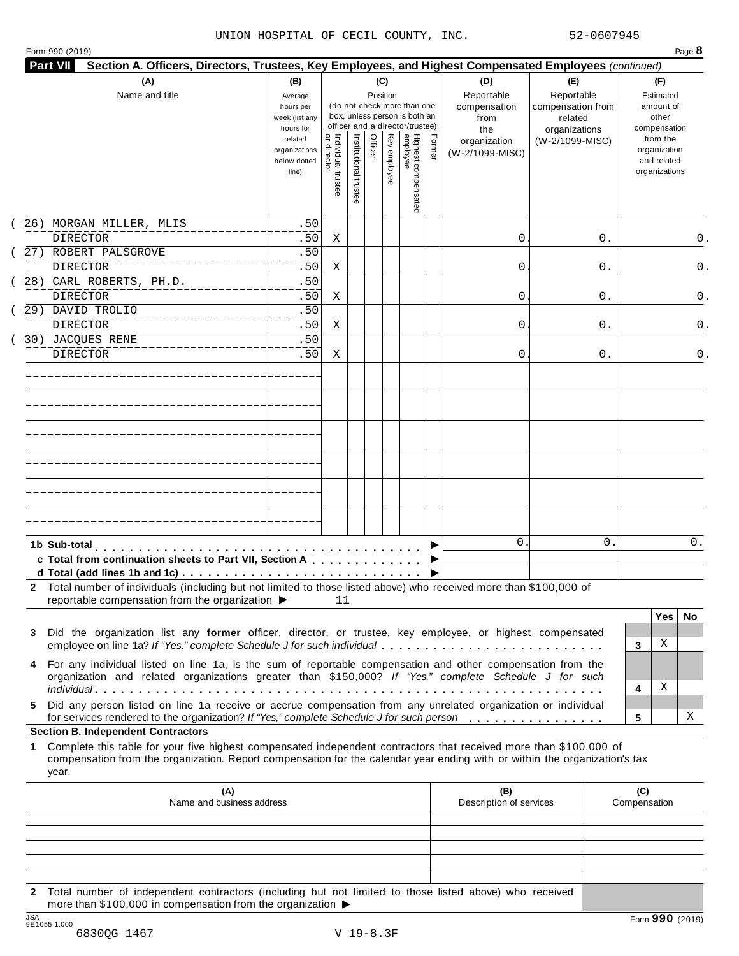### UNION HOSPITAL OF CECIL COUNTY, INC. 52-0607945

| Form 990 (2019) | $P$ aqe <b>o</b> |
|-----------------|------------------|
|-----------------|------------------|

| Section A. Officers, Directors, Trustees, Key Employees, and Highest Compensated Employees (continued)<br>Part VII                                                                                                                                              |                                                                                  |                                   |                    |         |                 |                                                                    |        |                                                |                                        |         |                     |                                                                          |       |
|-----------------------------------------------------------------------------------------------------------------------------------------------------------------------------------------------------------------------------------------------------------------|----------------------------------------------------------------------------------|-----------------------------------|--------------------|---------|-----------------|--------------------------------------------------------------------|--------|------------------------------------------------|----------------------------------------|---------|---------------------|--------------------------------------------------------------------------|-------|
| (A)<br>Name and title                                                                                                                                                                                                                                           | (B)<br>Average<br>hours per                                                      |                                   |                    |         | (C)<br>Position | (do not check more than one<br>box, unless person is both an       |        | (D)<br>Reportable<br>compensation              | (E)<br>Reportable<br>compensation from | related |                     | (F)<br>Estimated<br>amount of<br>other                                   |       |
|                                                                                                                                                                                                                                                                 | week (list any<br>hours for<br>related<br>organizations<br>below dotted<br>line) | Individual trustee<br>or director | Institutional trus | Officer | Key employee    | officer and a director/trustee)<br>Highest compensated<br>employee | Former | from<br>the<br>organization<br>(W-2/1099-MISC) | organizations<br>(W-2/1099-MISC)       |         |                     | compensation<br>from the<br>organization<br>and related<br>organizations |       |
| 26) MORGAN MILLER, MLIS                                                                                                                                                                                                                                         | .50                                                                              |                                   |                    |         |                 |                                                                    |        |                                                |                                        |         |                     |                                                                          |       |
| <b>DIRECTOR</b><br>27) ROBERT PALSGROVE                                                                                                                                                                                                                         | .50<br>.50                                                                       | Χ                                 |                    |         |                 |                                                                    |        | 0                                              |                                        | 0.      |                     |                                                                          |       |
| <b>DIRECTOR</b>                                                                                                                                                                                                                                                 | .50                                                                              | Χ                                 |                    |         |                 |                                                                    |        | 0                                              |                                        | 0.      |                     |                                                                          |       |
| 28) CARL ROBERTS, PH.D.<br><b>DIRECTOR</b>                                                                                                                                                                                                                      | .50<br>.50                                                                       | Χ                                 |                    |         |                 |                                                                    |        | 0                                              |                                        | 0.      |                     |                                                                          |       |
| 29) DAVID TROLIO                                                                                                                                                                                                                                                | .50                                                                              |                                   |                    |         |                 |                                                                    |        |                                                |                                        |         |                     |                                                                          |       |
| <b>DIRECTOR</b><br>30) JACQUES RENE                                                                                                                                                                                                                             | .50<br>.50                                                                       | Χ                                 |                    |         |                 |                                                                    |        | 0                                              |                                        | 0.      |                     |                                                                          |       |
| <b>DIRECTOR</b>                                                                                                                                                                                                                                                 | .50                                                                              | Χ                                 |                    |         |                 |                                                                    |        | 0                                              |                                        | 0.      |                     |                                                                          |       |
|                                                                                                                                                                                                                                                                 |                                                                                  |                                   |                    |         |                 |                                                                    |        |                                                |                                        |         |                     |                                                                          |       |
|                                                                                                                                                                                                                                                                 |                                                                                  |                                   |                    |         |                 |                                                                    |        |                                                |                                        |         |                     |                                                                          |       |
|                                                                                                                                                                                                                                                                 |                                                                                  |                                   |                    |         |                 |                                                                    |        |                                                |                                        |         |                     |                                                                          |       |
|                                                                                                                                                                                                                                                                 |                                                                                  |                                   |                    |         |                 |                                                                    |        |                                                |                                        |         |                     |                                                                          |       |
|                                                                                                                                                                                                                                                                 |                                                                                  |                                   |                    |         |                 |                                                                    |        |                                                |                                        |         |                     |                                                                          |       |
|                                                                                                                                                                                                                                                                 |                                                                                  |                                   |                    |         |                 |                                                                    |        |                                                |                                        |         |                     |                                                                          |       |
| 1b Sub-total<br>c Total from continuation sheets to Part VII, Section A                                                                                                                                                                                         |                                                                                  |                                   |                    |         |                 |                                                                    |        | 0.                                             |                                        | 0       |                     |                                                                          | $0$ . |
| 2 Total number of individuals (including but not limited to those listed above) who received more than \$100,000 of<br>reportable compensation from the organization ▶                                                                                          | $\sim$ 11                                                                        |                                   |                    |         |                 |                                                                    |        |                                                |                                        |         |                     |                                                                          |       |
| Did the organization list any former officer, director, or trustee, key employee, or highest compensated<br>3<br>employee on line 1a? If "Yes," complete Schedule J for such individual                                                                         |                                                                                  |                                   |                    |         |                 |                                                                    |        |                                                |                                        |         | 3                   | Yes   No<br>Χ                                                            |       |
| For any individual listed on line 1a, is the sum of reportable compensation and other compensation from the<br>organization and related organizations greater than \$150,000? If "Yes," complete Schedule J for such                                            |                                                                                  |                                   |                    |         |                 |                                                                    |        |                                                |                                        |         | 4                   | Χ                                                                        |       |
| Did any person listed on line 1a receive or accrue compensation from any unrelated organization or individual<br>5.<br>for services rendered to the organization? If "Yes," complete Schedule J for such person                                                 |                                                                                  |                                   |                    |         |                 |                                                                    |        |                                                |                                        |         | 5                   |                                                                          | Χ     |
| <b>Section B. Independent Contractors</b>                                                                                                                                                                                                                       |                                                                                  |                                   |                    |         |                 |                                                                    |        |                                                |                                        |         |                     |                                                                          |       |
| Complete this table for your five highest compensated independent contractors that received more than \$100,000 of<br>1.<br>compensation from the organization. Report compensation for the calendar year ending with or within the organization's tax<br>year. |                                                                                  |                                   |                    |         |                 |                                                                    |        |                                                |                                        |         |                     |                                                                          |       |
| (A)<br>Name and business address                                                                                                                                                                                                                                |                                                                                  |                                   |                    |         |                 |                                                                    |        | (B)<br>Description of services                 |                                        |         | (C)<br>Compensation |                                                                          |       |
|                                                                                                                                                                                                                                                                 |                                                                                  |                                   |                    |         |                 |                                                                    |        |                                                |                                        |         |                     |                                                                          |       |
|                                                                                                                                                                                                                                                                 |                                                                                  |                                   |                    |         |                 |                                                                    |        |                                                |                                        |         |                     |                                                                          |       |
|                                                                                                                                                                                                                                                                 |                                                                                  |                                   |                    |         |                 |                                                                    |        |                                                |                                        |         |                     |                                                                          |       |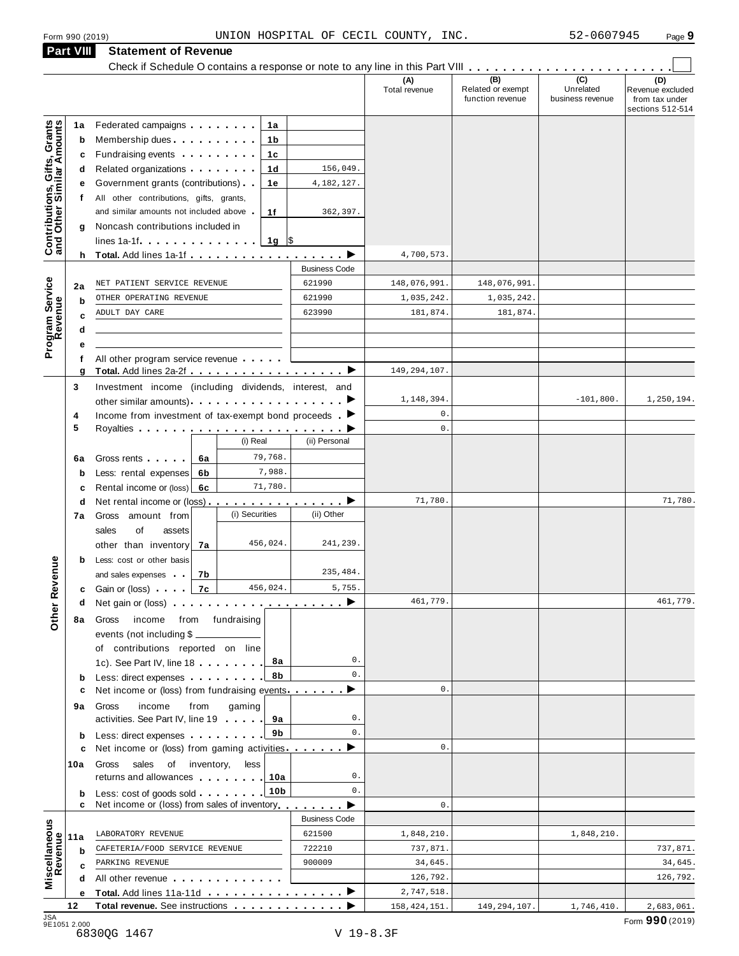**Part VIII Statement of Revenue**

|                                                           |     |                                                                                                                                                                                                                                               |      |                |                 |                      | (A)<br>Total revenue | Check if Schedule O contains a response or note to any line in this Part VIII<br>(B)<br>Related or exempt<br>function revenue | (C)<br>Unrelated<br>business revenue | (D)<br>Revenue excluded<br>from tax under<br>sections 512-514 |
|-----------------------------------------------------------|-----|-----------------------------------------------------------------------------------------------------------------------------------------------------------------------------------------------------------------------------------------------|------|----------------|-----------------|----------------------|----------------------|-------------------------------------------------------------------------------------------------------------------------------|--------------------------------------|---------------------------------------------------------------|
|                                                           | 1a  | Federated campaigns <b>Federated</b>                                                                                                                                                                                                          |      |                | 1а              |                      |                      |                                                                                                                               |                                      |                                                               |
|                                                           | b   | Membership dues <b>All Accords</b> Membership dues                                                                                                                                                                                            |      |                | 1b              |                      |                      |                                                                                                                               |                                      |                                                               |
|                                                           | c   | Fundraising events <b>Fundraising</b>                                                                                                                                                                                                         |      |                | 1с              |                      |                      |                                                                                                                               |                                      |                                                               |
|                                                           | d   | Related organizations <b>contains</b> and <b>Related</b> organizations <b>and</b> a set of the set of the set of the set of the set of the set of the set of the set of the set of the set of the set of the set of the set of the set of the |      |                | 1d              | 156,049.             |                      |                                                                                                                               |                                      |                                                               |
|                                                           | е   | Government grants (contributions)                                                                                                                                                                                                             |      |                | 1е              | 4,182,127.           |                      |                                                                                                                               |                                      |                                                               |
|                                                           | f   | All other contributions, gifts, grants,                                                                                                                                                                                                       |      |                |                 |                      |                      |                                                                                                                               |                                      |                                                               |
|                                                           |     | and similar amounts not included above                                                                                                                                                                                                        |      |                | 1f              | 362,397.             |                      |                                                                                                                               |                                      |                                                               |
| Contributions, Gifts, Grants<br>and Other Similar Amounts | g   | Noncash contributions included in                                                                                                                                                                                                             |      |                |                 |                      |                      |                                                                                                                               |                                      |                                                               |
|                                                           |     | lines $1a-1f$ . $\ldots$ . $\ldots$ . $\ldots$ .                                                                                                                                                                                              |      |                | $1g$ \$         |                      |                      |                                                                                                                               |                                      |                                                               |
|                                                           |     |                                                                                                                                                                                                                                               |      |                |                 |                      | 4,700,573.           |                                                                                                                               |                                      |                                                               |
|                                                           |     |                                                                                                                                                                                                                                               |      |                |                 | <b>Business Code</b> |                      |                                                                                                                               |                                      |                                                               |
|                                                           | 2a  | NET PATIENT SERVICE REVENUE                                                                                                                                                                                                                   |      |                |                 | 621990               | 148,076,991.         | 148,076,991.                                                                                                                  |                                      |                                                               |
|                                                           | b   | OTHER OPERATING REVENUE                                                                                                                                                                                                                       |      |                | 621990          | 1,035,242.           | 1,035,242.           |                                                                                                                               |                                      |                                                               |
|                                                           | c   | ADULT DAY CARE                                                                                                                                                                                                                                |      |                | 623990          | 181,874.             | 181,874.             |                                                                                                                               |                                      |                                                               |
| Program Service<br>Revenue                                | d   |                                                                                                                                                                                                                                               |      |                |                 |                      |                      |                                                                                                                               |                                      |                                                               |
|                                                           |     |                                                                                                                                                                                                                                               |      |                |                 |                      |                      |                                                                                                                               |                                      |                                                               |
|                                                           | f   | All other program service revenue                                                                                                                                                                                                             |      |                |                 |                      |                      |                                                                                                                               |                                      |                                                               |
|                                                           | g   | Total. Add lines 2a-2f ▶                                                                                                                                                                                                                      |      |                |                 |                      | 149,294,107.         |                                                                                                                               |                                      |                                                               |
|                                                           | 3   | Investment income (including dividends, interest, and                                                                                                                                                                                         |      |                |                 |                      |                      |                                                                                                                               |                                      |                                                               |
|                                                           |     |                                                                                                                                                                                                                                               |      |                |                 |                      | 1,148,394.           |                                                                                                                               | $-101,800.$                          | 1,250,194.                                                    |
|                                                           | 4   | Income from investment of tax-exempt bond proceeds $\blacktriangleright$                                                                                                                                                                      |      |                |                 |                      | 0.                   |                                                                                                                               |                                      |                                                               |
|                                                           | 5   |                                                                                                                                                                                                                                               |      |                |                 |                      | 0.                   |                                                                                                                               |                                      |                                                               |
|                                                           |     |                                                                                                                                                                                                                                               |      | (i) Real       |                 | (ii) Personal        |                      |                                                                                                                               |                                      |                                                               |
|                                                           | 6а  | Gross rents <b>Called Called Called Called Called Called Called Called Called Called Called Called Called Called Called Called Called Called Called Called Called Called Called Ca</b>                                                        | 6a   |                | 79,768.         |                      |                      |                                                                                                                               |                                      |                                                               |
|                                                           | b   | Less: rental expenses                                                                                                                                                                                                                         | 6b   |                | 7,988.          |                      |                      |                                                                                                                               |                                      |                                                               |
|                                                           | c   | Rental income or (loss)                                                                                                                                                                                                                       | 6с   |                | 71,780.         |                      |                      |                                                                                                                               |                                      |                                                               |
|                                                           | d   | Net rental income or (loss) $\ldots$ , $\ldots$ , $\ldots$                                                                                                                                                                                    |      |                |                 |                      | 71,780.              |                                                                                                                               |                                      | 71,780.                                                       |
|                                                           | 7а  | Gross amount from                                                                                                                                                                                                                             |      | (i) Securities |                 | (ii) Other           |                      |                                                                                                                               |                                      |                                                               |
|                                                           |     | sales<br>of<br>assets                                                                                                                                                                                                                         |      |                |                 |                      |                      |                                                                                                                               |                                      |                                                               |
|                                                           |     | other than inventory                                                                                                                                                                                                                          | 7a   |                | 456,024.        | 241,239.             |                      |                                                                                                                               |                                      |                                                               |
|                                                           | b   | Less: cost or other basis                                                                                                                                                                                                                     |      |                |                 |                      |                      |                                                                                                                               |                                      |                                                               |
| evenue                                                    |     | and sales expenses                                                                                                                                                                                                                            | 7b   |                |                 | 235,484.             |                      |                                                                                                                               |                                      |                                                               |
|                                                           | c   | Gain or (loss) <b>Canada</b>                                                                                                                                                                                                                  | 7c   |                | 456,024.        | 5,755.               |                      |                                                                                                                               |                                      |                                                               |
|                                                           | d   | Net gain or (loss) $\cdots$ $\cdots$ $\cdots$ $\cdots$ $\cdots$ $\cdots$                                                                                                                                                                      |      |                |                 |                      | 461,779.             |                                                                                                                               |                                      | 461,779.                                                      |
| Other                                                     |     | income from fundraising<br>8a Gross                                                                                                                                                                                                           |      |                |                 |                      |                      |                                                                                                                               |                                      |                                                               |
|                                                           |     | events (not including \$                                                                                                                                                                                                                      |      |                |                 |                      |                      |                                                                                                                               |                                      |                                                               |
|                                                           |     | of contributions reported on line                                                                                                                                                                                                             |      |                |                 |                      |                      |                                                                                                                               |                                      |                                                               |
|                                                           |     | 1c). See Part IV, line 18                                                                                                                                                                                                                     |      |                | 8а              | 0.                   |                      |                                                                                                                               |                                      |                                                               |
|                                                           | b   | Less: direct expenses                                                                                                                                                                                                                         |      |                | 8b              | 0.                   |                      |                                                                                                                               |                                      |                                                               |
|                                                           | с   | Net income or (loss) from fundraising events.                                                                                                                                                                                                 |      |                |                 | ▶                    | $\mathsf{0}$ .       |                                                                                                                               |                                      |                                                               |
|                                                           | 9а  | Gross<br>income                                                                                                                                                                                                                               | from | gaming         |                 |                      |                      |                                                                                                                               |                                      |                                                               |
|                                                           |     | activities. See Part IV, line 19                                                                                                                                                                                                              |      |                | 9а              | 0.                   |                      |                                                                                                                               |                                      |                                                               |
|                                                           | b   | Less: direct expenses extending the set of the set of the set of the set of the set of the set of the set of the set of the set of the set of the set of the set of the set of the set of the set of the set of the set of the                |      |                | 9b              | $\mathbf{0}$ .       |                      |                                                                                                                               |                                      |                                                               |
|                                                           | c   | Net income or (loss) from gaming activities.                                                                                                                                                                                                  |      |                |                 | ▶                    | 0.                   |                                                                                                                               |                                      |                                                               |
|                                                           | 10a | Gross sales of inventory,                                                                                                                                                                                                                     |      | less           |                 |                      |                      |                                                                                                                               |                                      |                                                               |
|                                                           |     | returns and allowances 10a                                                                                                                                                                                                                    |      |                |                 | 0.                   |                      |                                                                                                                               |                                      |                                                               |
|                                                           | b   | Less: cost of goods sold.                                                                                                                                                                                                                     |      |                | 10 <sub>b</sub> | $\mathbf{0}$ .       |                      |                                                                                                                               |                                      |                                                               |
|                                                           | c   | Net income or (loss) from sales of inventory                                                                                                                                                                                                  |      |                |                 |                      | $\mathsf{0}$ .       |                                                                                                                               |                                      |                                                               |
|                                                           |     |                                                                                                                                                                                                                                               |      |                |                 | <b>Business Code</b> |                      |                                                                                                                               |                                      |                                                               |
| Miscellaneous<br>Revenue                                  | 11a | LABORATORY REVENUE                                                                                                                                                                                                                            |      |                |                 | 621500               | 1,848,210.           |                                                                                                                               | 1,848,210.                           |                                                               |
|                                                           | b   | CAFETERIA/FOOD SERVICE REVENUE                                                                                                                                                                                                                |      |                |                 | 722210               | 737,871.             |                                                                                                                               |                                      | 737,871.                                                      |
|                                                           | c   | PARKING REVENUE                                                                                                                                                                                                                               |      |                |                 | 900009               | 34,645.              |                                                                                                                               |                                      | 34,645.                                                       |
|                                                           | d   | All other revenue entitled and all other revenue of the set of the set of the set of the set of the set of the                                                                                                                                |      |                |                 |                      | 126,792.             |                                                                                                                               |                                      | 126,792.                                                      |
|                                                           | е   |                                                                                                                                                                                                                                               |      |                |                 |                      | 2,747,518.           |                                                                                                                               |                                      |                                                               |
|                                                           | 12  |                                                                                                                                                                                                                                               |      |                |                 |                      | 158, 424, 151.       | 149, 294, 107.                                                                                                                | 1,746,410.                           | 2,683,061.                                                    |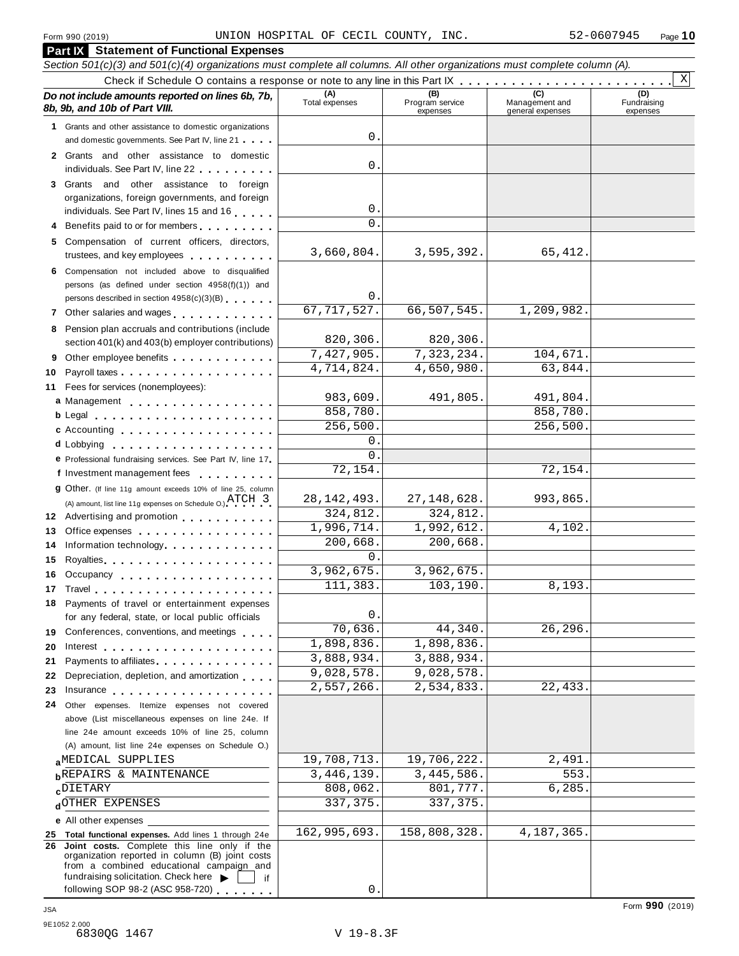### **Part IX Statement of Functional Expenses** Section 501(c)(3) and 501(c)(4) organizations must complete all columns. All other organizations must complete column (A). Check if Schedule O contains a response or note to any line in this Part  $\begin{array}{c|c|c|c|c} \hline \text{Check if Schedule O contains a response or note to any line in this Part } \mathbb{X} & \text{if } \mathbb{X} & \text{if } \mathbb{X} & \text{if } \mathbb{X} & \text{if } \mathbb{X} & \text{if } \mathbb{X} & \text{if } \mathbb{X} & \text{if } \mathbb{X} & \text{if } \mathbb{X} & \text{if } \math$ *Do no* **(A) (B) (C) (D)** *t include amounts reported on lines 6b, 7b,* **8b, 9b, and 10b of Part VIII.** The construction of *B***, 9b, and 10b of Part VIII.** expenses Management and general expenses Fundraising expenses **1** Grants and other assistance to domestic organizations and domestic governments. See Part IV, line 21 m m m **2** Grants and other assistance to domestic individuals. See Part IV, line 22 **3** Grants and other assistance to foreign organizations, foreign governments, and foreign individuals. See Part IV, lines <sup>15</sup> and <sup>16</sup> <sup>m</sup> <sup>m</sup> <sup>m</sup> <sup>m</sup> <sup>m</sup> **<sup>4</sup>** Benefits paid to or for members <sup>m</sup> <sup>m</sup> <sup>m</sup> <sup>m</sup> <sup>m</sup> <sup>m</sup> <sup>m</sup> <sup>m</sup> <sup>m</sup> **5** Compensation of current officers, directors, trustees, and key employees m m m m m m m m m m **6** Compensation not included above to disqualified persons (as defined under section 4958(f)(1)) and persons described in section 4958(c)(3)(B) 7 Other salaries and wages **manual manual metallicity 8** Pension plan accruals and contributions (include section 401(k) and 403(b) employer contributions) **9** Section 401(k) and 403(b) employer contributions<br>9 Other employee benefits 9 Other employee benefits **10** Payroll taxes **10** Fees for services (nonemployees): **11** A) amount, list line 11g expenses on Schedule O.  $A1 \cup B$ <br>**12** Advertising and promotion **13** Office expenses **13** Office expenses<br>**14** Information technology............. **15** Royalties m m m m m m m m m m m m m m m m m m m m **16** Occupancy m m m m m m m m m m m m m m m m m m **16** Occupancy ...................<br>17 Travel..................... **18** Payments of travel or entertainment expenses for any federal, state, or local public officials<br>**19** Conferences, conventions, and meetings **19** Conferences, conventions, and meetings **with meetings**<br>20 Interest **manual meetings 21** Payments to affiliates m m m m m m m m m m m m m m 21 Payments to affiliates<br>22 Depreciation, depletion, and amortization <sub>1</sub> . . . **22** Depreciation, depletion, and amortization **manufation**<br>23 Insurance 24 Other expenses. Itemize expenses not covered | Fees for services (nonemployees):<br>**a** Management ..................<br>**b** Legal ......................... **cd** Lobbying m m m m m m m m m m m m m m m m m m m **d** Lobbying **e**<br> **e** Professional fundraising services. See Part IV, line 17 **P** Professional fundraising services. See Part IV, line 17<br>**f** Investment management fees **g** Other. (If line 11g amount exceeds 10% of line 25, column Legal m m m m m m m m m m m m m m m m m m m m m Accounting m m m m m m m m m m m m m m m m m m (A) amount, list line 11g expenses on Schedule O.)  $\text{ATCH} \quad 3$ m m m m m m m m m m m m m m m m for any federal, state, or local public officials above (List miscellaneous expenses on line 24e. If line 24e amount exceeds 10% of line 25, column (A) amount, list line 24e expenses on Schedule O.) **a** MEDICAL SUPPLIES<br> **b** REPAIRS & MAINTENANCE 3,446,139. 3,445,586. 553. **c**DIETARY<br>dother expenses 337,375. 337,375. **e** All other expenses **25 Total functional expenses.** Add lines 1 through 24e **26 Joint costs.** Complete this line only if the organization reported in column (B) joint costs from a combined educational campaign and fundraising solicitation. Check here  $\blacktriangleright \begin{array}{|c} \hline \end{array}$  if X 0. 0. 0.  $\Omega$ 3,660,804. 3,595,392. 65,412. 0. 67,717,527. 66,507,545. 1,209,982. 820,306. 820,306. 7,427,905. 7,323,234. 104,671. 4,714,824. 4,650,980. 63,844. 983,609. 491,805. 491,804 858,780. 256,500. 256,500. 0. 0. 72,154. 72,154. 28,142,493. 27,148,628. 993,865 324,812. 324,812. 1,996,714. 1,992,612. 4,102. 200,668. 200,668.  $\Omega$ 3,962,675. 3,962,675. 111,383. 103,190. 8,193.  $\Omega$ 70,636. 44,340. 26,296. 1,898,836. 1,898,836. 3,888,934. 3,888,934. 9,028,578. 9,028,578. 2,557,266. 2,534,833. 22,433. aMEDICAL SUPPLIES 19,708,713. 19,706,222. 2,491 DIETARY 808,062. 801,777. 6,285. 162,995,693. 158,808,328. 4,187,365

following SOP 98-2 (ASC 958-720)

0.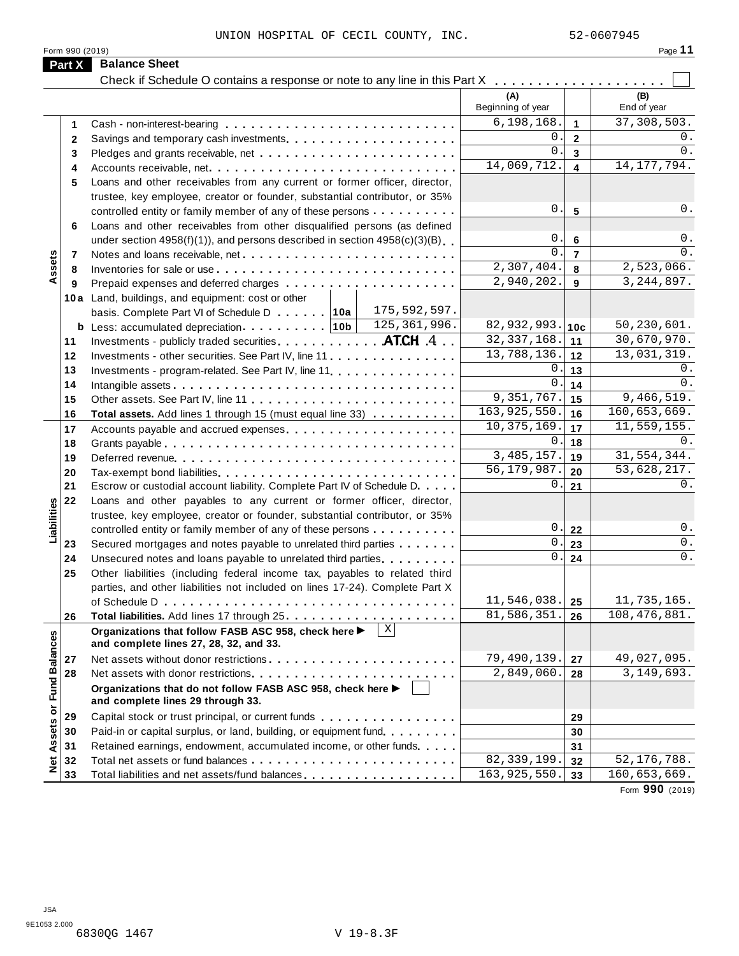| × |  |
|---|--|
|   |  |

|                      | Form 990 (2019) |                                                                                                                 |                             |                      | Page 11                  |
|----------------------|-----------------|-----------------------------------------------------------------------------------------------------------------|-----------------------------|----------------------|--------------------------|
|                      | Part X          | <b>Balance Sheet</b>                                                                                            |                             |                      |                          |
|                      |                 | Check if Schedule O contains a response or note to any line in this Part X                                      |                             |                      |                          |
|                      |                 |                                                                                                                 | (A)<br>Beginning of year    |                      | (B)<br>End of year       |
|                      |                 |                                                                                                                 | 6, 198, 168.                | $\blacktriangleleft$ | 37, 308, 503.            |
|                      | $\mathbf{2}$    |                                                                                                                 | 0                           | $\mathbf{2}$         | 0.                       |
|                      | 3               |                                                                                                                 | $\Omega$                    | $\mathbf{3}$         | 0.                       |
|                      | 4               |                                                                                                                 | 14,069,712.                 | $\overline{4}$       | 14, 177, 794.            |
|                      | 5               | Loans and other receivables from any current or former officer, director,                                       |                             |                      |                          |
|                      |                 | trustee, key employee, creator or founder, substantial contributor, or 35%                                      |                             |                      |                          |
|                      |                 | controlled entity or family member of any of these persons                                                      | 0.                          | 5                    | 0.                       |
|                      | 6               | Loans and other receivables from other disqualified persons (as defined                                         |                             |                      |                          |
|                      |                 | under section $4958(f)(1)$ , and persons described in section $4958(c)(3)(B)$                                   | 0.                          | $6\phantom{1}$       | $0$ .                    |
|                      | 7               |                                                                                                                 | $\Omega$                    | $\overline{7}$       | 0.                       |
| Assets               | 8               |                                                                                                                 | 2,307,404.                  | 8                    | 2,523,066.               |
|                      | 9               |                                                                                                                 | 2,940,202.                  | 9                    | 3, 244, 897.             |
|                      |                 | 10a Land, buildings, and equipment: cost or other                                                               |                             |                      |                          |
|                      |                 | 175,592,597.<br>basis. Complete Part VI of Schedule D 10a                                                       |                             |                      |                          |
|                      |                 | 125, 361, 996.                                                                                                  | 82, 932, 993.               | 10c                  | 50,230,601.              |
|                      | 11              | Investments - publicly traded securities. ATCH .4                                                               | 32, 337, 168.               | 11                   | $\overline{30,670,}970.$ |
|                      | 12              | Investments - other securities. See Part IV, line 11.                                                           | 13,788,136.                 | 12                   | 13,031,319.              |
|                      | 13              | Investments - program-related. See Part IV, line 11                                                             | 0.                          | 13                   | 0.                       |
|                      | 14              |                                                                                                                 | $\overline{0}$              | 14                   | 0.                       |
|                      | 15              |                                                                                                                 | 9,351,767.                  | 15                   | 9,466,519.               |
|                      | 16              | Total assets. Add lines 1 through 15 (must equal line 33)                                                       | 163, 925, 550.              | 16                   | 160,653,669.             |
|                      | 17              |                                                                                                                 | 10, 375, 169.               | 17                   | 11,559,155.              |
|                      | 18              |                                                                                                                 | 0.                          | 18                   | 0.                       |
|                      | 19              |                                                                                                                 | 3, 485, 157.                | 19                   | 31,554,344.              |
|                      | 20              |                                                                                                                 | 56, 179, 987.               | 20                   | 53,628,217.              |
|                      | 21              | Escrow or custodial account liability. Complete Part IV of Schedule D.                                          | 0.                          | 21                   | 0.                       |
|                      | 22              | Loans and other payables to any current or former officer, director,                                            |                             |                      |                          |
|                      |                 | trustee, key employee, creator or founder, substantial contributor, or 35%                                      |                             |                      |                          |
| Liabilities          |                 | controlled entity or family member of any of these persons                                                      | 0.                          | 22                   | $0$ .                    |
|                      | 23              | Secured mortgages and notes payable to unrelated third parties                                                  | $\mathbf 0$ .               | 23                   | 0.                       |
|                      | 24              | Unsecured notes and loans payable to unrelated third parties                                                    | 0.                          | 24                   | 0.                       |
|                      | 25              | Other liabilities (including federal income tax, payables to related third                                      |                             |                      |                          |
|                      |                 | parties, and other liabilities not included on lines 17-24). Complete Part X                                    |                             |                      |                          |
|                      |                 |                                                                                                                 | 11,546,038.                 | 25                   | 11,735,165.              |
|                      | 26              |                                                                                                                 | $\overline{81}$ , 586, 351. | 26                   | 108, 476, 881.           |
|                      |                 | $\vert x \vert$<br>Organizations that follow FASB ASC 958, check here<br>and complete lines 27, 28, 32, and 33. |                             |                      |                          |
|                      | 27              |                                                                                                                 | 79,490,139.                 | 27                   | 49,027,095.              |
|                      | 28              |                                                                                                                 | 2,849,060.                  | 28                   | 3, 149, 693.             |
| <b>Fund Balances</b> |                 | Organizations that do not follow FASB ASC 958, check here ▶<br>and complete lines 29 through 33.                |                             |                      |                          |
|                      | 29              | Capital stock or trust principal, or current funds                                                              |                             | 29                   |                          |
|                      | 30              | Paid-in or capital surplus, or land, building, or equipment fund.                                               |                             | 30                   |                          |
|                      | 31              | Retained earnings, endowment, accumulated income, or other funds                                                |                             | 31                   |                          |
| Net Assets or        | 32              |                                                                                                                 | $\overline{82,339,}199.$    | 32                   | 52, 176, 788.            |
|                      | 33              | Total liabilities and net assets/fund balances                                                                  | 163, 925, 550.              | 33                   | 160,653,669.             |
|                      |                 |                                                                                                                 |                             |                      |                          |

Form **990** (2019)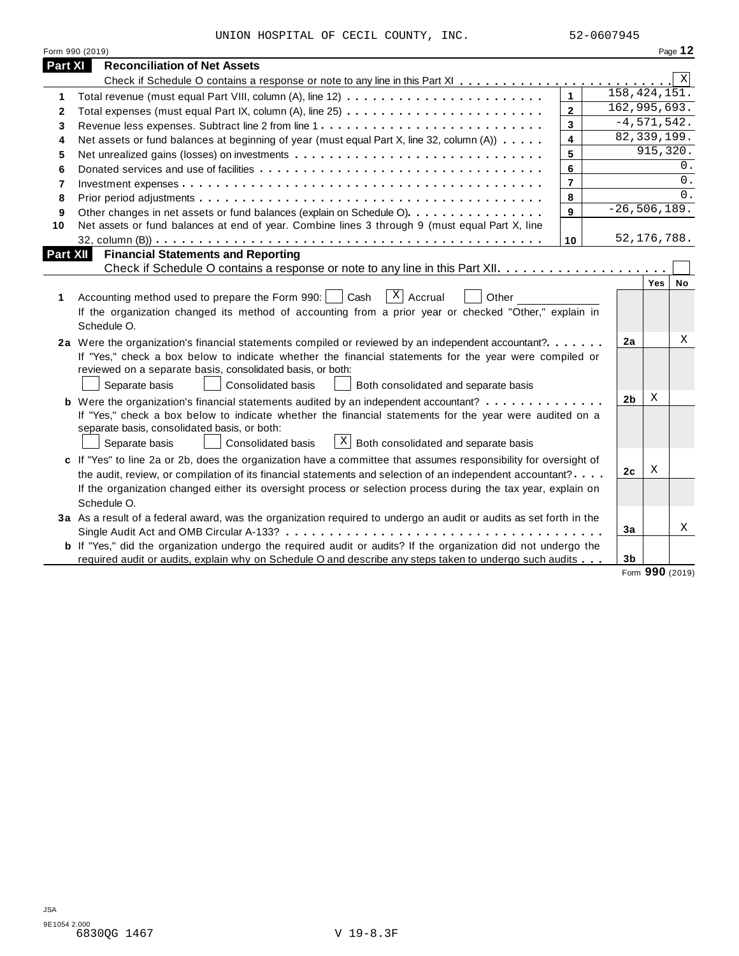UNION HOSPITAL OF CECIL COUNTY, INC. 52-0607945

|          | Form 990 (2019)                                                                                                                                                                                                               |                |                  |          | Page 12    |
|----------|-------------------------------------------------------------------------------------------------------------------------------------------------------------------------------------------------------------------------------|----------------|------------------|----------|------------|
| Part XI  | <b>Reconciliation of Net Assets</b>                                                                                                                                                                                           |                |                  |          |            |
|          |                                                                                                                                                                                                                               |                |                  |          | Χ          |
| 1        |                                                                                                                                                                                                                               | $\mathbf{1}$   | 158, 424, 151.   |          |            |
| 2        |                                                                                                                                                                                                                               | $\overline{2}$ | 162,995,693.     |          |            |
| 3        |                                                                                                                                                                                                                               | $\mathbf{3}$   | $-4,571,542.$    |          |            |
| 4        | Net assets or fund balances at beginning of year (must equal Part X, line 32, column (A))                                                                                                                                     | 4              | 82, 339, 199.    |          |            |
| 5        |                                                                                                                                                                                                                               | 5              |                  | 915,320. |            |
| 6        |                                                                                                                                                                                                                               | 6              |                  |          | $0$ .      |
| 7        |                                                                                                                                                                                                                               | $\overline{7}$ |                  |          | 0.         |
| 8        |                                                                                                                                                                                                                               | 8              |                  |          | $\Omega$ . |
| 9        | Other changes in net assets or fund balances (explain on Schedule O).                                                                                                                                                         | 9              | $-26, 506, 189.$ |          |            |
| 10       | Net assets or fund balances at end of year. Combine lines 3 through 9 (must equal Part X, line                                                                                                                                |                |                  |          |            |
|          |                                                                                                                                                                                                                               | 10             | 52, 176, 788.    |          |            |
| Part XII | <b>Financial Statements and Reporting</b>                                                                                                                                                                                     |                |                  |          |            |
|          |                                                                                                                                                                                                                               |                |                  |          |            |
|          |                                                                                                                                                                                                                               |                |                  | Yes      | No         |
| 1        | $\sqrt{X}$ Accrual<br>Accounting method used to prepare the Form 990:     Cash<br>Other                                                                                                                                       |                |                  |          |            |
|          | If the organization changed its method of accounting from a prior year or checked "Other," explain in                                                                                                                         |                |                  |          |            |
|          | Schedule O.                                                                                                                                                                                                                   |                |                  |          | Χ          |
|          | 2a Were the organization's financial statements compiled or reviewed by an independent accountant?                                                                                                                            |                | 2a               |          |            |
|          | If "Yes," check a box below to indicate whether the financial statements for the year were compiled or                                                                                                                        |                |                  |          |            |
|          | reviewed on a separate basis, consolidated basis, or both:<br><b>Consolidated basis</b>                                                                                                                                       |                |                  |          |            |
|          | Separate basis<br>Both consolidated and separate basis                                                                                                                                                                        |                | 2 <sub>b</sub>   | Χ        |            |
|          | <b>b</b> Were the organization's financial statements audited by an independent accountant?                                                                                                                                   |                |                  |          |            |
|          | If "Yes," check a box below to indicate whether the financial statements for the year were audited on a<br>separate basis, consolidated basis, or both:                                                                       |                |                  |          |            |
|          | $X$ Both consolidated and separate basis<br>Separate basis<br>Consolidated basis                                                                                                                                              |                |                  |          |            |
|          |                                                                                                                                                                                                                               |                |                  |          |            |
|          | c If "Yes" to line 2a or 2b, does the organization have a committee that assumes responsibility for oversight of<br>the audit, review, or compilation of its financial statements and selection of an independent accountant? |                | 2 <sub>c</sub>   | Χ        |            |
|          | If the organization changed either its oversight process or selection process during the tax year, explain on                                                                                                                 |                |                  |          |            |
|          | Schedule O.                                                                                                                                                                                                                   |                |                  |          |            |
|          | 3a As a result of a federal award, was the organization required to undergo an audit or audits as set forth in the                                                                                                            |                |                  |          |            |
|          |                                                                                                                                                                                                                               |                | 3a               |          | Χ          |
|          | <b>b</b> If "Yes," did the organization undergo the required audit or audits? If the organization did not undergo the                                                                                                         |                |                  |          |            |
|          | required audit or audits, explain why on Schedule O and describe any steps taken to undergo such audits                                                                                                                       |                | 3b               |          |            |
|          |                                                                                                                                                                                                                               |                |                  | 000      |            |

Form **990** (2019)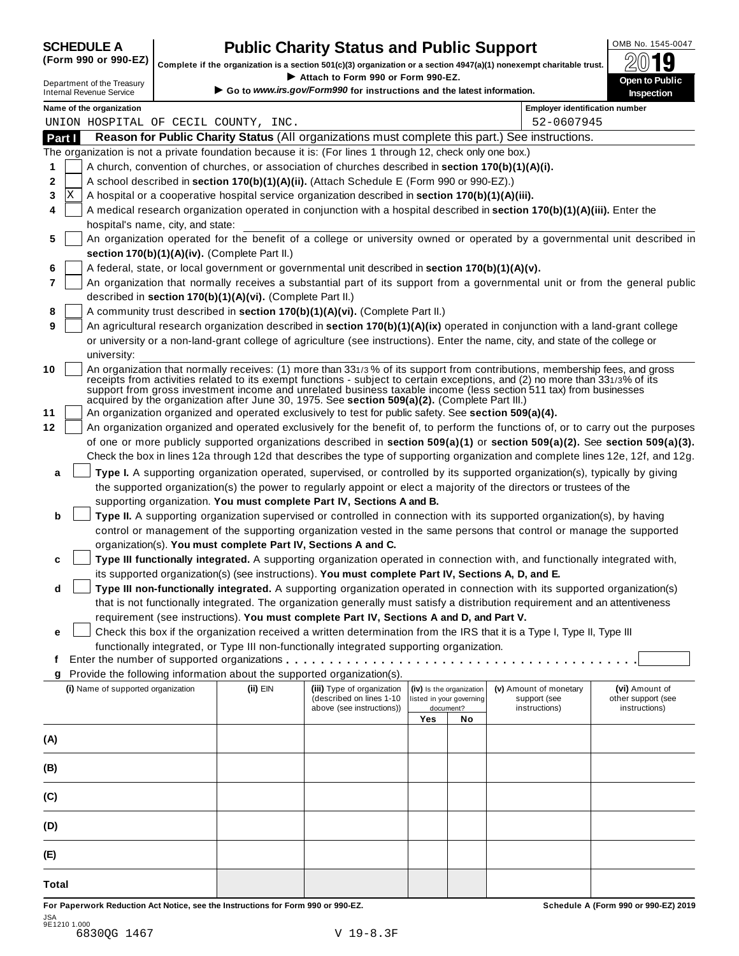| <b>SCHEDULE A</b> |  |
|-------------------|--|
|                   |  |

# **CHEDULE A Public Charity Status and Public Support**  $\frac{100\text{dB No. }1545-0047}{000\text{dB No.}}$

(Form 990 or 990-EZ) complete if the organization is a section 501(c)(3) organization or a section 4947(a)(1) nonexempt charitable trust.  $2019$ 

|              |                                                               |                                                            |                                                                                                              |     |                                                      | Complete if the organization is a section 501(c)(3) organization or a section 4947(a)(1) nonexempt charitable trust.                                                                                                                              | 4V<br>19                                   |
|--------------|---------------------------------------------------------------|------------------------------------------------------------|--------------------------------------------------------------------------------------------------------------|-----|------------------------------------------------------|---------------------------------------------------------------------------------------------------------------------------------------------------------------------------------------------------------------------------------------------------|--------------------------------------------|
|              | Department of the Treasury<br><b>Internal Revenue Service</b> |                                                            | Attach to Form 990 or Form 990-EZ.<br>Go to www.irs.gov/Form990 for instructions and the latest information. |     |                                                      |                                                                                                                                                                                                                                                   | <b>Open to Public</b><br><b>Inspection</b> |
|              | Name of the organization                                      |                                                            |                                                                                                              |     |                                                      | <b>Employer identification number</b>                                                                                                                                                                                                             |                                            |
|              | UNION HOSPITAL OF CECIL COUNTY, INC.                          |                                                            |                                                                                                              |     |                                                      | 52-0607945                                                                                                                                                                                                                                        |                                            |
| Part I       |                                                               |                                                            |                                                                                                              |     |                                                      | Reason for Public Charity Status (All organizations must complete this part.) See instructions.                                                                                                                                                   |                                            |
|              |                                                               |                                                            | The organization is not a private foundation because it is: (For lines 1 through 12, check only one box.)    |     |                                                      |                                                                                                                                                                                                                                                   |                                            |
| 1            |                                                               |                                                            | A church, convention of churches, or association of churches described in section 170(b)(1)(A)(i).           |     |                                                      |                                                                                                                                                                                                                                                   |                                            |
| 2            |                                                               |                                                            | A school described in section 170(b)(1)(A)(ii). (Attach Schedule E (Form 990 or 990-EZ).)                    |     |                                                      |                                                                                                                                                                                                                                                   |                                            |
| 3            | X                                                             |                                                            | A hospital or a cooperative hospital service organization described in section 170(b)(1)(A)(iii).            |     |                                                      |                                                                                                                                                                                                                                                   |                                            |
| 4            | hospital's name, city, and state:                             |                                                            |                                                                                                              |     |                                                      | A medical research organization operated in conjunction with a hospital described in section 170(b)(1)(A)(iii). Enter the                                                                                                                         |                                            |
| 5            |                                                               |                                                            |                                                                                                              |     |                                                      | An organization operated for the benefit of a college or university owned or operated by a governmental unit described in                                                                                                                         |                                            |
|              |                                                               | section 170(b)(1)(A)(iv). (Complete Part II.)              |                                                                                                              |     |                                                      |                                                                                                                                                                                                                                                   |                                            |
| 6            |                                                               |                                                            | A federal, state, or local government or governmental unit described in section 170(b)(1)(A)(v).             |     |                                                      |                                                                                                                                                                                                                                                   |                                            |
| 7            |                                                               |                                                            |                                                                                                              |     |                                                      | An organization that normally receives a substantial part of its support from a governmental unit or from the general public                                                                                                                      |                                            |
|              |                                                               | described in section 170(b)(1)(A)(vi). (Complete Part II.) |                                                                                                              |     |                                                      |                                                                                                                                                                                                                                                   |                                            |
| 8            |                                                               |                                                            | A community trust described in section 170(b)(1)(A)(vi). (Complete Part II.)                                 |     |                                                      |                                                                                                                                                                                                                                                   |                                            |
| 9            |                                                               |                                                            |                                                                                                              |     |                                                      | An agricultural research organization described in section 170(b)(1)(A)(ix) operated in conjunction with a land-grant college                                                                                                                     |                                            |
|              |                                                               |                                                            |                                                                                                              |     |                                                      | or university or a non-land-grant college of agriculture (see instructions). Enter the name, city, and state of the college or                                                                                                                    |                                            |
|              | university:                                                   |                                                            |                                                                                                              |     |                                                      | An organization that normally receives: (1) more than 331/3% of its support from contributions, membership fees, and gross                                                                                                                        |                                            |
| 10           |                                                               |                                                            | acquired by the organization after June 30, 1975. See section 509(a)(2). (Complete Part III.)                |     |                                                      | receipts from activities related to its exempt functions - subject to certain exceptions, and (2) no more than 331/3% of its<br>support from gross investment income and unrelated business taxable income (less section 511 tax) from businesses |                                            |
| 11           |                                                               |                                                            | An organization organized and operated exclusively to test for public safety. See section 509(a)(4).         |     |                                                      |                                                                                                                                                                                                                                                   |                                            |
| 12           |                                                               |                                                            |                                                                                                              |     |                                                      | An organization organized and operated exclusively for the benefit of, to perform the functions of, or to carry out the purposes                                                                                                                  |                                            |
|              |                                                               |                                                            |                                                                                                              |     |                                                      | of one or more publicly supported organizations described in section 509(a)(1) or section 509(a)(2). See section 509(a)(3).                                                                                                                       |                                            |
|              |                                                               |                                                            |                                                                                                              |     |                                                      | Check the box in lines 12a through 12d that describes the type of supporting organization and complete lines 12e, 12f, and 12g.                                                                                                                   |                                            |
| а            |                                                               |                                                            |                                                                                                              |     |                                                      | Type I. A supporting organization operated, supervised, or controlled by its supported organization(s), typically by giving                                                                                                                       |                                            |
|              |                                                               |                                                            |                                                                                                              |     |                                                      | the supported organization(s) the power to regularly appoint or elect a majority of the directors or trustees of the                                                                                                                              |                                            |
|              |                                                               |                                                            | supporting organization. You must complete Part IV, Sections A and B.                                        |     |                                                      |                                                                                                                                                                                                                                                   |                                            |
| b            |                                                               |                                                            |                                                                                                              |     |                                                      | Type II. A supporting organization supervised or controlled in connection with its supported organization(s), by having                                                                                                                           |                                            |
|              |                                                               |                                                            |                                                                                                              |     |                                                      | control or management of the supporting organization vested in the same persons that control or manage the supported                                                                                                                              |                                            |
|              |                                                               |                                                            | organization(s). You must complete Part IV, Sections A and C.                                                |     |                                                      |                                                                                                                                                                                                                                                   |                                            |
| c            |                                                               |                                                            |                                                                                                              |     |                                                      | Type III functionally integrated. A supporting organization operated in connection with, and functionally integrated with,                                                                                                                        |                                            |
|              |                                                               |                                                            | its supported organization(s) (see instructions). You must complete Part IV, Sections A, D, and E.           |     |                                                      |                                                                                                                                                                                                                                                   |                                            |
| d            |                                                               |                                                            |                                                                                                              |     |                                                      | Type III non-functionally integrated. A supporting organization operated in connection with its supported organization(s)                                                                                                                         |                                            |
|              |                                                               |                                                            |                                                                                                              |     |                                                      | that is not functionally integrated. The organization generally must satisfy a distribution requirement and an attentiveness                                                                                                                      |                                            |
|              |                                                               |                                                            | requirement (see instructions). You must complete Part IV, Sections A and D, and Part V.                     |     |                                                      |                                                                                                                                                                                                                                                   |                                            |
| е            |                                                               |                                                            |                                                                                                              |     |                                                      | Check this box if the organization received a written determination from the IRS that it is a Type I, Type II, Type III                                                                                                                           |                                            |
|              |                                                               |                                                            | functionally integrated, or Type III non-functionally integrated supporting organization.                    |     |                                                      |                                                                                                                                                                                                                                                   |                                            |
| f            |                                                               |                                                            |                                                                                                              |     |                                                      |                                                                                                                                                                                                                                                   |                                            |
| g            |                                                               |                                                            | Provide the following information about the supported organization(s).                                       |     |                                                      |                                                                                                                                                                                                                                                   |                                            |
|              | (i) Name of supported organization                            | $(ii)$ EIN                                                 | (iii) Type of organization<br>(described on lines 1-10                                                       |     | (iv) Is the organization<br>listed in your governing | (v) Amount of monetary<br>support (see                                                                                                                                                                                                            | (vi) Amount of<br>other support (see       |
|              |                                                               |                                                            | above (see instructions))                                                                                    |     | document?                                            | instructions)                                                                                                                                                                                                                                     | instructions)                              |
|              |                                                               |                                                            |                                                                                                              | Yes | No                                                   |                                                                                                                                                                                                                                                   |                                            |
| (A)          |                                                               |                                                            |                                                                                                              |     |                                                      |                                                                                                                                                                                                                                                   |                                            |
| (B)          |                                                               |                                                            |                                                                                                              |     |                                                      |                                                                                                                                                                                                                                                   |                                            |
| (C)          |                                                               |                                                            |                                                                                                              |     |                                                      |                                                                                                                                                                                                                                                   |                                            |
|              |                                                               |                                                            |                                                                                                              |     |                                                      |                                                                                                                                                                                                                                                   |                                            |
| (D)          |                                                               |                                                            |                                                                                                              |     |                                                      |                                                                                                                                                                                                                                                   |                                            |
| (E)          |                                                               |                                                            |                                                                                                              |     |                                                      |                                                                                                                                                                                                                                                   |                                            |
| <b>Total</b> |                                                               |                                                            |                                                                                                              |     |                                                      |                                                                                                                                                                                                                                                   |                                            |

For Paperwork Reduction Act Notice, see the Instructions for Form 990 or 990-EZ. Schedule A (Form 990 or 990-EZ) 2019 JSA 9E1210 1.000 6830QG 1467 V 19-8.3F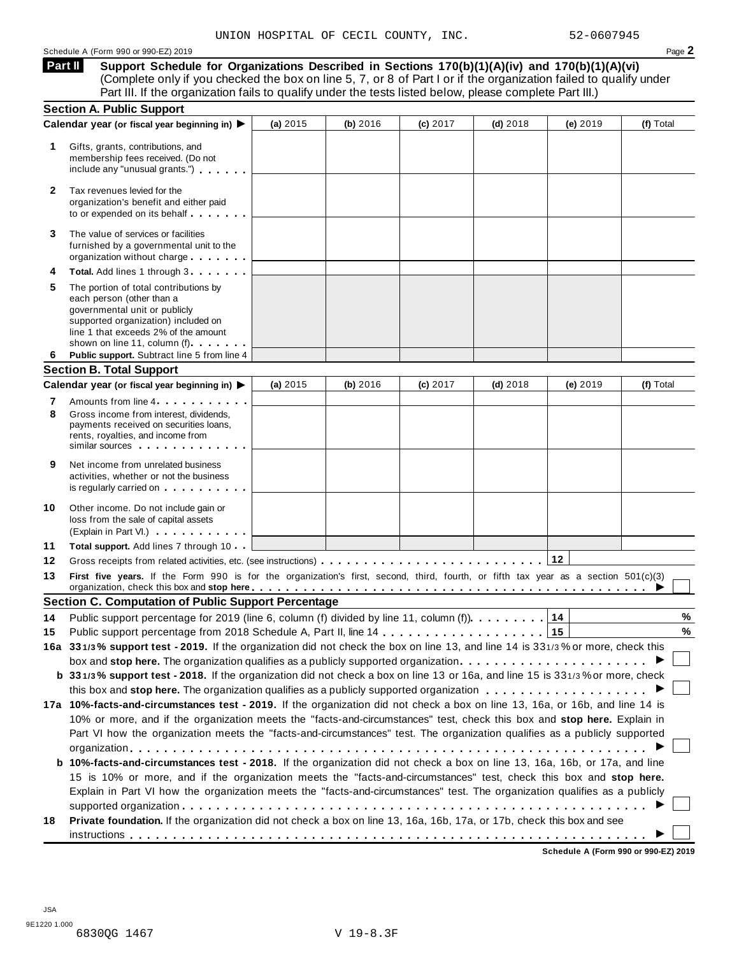### Schedule <sup>A</sup> (Form <sup>990</sup> or 990-EZ) <sup>2019</sup> Page **2**

**Support Schedule for Organizations Described in Sections 170(b)(1)(A)(iv) and 170(b)(1)(A)(vi)** Complete only if you checked the box on line 5, 7, or 8 of Part I or if the organization failed to qualify under Part III. If the organization fails to qualify under the tests listed below, please complete Part III.) **Part II**

|              | <b>Section A. Public Support</b>                                                                                                                                                                                                                                                 |          |          |          |            |          |           |
|--------------|----------------------------------------------------------------------------------------------------------------------------------------------------------------------------------------------------------------------------------------------------------------------------------|----------|----------|----------|------------|----------|-----------|
|              | Calendar year (or fiscal year beginning in) ▶                                                                                                                                                                                                                                    | (a) 2015 | (b) 2016 | (c) 2017 | $(d)$ 2018 | (e) 2019 | (f) Total |
| 1.           | Gifts, grants, contributions, and<br>membership fees received. (Do not<br>include any "unusual grants.")                                                                                                                                                                         |          |          |          |            |          |           |
| $\mathbf{2}$ | Tax revenues levied for the<br>organization's benefit and either paid<br>to or expended on its behalf                                                                                                                                                                            |          |          |          |            |          |           |
| 3            | The value of services or facilities<br>furnished by a governmental unit to the<br>organization without charge                                                                                                                                                                    |          |          |          |            |          |           |
|              | Total. Add lines 1 through 3                                                                                                                                                                                                                                                     |          |          |          |            |          |           |
| 5            | The portion of total contributions by<br>each person (other than a<br>governmental unit or publicly<br>supported organization) included on<br>line 1 that exceeds 2% of the amount<br>shown on line 11, column (f)                                                               |          |          |          |            |          |           |
| 6            | Public support. Subtract line 5 from line 4                                                                                                                                                                                                                                      |          |          |          |            |          |           |
|              | <b>Section B. Total Support</b>                                                                                                                                                                                                                                                  |          |          |          |            |          |           |
|              | Calendar year (or fiscal year beginning in) ▶                                                                                                                                                                                                                                    | (a) 2015 | (b) 2016 | (c) 2017 | $(d)$ 2018 | (e) 2019 | (f) Total |
| 7<br>8       | Amounts from line 4 <b>Amounts</b> from line 4<br>Gross income from interest, dividends,<br>payments received on securities loans,<br>rents, royalties, and income from<br>similar sources experiences                                                                           |          |          |          |            |          |           |
| 9            | Net income from unrelated business<br>activities, whether or not the business<br>is regularly carried on the control of the set of the set of the set of the set of the set of the set of the s                                                                                  |          |          |          |            |          |           |
| 10           | Other income. Do not include gain or<br>loss from the sale of capital assets<br>(Explain in Part VI.)                                                                                                                                                                            |          |          |          |            |          |           |
| 11           | Total support. Add lines 7 through 10                                                                                                                                                                                                                                            |          |          |          |            |          |           |
| 12           |                                                                                                                                                                                                                                                                                  |          |          |          |            |          |           |
| 13           | First five years. If the Form 990 is for the organization's first, second, third, fourth, or fifth tax year as a section 501(c)(3)<br>organization, check this box and stop here entitled and state of the state of the state of the state of the state of $\blacktriangleright$ |          |          |          |            |          |           |
|              | <b>Section C. Computation of Public Support Percentage</b>                                                                                                                                                                                                                       |          |          |          |            |          |           |
| 14           | Public support percentage for 2019 (line 6, column (f) divided by line 11, column (f)). 14                                                                                                                                                                                       |          |          |          |            |          | %         |
| 15           |                                                                                                                                                                                                                                                                                  |          |          |          |            |          | $\%$      |
|              | 16a 331/3% support test - 2019. If the organization did not check the box on line 13, and line 14 is 331/3% or more, check this                                                                                                                                                  |          |          |          |            |          |           |
|              |                                                                                                                                                                                                                                                                                  |          |          |          |            |          |           |
|              | b 331/3% support test - 2018. If the organization did not check a box on line 13 or 16a, and line 15 is 331/3% or more, check                                                                                                                                                    |          |          |          |            |          |           |
|              |                                                                                                                                                                                                                                                                                  |          |          |          |            |          |           |
|              | 17a 10%-facts-and-circumstances test - 2019. If the organization did not check a box on line 13, 16a, or 16b, and line 14 is                                                                                                                                                     |          |          |          |            |          |           |
|              | 10% or more, and if the organization meets the "facts-and-circumstances" test, check this box and stop here. Explain in                                                                                                                                                          |          |          |          |            |          |           |
|              | Part VI how the organization meets the "facts-and-circumstances" test. The organization qualifies as a publicly supported                                                                                                                                                        |          |          |          |            |          |           |
|              |                                                                                                                                                                                                                                                                                  |          |          |          |            |          |           |
|              | b 10%-facts-and-circumstances test - 2018. If the organization did not check a box on line 13, 16a, 16b, or 17a, and line                                                                                                                                                        |          |          |          |            |          |           |
|              | 15 is 10% or more, and if the organization meets the "facts-and-circumstances" test, check this box and stop here.                                                                                                                                                               |          |          |          |            |          |           |
|              | Explain in Part VI how the organization meets the "facts-and-circumstances" test. The organization qualifies as a publicly                                                                                                                                                       |          |          |          |            |          |           |
|              |                                                                                                                                                                                                                                                                                  |          |          |          |            |          |           |
| 18           | Private foundation. If the organization did not check a box on line 13, 16a, 16b, 17a, or 17b, check this box and see                                                                                                                                                            |          |          |          |            |          |           |
|              |                                                                                                                                                                                                                                                                                  |          |          |          |            |          |           |

**Schedule A (Form 990 or 990-EZ) 2019**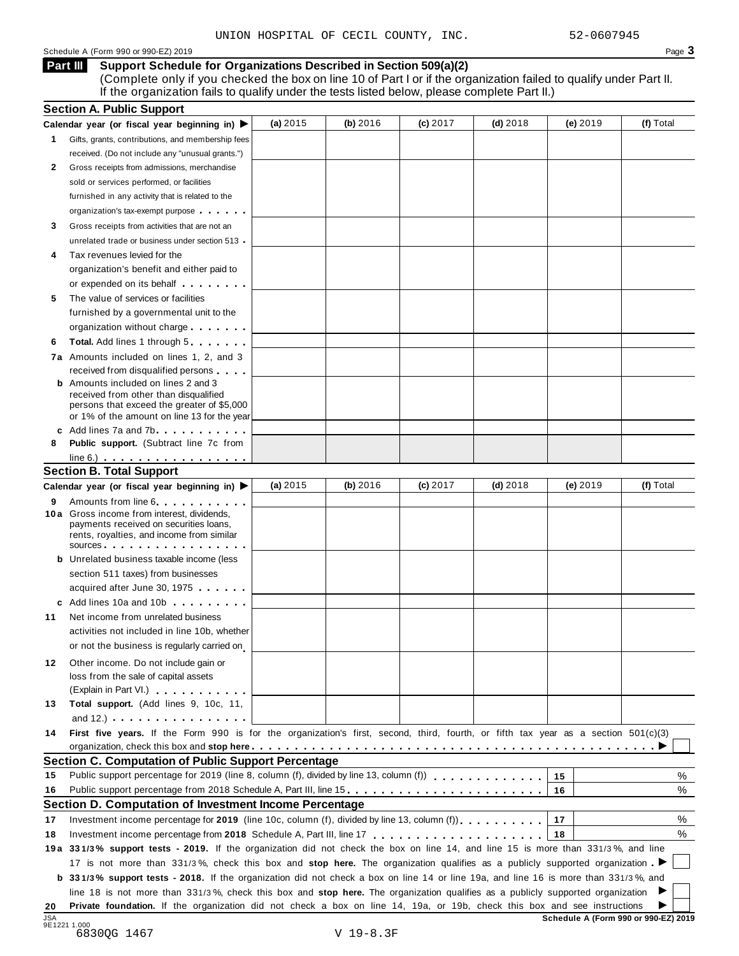### Schedule <sup>A</sup> (Form <sup>990</sup> or 990-EZ) <sup>2019</sup> Page **3**

**Support Schedule for Organizations Described in Section 509(a)(2) Part III**

(Complete only if you checked the box on line 10 of Part I or if the organization failed to qualify under Part II. If the organization fails to qualify under the tests listed below, please complete Part II.)

|            | <b>Section A. Public Support</b>                                                                                                                                                                                                     |            |             |            |            |                                      |           |
|------------|--------------------------------------------------------------------------------------------------------------------------------------------------------------------------------------------------------------------------------------|------------|-------------|------------|------------|--------------------------------------|-----------|
|            | Calendar year (or fiscal year beginning in) $\blacktriangleright$                                                                                                                                                                    | (a) $2015$ | (b) 2016    | $(c)$ 2017 | $(d)$ 2018 | $(e)$ 2019                           | (f) Total |
| 1.         | Gifts, grants, contributions, and membership fees                                                                                                                                                                                    |            |             |            |            |                                      |           |
|            | received. (Do not include any "unusual grants.")                                                                                                                                                                                     |            |             |            |            |                                      |           |
| 2          | Gross receipts from admissions, merchandise                                                                                                                                                                                          |            |             |            |            |                                      |           |
|            | sold or services performed, or facilities                                                                                                                                                                                            |            |             |            |            |                                      |           |
|            | furnished in any activity that is related to the                                                                                                                                                                                     |            |             |            |            |                                      |           |
|            | organization's tax-exempt purpose                                                                                                                                                                                                    |            |             |            |            |                                      |           |
| 3          | Gross receipts from activities that are not an                                                                                                                                                                                       |            |             |            |            |                                      |           |
|            | unrelated trade or business under section 513                                                                                                                                                                                        |            |             |            |            |                                      |           |
| 4          | Tax revenues levied for the                                                                                                                                                                                                          |            |             |            |            |                                      |           |
|            | organization's benefit and either paid to                                                                                                                                                                                            |            |             |            |            |                                      |           |
|            | or expended on its behalf <b>contains the set of the set of the set of the set of the set of the set of the set of the set of the set of the set of the set of the set of the set of the set of the set of the set of the set of</b> |            |             |            |            |                                      |           |
| 5          | The value of services or facilities                                                                                                                                                                                                  |            |             |            |            |                                      |           |
|            | furnished by a governmental unit to the                                                                                                                                                                                              |            |             |            |            |                                      |           |
|            | organization without charge                                                                                                                                                                                                          |            |             |            |            |                                      |           |
| 6          | <b>Total.</b> Add lines 1 through 5                                                                                                                                                                                                  |            |             |            |            |                                      |           |
|            | 7a Amounts included on lines 1, 2, and 3                                                                                                                                                                                             |            |             |            |            |                                      |           |
|            | received from disqualified persons                                                                                                                                                                                                   |            |             |            |            |                                      |           |
|            | <b>b</b> Amounts included on lines 2 and 3                                                                                                                                                                                           |            |             |            |            |                                      |           |
|            | received from other than disqualified                                                                                                                                                                                                |            |             |            |            |                                      |           |
|            | persons that exceed the greater of \$5,000                                                                                                                                                                                           |            |             |            |            |                                      |           |
|            | or 1% of the amount on line 13 for the year                                                                                                                                                                                          |            |             |            |            |                                      |           |
| 8          | c Add lines 7a and 7b<br>Public support. (Subtract line 7c from                                                                                                                                                                      |            |             |            |            |                                      |           |
|            | $line 6.)$                                                                                                                                                                                                                           |            |             |            |            |                                      |           |
|            | <b>Section B. Total Support</b>                                                                                                                                                                                                      |            |             |            |            |                                      |           |
|            |                                                                                                                                                                                                                                      | (a) $2015$ | (b) 2016    | $(c)$ 2017 | $(d)$ 2018 | $(e)$ 2019                           | (f) Total |
|            | Calendar year (or fiscal year beginning in) ▶                                                                                                                                                                                        |            |             |            |            |                                      |           |
| 9          | Amounts from line 6<br><b>10a</b> Gross income from interest, dividends,                                                                                                                                                             |            |             |            |            |                                      |           |
|            | payments received on securities loans,                                                                                                                                                                                               |            |             |            |            |                                      |           |
|            | rents, royalties, and income from similar                                                                                                                                                                                            |            |             |            |            |                                      |           |
|            | SOUICES                                                                                                                                                                                                                              |            |             |            |            |                                      |           |
|            | <b>b</b> Unrelated business taxable income (less                                                                                                                                                                                     |            |             |            |            |                                      |           |
|            | section 511 taxes) from businesses                                                                                                                                                                                                   |            |             |            |            |                                      |           |
|            | acquired after June 30, 1975                                                                                                                                                                                                         |            |             |            |            |                                      |           |
|            | c Add lines 10a and 10b                                                                                                                                                                                                              |            |             |            |            |                                      |           |
| 11         | Net income from unrelated business                                                                                                                                                                                                   |            |             |            |            |                                      |           |
|            | activities not included in line 10b, whether                                                                                                                                                                                         |            |             |            |            |                                      |           |
|            | or not the business is regularly carried on                                                                                                                                                                                          |            |             |            |            |                                      |           |
| 12.        | Other income. Do not include gain or                                                                                                                                                                                                 |            |             |            |            |                                      |           |
|            | loss from the sale of capital assets                                                                                                                                                                                                 |            |             |            |            |                                      |           |
|            | (Explain in Part VI.) <b>All Accords</b>                                                                                                                                                                                             |            |             |            |            |                                      |           |
| 13         | Total support. (Add lines 9, 10c, 11,                                                                                                                                                                                                |            |             |            |            |                                      |           |
|            | and $12.$ ) $\cdots$ $\cdots$ $\cdots$ $\cdots$ $\cdots$                                                                                                                                                                             |            |             |            |            |                                      |           |
| 14         | First five years. If the Form 990 is for the organization's first, second, third, fourth, or fifth tax year as a section 501(c)(3)                                                                                                   |            |             |            |            |                                      |           |
|            |                                                                                                                                                                                                                                      |            |             |            |            |                                      |           |
|            | Section C. Computation of Public Support Percentage                                                                                                                                                                                  |            |             |            |            |                                      |           |
| 15         | Public support percentage for 2019 (line 8, column (f), divided by line 13, column (f) [1] [1] [1] Public support percentage for 2019 (line 8, column (f), divided by line 13, column (f)                                            |            |             |            |            | 15                                   | %         |
| 16         |                                                                                                                                                                                                                                      |            |             |            |            | 16                                   | %         |
|            | Section D. Computation of Investment Income Percentage                                                                                                                                                                               |            |             |            |            |                                      |           |
| 17         | Investment income percentage for 2019 (line 10c, column (f), divided by line 13, column (f)).                                                                                                                                        |            |             |            |            | 17                                   | %         |
| 18         |                                                                                                                                                                                                                                      |            |             |            |            | 18                                   | %         |
|            | 19a 331/3% support tests - 2019. If the organization did not check the box on line 14, and line 15 is more than 331/3%, and line                                                                                                     |            |             |            |            |                                      |           |
|            |                                                                                                                                                                                                                                      |            |             |            |            |                                      |           |
|            | 17 is not more than 331/3%, check this box and stop here. The organization qualifies as a publicly supported organization                                                                                                            |            |             |            |            |                                      |           |
|            | <b>b</b> 331/3% support tests - 2018. If the organization did not check a box on line 14 or line 19a, and line 16 is more than 331/3%, and                                                                                           |            |             |            |            |                                      |           |
|            | line 18 is not more than 331/3%, check this box and stop here. The organization qualifies as a publicly supported organization                                                                                                       |            |             |            |            |                                      |           |
| 20         | Private foundation. If the organization did not check a box on line 14, 19a, or 19b, check this box and see instructions                                                                                                             |            |             |            |            |                                      |           |
| <b>JSA</b> | 9E1221 1.000                                                                                                                                                                                                                         |            |             |            |            | Schedule A (Form 990 or 990-EZ) 2019 |           |
|            | 6830QG 1467                                                                                                                                                                                                                          |            | $V 19-8.3F$ |            |            |                                      |           |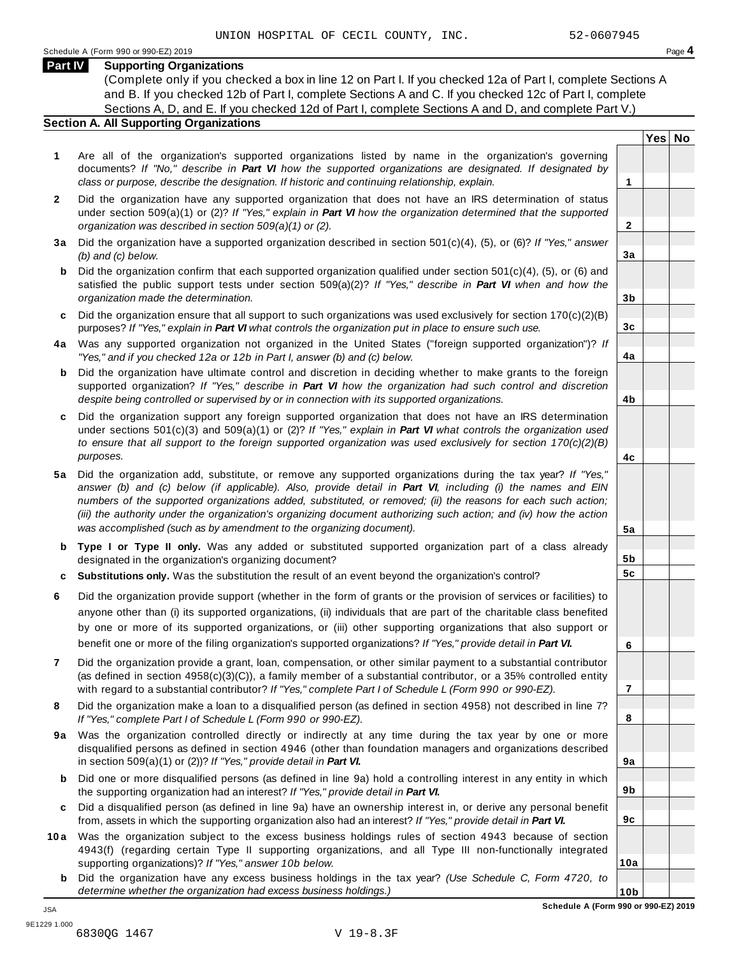### **Part IV Supporting Organizations**

(Complete only if you checked a box in line 12 on Part I. If you checked 12a of Part I, complete Sections A and B. If you checked 12b of Part I, complete Sections A and C. If you checked 12c of Part I, complete Sections A, D, and E. If you checked 12d of Part I, complete Sections A and D, and complete Part V.)

### **Section A. All Supporting Organizations**

- **1** Are all of the organization's supported organizations listed by name in the organization's governing documents? *If "No," describe in Part VI how the supported organizations are designated. If designated by class or purpose, describe the designation. If historic and continuing relationship, explain.* **1**
- **2** Did the organization have any supported organization that does not have an IRS determination of status under section 509(a)(1) or (2)? *If"Yes," explain in Part VI how the organization determined that the supported organization was described in section 509(a)(1) or (2).*
- **3 a** Did the organization have a supported organization described in section 501(c)(4), (5), or (6)? *If "Yes," answer (b) and (c) below.*
- **b** Did the organization confirm that each supported organization qualified under section 501(c)(4), (5), or (6) and | satisfied the public support tests under section 509(a)(2)? *If "Yes," describe in Part VI when and how the organization made the determination.*
- **c** Did the organization ensure that all support to such organizations was used exclusively for section 170(c)(2)(B) purposes? *If"Yes," explain in Part VI what controls the organization put in place to ensure such use.*
- **4 a** Was any supported organization not organized in the United States ("foreign supported organization")? *If "Yes," and if you checked 12a or 12b in Part I, answer (b) and (c) below.*
- **b** Did the organization have ultimate control and discretion in deciding whether to make grants to the foreign | supported organization? *If "Yes," describe in Part VI how the organization had such control and discretion despite being controlled or supervised by or in connection with its supported organizations.*
- **c** Did the organization support any foreign supported organization that does not have an IRS determination | under sections 501(c)(3) and 509(a)(1) or (2)? *If "Yes," explain in Part VI what controls the organization used to ensure that all support to the foreign supported organization was used exclusively for section 170(c)(2)(B) purposes.*
- **5 a** Did the organization add, substitute, or remove any supported organizations during the tax year? *If "Yes,"* answer (b) and (c) below (if applicable). Also, provide detail in Part VI, including (i) the names and EIN *numbers of the supported organizations added, substituted, or removed; (ii) the reasons for each such action;* (iii) the authority under the organization's organizing document authorizing such action; and (iv) how the action *was accomplished (such as by amendment to the organizing document).*
- **b Type I or Type II only.** Was any added or substituted supported organization part of a class already designated in the organization's organizing document?
- **c Substitutions only.** Was the substitution the result of an event beyond the organization's control?
- **6** Did the organization provide support (whether in the form of grants or the provision of services or facilities) to anyone other than (i) its supported organizations, (ii) individuals that are part of the charitable class benefited by one or more of its supported organizations, or (iii) other supporting organizations that also support or benefit one or more of the filing organization's supported organizations? *If"Yes," provide detail in Part VI.*
- **7** Did the organization provide a grant, loan, compensation, or other similar payment to a substantial contributor (as defined in section 4958(c)(3)(C)), a family member of a substantial contributor, or a 35% controlled entity with regard to a substantial contributor? *If"Yes," complete Part I of Schedule L (Form 990 or 990-EZ).*
- **8** Did the organization make a loan to a disqualified person (as defined in section 4958) not described in line 7? *If "Yes," complete Part I of Schedule L (Form 990 or 990-EZ).*
- **9a** Was the organization controlled directly or indirectly at any time during the tax year by one or more | disqualified persons as defined in section 4946 (other than foundation managers and organizations described in section 509(a)(1) or (2))? *If"Yes," provide detail in Part VI.*
- **b** Did one or more disqualified persons (as defined in line 9a) hold a controlling interest in any entity in which | the supporting organization had an interest? *If"Yes," provide detail in Part VI.*
- **c** Did a disqualified person (as defined in line 9a) have an ownership interest in, or derive any personal benefit from, assets in which the supporting organization also had an interest? *If"Yes," provide detail in Part VI.*
- **10a** Was the organization subject to the excess business holdings rules of section 4943 because of section | 4943(f) (regarding certain Type II supporting organizations, and all Type III non-functionally integrated supporting organizations)? *If"Yes," answer 10b below.*
	- **b** Did the organization have any excess business holdings in the tax year? *(Use Schedule C, Form 4720, to determine whether the organization had excess business holdings.)*

**Yes No**

**2**

**3a**

**3b**

**3c**

**4a**

**4b**

**4c**

**5a**

**5b 5c**

**6**

**7**

**8**

**9a**

**9b**

**9c**

**10a**

JSA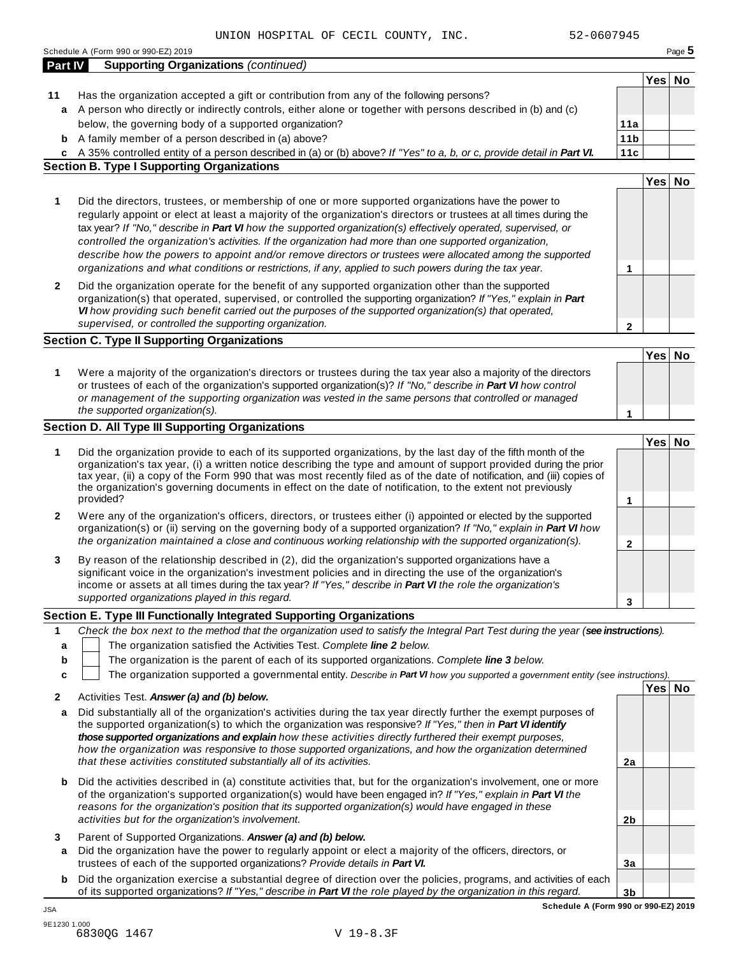|                  | 52-0607945<br>UNION HOSPITAL OF CECIL COUNTY, INC.                                                                                                                                                                                                                                                                                                                                                                                                                                                                                                                 |                 |        |        |
|------------------|--------------------------------------------------------------------------------------------------------------------------------------------------------------------------------------------------------------------------------------------------------------------------------------------------------------------------------------------------------------------------------------------------------------------------------------------------------------------------------------------------------------------------------------------------------------------|-----------------|--------|--------|
|                  | Schedule A (Form 990 or 990-EZ) 2019                                                                                                                                                                                                                                                                                                                                                                                                                                                                                                                               |                 |        | Page 5 |
| <b>Part IV</b>   | <b>Supporting Organizations (continued)</b>                                                                                                                                                                                                                                                                                                                                                                                                                                                                                                                        |                 |        |        |
|                  |                                                                                                                                                                                                                                                                                                                                                                                                                                                                                                                                                                    |                 | Yes No |        |
| 11               | Has the organization accepted a gift or contribution from any of the following persons?                                                                                                                                                                                                                                                                                                                                                                                                                                                                            |                 |        |        |
| a                | A person who directly or indirectly controls, either alone or together with persons described in (b) and (c)                                                                                                                                                                                                                                                                                                                                                                                                                                                       |                 |        |        |
|                  | below, the governing body of a supported organization?                                                                                                                                                                                                                                                                                                                                                                                                                                                                                                             | 11a             |        |        |
| b                | A family member of a person described in (a) above?                                                                                                                                                                                                                                                                                                                                                                                                                                                                                                                | 11 <sub>b</sub> |        |        |
| C                | A 35% controlled entity of a person described in (a) or (b) above? If "Yes" to a, b, or c, provide detail in Part VI.                                                                                                                                                                                                                                                                                                                                                                                                                                              | 11c             |        |        |
|                  | <b>Section B. Type I Supporting Organizations</b>                                                                                                                                                                                                                                                                                                                                                                                                                                                                                                                  |                 |        |        |
|                  |                                                                                                                                                                                                                                                                                                                                                                                                                                                                                                                                                                    |                 | Yes No |        |
| 1                | Did the directors, trustees, or membership of one or more supported organizations have the power to<br>regularly appoint or elect at least a majority of the organization's directors or trustees at all times during the<br>tax year? If "No," describe in Part VI how the supported organization(s) effectively operated, supervised, or<br>controlled the organization's activities. If the organization had more than one supported organization,<br>describe how the powers to appoint and/or remove directors or trustees were allocated among the supported |                 |        |        |
|                  | organizations and what conditions or restrictions, if any, applied to such powers during the tax year.                                                                                                                                                                                                                                                                                                                                                                                                                                                             | 1               |        |        |
| 2                | Did the organization operate for the benefit of any supported organization other than the supported<br>organization(s) that operated, supervised, or controlled the supporting organization? If "Yes," explain in Part<br>VI how providing such benefit carried out the purposes of the supported organization(s) that operated,                                                                                                                                                                                                                                   |                 |        |        |
|                  | supervised, or controlled the supporting organization.                                                                                                                                                                                                                                                                                                                                                                                                                                                                                                             | $\mathbf{2}$    |        |        |
|                  | <b>Section C. Type II Supporting Organizations</b>                                                                                                                                                                                                                                                                                                                                                                                                                                                                                                                 |                 |        |        |
|                  |                                                                                                                                                                                                                                                                                                                                                                                                                                                                                                                                                                    |                 | Yes No |        |
| 1                | Were a majority of the organization's directors or trustees during the tax year also a majority of the directors<br>or trustees of each of the organization's supported organization(s)? If "No," describe in Part VI how control<br>or management of the supporting organization was vested in the same persons that controlled or managed                                                                                                                                                                                                                        |                 |        |        |
|                  | the supported organization(s).                                                                                                                                                                                                                                                                                                                                                                                                                                                                                                                                     | 1               |        |        |
|                  | <b>Section D. All Type III Supporting Organizations</b>                                                                                                                                                                                                                                                                                                                                                                                                                                                                                                            |                 |        |        |
| 1                | Did the organization provide to each of its supported organizations, by the last day of the fifth month of the<br>organization's tax year, (i) a written notice describing the type and amount of support provided during the prior<br>tax year, (ii) a copy of the Form 990 that was most recently filed as of the date of notification, and (iii) copies of<br>the organization's governing documents in effect on the date of notification, to the extent not previously<br>provided?                                                                           | 1               | Yes No |        |
| 2                | Were any of the organization's officers, directors, or trustees either (i) appointed or elected by the supported                                                                                                                                                                                                                                                                                                                                                                                                                                                   |                 |        |        |
|                  | organization(s) or (ii) serving on the governing body of a supported organization? If "No," explain in Part VI how                                                                                                                                                                                                                                                                                                                                                                                                                                                 |                 |        |        |
|                  | the organization maintained a close and continuous working relationship with the supported organization(s).                                                                                                                                                                                                                                                                                                                                                                                                                                                        | 2               |        |        |
| 3                | By reason of the relationship described in (2), did the organization's supported organizations have a<br>significant voice in the organization's investment policies and in directing the use of the organization's<br>income or assets at all times during the tax year? If "Yes," describe in Part VI the role the organization's                                                                                                                                                                                                                                |                 |        |        |
|                  | supported organizations played in this regard.                                                                                                                                                                                                                                                                                                                                                                                                                                                                                                                     | 3               |        |        |
|                  | Section E. Type III Functionally Integrated Supporting Organizations                                                                                                                                                                                                                                                                                                                                                                                                                                                                                               |                 |        |        |
| 1<br>а<br>b<br>c | Check the box next to the method that the organization used to satisfy the Integral Part Test during the year (see instructions).<br>The organization satisfied the Activities Test. Complete line 2 below.<br>The organization is the parent of each of its supported organizations. Complete line 3 below.<br>The organization supported a governmental entity. Describe in Part VI how you supported a government entity (see instructions).                                                                                                                    |                 |        |        |
|                  |                                                                                                                                                                                                                                                                                                                                                                                                                                                                                                                                                                    |                 | Yes No |        |
| 2<br>а           | Activities Test. Answer (a) and (b) below.<br>Did substantially all of the organization's activities during the tax year directly further the exempt purposes of<br>the supported organization(s) to which the organization was responsive? If "Yes," then in Part VI identify<br>those supported organizations and explain how these activities directly furthered their exempt purposes,                                                                                                                                                                         |                 |        |        |
|                  | how the organization was responsive to those supported organizations, and how the organization determined<br>that these activities constituted substantially all of its activities.                                                                                                                                                                                                                                                                                                                                                                                | 2a              |        |        |
|                  |                                                                                                                                                                                                                                                                                                                                                                                                                                                                                                                                                                    |                 |        |        |
| b                | Did the activities described in (a) constitute activities that, but for the organization's involvement, one or more<br>of the organization's supported organization(s) would have been engaged in? If "Yes," explain in Part VI the<br>reasons for the organization's position that its supported organization(s) would have engaged in these                                                                                                                                                                                                                      |                 |        |        |
|                  | activities but for the organization's involvement.                                                                                                                                                                                                                                                                                                                                                                                                                                                                                                                 | 2b              |        |        |
| 3                | Parent of Supported Organizations. Answer (a) and (b) below.                                                                                                                                                                                                                                                                                                                                                                                                                                                                                                       |                 |        |        |

- **a** Did the organization have the power to regularly appoint or elect a majority of the officers, directors, or trustees of each of the supported organizations? *Provide details in Part VI.*
- **b** Did the organization exercise a substantial degree of direction over the policies, programs, and activities of each of its supported organizations? *If"Yes," describe in Part VI the role played by the organization in this regard.*

**3a**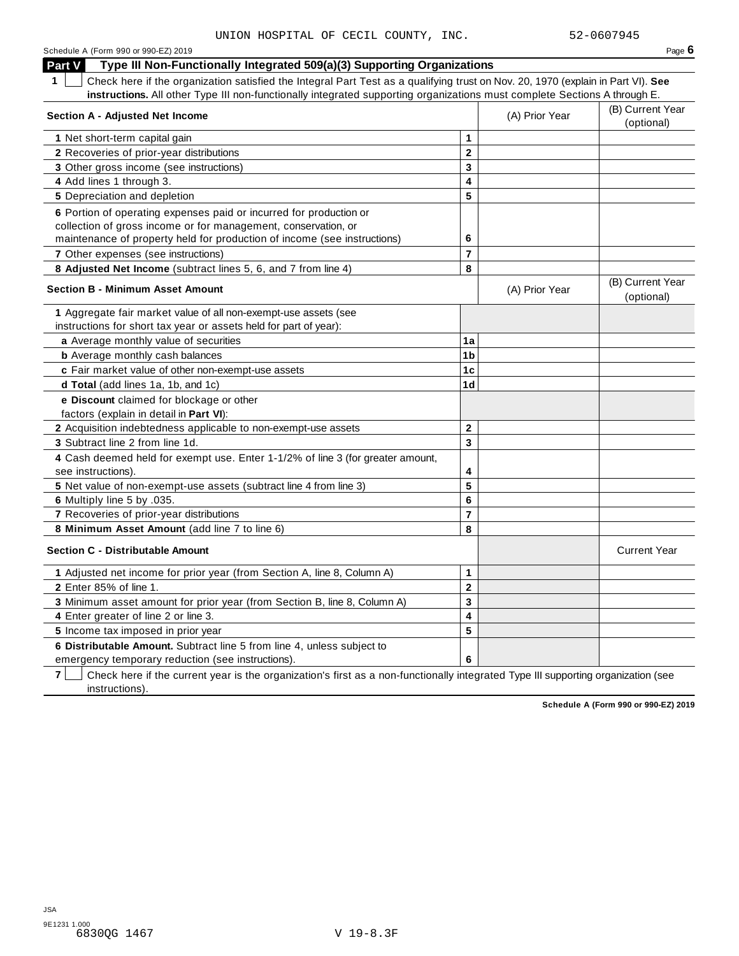| Schedule A (Form 990 or 990-EZ) 2019                                                                                                                                                                             |                         |                | Page $6$                       |
|------------------------------------------------------------------------------------------------------------------------------------------------------------------------------------------------------------------|-------------------------|----------------|--------------------------------|
| Type III Non-Functionally Integrated 509(a)(3) Supporting Organizations<br>Part V                                                                                                                                |                         |                |                                |
| Check here if the organization satisfied the Integral Part Test as a qualifying trust on Nov. 20, 1970 (explain in Part VI). See<br>$\mathbf 1$                                                                  |                         |                |                                |
| instructions. All other Type III non-functionally integrated supporting organizations must complete Sections A through E.                                                                                        |                         |                |                                |
| Section A - Adjusted Net Income                                                                                                                                                                                  |                         | (A) Prior Year | (B) Current Year<br>(optional) |
| 1 Net short-term capital gain                                                                                                                                                                                    | $\mathbf{1}$            |                |                                |
| 2 Recoveries of prior-year distributions                                                                                                                                                                         | $\mathbf{2}$            |                |                                |
| 3 Other gross income (see instructions)                                                                                                                                                                          | $\overline{\mathbf{3}}$ |                |                                |
| 4 Add lines 1 through 3.                                                                                                                                                                                         | 4                       |                |                                |
| <b>5</b> Depreciation and depletion                                                                                                                                                                              | 5                       |                |                                |
| 6 Portion of operating expenses paid or incurred for production or<br>collection of gross income or for management, conservation, or<br>maintenance of property held for production of income (see instructions) | 6                       |                |                                |
| 7 Other expenses (see instructions)                                                                                                                                                                              | $\overline{7}$          |                |                                |
| 8 Adjusted Net Income (subtract lines 5, 6, and 7 from line 4)                                                                                                                                                   | 8                       |                |                                |
| <b>Section B - Minimum Asset Amount</b>                                                                                                                                                                          |                         | (A) Prior Year | (B) Current Year<br>(optional) |
| 1 Aggregate fair market value of all non-exempt-use assets (see<br>instructions for short tax year or assets held for part of year):                                                                             |                         |                |                                |
| a Average monthly value of securities                                                                                                                                                                            | 1a                      |                |                                |
| <b>b</b> Average monthly cash balances                                                                                                                                                                           | 1 <sub>b</sub>          |                |                                |
| c Fair market value of other non-exempt-use assets                                                                                                                                                               | 1 <sub>c</sub>          |                |                                |
| d Total (add lines 1a, 1b, and 1c)                                                                                                                                                                               | 1 <sub>d</sub>          |                |                                |
| e Discount claimed for blockage or other<br>factors (explain in detail in <b>Part VI</b> ):                                                                                                                      |                         |                |                                |
| 2 Acquisition indebtedness applicable to non-exempt-use assets                                                                                                                                                   | $\mathbf{2}$            |                |                                |
| 3 Subtract line 2 from line 1d.                                                                                                                                                                                  | 3                       |                |                                |
| 4 Cash deemed held for exempt use. Enter 1-1/2% of line 3 (for greater amount,<br>see instructions).                                                                                                             | 4                       |                |                                |
| 5 Net value of non-exempt-use assets (subtract line 4 from line 3)                                                                                                                                               | 5                       |                |                                |
| 6 Multiply line 5 by .035.                                                                                                                                                                                       | 6                       |                |                                |
| 7 Recoveries of prior-year distributions                                                                                                                                                                         | $\overline{7}$          |                |                                |
| 8 Minimum Asset Amount (add line 7 to line 6)                                                                                                                                                                    | 8                       |                |                                |
| <b>Section C - Distributable Amount</b>                                                                                                                                                                          |                         |                | <b>Current Year</b>            |
| 1 Adjusted net income for prior year (from Section A, line 8, Column A)                                                                                                                                          | $\mathbf{1}$            |                |                                |
| 2 Enter 85% of line 1.                                                                                                                                                                                           | $\overline{\mathbf{2}}$ |                |                                |
| 3 Minimum asset amount for prior year (from Section B, line 8, Column A)                                                                                                                                         | 3                       |                |                                |
| 4 Enter greater of line 2 or line 3.                                                                                                                                                                             | 4                       |                |                                |
| 5 Income tax imposed in prior year                                                                                                                                                                               | 5                       |                |                                |
| 6 Distributable Amount. Subtract line 5 from line 4, unless subject to                                                                                                                                           |                         |                |                                |

emergency temporary reduction (see instructions).

**7 Check here if the current year is the organization's first as a non-functionally integrated Type III supporting organization (see** instructions).

**6**

**Schedule A (Form 990 or 990-EZ) 2019**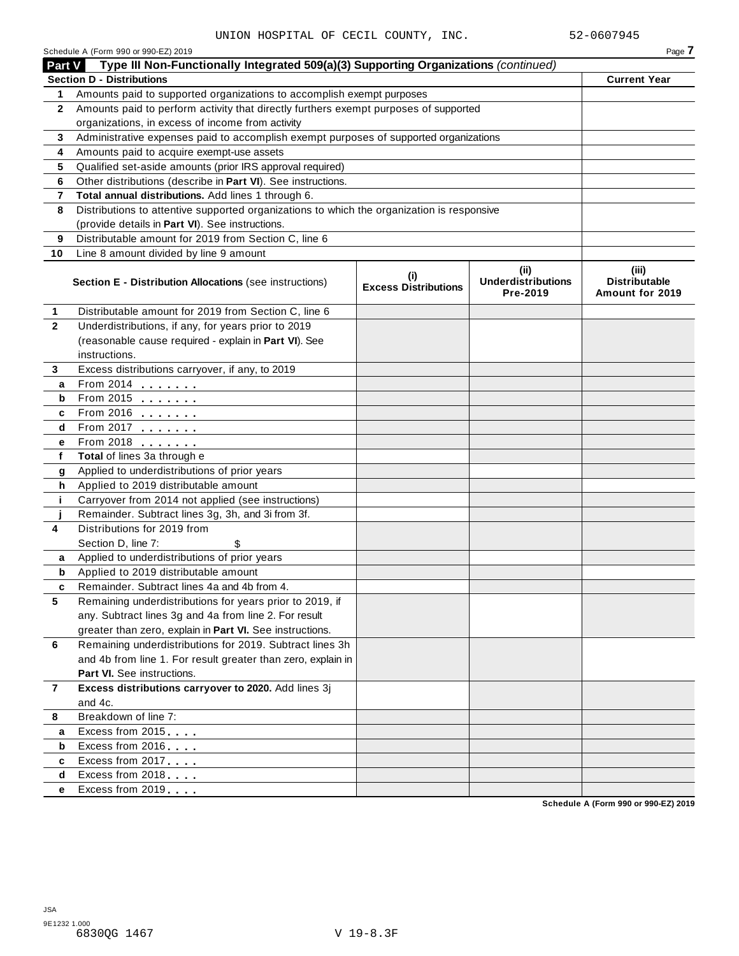|                | Schedule A (Form 990 or 990-EZ) 2019                                                                                                                          |                                    |                                               | Page 7                                           |
|----------------|---------------------------------------------------------------------------------------------------------------------------------------------------------------|------------------------------------|-----------------------------------------------|--------------------------------------------------|
| <b>Part V</b>  | Type III Non-Functionally Integrated 509(a)(3) Supporting Organizations (continued)<br><b>Section D - Distributions</b>                                       |                                    |                                               |                                                  |
|                |                                                                                                                                                               |                                    |                                               | <b>Current Year</b>                              |
| 1              | Amounts paid to supported organizations to accomplish exempt purposes<br>Amounts paid to perform activity that directly furthers exempt purposes of supported |                                    |                                               |                                                  |
| $\mathbf{2}$   | organizations, in excess of income from activity                                                                                                              |                                    |                                               |                                                  |
|                |                                                                                                                                                               |                                    |                                               |                                                  |
| 3              | Administrative expenses paid to accomplish exempt purposes of supported organizations                                                                         |                                    |                                               |                                                  |
| 4              | Amounts paid to acquire exempt-use assets                                                                                                                     |                                    |                                               |                                                  |
| 5              | Qualified set-aside amounts (prior IRS approval required)<br>Other distributions (describe in Part VI). See instructions.                                     |                                    |                                               |                                                  |
| 6              |                                                                                                                                                               |                                    |                                               |                                                  |
| 7              | Total annual distributions. Add lines 1 through 6.<br>Distributions to attentive supported organizations to which the organization is responsive              |                                    |                                               |                                                  |
| 8              | (provide details in Part VI). See instructions.                                                                                                               |                                    |                                               |                                                  |
| 9              | Distributable amount for 2019 from Section C, line 6                                                                                                          |                                    |                                               |                                                  |
| 10             | Line 8 amount divided by line 9 amount                                                                                                                        |                                    |                                               |                                                  |
|                |                                                                                                                                                               |                                    |                                               |                                                  |
|                | <b>Section E - Distribution Allocations (see instructions)</b>                                                                                                | (i)<br><b>Excess Distributions</b> | (ii)<br><b>Underdistributions</b><br>Pre-2019 | (iii)<br><b>Distributable</b><br>Amount for 2019 |
| 1              | Distributable amount for 2019 from Section C, line 6                                                                                                          |                                    |                                               |                                                  |
| $\mathbf{2}$   | Underdistributions, if any, for years prior to 2019                                                                                                           |                                    |                                               |                                                  |
|                | (reasonable cause required - explain in Part VI). See                                                                                                         |                                    |                                               |                                                  |
|                | instructions.                                                                                                                                                 |                                    |                                               |                                                  |
| 3              | Excess distributions carryover, if any, to 2019                                                                                                               |                                    |                                               |                                                  |
| а              | From 2014 $\frac{201}{20}$                                                                                                                                    |                                    |                                               |                                                  |
| b              | From 2015 $\frac{1}{2}$                                                                                                                                       |                                    |                                               |                                                  |
| c              | From 2016 $\frac{2016}{200}$                                                                                                                                  |                                    |                                               |                                                  |
| d              | From 2017 $\frac{1}{2}$                                                                                                                                       |                                    |                                               |                                                  |
| е              | From 2018                                                                                                                                                     |                                    |                                               |                                                  |
| f              | Total of lines 3a through e                                                                                                                                   |                                    |                                               |                                                  |
| g              | Applied to underdistributions of prior years                                                                                                                  |                                    |                                               |                                                  |
| h              | Applied to 2019 distributable amount                                                                                                                          |                                    |                                               |                                                  |
| j.             | Carryover from 2014 not applied (see instructions)                                                                                                            |                                    |                                               |                                                  |
|                | Remainder. Subtract lines 3g, 3h, and 3i from 3f.                                                                                                             |                                    |                                               |                                                  |
| 4              | Distributions for 2019 from                                                                                                                                   |                                    |                                               |                                                  |
|                | Section D, line 7:<br>\$                                                                                                                                      |                                    |                                               |                                                  |
| a              | Applied to underdistributions of prior years                                                                                                                  |                                    |                                               |                                                  |
| b              | Applied to 2019 distributable amount                                                                                                                          |                                    |                                               |                                                  |
| c              | Remainder. Subtract lines 4a and 4b from 4.                                                                                                                   |                                    |                                               |                                                  |
| 5              | Remaining underdistributions for years prior to 2019, if                                                                                                      |                                    |                                               |                                                  |
|                | any. Subtract lines 3g and 4a from line 2. For result                                                                                                         |                                    |                                               |                                                  |
|                | greater than zero, explain in Part VI. See instructions.                                                                                                      |                                    |                                               |                                                  |
| 6              | Remaining underdistributions for 2019. Subtract lines 3h                                                                                                      |                                    |                                               |                                                  |
|                | and 4b from line 1. For result greater than zero, explain in                                                                                                  |                                    |                                               |                                                  |
|                | Part VI. See instructions.                                                                                                                                    |                                    |                                               |                                                  |
| $\overline{7}$ | Excess distributions carryover to 2020. Add lines 3j                                                                                                          |                                    |                                               |                                                  |
|                | and 4c.                                                                                                                                                       |                                    |                                               |                                                  |
| 8              | Breakdown of line 7:                                                                                                                                          |                                    |                                               |                                                  |
| а              | Excess from 2015                                                                                                                                              |                                    |                                               |                                                  |
| b              | Excess from 2016                                                                                                                                              |                                    |                                               |                                                  |
| c              | Excess from 2017                                                                                                                                              |                                    |                                               |                                                  |
| d              | Excess from 2018                                                                                                                                              |                                    |                                               |                                                  |
| е              | Excess from 2019                                                                                                                                              |                                    |                                               |                                                  |

**Schedule A (Form 990 or 990-EZ) 2019**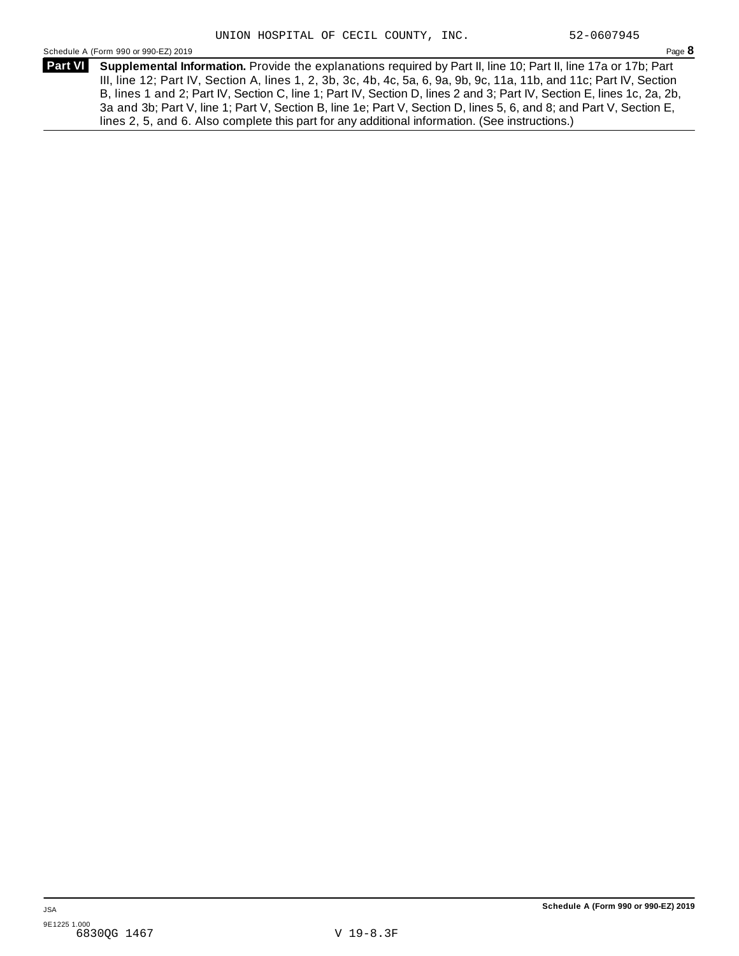Schedule <sup>A</sup> (Form <sup>990</sup> or 990-EZ) <sup>2019</sup> Page **8**

**Supplemental Information.** Provide the explanations required by Part II, line 10; Part II, line 17a or 17b; Part **Part VI** III, line 12; Part IV, Section A, lines 1, 2, 3b, 3c, 4b, 4c, 5a, 6, 9a, 9b, 9c, 11a, 11b, and 11c; Part IV, Section B, lines 1 and 2; Part IV, Section C, line 1; Part IV, Section D, lines 2 and 3; Part IV, Section E, lines 1c, 2a, 2b, 3a and 3b; Part V, line 1; Part V, Section B, line 1e; Part V, Section D, lines 5, 6, and 8; and Part V, Section E, lines 2, 5, and 6. Also complete this part for any additional information. (See instructions.)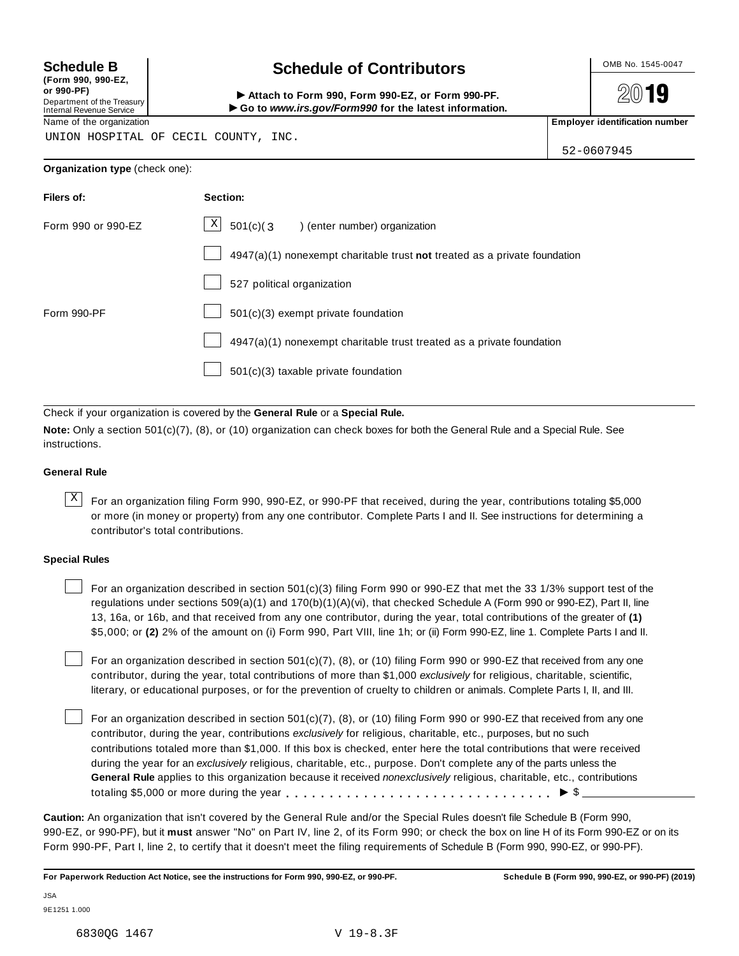**(Form 990, 990-EZ, or 990-PF)** Department of the Treasury<br>Internal Revenue Service

# **Schedule B chedule of Contributors**

2019

(Porm 990, Form 990, Form 990-EZ, or Form 990-PF.<br>Department of the Treasury → Attach to Form 990, Form 990-EZ, or Form 990-PF.<br>Internal Revenue Service → → Go to www.irs.gov/Form990 for the latest information.<br>Name of th

UNION HOSPITAL OF CECIL COUNTY, INC.

52-0607945

### **Organization type** (check one):

| Filers of:         | Section:                                                                  |
|--------------------|---------------------------------------------------------------------------|
| Form 990 or 990-EZ | $\mathbf{x}$<br>$501(c)(3)$ (enter number) organization                   |
|                    | 4947(a)(1) nonexempt charitable trust not treated as a private foundation |
|                    | 527 political organization                                                |
| Form 990-PF        | 501(c)(3) exempt private foundation                                       |
|                    | 4947(a)(1) nonexempt charitable trust treated as a private foundation     |
|                    | 501(c)(3) taxable private foundation                                      |

Check if your organization is covered by the **General Rule** or a **Special Rule.**

**Note:** Only a section 501(c)(7), (8), or (10) organization can check boxes for both the General Rule and a Special Rule. See instructions.

### **General Rule**

 $\overline{X}$  For an organization filing Form 990, 990-EZ, or 990-PF that received, during the year, contributions totaling \$5,000 or more (in money or property) from any one contributor. Complete Parts I and II. See instructions for determining a contributor's total contributions.

### **Special Rules**

For an organization described in section 501(c)(3) filing Form 990 or 990-EZ that met the 33 1/3% support test of the regulations under sections 509(a)(1) and 170(b)(1)(A)(vi), that checked Schedule A (Form 990 or 990-EZ), Part II, line 13, 16a, or 16b, and that received from any one contributor, during the year, total contributions of the greater of **(1)** \$5,000; or **(2)** 2% of the amount on (i) Form 990, Part VIII, line 1h; or (ii) Form 990-EZ, line 1. Complete Parts I and II.

For an organization described in section 501(c)(7), (8), or (10) filing Form 990 or 990-EZ that received from any one contributor, during the year, total contributions of more than \$1,000 *exclusively* for religious, charitable, scientific, literary, or educational purposes, or for the prevention of cruelty to children or animals. Complete Parts I, II, and III.

For an organization described in section 501(c)(7), (8), or (10) filing Form 990 or 990-EZ that received from any one contributor, during the year, contributions *exclusively* for religious, charitable, etc., purposes, but no such contributions totaled more than \$1,000. If this box is checked, enter here the total contributions that were received during the year for an *exclusively* religious, charitable, etc., purpose. Don't complete any of the parts unless the **General Rule** applies to this organization because it received *nonexclusively* religious, charitable, etc., contributions totaling \$5,000 or more during the year m m m m m m m m m m m m m m m m m m m m m m m m m m m m m m m I \$

**Caution:** An organization that isn't covered by the General Rule and/or the Special Rules doesn't file Schedule B (Form 990, 990-EZ, or 990-PF), but it **must** answer "No" on Part IV, line 2, of its Form 990; or check the box on line H of its Form 990-EZ or on its Form 990-PF, Part I, line 2, to certify that it doesn't meet the filing requirements of Schedule B (Form 990, 990-EZ, or 990-PF).

For Paperwork Reduction Act Notice, see the instructions for Form 990, 990-EZ, or 990-PF. Schedule B (Form 990, 990-EZ, or 990-PF) (2019)

JSA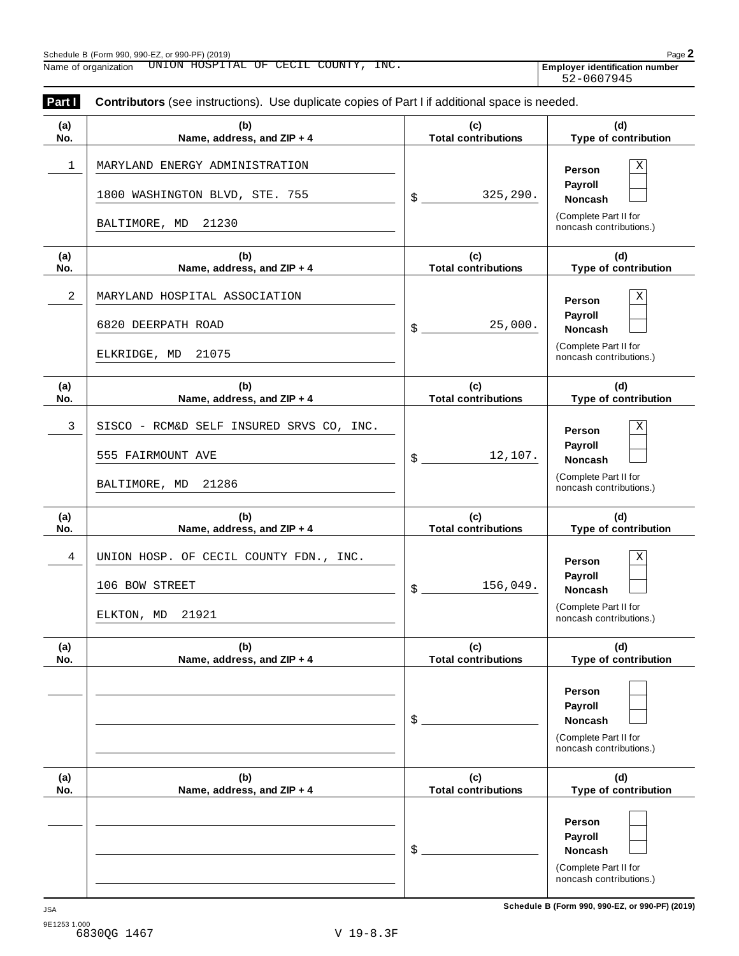| Part I     | <b>Contributors</b> (see instructions). Use duplicate copies of Part I if additional space is needed. |                                   |                                                                                         |
|------------|-------------------------------------------------------------------------------------------------------|-----------------------------------|-----------------------------------------------------------------------------------------|
| (a)<br>No. | (b)<br>Name, address, and ZIP + 4                                                                     | (c)<br><b>Total contributions</b> | (d)<br>Type of contribution                                                             |
| 1          | MARYLAND ENERGY ADMINISTRATION                                                                        |                                   | Χ<br>Person<br>Payroll                                                                  |
|            | 1800 WASHINGTON BLVD, STE. 755                                                                        | 325,290.<br>\$                    | <b>Noncash</b>                                                                          |
|            | BALTIMORE, MD<br>21230                                                                                |                                   | (Complete Part II for<br>noncash contributions.)                                        |
| (a)<br>No. | (b)<br>Name, address, and ZIP + 4                                                                     | (c)<br><b>Total contributions</b> | (d)<br>Type of contribution                                                             |
| 2          | MARYLAND HOSPITAL ASSOCIATION                                                                         |                                   | Χ<br>Person                                                                             |
|            | 6820 DEERPATH ROAD                                                                                    | 25,000.<br>\$                     | Payroll<br><b>Noncash</b>                                                               |
|            | ELKRIDGE, MD<br>21075                                                                                 |                                   | (Complete Part II for<br>noncash contributions.)                                        |
| (a)<br>No. | (b)<br>Name, address, and ZIP + 4                                                                     | (c)<br><b>Total contributions</b> | (d)<br>Type of contribution                                                             |
| 3          | SISCO - RCM&D SELF INSURED SRVS CO, INC.                                                              |                                   | Χ<br>Person                                                                             |
|            | 555 FAIRMOUNT AVE                                                                                     | 12,107.<br>\$                     | Payroll<br><b>Noncash</b>                                                               |
|            | 21286<br>BALTIMORE, MD                                                                                |                                   | (Complete Part II for<br>noncash contributions.)                                        |
| (a)<br>No. | (b)<br>Name, address, and ZIP + 4                                                                     | (c)<br><b>Total contributions</b> | (d)<br>Type of contribution                                                             |
| 4          | UNION HOSP. OF CECIL COUNTY FDN., INC.                                                                |                                   | Χ<br>Person                                                                             |
|            | 106 BOW STREET                                                                                        | 156,049.<br>\$                    | Payroll<br><b>Noncash</b>                                                               |
|            | 21921<br>ELKTON, MD                                                                                   |                                   | (Complete Part II for<br>noncash contributions.)                                        |
| (a)<br>No. | (b)<br>Name, address, and ZIP + 4                                                                     | (c)<br><b>Total contributions</b> | (d)<br>Type of contribution                                                             |
|            |                                                                                                       | \$                                | Person<br>Payroll<br><b>Noncash</b><br>(Complete Part II for<br>noncash contributions.) |
| (a)<br>No. | (b)<br>Name, address, and ZIP + 4                                                                     | (c)<br><b>Total contributions</b> | (d)<br>Type of contribution                                                             |
|            |                                                                                                       | \$                                | Person<br>Payroll<br><b>Noncash</b><br>(Complete Part II for<br>noncash contributions.) |

**Schedule B (Form 990, 990-EZ, or 990-PF) (2019)** JSA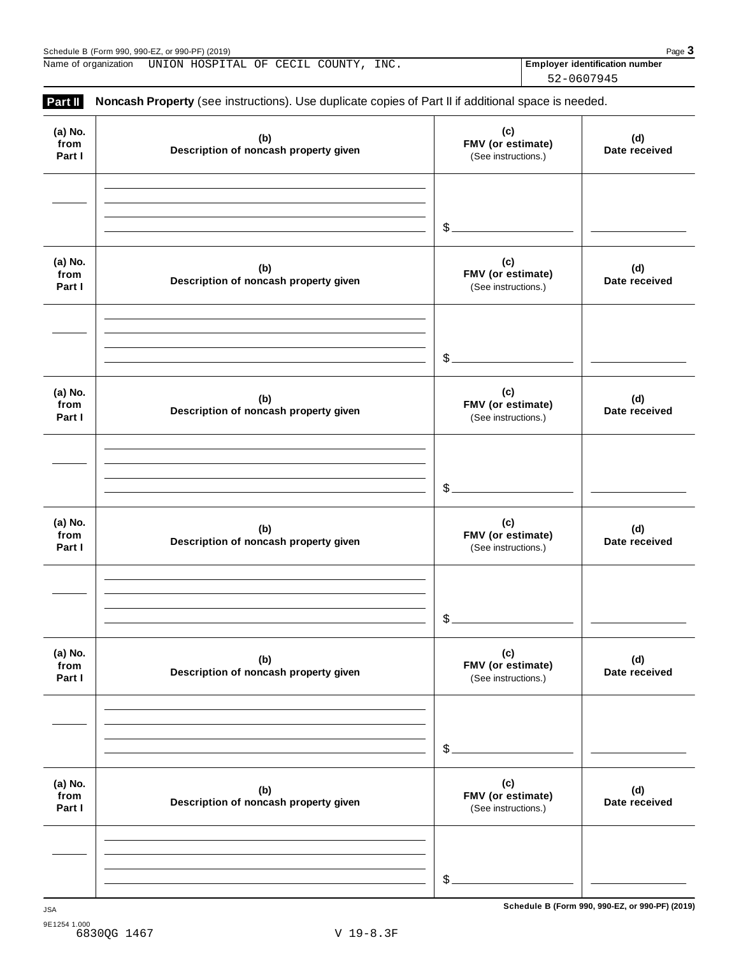Schedule B (Form 990, 990-EZ, or 990-PF) (2019)<br>
Name of organization UNION HOSPITAL OF CECIL COUNTY, INC. **Page 3**<br>
Page 3 Name of organization UNION HOSPITAL OF CECIL COUNTY, INC. **Employer identification number** 

52-0607945

| (a) No.<br>from<br>Part I | (b)<br>Description of noncash property given | (c)<br>FMV (or estimate)<br>(See instructions.) | (d)<br>Date received |
|---------------------------|----------------------------------------------|-------------------------------------------------|----------------------|
|                           |                                              |                                                 |                      |
|                           |                                              | $\mathcal{L}$                                   |                      |
| (a) No.<br>from<br>Part I | (b)<br>Description of noncash property given | (c)<br>FMV (or estimate)<br>(See instructions.) | (d)<br>Date received |
|                           |                                              | \$                                              |                      |
| (a) No.<br>from<br>Part I | (b)<br>Description of noncash property given | (c)<br>FMV (or estimate)<br>(See instructions.) | (d)<br>Date received |
|                           |                                              | \$                                              |                      |
| (a) No.<br>from<br>Part I | (b)<br>Description of noncash property given | (c)<br>FMV (or estimate)<br>(See instructions.) | (d)<br>Date received |
|                           |                                              | \$                                              |                      |
| (a) No.<br>from<br>Part I | (b)<br>Description of noncash property given | (c)<br>FMV (or estimate)<br>(See instructions.) | (d)<br>Date received |
|                           |                                              | \$                                              |                      |
| (a) No.<br>from<br>Part I | (b)<br>Description of noncash property given | (c)<br>FMV (or estimate)<br>(See instructions.) | (d)<br>Date received |
|                           |                                              |                                                 |                      |
|                           |                                              | \$                                              |                      |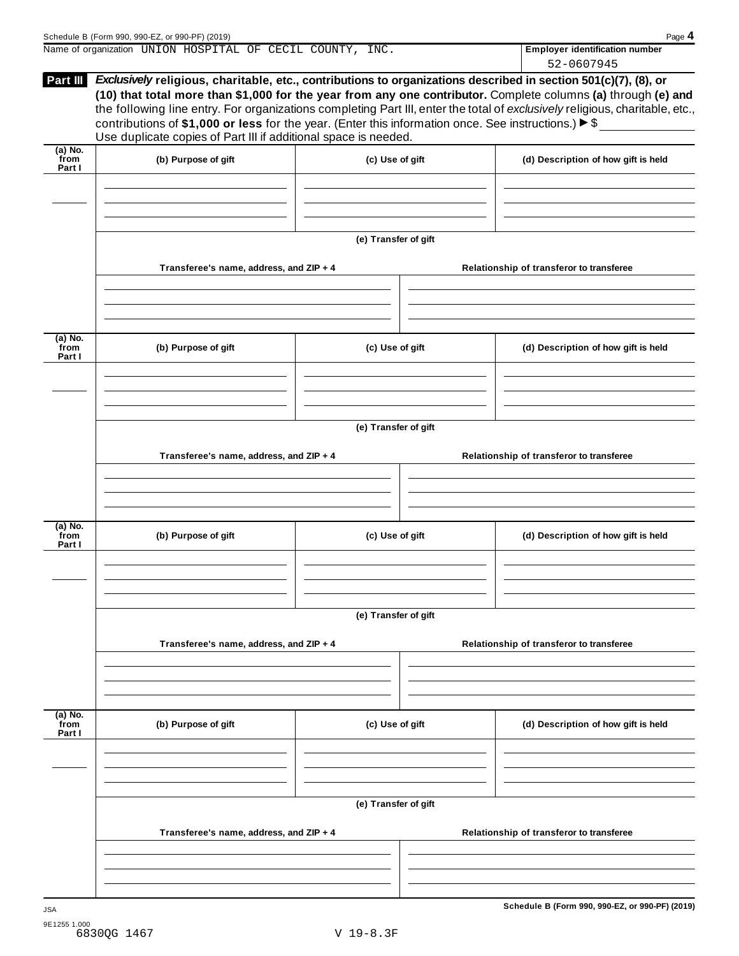| Schedule B (Form 990, 990-EZ, or 990-PF) (2019)                                                                                           | Page 4                                |
|-------------------------------------------------------------------------------------------------------------------------------------------|---------------------------------------|
| Name of organization UNION HOSPITAL OF CECIL COUNTY, INC.                                                                                 | <b>Employer identification number</b> |
|                                                                                                                                           | 52-0607945                            |
| <b>Part III</b><br><i>Exclusively</i> religious, charitable, etc., contributions to organizations described in section 501(c)(7), (8), or |                                       |
| (10) that total more than \$1,000 for the year from any one contributor. Complete columns (a) through (e) and                             |                                       |
| the following line entry. For organizations completing Part III, enter the total of exclusively religious, charitable, etc.,              |                                       |
| contributions of \$1,000 or less for the year. (Enter this information once. See instructions.) $\triangleright$ \$                       |                                       |
|                                                                                                                                           |                                       |

| (a) No.<br>from             | (b) Purpose of gift                     | (c) Use of gift      | (d) Description of how gift is held      |
|-----------------------------|-----------------------------------------|----------------------|------------------------------------------|
| Part I                      |                                         |                      |                                          |
|                             |                                         |                      |                                          |
|                             |                                         |                      |                                          |
|                             |                                         | (e) Transfer of gift |                                          |
|                             |                                         |                      |                                          |
|                             | Transferee's name, address, and ZIP + 4 |                      | Relationship of transferor to transferee |
|                             |                                         |                      |                                          |
|                             |                                         |                      |                                          |
| $(a)$ No.<br>from<br>Part I | (b) Purpose of gift                     | (c) Use of gift      | (d) Description of how gift is held      |
|                             |                                         |                      |                                          |
|                             |                                         |                      |                                          |
|                             |                                         |                      |                                          |
|                             |                                         | (e) Transfer of gift |                                          |
|                             | Transferee's name, address, and ZIP + 4 |                      | Relationship of transferor to transferee |
|                             |                                         |                      |                                          |
|                             |                                         |                      |                                          |
|                             |                                         |                      |                                          |
| $(a)$ No.<br>from<br>Part I | (b) Purpose of gift                     | (c) Use of gift      | (d) Description of how gift is held      |
|                             |                                         |                      |                                          |
|                             |                                         |                      |                                          |
|                             |                                         |                      |                                          |
|                             |                                         | (e) Transfer of gift |                                          |
|                             | Transferee's name, address, and ZIP + 4 |                      | Relationship of transferor to transferee |
|                             |                                         |                      |                                          |
|                             |                                         |                      |                                          |
|                             |                                         |                      |                                          |
| $(a)$ No.<br>from<br>Part I | (b) Purpose of gift                     | (c) Use of gift      | (d) Description of how gift is held      |
|                             |                                         |                      |                                          |
|                             |                                         |                      |                                          |
|                             |                                         |                      |                                          |
|                             |                                         | (e) Transfer of gift |                                          |
|                             | Transferee's name, address, and ZIP + 4 |                      | Relationship of transferor to transferee |
|                             |                                         |                      |                                          |
|                             |                                         |                      |                                          |
|                             |                                         |                      |                                          |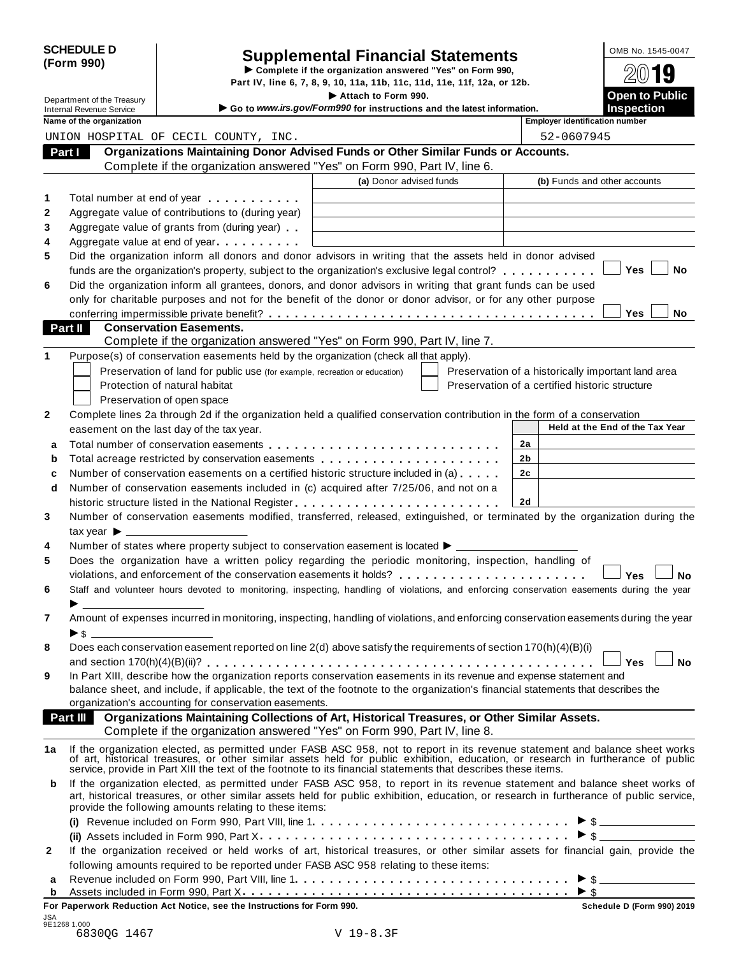| <b>SCHEDULE D</b> |  |
|-------------------|--|
| (Form 990)        |  |

# SCHEDULE D<br>
Supplemental Financial Statements<br>
Form 990)<br>
Part IV, line 6, 7, 8, 9, 10, 11a, 11b, 11c, 11d, 11e, 11f, 12a, or 12b.<br>
Part IV, line 6, 7, 8, 9, 10, 11a, 11b, 11c, 11d, 11e, 11f, 12a, or 12b.

Department of the Treasury **I Attach 1990.** The S. 7, 8, 9, 10, 11a, 11b, 11c, 11d, 11e, 11f, 12a, or 12b.<br> **Department of the Treasury Inches Containery Containery Containery Containery Containery Containery** 

|        | Department of the Treasury      |                                                                                                                                                                                                                                                                   | Attach to Form 990.                                                    |                                                    | <b>Open to Public</b>           |
|--------|---------------------------------|-------------------------------------------------------------------------------------------------------------------------------------------------------------------------------------------------------------------------------------------------------------------|------------------------------------------------------------------------|----------------------------------------------------|---------------------------------|
|        | <b>Internal Revenue Service</b> |                                                                                                                                                                                                                                                                   | Go to www.irs.gov/Form990 for instructions and the latest information. |                                                    | <b>Inspection</b>               |
|        | Name of the organization        |                                                                                                                                                                                                                                                                   |                                                                        | <b>Employer identification number</b>              |                                 |
|        |                                 | UNION HOSPITAL OF CECIL COUNTY, INC.                                                                                                                                                                                                                              |                                                                        | 52-0607945                                         |                                 |
|        | Part I                          | Organizations Maintaining Donor Advised Funds or Other Similar Funds or Accounts.                                                                                                                                                                                 |                                                                        |                                                    |                                 |
|        |                                 | Complete if the organization answered "Yes" on Form 990, Part IV, line 6.                                                                                                                                                                                         |                                                                        |                                                    |                                 |
|        |                                 |                                                                                                                                                                                                                                                                   | (a) Donor advised funds                                                | (b) Funds and other accounts                       |                                 |
| 1      |                                 | Total number at end of year <b>that the state of the state of the state of the state of the state of the state of the state of the state of the state of the state of the state of the state of the state of the state of the st</b>                              |                                                                        |                                                    |                                 |
| 2      |                                 | Aggregate value of contributions to (during year)                                                                                                                                                                                                                 |                                                                        |                                                    |                                 |
| 3      |                                 | Aggregate value of grants from (during year)                                                                                                                                                                                                                      |                                                                        |                                                    |                                 |
| 4      |                                 | Aggregate value at end of year                                                                                                                                                                                                                                    |                                                                        |                                                    |                                 |
| 5      |                                 | Did the organization inform all donors and donor advisors in writing that the assets held in donor advised                                                                                                                                                        |                                                                        |                                                    |                                 |
|        |                                 | funds are the organization's property, subject to the organization's exclusive legal control?                                                                                                                                                                     |                                                                        |                                                    | Yes<br>No                       |
| 6      |                                 | Did the organization inform all grantees, donors, and donor advisors in writing that grant funds can be used                                                                                                                                                      |                                                                        |                                                    |                                 |
|        |                                 | only for charitable purposes and not for the benefit of the donor or donor advisor, or for any other purpose                                                                                                                                                      |                                                                        |                                                    |                                 |
|        |                                 |                                                                                                                                                                                                                                                                   |                                                                        |                                                    | Yes<br>No                       |
|        | Part II                         | <b>Conservation Easements.</b>                                                                                                                                                                                                                                    |                                                                        |                                                    |                                 |
|        |                                 | Complete if the organization answered "Yes" on Form 990, Part IV, line 7.                                                                                                                                                                                         |                                                                        |                                                    |                                 |
| 1      |                                 | Purpose(s) of conservation easements held by the organization (check all that apply).                                                                                                                                                                             |                                                                        |                                                    |                                 |
|        |                                 | Preservation of land for public use (for example, recreation or education)                                                                                                                                                                                        |                                                                        | Preservation of a historically important land area |                                 |
|        |                                 | Protection of natural habitat                                                                                                                                                                                                                                     |                                                                        | Preservation of a certified historic structure     |                                 |
|        |                                 | Preservation of open space                                                                                                                                                                                                                                        |                                                                        |                                                    |                                 |
| 2      |                                 | Complete lines 2a through 2d if the organization held a qualified conservation contribution in the form of a conservation                                                                                                                                         |                                                                        |                                                    |                                 |
|        |                                 | easement on the last day of the tax year.                                                                                                                                                                                                                         |                                                                        |                                                    | Held at the End of the Tax Year |
| a      |                                 |                                                                                                                                                                                                                                                                   |                                                                        | 2a                                                 |                                 |
| b      |                                 | Total acreage restricted by conservation easements                                                                                                                                                                                                                |                                                                        | 2b                                                 |                                 |
| c      |                                 | Number of conservation easements on a certified historic structure included in (a)                                                                                                                                                                                |                                                                        | 2 <sub>c</sub>                                     |                                 |
| d      |                                 | Number of conservation easements included in (c) acquired after 7/25/06, and not on a                                                                                                                                                                             |                                                                        |                                                    |                                 |
|        |                                 |                                                                                                                                                                                                                                                                   |                                                                        | 2d                                                 |                                 |
| 3      |                                 | Number of conservation easements modified, transferred, released, extinguished, or terminated by the organization during the                                                                                                                                      |                                                                        |                                                    |                                 |
|        |                                 |                                                                                                                                                                                                                                                                   |                                                                        |                                                    |                                 |
| 4      |                                 | Number of states where property subject to conservation easement is located $\blacktriangleright$ ______                                                                                                                                                          |                                                                        |                                                    |                                 |
| 5      |                                 | Does the organization have a written policy regarding the periodic monitoring, inspection, handling of                                                                                                                                                            |                                                                        |                                                    |                                 |
|        |                                 |                                                                                                                                                                                                                                                                   |                                                                        |                                                    | Yes<br>No                       |
| 6      |                                 | Staff and volunteer hours devoted to monitoring, inspecting, handling of violations, and enforcing conservation easements during the year                                                                                                                         |                                                                        |                                                    |                                 |
|        |                                 |                                                                                                                                                                                                                                                                   |                                                                        |                                                    |                                 |
| 7      |                                 | Amount of expenses incurred in monitoring, inspecting, handling of violations, and enforcing conservation easements during the year                                                                                                                               |                                                                        |                                                    |                                 |
|        | ▶\$                             |                                                                                                                                                                                                                                                                   |                                                                        |                                                    |                                 |
| 8      |                                 | Does each conservation easement reported on line 2(d) above satisfy the requirements of section 170(h)(4)(B)(i)                                                                                                                                                   |                                                                        |                                                    |                                 |
|        |                                 |                                                                                                                                                                                                                                                                   |                                                                        |                                                    | No<br>Yes                       |
| 9      |                                 | In Part XIII, describe how the organization reports conservation easements in its revenue and expense statement and                                                                                                                                               |                                                                        |                                                    |                                 |
|        |                                 | balance sheet, and include, if applicable, the text of the footnote to the organization's financial statements that describes the<br>organization's accounting for conservation easements.                                                                        |                                                                        |                                                    |                                 |
|        | Part III                        | Organizations Maintaining Collections of Art, Historical Treasures, or Other Similar Assets.                                                                                                                                                                      |                                                                        |                                                    |                                 |
|        |                                 | Complete if the organization answered "Yes" on Form 990, Part IV, line 8.                                                                                                                                                                                         |                                                                        |                                                    |                                 |
|        |                                 |                                                                                                                                                                                                                                                                   |                                                                        |                                                    |                                 |
| 1a     |                                 | If the organization elected, as permitted under FASB ASC 958, not to report in its revenue statement and balance sheet works<br>of art, historical treasures, or other similar assets held for public exhibition, education, or research in furtherance of public |                                                                        |                                                    |                                 |
|        |                                 | service, provide in Part XIII the text of the footnote to its financial statements that describes these items.                                                                                                                                                    |                                                                        |                                                    |                                 |
| b      |                                 | If the organization elected, as permitted under FASB ASC 958, to report in its revenue statement and balance sheet works of                                                                                                                                       |                                                                        |                                                    |                                 |
|        |                                 | art, historical treasures, or other similar assets held for public exhibition, education, or research in furtherance of public service,                                                                                                                           |                                                                        |                                                    |                                 |
|        |                                 | provide the following amounts relating to these items:                                                                                                                                                                                                            |                                                                        |                                                    |                                 |
|        |                                 | (i) Revenue included on Form 990, Part VIII, line $1, \ldots, \ldots, \ldots, \ldots, \ldots, \ldots, \ldots, \ldots, \ldots$                                                                                                                                     |                                                                        |                                                    | $\triangleright$ \$             |
|        |                                 |                                                                                                                                                                                                                                                                   |                                                                        |                                                    | $\triangleright$ \$             |
| 2      |                                 | If the organization received or held works of art, historical treasures, or other similar assets for financial gain, provide the                                                                                                                                  |                                                                        |                                                    |                                 |
|        |                                 | following amounts required to be reported under FASB ASC 958 relating to these items:                                                                                                                                                                             |                                                                        |                                                    |                                 |
| а<br>b |                                 |                                                                                                                                                                                                                                                                   |                                                                        |                                                    | $\triangleright$ \$             |
|        |                                 |                                                                                                                                                                                                                                                                   |                                                                        |                                                    |                                 |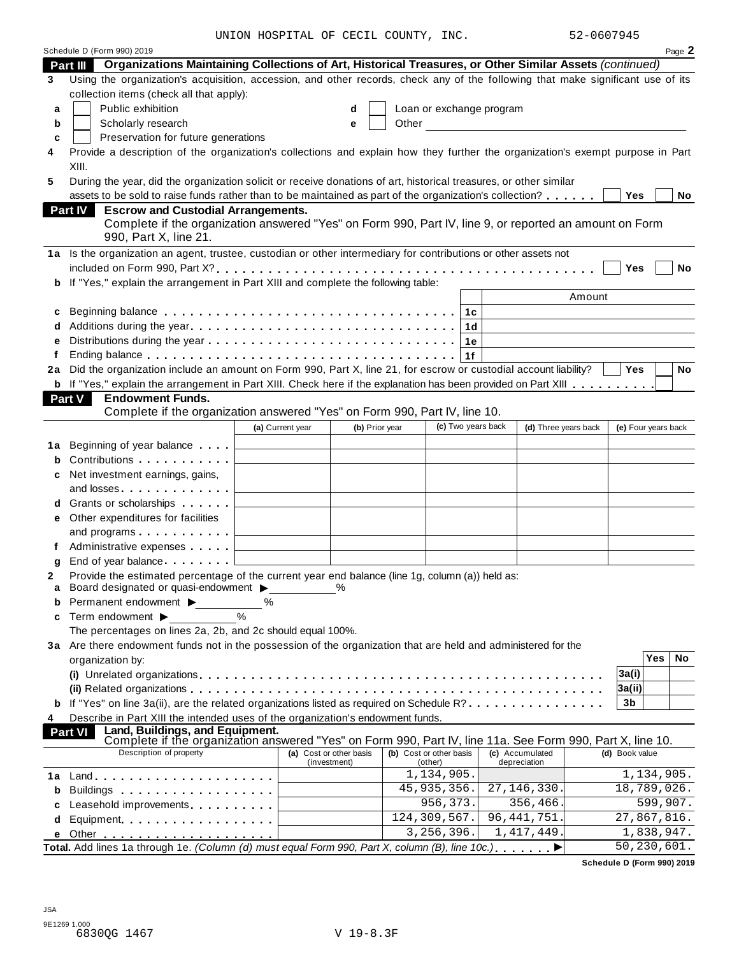UNION HOSPITAL OF CECIL COUNTY, INC. 52-0607945

|    | Schedule D (Form 990) 2019                                                                                                                                                                                                          |                  |                                         |       |                                    |                                 |                     |                            | Page 2 |
|----|-------------------------------------------------------------------------------------------------------------------------------------------------------------------------------------------------------------------------------------|------------------|-----------------------------------------|-------|------------------------------------|---------------------------------|---------------------|----------------------------|--------|
|    | Organizations Maintaining Collections of Art, Historical Treasures, or Other Similar Assets (continued)<br><b>Part III</b>                                                                                                          |                  |                                         |       |                                    |                                 |                     |                            |        |
| 3  | Using the organization's acquisition, accession, and other records, check any of the following that make significant use of its                                                                                                     |                  |                                         |       |                                    |                                 |                     |                            |        |
|    | collection items (check all that apply):                                                                                                                                                                                            |                  |                                         |       |                                    |                                 |                     |                            |        |
| a  | Public exhibition                                                                                                                                                                                                                   |                  | d                                       |       | Loan or exchange program           |                                 |                     |                            |        |
| b  | Scholarly research                                                                                                                                                                                                                  |                  | e                                       | Other |                                    |                                 |                     |                            |        |
| c  | Preservation for future generations                                                                                                                                                                                                 |                  |                                         |       |                                    |                                 |                     |                            |        |
| 4  | Provide a description of the organization's collections and explain how they further the organization's exempt purpose in Part                                                                                                      |                  |                                         |       |                                    |                                 |                     |                            |        |
|    | XIII.                                                                                                                                                                                                                               |                  |                                         |       |                                    |                                 |                     |                            |        |
| 5  | During the year, did the organization solicit or receive donations of art, historical treasures, or other similar                                                                                                                   |                  |                                         |       |                                    |                                 |                     |                            |        |
|    | assets to be sold to raise funds rather than to be maintained as part of the organization's collection?                                                                                                                             |                  |                                         |       |                                    |                                 | Yes                 |                            | No     |
|    | <b>Escrow and Custodial Arrangements.</b><br><b>Part IV</b>                                                                                                                                                                         |                  |                                         |       |                                    |                                 |                     |                            |        |
|    | Complete if the organization answered "Yes" on Form 990, Part IV, line 9, or reported an amount on Form                                                                                                                             |                  |                                         |       |                                    |                                 |                     |                            |        |
|    | 990, Part X, line 21.                                                                                                                                                                                                               |                  |                                         |       |                                    |                                 |                     |                            |        |
|    | 1a Is the organization an agent, trustee, custodian or other intermediary for contributions or other assets not                                                                                                                     |                  |                                         |       |                                    |                                 |                     |                            |        |
|    |                                                                                                                                                                                                                                     |                  |                                         |       |                                    |                                 | Yes                 |                            | No     |
|    | If "Yes," explain the arrangement in Part XIII and complete the following table:                                                                                                                                                    |                  |                                         |       |                                    |                                 |                     |                            |        |
|    |                                                                                                                                                                                                                                     |                  |                                         |       |                                    |                                 |                     |                            |        |
|    |                                                                                                                                                                                                                                     |                  |                                         |       |                                    |                                 | Amount              |                            |        |
| c  |                                                                                                                                                                                                                                     |                  |                                         |       | 1c                                 |                                 |                     |                            |        |
|    |                                                                                                                                                                                                                                     |                  |                                         |       | 1 <sub>d</sub>                     |                                 |                     |                            |        |
|    |                                                                                                                                                                                                                                     |                  |                                         |       | 1e                                 |                                 |                     |                            |        |
|    |                                                                                                                                                                                                                                     |                  |                                         |       | 1f                                 |                                 |                     |                            |        |
| 2a | Did the organization include an amount on Form 990, Part X, line 21, for escrow or custodial account liability?                                                                                                                     |                  |                                         |       |                                    |                                 | <b>Yes</b>          |                            | No     |
| b  | If "Yes," explain the arrangement in Part XIII. Check here if the explanation has been provided on Part XIII                                                                                                                        |                  |                                         |       |                                    |                                 |                     |                            |        |
|    | <b>Endowment Funds.</b><br>Part V                                                                                                                                                                                                   |                  |                                         |       |                                    |                                 |                     |                            |        |
|    | Complete if the organization answered "Yes" on Form 990, Part IV, line 10.                                                                                                                                                          |                  |                                         |       |                                    |                                 |                     |                            |        |
|    |                                                                                                                                                                                                                                     | (a) Current year | (b) Prior year                          |       | (c) Two years back                 | (d) Three years back            | (e) Four years back |                            |        |
| 1a | Beginning of year balance [15]                                                                                                                                                                                                      |                  |                                         |       |                                    |                                 |                     |                            |        |
| b  | Contributions <b>Contributions</b>                                                                                                                                                                                                  |                  |                                         |       |                                    |                                 |                     |                            |        |
| c  | Net investment earnings, gains,                                                                                                                                                                                                     |                  |                                         |       |                                    |                                 |                     |                            |        |
|    |                                                                                                                                                                                                                                     |                  |                                         |       |                                    |                                 |                     |                            |        |
| d  | Grants or scholarships                                                                                                                                                                                                              |                  |                                         |       |                                    |                                 |                     |                            |        |
| е  | Other expenditures for facilities                                                                                                                                                                                                   |                  |                                         |       |                                    |                                 |                     |                            |        |
|    | and programs $\ldots \ldots \ldots$                                                                                                                                                                                                 |                  |                                         |       |                                    |                                 |                     |                            |        |
| f  | Administrative expenses [                                                                                                                                                                                                           |                  |                                         |       |                                    |                                 |                     |                            |        |
| g  | End of year balance                                                                                                                                                                                                                 |                  |                                         |       |                                    |                                 |                     |                            |        |
| 2  | Provide the estimated percentage of the current year end balance (line 1g, column (a)) held as:                                                                                                                                     |                  |                                         |       |                                    |                                 |                     |                            |        |
|    | Board designated or quasi-endowment $\blacktriangleright$                                                                                                                                                                           |                  |                                         |       |                                    |                                 |                     |                            |        |
| b  | Permanent endowment ▶                                                                                                                                                                                                               | ℅                |                                         |       |                                    |                                 |                     |                            |        |
| c  | Term endowment ▶                                                                                                                                                                                                                    | $\frac{0}{0}$    |                                         |       |                                    |                                 |                     |                            |        |
|    | The percentages on lines 2a, 2b, and 2c should equal 100%.                                                                                                                                                                          |                  |                                         |       |                                    |                                 |                     |                            |        |
|    | 3a Are there endowment funds not in the possession of the organization that are held and administered for the                                                                                                                       |                  |                                         |       |                                    |                                 |                     |                            |        |
|    | organization by:                                                                                                                                                                                                                    |                  |                                         |       |                                    |                                 |                     | $\bar{Y}$ es               | No     |
|    |                                                                                                                                                                                                                                     |                  |                                         |       |                                    |                                 | 3a(i)               |                            |        |
|    |                                                                                                                                                                                                                                     |                  |                                         |       |                                    |                                 | 3a(ii)              |                            |        |
|    | If "Yes" on line 3a(ii), are the related organizations listed as required on Schedule R?                                                                                                                                            |                  |                                         |       |                                    |                                 | 3b                  |                            |        |
| 4  | Describe in Part XIII the intended uses of the organization's endowment funds.                                                                                                                                                      |                  |                                         |       |                                    |                                 |                     |                            |        |
|    | Land, Buildings, and Equipment.<br>Complete if the organization answered "Yes" on Form 990, Part IV, line 11a. See Form 990, Part X, line 10.<br><b>Part VI</b>                                                                     |                  |                                         |       |                                    |                                 |                     |                            |        |
|    |                                                                                                                                                                                                                                     |                  |                                         |       |                                    |                                 |                     |                            |        |
|    | Description of property                                                                                                                                                                                                             |                  | (a) Cost or other basis<br>(investment) |       | (b) Cost or other basis<br>(other) | (c) Accumulated<br>depreciation | (d) Book value      |                            |        |
| 1a |                                                                                                                                                                                                                                     |                  |                                         |       | 1,134,905.                         |                                 |                     | 1,134,905.                 |        |
| b  | Buildings <b>Example 20</b> Suite 1 and 20 Suite 1 and 20 Suite 20 Suite 20 Suite 20 Suite 20 Suite 20 Suite 20 Suite 20 Suite 20 Suite 20 Suite 20 Suite 20 Suite 20 Suite 20 Suite 20 Suite 20 Suite 20 Suite 20 Suite 20 Suite 2 |                  |                                         |       | 45, 935, 356.                      | 27, 146, 330                    | 18,789,026.         |                            |        |
| C  | Leasehold improvements entitled and the set of the set of the set of the set of the set of the set of the set o                                                                                                                     |                  |                                         |       | 956,373.                           | 356,466                         |                     | 599,907.                   |        |
| d  | Equipment                                                                                                                                                                                                                           |                  |                                         |       | 124,309,567.                       | 96, 441, 751                    | 27,867,816.         |                            |        |
| e  |                                                                                                                                                                                                                                     |                  |                                         |       | 3,256,396.                         | 1,417,449                       |                     | $\overline{1}$ , 838, 947. |        |
|    | Total. Add lines 1a through 1e. (Column (d) must equal Form 990, Part X, column (B), line 10c.)                                                                                                                                     |                  |                                         |       |                                    |                                 | 50, 230, 601.       |                            |        |
|    |                                                                                                                                                                                                                                     |                  |                                         |       |                                    |                                 |                     |                            |        |

**Schedule D (Form 990) 2019**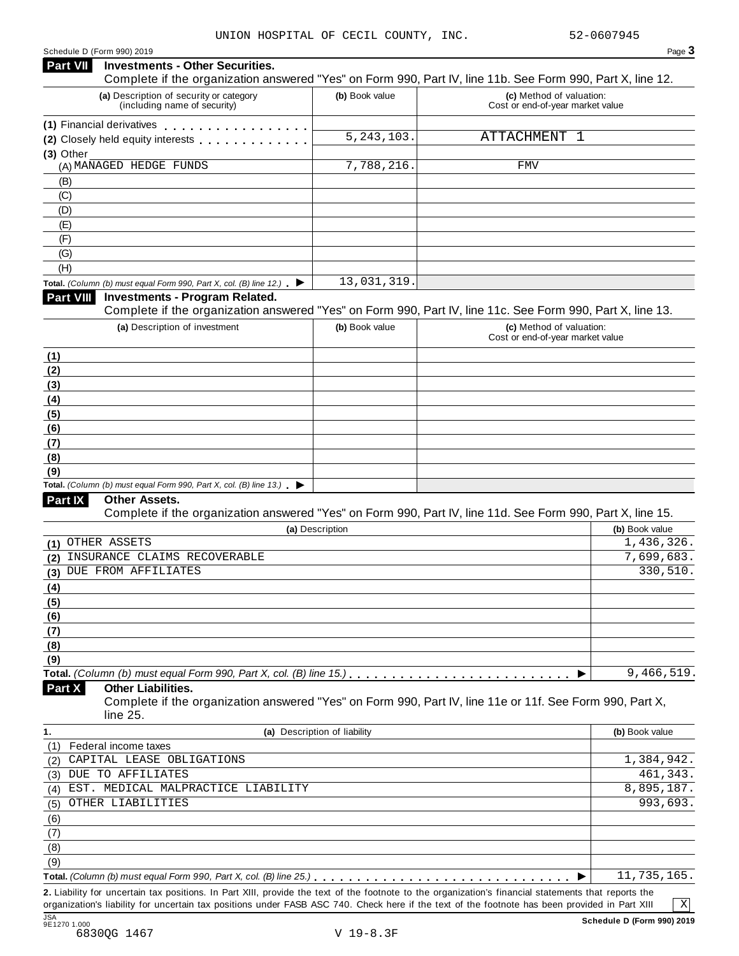| Schedule D (Form 990) 2019 |  |  |
|----------------------------|--|--|
|                            |  |  |

| Schedule D (Form 990) 2019                                                                                                                                                                                |                              | Page 3                                                                                                                      |
|-----------------------------------------------------------------------------------------------------------------------------------------------------------------------------------------------------------|------------------------------|-----------------------------------------------------------------------------------------------------------------------------|
| Part VII<br><b>Investments - Other Securities.</b>                                                                                                                                                        |                              | Complete if the organization answered "Yes" on Form 990, Part IV, line 11b. See Form 990, Part X, line 12.                  |
| (a) Description of security or category<br>(including name of security)                                                                                                                                   | (b) Book value               | (c) Method of valuation:<br>Cost or end-of-year market value                                                                |
| (1) Financial derivatives <b>All Accords</b> Financial derivatives                                                                                                                                        |                              |                                                                                                                             |
| (2) Closely held equity interests                                                                                                                                                                         | 5, 243, 103.                 | ATTACHMENT 1                                                                                                                |
| $(3)$ Other                                                                                                                                                                                               |                              |                                                                                                                             |
| (A) MANAGED HEDGE FUNDS                                                                                                                                                                                   | 7,788,216.                   | FMV                                                                                                                         |
| (B)                                                                                                                                                                                                       |                              |                                                                                                                             |
| (C)<br>(D)                                                                                                                                                                                                |                              |                                                                                                                             |
| (E)                                                                                                                                                                                                       |                              |                                                                                                                             |
| (F)                                                                                                                                                                                                       |                              |                                                                                                                             |
| (G)                                                                                                                                                                                                       |                              |                                                                                                                             |
| (H)                                                                                                                                                                                                       |                              |                                                                                                                             |
| Total. (Column (b) must equal Form 990, Part X, col. (B) line 12.) $\blacktriangleright$                                                                                                                  | 13,031,319.                  |                                                                                                                             |
| Part VIII<br><b>Investments - Program Related.</b>                                                                                                                                                        |                              | Complete if the organization answered "Yes" on Form 990, Part IV, line 11c. See Form 990, Part X, line 13.                  |
| (a) Description of investment                                                                                                                                                                             | (b) Book value               | (c) Method of valuation:                                                                                                    |
|                                                                                                                                                                                                           |                              | Cost or end-of-year market value                                                                                            |
| (1)                                                                                                                                                                                                       |                              |                                                                                                                             |
| (2)                                                                                                                                                                                                       |                              |                                                                                                                             |
| (3)                                                                                                                                                                                                       |                              |                                                                                                                             |
| (4)                                                                                                                                                                                                       |                              |                                                                                                                             |
| (5)                                                                                                                                                                                                       |                              |                                                                                                                             |
| (6)                                                                                                                                                                                                       |                              |                                                                                                                             |
| (7)                                                                                                                                                                                                       |                              |                                                                                                                             |
|                                                                                                                                                                                                           |                              |                                                                                                                             |
|                                                                                                                                                                                                           |                              |                                                                                                                             |
| (8)<br>(9)                                                                                                                                                                                                |                              |                                                                                                                             |
|                                                                                                                                                                                                           |                              |                                                                                                                             |
| <b>Other Assets.</b>                                                                                                                                                                                      |                              | Complete if the organization answered "Yes" on Form 990, Part IV, line 11d. See Form 990, Part X, line 15.                  |
|                                                                                                                                                                                                           | (a) Description              | (b) Book value                                                                                                              |
| OTHER ASSETS                                                                                                                                                                                              |                              | 1,436,326.                                                                                                                  |
| INSURANCE CLAIMS RECOVERABLE                                                                                                                                                                              |                              | 7,699,683.                                                                                                                  |
| DUE FROM AFFILIATES                                                                                                                                                                                       |                              | 330,510.                                                                                                                    |
|                                                                                                                                                                                                           |                              |                                                                                                                             |
|                                                                                                                                                                                                           |                              |                                                                                                                             |
|                                                                                                                                                                                                           |                              |                                                                                                                             |
|                                                                                                                                                                                                           |                              |                                                                                                                             |
|                                                                                                                                                                                                           |                              |                                                                                                                             |
|                                                                                                                                                                                                           |                              |                                                                                                                             |
| Total. (Column (b) must equal Form 990, Part X, col. (B) line 13.) $\blacktriangleright$<br>Part IX<br>(1)<br>(2)<br>(3)<br>(4)<br>(5)<br>(6)<br>(7)<br>(8)<br>(9)<br>Part X<br><b>Other Liabilities.</b> |                              | 9,466,519.<br>▶<br>Complete if the organization answered "Yes" on Form 990, Part IV, line 11e or 11f. See Form 990, Part X, |
| line 25.                                                                                                                                                                                                  |                              |                                                                                                                             |
|                                                                                                                                                                                                           | (a) Description of liability | (b) Book value                                                                                                              |
| Federal income taxes                                                                                                                                                                                      |                              |                                                                                                                             |
| CAPITAL LEASE OBLIGATIONS                                                                                                                                                                                 |                              | 1,384,942.                                                                                                                  |
| DUE TO AFFILIATES                                                                                                                                                                                         |                              | 461, 343.                                                                                                                   |
| EST. MEDICAL MALPRACTICE LIABILITY                                                                                                                                                                        |                              | 8,895,187.                                                                                                                  |
| OTHER LIABILITIES                                                                                                                                                                                         |                              | 993,693.                                                                                                                    |
|                                                                                                                                                                                                           |                              |                                                                                                                             |
|                                                                                                                                                                                                           |                              |                                                                                                                             |
| 1.<br>(1)<br>(2)<br>(3)<br>(4)<br>(5)<br>(6)<br>(7)<br>(8)                                                                                                                                                |                              |                                                                                                                             |
| (9)                                                                                                                                                                                                       |                              | 11,735,165.                                                                                                                 |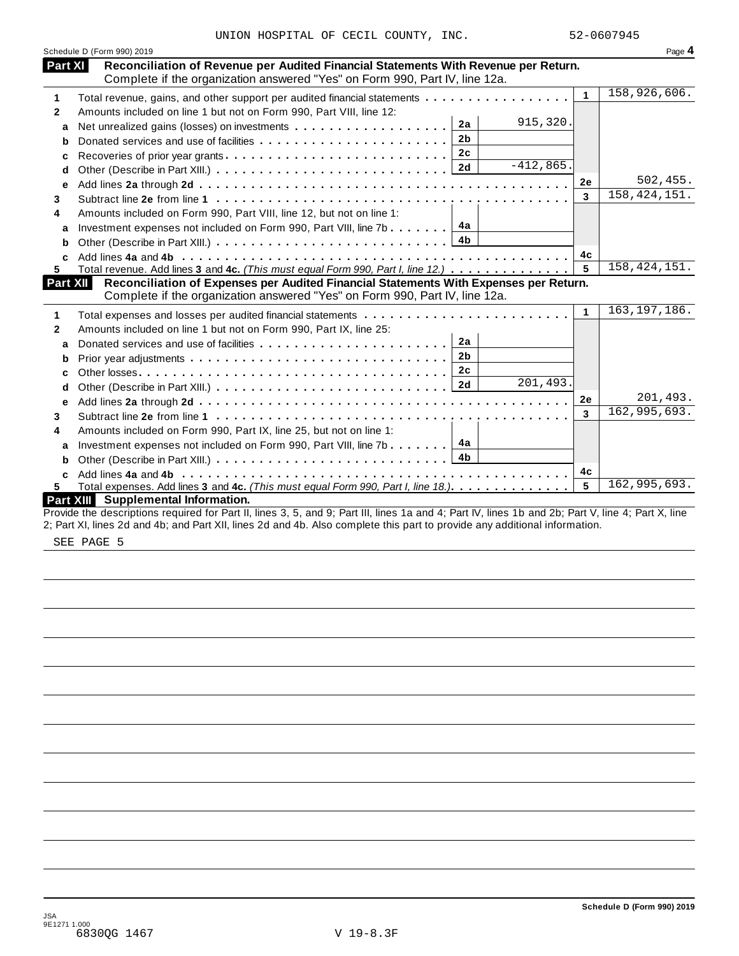|                | Schedule D (Form 990) 2019                                                                                                                                         |                      | Page 4         |
|----------------|--------------------------------------------------------------------------------------------------------------------------------------------------------------------|----------------------|----------------|
| <b>Part XI</b> | Reconciliation of Revenue per Audited Financial Statements With Revenue per Return.<br>Complete if the organization answered "Yes" on Form 990, Part IV, line 12a. |                      |                |
| 1              | Total revenue, gains, and other support per audited financial statements                                                                                           | $\blacktriangleleft$ | 158,926,606.   |
| $\mathbf{2}$   | Amounts included on line 1 but not on Form 990, Part VIII, line 12:                                                                                                |                      |                |
| a              | 915,320.<br>2a                                                                                                                                                     |                      |                |
| b              | 2 <sub>b</sub>                                                                                                                                                     |                      |                |
| c              | 2c                                                                                                                                                                 |                      |                |
| d              | $-412,865.$                                                                                                                                                        |                      |                |
| е              |                                                                                                                                                                    | 2e                   | 502, 455.      |
| 3              |                                                                                                                                                                    | 3                    | 158, 424, 151. |
| 4              | Amounts included on Form 990, Part VIII, line 12, but not on line 1:                                                                                               |                      |                |
| a              | 4а<br>Investment expenses not included on Form 990, Part VIII, line 7b                                                                                             |                      |                |
| b              | 4b                                                                                                                                                                 |                      |                |
| C              |                                                                                                                                                                    | 4с                   |                |
| 5.             | Total revenue. Add lines 3 and 4c. (This must equal Form 990, Part I, line $12.$ ) $\dots \dots \dots \dots \dots$                                                 | 5                    | 158, 424, 151. |
| Part XII       | Reconciliation of Expenses per Audited Financial Statements With Expenses per Return.                                                                              |                      |                |
|                | Complete if the organization answered "Yes" on Form 990, Part IV, line 12a.                                                                                        |                      |                |
| 1              |                                                                                                                                                                    | $\blacktriangleleft$ | 163, 197, 186. |
| 2              | Amounts included on line 1 but not on Form 990, Part IX, line 25:                                                                                                  |                      |                |
| a              | 2a<br>Donated services and use of facilities                                                                                                                       |                      |                |
| b              | 2 <sub>b</sub>                                                                                                                                                     |                      |                |
| c              | 2c                                                                                                                                                                 |                      |                |
| d              | 201,493.                                                                                                                                                           |                      |                |
| е              |                                                                                                                                                                    | 2e                   | 201,493.       |
| 3              |                                                                                                                                                                    | 3                    | 162,995,693.   |
| 4              | Amounts included on Form 990, Part IX, line 25, but not on line 1:                                                                                                 |                      |                |
| a              | Investment expenses not included on Form 990, Part VIII, line 7b $\boxed{4a}$                                                                                      |                      |                |
| b              |                                                                                                                                                                    |                      |                |
| C.             |                                                                                                                                                                    | 4c                   |                |
| 5              | Total expenses. Add lines 3 and 4c. (This must equal Form 990, Part I, line 18.).                                                                                  | 5                    | 162,995,693.   |
|                | <b>Part XIII</b> Supplemental Information.                                                                                                                         |                      |                |
|                | Provide the descriptions required for Part II, lines 3, 5, and 9; Part III, lines 1a and 4; Part IV, lines 1b and 2b; Part V, line 4; Part X, line                 |                      |                |
|                | 2; Part XI, lines 2d and 4b; and Part XII, lines 2d and 4b. Also complete this part to provide any additional information.                                         |                      |                |

SEE PAGE 5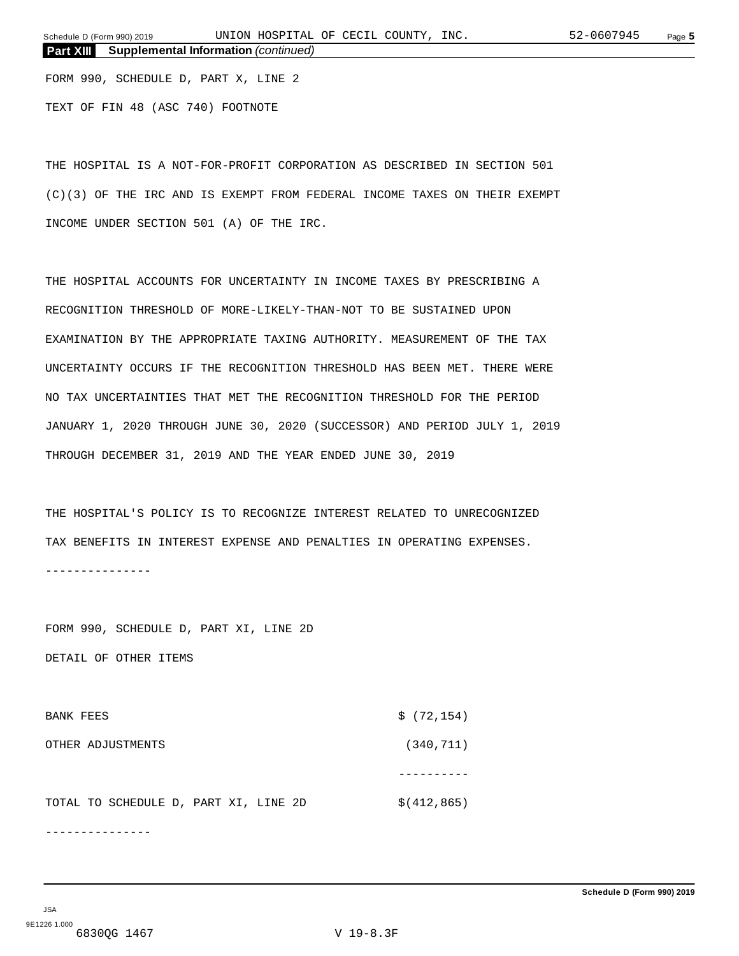FORM 990, SCHEDULE D, PART X, LINE 2 TEXT OF FIN 48 (ASC 740) FOOTNOTE

THE HOSPITAL IS A NOT-FOR-PROFIT CORPORATION AS DESCRIBED IN SECTION 501 (C)(3) OF THE IRC AND IS EXEMPT FROM FEDERAL INCOME TAXES ON THEIR EXEMPT INCOME UNDER SECTION 501 (A) OF THE IRC.

THE HOSPITAL ACCOUNTS FOR UNCERTAINTY IN INCOME TAXES BY PRESCRIBING A RECOGNITION THRESHOLD OF MORE-LIKELY-THAN-NOT TO BE SUSTAINED UPON EXAMINATION BY THE APPROPRIATE TAXING AUTHORITY. MEASUREMENT OF THE TAX UNCERTAINTY OCCURS IF THE RECOGNITION THRESHOLD HAS BEEN MET. THERE WERE NO TAX UNCERTAINTIES THAT MET THE RECOGNITION THRESHOLD FOR THE PERIOD JANUARY 1, 2020 THROUGH JUNE 30, 2020 (SUCCESSOR) AND PERIOD JULY 1, 2019 THROUGH DECEMBER 31, 2019 AND THE YEAR ENDED JUNE 30, 2019

THE HOSPITAL'S POLICY IS TO RECOGNIZE INTEREST RELATED TO UNRECOGNIZED TAX BENEFITS IN INTEREST EXPENSE AND PENALTIES IN OPERATING EXPENSES. ---------------

FORM 990, SCHEDULE D, PART XI, LINE 2D DETAIL OF OTHER ITEMS

BANK FEES  $\zeta$  (72,154) OTHER ADJUSTMENTS (340,711) ---------- TOTAL TO SCHEDULE D, PART XI, LINE 2D  $\sharp$  (412,865)

---------------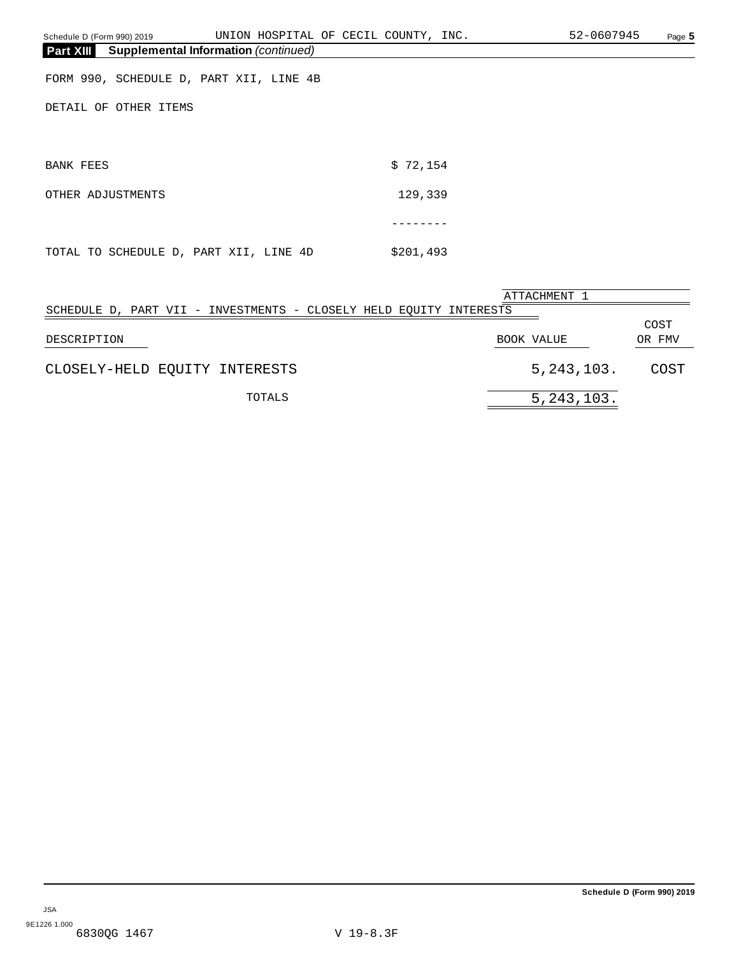| UNION HOSPITAL OF CECIL COUNTY, INC.<br>Schedule D (Form 990) 2019 |           | 52-0607945   | Page 5         |
|--------------------------------------------------------------------|-----------|--------------|----------------|
| <b>Part XIII</b> Supplemental Information (continued)              |           |              |                |
| FORM 990, SCHEDULE D, PART XII, LINE 4B                            |           |              |                |
| DETAIL OF OTHER ITEMS                                              |           |              |                |
|                                                                    |           |              |                |
|                                                                    |           |              |                |
| <b>BANK FEES</b>                                                   | \$72,154  |              |                |
| OTHER ADJUSTMENTS                                                  | 129,339   |              |                |
|                                                                    |           |              |                |
|                                                                    |           |              |                |
| TOTAL TO SCHEDULE D, PART XII, LINE 4D                             | \$201,493 |              |                |
|                                                                    |           |              |                |
|                                                                    |           | ATTACHMENT 1 |                |
| SCHEDULE D, PART VII - INVESTMENTS - CLOSELY HELD EQUITY INTERESTS |           |              |                |
| DESCRIPTION                                                        |           | BOOK VALUE   | COST<br>OR FMV |
|                                                                    |           |              |                |
| CLOSELY-HELD EQUITY INTERESTS                                      |           | 5, 243, 103. | COST           |

TOTALS 5, 243, 103.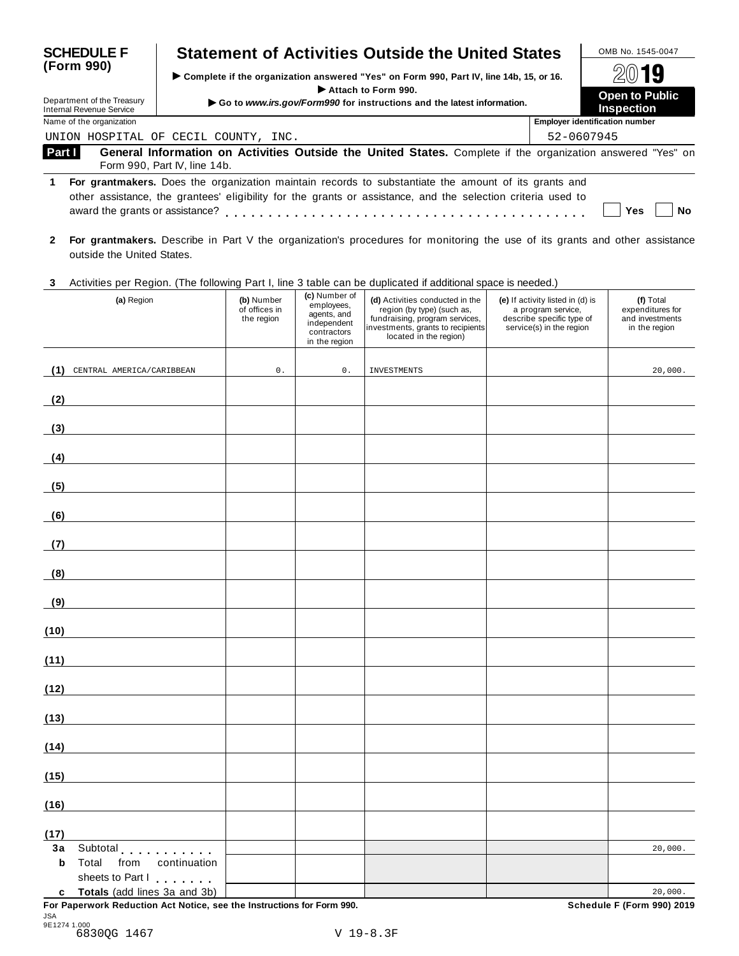| <b>SCHEDULE F</b>                                      | <b>Statement of Activities Outside the United States</b>                                                                                                                                                             | OMB No. 1545-0047                     |                                            |  |
|--------------------------------------------------------|----------------------------------------------------------------------------------------------------------------------------------------------------------------------------------------------------------------------|---------------------------------------|--------------------------------------------|--|
| (Form 990)                                             | ► Complete if the organization answered "Yes" on Form 990, Part IV, line 14b, 15, or 16.                                                                                                                             |                                       | $20$ 19                                    |  |
| Department of the Treasury<br>Internal Revenue Service | Attach to Form 990.<br>Go to www.irs.gov/Form990 for instructions and the latest information.                                                                                                                        |                                       | <b>Open to Public</b><br><b>Inspection</b> |  |
| Name of the organization                               |                                                                                                                                                                                                                      | <b>Employer identification number</b> |                                            |  |
| UNION HOSPITAL OF CECIL COUNTY, INC.                   |                                                                                                                                                                                                                      | 52-0607945                            |                                            |  |
| Part I                                                 | General Information on Activities Outside the United States. Complete if the organization answered "Yes" on<br>Form 990, Part IV, line 14b.                                                                          |                                       |                                            |  |
| award the grants or assistance?                        | For grantmakers. Does the organization maintain records to substantiate the amount of its grants and<br>other assistance, the grantees' eligibility for the grants or assistance, and the selection criteria used to |                                       | Nο<br>Yes                                  |  |

- **2 For grantmakers.** Describe in Part V the organization's procedures for monitoring the use of its grants and other assistance outside the United States.
- **3** Activities per Region. (The following Part I, line 3 table can be duplicated if additional space is needed.)

|                   | Transition por region. This ionowing I are it, line o table can be adplicated if additional space is necada.<br>(a) Region                                                                                                           | (b) Number<br>of offices in<br>the region | (c) Number of<br>employees,<br>agents, and<br>independent<br>contractors<br>in the region | (d) Activities conducted in the<br>region (by type) (such as,<br>fundraising, program services,<br>investments, grants to recipients<br>located in the region) | (e) If activity listed in (d) is<br>a program service,<br>describe specific type of<br>service(s) in the region | (f) Total<br>expenditures for<br>and investments<br>in the region |
|-------------------|--------------------------------------------------------------------------------------------------------------------------------------------------------------------------------------------------------------------------------------|-------------------------------------------|-------------------------------------------------------------------------------------------|----------------------------------------------------------------------------------------------------------------------------------------------------------------|-----------------------------------------------------------------------------------------------------------------|-------------------------------------------------------------------|
| (1)               | CENTRAL AMERICA/CARIBBEAN                                                                                                                                                                                                            | $\mathsf 0$ .                             | $\mathsf{0}$ .                                                                            | INVESTMENTS                                                                                                                                                    |                                                                                                                 | 20,000.                                                           |
| (2)               |                                                                                                                                                                                                                                      |                                           |                                                                                           |                                                                                                                                                                |                                                                                                                 |                                                                   |
| (3)               | <u> 1980 - Johann Barbara, martxa</u>                                                                                                                                                                                                |                                           |                                                                                           |                                                                                                                                                                |                                                                                                                 |                                                                   |
| (4)               |                                                                                                                                                                                                                                      |                                           |                                                                                           |                                                                                                                                                                |                                                                                                                 |                                                                   |
| (5)               | <u> The Communication of the Communication of the Communication of the Communication of the Communication of the Communication of the Communication of the Communication of the Communication of the Communication of the Commun</u> |                                           |                                                                                           |                                                                                                                                                                |                                                                                                                 |                                                                   |
| (6)               |                                                                                                                                                                                                                                      |                                           |                                                                                           |                                                                                                                                                                |                                                                                                                 |                                                                   |
| (7)               | <u> 1989 - Johann Barn, mars ann an t-</u>                                                                                                                                                                                           |                                           |                                                                                           |                                                                                                                                                                |                                                                                                                 |                                                                   |
| (8)               |                                                                                                                                                                                                                                      |                                           |                                                                                           |                                                                                                                                                                |                                                                                                                 |                                                                   |
| (9)               |                                                                                                                                                                                                                                      |                                           |                                                                                           |                                                                                                                                                                |                                                                                                                 |                                                                   |
| (10)              |                                                                                                                                                                                                                                      |                                           |                                                                                           |                                                                                                                                                                |                                                                                                                 |                                                                   |
| (11)              | <u> 1980 - Johann Barbara, martxa a</u>                                                                                                                                                                                              |                                           |                                                                                           |                                                                                                                                                                |                                                                                                                 |                                                                   |
| (12)              | <u> 1980 - Johann Barbara, martxa a</u>                                                                                                                                                                                              |                                           |                                                                                           |                                                                                                                                                                |                                                                                                                 |                                                                   |
| (13)              |                                                                                                                                                                                                                                      |                                           |                                                                                           |                                                                                                                                                                |                                                                                                                 |                                                                   |
| (14)              |                                                                                                                                                                                                                                      |                                           |                                                                                           |                                                                                                                                                                |                                                                                                                 |                                                                   |
| (15)              |                                                                                                                                                                                                                                      |                                           |                                                                                           |                                                                                                                                                                |                                                                                                                 |                                                                   |
| (16)              |                                                                                                                                                                                                                                      |                                           |                                                                                           |                                                                                                                                                                |                                                                                                                 |                                                                   |
| (17)              |                                                                                                                                                                                                                                      |                                           |                                                                                           |                                                                                                                                                                |                                                                                                                 |                                                                   |
| 3a<br>$\mathbf b$ | Subtotal<br>continuation<br>Total<br>from<br>sheets to Part I                                                                                                                                                                        |                                           |                                                                                           |                                                                                                                                                                |                                                                                                                 | 20,000.                                                           |
|                   | c Totals (add lines 3a and 3b)<br>For Paperwork Reduction Act Notice, see the Instructions for Form 990.                                                                                                                             |                                           |                                                                                           |                                                                                                                                                                |                                                                                                                 | 20,000.<br>Schedule F (Form 990) 2019                             |

JSA 9E1274 1.000 6830QG 1467 V 19-8.3F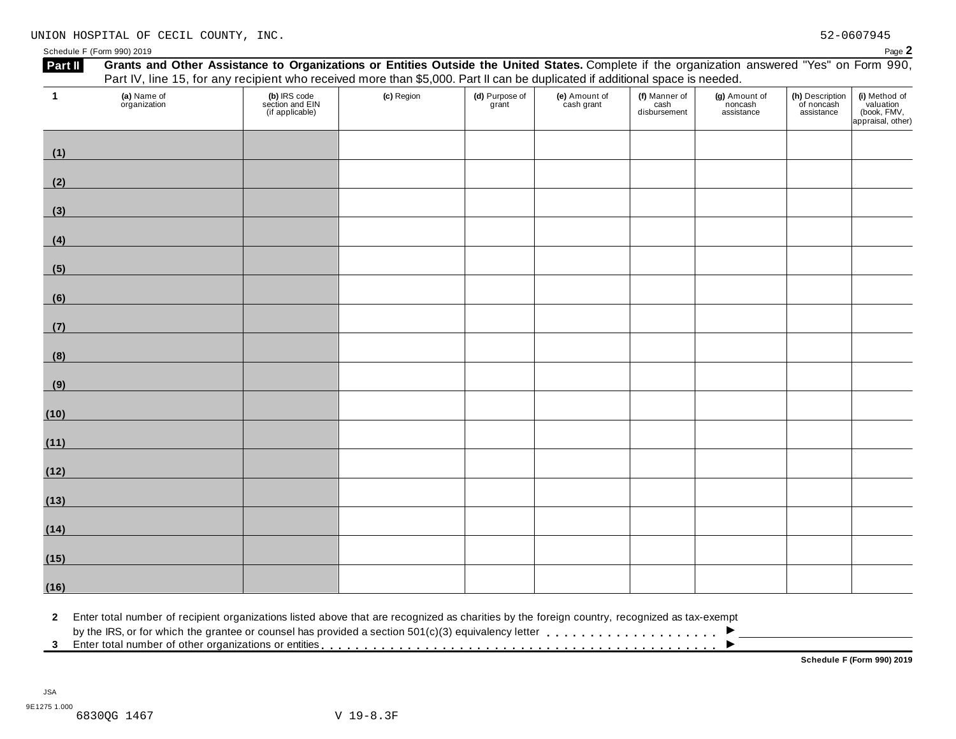Schedule <sup>F</sup> (Form 990) <sup>2019</sup> Page **2**

| $\mathbf{1}$ | (a) Name of<br>organization | (b) IRS code<br>section and EIN<br>(if applicable) | (c) Region | (d) Purpose of<br>grant | (e) Amount of<br>cash grant | (f) Manner of<br>cash<br>disbursement | (g) Amount of<br>noncash<br>assistance | (h) Description<br>of noncash<br>assistance | (i) Method of<br>valuation<br>(book, FMV,<br>appraisal, other) |
|--------------|-----------------------------|----------------------------------------------------|------------|-------------------------|-----------------------------|---------------------------------------|----------------------------------------|---------------------------------------------|----------------------------------------------------------------|
| (1)          |                             |                                                    |            |                         |                             |                                       |                                        |                                             |                                                                |
| (2)          |                             |                                                    |            |                         |                             |                                       |                                        |                                             |                                                                |
| (3)          |                             |                                                    |            |                         |                             |                                       |                                        |                                             |                                                                |
| (4)          |                             |                                                    |            |                         |                             |                                       |                                        |                                             |                                                                |
| (5)          |                             |                                                    |            |                         |                             |                                       |                                        |                                             |                                                                |
| (6)          |                             |                                                    |            |                         |                             |                                       |                                        |                                             |                                                                |
| (7)          |                             |                                                    |            |                         |                             |                                       |                                        |                                             |                                                                |
| (8)          |                             |                                                    |            |                         |                             |                                       |                                        |                                             |                                                                |
| (9)          |                             |                                                    |            |                         |                             |                                       |                                        |                                             |                                                                |
| (10)         |                             |                                                    |            |                         |                             |                                       |                                        |                                             |                                                                |
| (11)         |                             |                                                    |            |                         |                             |                                       |                                        |                                             |                                                                |
| (12)         |                             |                                                    |            |                         |                             |                                       |                                        |                                             |                                                                |
| (13)         |                             |                                                    |            |                         |                             |                                       |                                        |                                             |                                                                |
| (14)         |                             |                                                    |            |                         |                             |                                       |                                        |                                             |                                                                |
| (15)         |                             |                                                    |            |                         |                             |                                       |                                        |                                             |                                                                |
| (16)         |                             |                                                    |            |                         |                             |                                       |                                        |                                             |                                                                |

<sup>m</sup> <sup>m</sup> <sup>m</sup> <sup>m</sup> <sup>m</sup> <sup>m</sup> <sup>m</sup> <sup>m</sup> <sup>m</sup> <sup>m</sup> <sup>m</sup> <sup>m</sup> <sup>m</sup> <sup>m</sup> <sup>m</sup> <sup>m</sup> <sup>m</sup> <sup>m</sup> <sup>m</sup> <sup>m</sup> **<sup>3</sup>** Enter total number of other organizations or entities <sup>m</sup> <sup>m</sup> <sup>m</sup> <sup>m</sup> <sup>m</sup> <sup>m</sup> <sup>m</sup> <sup>m</sup> <sup>m</sup> <sup>m</sup> <sup>m</sup> <sup>m</sup> <sup>m</sup> <sup>m</sup> <sup>m</sup> <sup>m</sup> <sup>m</sup> <sup>m</sup> <sup>m</sup> <sup>m</sup> <sup>m</sup> <sup>m</sup> <sup>m</sup> <sup>m</sup> <sup>m</sup> <sup>m</sup> <sup>m</sup> <sup>m</sup> <sup>m</sup> <sup>m</sup> <sup>m</sup> <sup>m</sup> <sup>m</sup> <sup>m</sup> <sup>m</sup> <sup>m</sup> <sup>m</sup> <sup>m</sup> <sup>m</sup> <sup>m</sup> <sup>m</sup> <sup>m</sup> <sup>m</sup> <sup>m</sup> <sup>m</sup> <sup>m</sup>

**Schedule F (Form 990) 2019**

 $\overline{\phantom{a}}$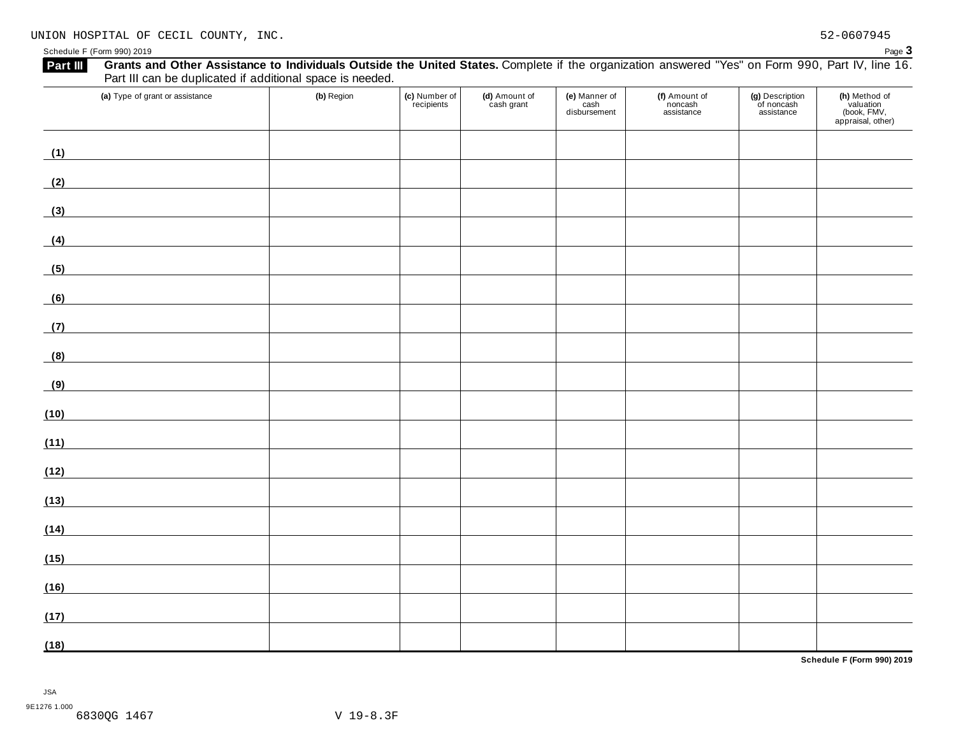### Schedule <sup>F</sup> (Form 990) <sup>2019</sup> Page **3**

| (a) Type of grant or assistance                                                                                              | (b) Region | (c) Number of<br>recipients | (d) Amount of<br>cash grant | (e) Manner of<br>cash<br>disbursement | (f) Amount of<br>noncash<br>assistance | (g) Description<br>of noncash<br>assistance | (h) Method of<br>valuation<br>(book, FMV,<br>appraisal, other) |
|------------------------------------------------------------------------------------------------------------------------------|------------|-----------------------------|-----------------------------|---------------------------------------|----------------------------------------|---------------------------------------------|----------------------------------------------------------------|
| (1)                                                                                                                          |            |                             |                             |                                       |                                        |                                             |                                                                |
| (2)<br><u> 1980 - Johann Barbara, martxa a</u>                                                                               |            |                             |                             |                                       |                                        |                                             |                                                                |
| (3)<br><u> 1989 - Johann Barn, mars eta bainar eta industrial eta industrial eta industrial eta industrial eta industria</u> |            |                             |                             |                                       |                                        |                                             |                                                                |
| (4)<br><u> 1980 - Johann Barn, mars an t-Amerikaansk ferskeider (</u>                                                        |            |                             |                             |                                       |                                        |                                             |                                                                |
| (5)                                                                                                                          |            |                             |                             |                                       |                                        |                                             |                                                                |
| (6)                                                                                                                          |            |                             |                             |                                       |                                        |                                             |                                                                |
| (7)                                                                                                                          |            |                             |                             |                                       |                                        |                                             |                                                                |
| (8)                                                                                                                          |            |                             |                             |                                       |                                        |                                             |                                                                |
| (9)                                                                                                                          |            |                             |                             |                                       |                                        |                                             |                                                                |
| (10)                                                                                                                         |            |                             |                             |                                       |                                        |                                             |                                                                |
| (11)                                                                                                                         |            |                             |                             |                                       |                                        |                                             |                                                                |
| (12)                                                                                                                         |            |                             |                             |                                       |                                        |                                             |                                                                |
| (13)                                                                                                                         |            |                             |                             |                                       |                                        |                                             |                                                                |
| (14)                                                                                                                         |            |                             |                             |                                       |                                        |                                             |                                                                |
| (15)                                                                                                                         |            |                             |                             |                                       |                                        |                                             |                                                                |
| (16)                                                                                                                         |            |                             |                             |                                       |                                        |                                             |                                                                |
| (17)                                                                                                                         |            |                             |                             |                                       |                                        |                                             |                                                                |
| (18)                                                                                                                         |            |                             |                             |                                       |                                        |                                             |                                                                |

**Schedule F (Form 990) 2019**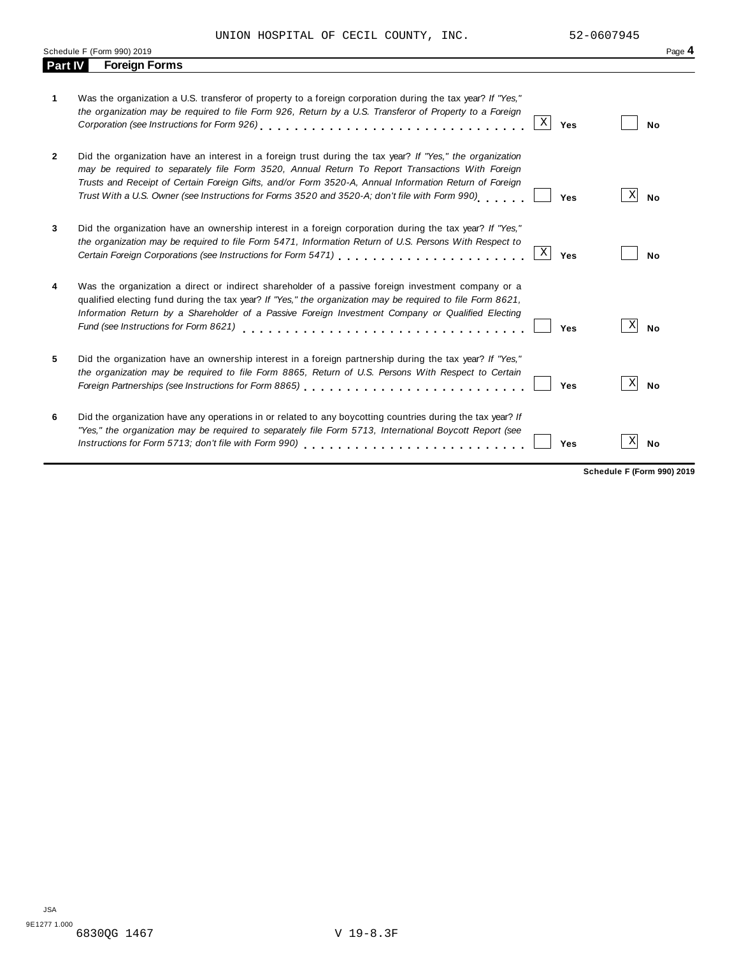UNION HOSPITAL OF CECIL COUNTY, INC. 52-0607945

|                | Schedule F (Form 990) 2019                                                                                                                                                                                                                                                                                                                                                                                                    | Page 4                       |
|----------------|-------------------------------------------------------------------------------------------------------------------------------------------------------------------------------------------------------------------------------------------------------------------------------------------------------------------------------------------------------------------------------------------------------------------------------|------------------------------|
| <b>Part IV</b> | <b>Foreign Forms</b>                                                                                                                                                                                                                                                                                                                                                                                                          |                              |
| 1.             | Was the organization a U.S. transferor of property to a foreign corporation during the tax year? If "Yes,"<br>the organization may be required to file Form 926, Return by a U.S. Transferor of Property to a Foreign<br>Χ<br>Yes                                                                                                                                                                                             | No                           |
| $\mathbf{2}$   | Did the organization have an interest in a foreign trust during the tax year? If "Yes," the organization<br>may be required to separately file Form 3520, Annual Return To Report Transactions With Foreign<br>Trusts and Receipt of Certain Foreign Gifts, and/or Form 3520-A, Annual Information Return of Foreign<br>Trust With a U.S. Owner (see Instructions for Forms 3520 and 3520-A; don't file with Form 990)<br>Yes | X <br><b>No</b>              |
| 3              | Did the organization have an ownership interest in a foreign corporation during the tax year? If "Yes,"<br>the organization may be required to file Form 5471, Information Return of U.S. Persons With Respect to<br>Χ<br>Yes                                                                                                                                                                                                 | No                           |
| 4              | Was the organization a direct or indirect shareholder of a passive foreign investment company or a<br>qualified electing fund during the tax year? If "Yes," the organization may be required to file Form 8621,<br>Information Return by a Shareholder of a Passive Foreign Investment Company or Qualified Electing<br>Fund (see Instructions for Form 8621)<br>Yes                                                         | $\vert X \vert$<br><b>No</b> |
| 5              | Did the organization have an ownership interest in a foreign partnership during the tax year? If "Yes,"<br>the organization may be required to file Form 8865, Return of U.S. Persons With Respect to Certain<br>Foreign Partnerships (see Instructions for Form 8865)<br>Yes                                                                                                                                                 | $\mathbf{X}$<br><b>No</b>    |
| 6              | Did the organization have any operations in or related to any boycotting countries during the tax year? If<br>"Yes," the organization may be required to separately file Form 5713, International Boycott Report (see<br>Instructions for Form 5713; don't file with Form 990)<br>Yes                                                                                                                                         | Χ<br><b>No</b>               |

**Schedule F (Form 990) 2019**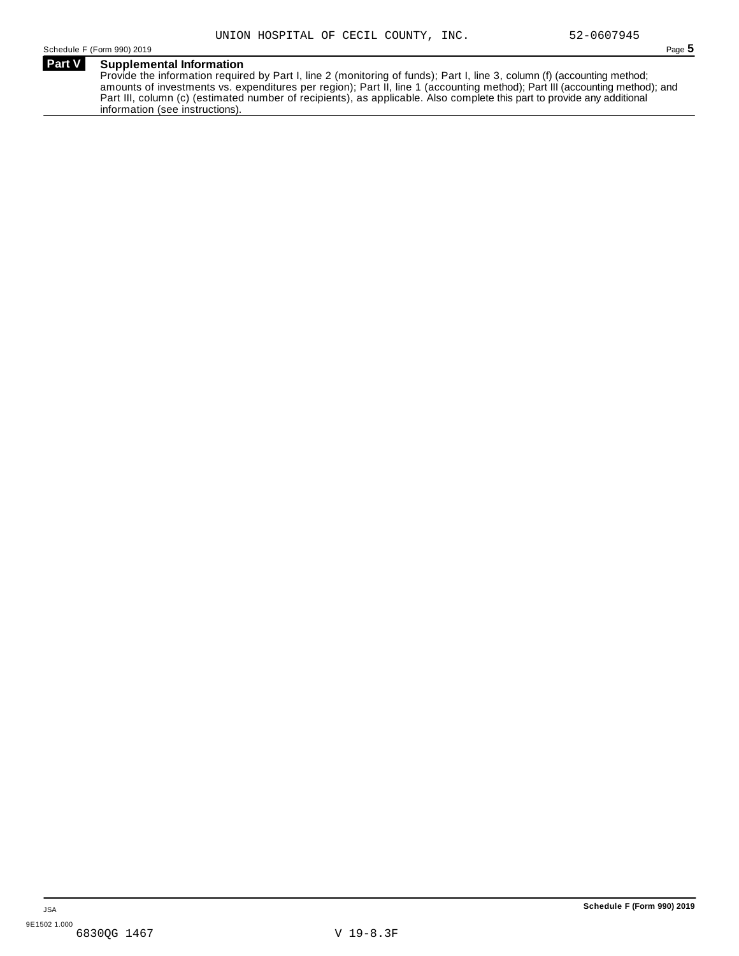### **Part V Supplemental Information**

Provide the information required by Part I, line 2 (monitoring of funds); Part I, line 3, column (f) (accounting method; amounts of investments vs. expenditures per region); Part II, line 1 (accounting method); Part III (accounting method); and Part III, column (c) (estimated number of recipients), as applicable. Also complete this part to provide any additional information (see instructions).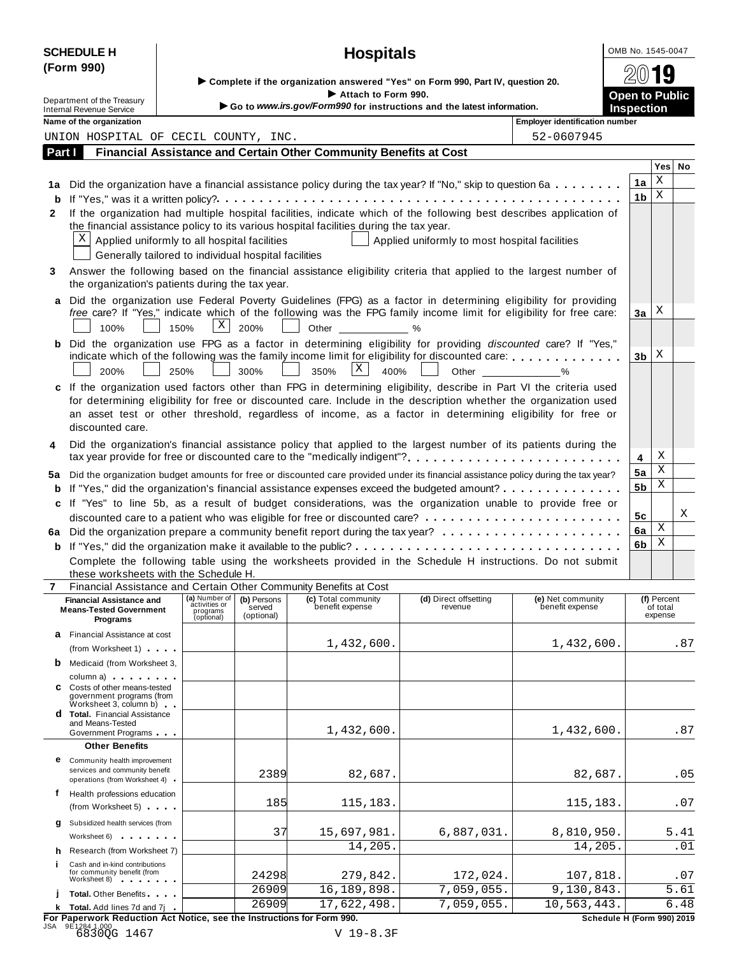| Part I                   |                                                                                                                                                                                                                               |                                                                                                                     |                                     | <b>Hospitals</b>                                                                                                                                                                                                                                                                                                                                       |                                               |                                       | OMB No. 1545-0047 |                                    |                                  |
|--------------------------|-------------------------------------------------------------------------------------------------------------------------------------------------------------------------------------------------------------------------------|---------------------------------------------------------------------------------------------------------------------|-------------------------------------|--------------------------------------------------------------------------------------------------------------------------------------------------------------------------------------------------------------------------------------------------------------------------------------------------------------------------------------------------------|-----------------------------------------------|---------------------------------------|-------------------|------------------------------------|----------------------------------|
|                          |                                                                                                                                                                                                                               | (Form 990)<br>Complete if the organization answered "Yes" on Form 990, Part IV, question 20.<br>Attach to Form 990. |                                     |                                                                                                                                                                                                                                                                                                                                                        |                                               |                                       |                   |                                    | 19<br><b>Open to Public</b>      |
|                          | Department of the Treasury<br><b>Internal Revenue Service</b>                                                                                                                                                                 |                                                                                                                     |                                     | Go to www.irs.gov/Form990 for instructions and the latest information.                                                                                                                                                                                                                                                                                 |                                               |                                       | <b>Inspection</b> |                                    |                                  |
|                          | Name of the organization                                                                                                                                                                                                      |                                                                                                                     |                                     |                                                                                                                                                                                                                                                                                                                                                        |                                               | <b>Employer identification number</b> |                   |                                    |                                  |
|                          | UNION HOSPITAL OF CECIL COUNTY, INC.                                                                                                                                                                                          |                                                                                                                     |                                     |                                                                                                                                                                                                                                                                                                                                                        |                                               | 52-0607945                            |                   |                                    |                                  |
|                          |                                                                                                                                                                                                                               |                                                                                                                     |                                     | <b>Financial Assistance and Certain Other Community Benefits at Cost</b>                                                                                                                                                                                                                                                                               |                                               |                                       |                   |                                    |                                  |
|                          |                                                                                                                                                                                                                               |                                                                                                                     |                                     |                                                                                                                                                                                                                                                                                                                                                        |                                               |                                       |                   | Yes                                | No                               |
|                          |                                                                                                                                                                                                                               |                                                                                                                     |                                     | 1a Did the organization have a financial assistance policy during the tax year? If "No," skip to question 6a                                                                                                                                                                                                                                           |                                               |                                       | 1a                | Χ                                  |                                  |
|                          |                                                                                                                                                                                                                               |                                                                                                                     |                                     |                                                                                                                                                                                                                                                                                                                                                        |                                               |                                       | 1 <sub>b</sub>    | Χ                                  |                                  |
| 2                        | Χ<br>Applied uniformly to all hospital facilities                                                                                                                                                                             |                                                                                                                     |                                     | If the organization had multiple hospital facilities, indicate which of the following best describes application of<br>the financial assistance policy to its various hospital facilities during the tax year.                                                                                                                                         | Applied uniformly to most hospital facilities |                                       |                   |                                    |                                  |
| 3                        | Generally tailored to individual hospital facilities<br>Answer the following based on the financial assistance eligibility criteria that applied to the largest number of<br>the organization's patients during the tax year. |                                                                                                                     |                                     |                                                                                                                                                                                                                                                                                                                                                        |                                               |                                       |                   |                                    |                                  |
|                          |                                                                                                                                                                                                                               |                                                                                                                     |                                     | Did the organization use Federal Poverty Guidelines (FPG) as a factor in determining eligibility for providing<br>free care? If "Yes," indicate which of the following was the FPG family income limit for eligibility for free care:                                                                                                                  |                                               |                                       | За                | Χ                                  |                                  |
|                          | 100%                                                                                                                                                                                                                          | X<br>150%                                                                                                           | 200%                                | Other                                                                                                                                                                                                                                                                                                                                                  | $\%$                                          |                                       |                   |                                    |                                  |
|                          |                                                                                                                                                                                                                               |                                                                                                                     |                                     | <b>b</b> Did the organization use FPG as a factor in determining eligibility for providing discounted care? If "Yes,"                                                                                                                                                                                                                                  |                                               |                                       |                   |                                    |                                  |
|                          | 200%                                                                                                                                                                                                                          | 250%                                                                                                                | 300%                                | indicate which of the following was the family income limit for eligibility for discounted care:<br> X <br>350%<br>400%                                                                                                                                                                                                                                | Other                                         | $\sim$ %                              | 3b                | Χ                                  |                                  |
|                          | discounted care.                                                                                                                                                                                                              |                                                                                                                     |                                     | c If the organization used factors other than FPG in determining eligibility, describe in Part VI the criteria used<br>for determining eligibility for free or discounted care. Include in the description whether the organization used<br>an asset test or other threshold, regardless of income, as a factor in determining eligibility for free or |                                               |                                       |                   |                                    |                                  |
| 4                        |                                                                                                                                                                                                                               |                                                                                                                     |                                     | Did the organization's financial assistance policy that applied to the largest number of its patients during the<br>tax year provide for free or discounted care to the "medically indigent"?                                                                                                                                                          |                                               |                                       | 4                 | Χ                                  |                                  |
|                          |                                                                                                                                                                                                                               |                                                                                                                     |                                     |                                                                                                                                                                                                                                                                                                                                                        |                                               |                                       | 5a                | Χ                                  |                                  |
| 5а                       |                                                                                                                                                                                                                               |                                                                                                                     |                                     | Did the organization budget amounts for free or discounted care provided under its financial assistance policy during the tax year?                                                                                                                                                                                                                    |                                               |                                       | 5b                | Χ                                  |                                  |
| b                        |                                                                                                                                                                                                                               |                                                                                                                     |                                     | If "Yes," did the organization's financial assistance expenses exceed the budgeted amount?                                                                                                                                                                                                                                                             |                                               |                                       |                   |                                    |                                  |
|                          |                                                                                                                                                                                                                               |                                                                                                                     |                                     | If "Yes" to line 5b, as a result of budget considerations, was the organization unable to provide free or                                                                                                                                                                                                                                              |                                               |                                       | 5 <sub>c</sub>    |                                    | Χ                                |
|                          |                                                                                                                                                                                                                               |                                                                                                                     |                                     |                                                                                                                                                                                                                                                                                                                                                        |                                               |                                       | 6a                | Χ                                  |                                  |
|                          |                                                                                                                                                                                                                               |                                                                                                                     |                                     |                                                                                                                                                                                                                                                                                                                                                        |                                               |                                       | 6b                | Χ                                  |                                  |
|                          |                                                                                                                                                                                                                               |                                                                                                                     |                                     | Complete the following table using the worksheets provided in the Schedule H instructions. Do not submit                                                                                                                                                                                                                                               |                                               |                                       |                   |                                    |                                  |
|                          | these worksheets with the Schedule H.<br>7 Financial Assistance and Certain Other Community Benefits at Cost                                                                                                                  |                                                                                                                     |                                     |                                                                                                                                                                                                                                                                                                                                                        |                                               |                                       |                   |                                    |                                  |
|                          | <b>Financial Assistance and</b><br><b>Means-Tested Government</b>                                                                                                                                                             | (a) Number of<br>activities or<br>programs<br>(optional)                                                            | (b) Persons<br>served<br>(optional) | (c) Total community<br>benefit expense                                                                                                                                                                                                                                                                                                                 | (d) Direct offsetting<br>revenue              | (e) Net community<br>benefit expense  |                   | (f) Percent<br>of total<br>expense |                                  |
|                          | Programs<br><b>a</b> Financial Assistance at cost                                                                                                                                                                             |                                                                                                                     |                                     |                                                                                                                                                                                                                                                                                                                                                        |                                               |                                       |                   |                                    |                                  |
|                          | (from Worksheet 1)                                                                                                                                                                                                            |                                                                                                                     |                                     | 1,432,600.                                                                                                                                                                                                                                                                                                                                             |                                               | 1,432,600.                            |                   |                                    | .87                              |
|                          | <b>b</b> Medicaid (from Worksheet 3,                                                                                                                                                                                          |                                                                                                                     |                                     |                                                                                                                                                                                                                                                                                                                                                        |                                               |                                       |                   |                                    |                                  |
|                          | column a) experience and a more and a more and a more and a more and a more and a more and a more and a more a<br>Costs of other means-tested                                                                                 |                                                                                                                     |                                     |                                                                                                                                                                                                                                                                                                                                                        |                                               |                                       |                   |                                    |                                  |
|                          | government programs (from<br>Worksheet 3, column b)<br><b>Total.</b> Financial Assistance                                                                                                                                     |                                                                                                                     |                                     |                                                                                                                                                                                                                                                                                                                                                        |                                               |                                       |                   |                                    |                                  |
|                          |                                                                                                                                                                                                                               |                                                                                                                     |                                     |                                                                                                                                                                                                                                                                                                                                                        |                                               |                                       |                   |                                    |                                  |
|                          | and Means-Tested                                                                                                                                                                                                              |                                                                                                                     |                                     |                                                                                                                                                                                                                                                                                                                                                        |                                               |                                       |                   |                                    |                                  |
|                          | Government Programs                                                                                                                                                                                                           |                                                                                                                     |                                     | 1,432,600.                                                                                                                                                                                                                                                                                                                                             |                                               | 1,432,600.                            |                   |                                    |                                  |
|                          | <b>Other Benefits</b>                                                                                                                                                                                                         |                                                                                                                     |                                     |                                                                                                                                                                                                                                                                                                                                                        |                                               |                                       |                   |                                    |                                  |
|                          | <b>e</b> Community health improvement<br>services and community benefit                                                                                                                                                       |                                                                                                                     | 2389                                | 82,687.                                                                                                                                                                                                                                                                                                                                                |                                               | 82,687.                               |                   |                                    |                                  |
|                          | operations (from Worksheet 4)                                                                                                                                                                                                 |                                                                                                                     |                                     |                                                                                                                                                                                                                                                                                                                                                        |                                               |                                       |                   |                                    |                                  |
|                          | f Health professions education                                                                                                                                                                                                |                                                                                                                     | 185                                 | 115,183.                                                                                                                                                                                                                                                                                                                                               |                                               | 115,183.                              |                   |                                    |                                  |
|                          | (from Worksheet 5)                                                                                                                                                                                                            |                                                                                                                     |                                     |                                                                                                                                                                                                                                                                                                                                                        |                                               |                                       |                   |                                    |                                  |
|                          | Subsidized health services (from                                                                                                                                                                                              |                                                                                                                     | 37                                  | 15,697,981.                                                                                                                                                                                                                                                                                                                                            | 6,887,031.                                    | 8,810,950.                            |                   |                                    |                                  |
|                          | Worksheet 6)<br>$\alpha$ , $\alpha$ , $\alpha$ , $\alpha$ , $\alpha$ , $\alpha$ , $\alpha$                                                                                                                                    |                                                                                                                     |                                     | 14,205.                                                                                                                                                                                                                                                                                                                                                |                                               | 14,205.                               |                   |                                    | .87<br>.05<br>.07<br>5.41<br>.01 |
|                          | Research (from Worksheet 7)<br>Cash and in-kind contributions                                                                                                                                                                 |                                                                                                                     |                                     |                                                                                                                                                                                                                                                                                                                                                        |                                               |                                       |                   |                                    |                                  |
|                          | for community benefit (from<br>Worksheet 8)<br>.                                                                                                                                                                              |                                                                                                                     | 24298                               | 279,842.                                                                                                                                                                                                                                                                                                                                               | 172,024.                                      | 107,818.                              |                   |                                    |                                  |
| C.<br>q<br>h.<br>j.<br>Ť | <b>Total.</b> Other Benefits                                                                                                                                                                                                  |                                                                                                                     | 26909                               | 16,189,898.                                                                                                                                                                                                                                                                                                                                            | 7,059,055.                                    | 9,130,843.                            |                   |                                    | .07<br>5.61                      |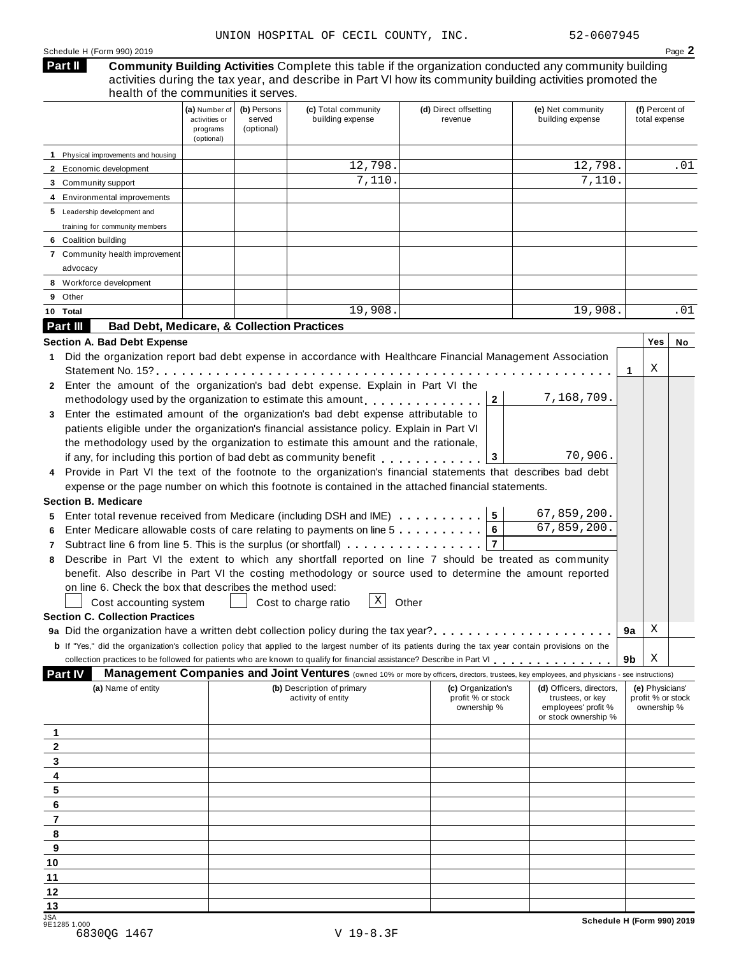#### **Community Building Activities** Complete this table if the organization conducted any community building activities during the tax year, and describe in Part VI how its community building activities promoted the health of the communities it serves. **Part II**

|            |                                                                                                                                                                                                                                                                        | (a) Number of<br>activities or<br>programs<br>(optional) | (b) Persons<br>(c) Total community<br>(e) Net community<br>(d) Direct offsetting<br>building expense<br>building expense<br>served<br>revenue<br>(optional) |                                                                                                                                                       |                                                        | (f) Percent of<br>total expense                                                             |    |                                                     |     |
|------------|------------------------------------------------------------------------------------------------------------------------------------------------------------------------------------------------------------------------------------------------------------------------|----------------------------------------------------------|-------------------------------------------------------------------------------------------------------------------------------------------------------------|-------------------------------------------------------------------------------------------------------------------------------------------------------|--------------------------------------------------------|---------------------------------------------------------------------------------------------|----|-----------------------------------------------------|-----|
|            | 1 Physical improvements and housing                                                                                                                                                                                                                                    |                                                          |                                                                                                                                                             |                                                                                                                                                       |                                                        |                                                                                             |    |                                                     |     |
|            | 2 Economic development                                                                                                                                                                                                                                                 |                                                          |                                                                                                                                                             | 12,798.                                                                                                                                               |                                                        | 12,798.                                                                                     |    |                                                     | .01 |
|            | 3 Community support                                                                                                                                                                                                                                                    |                                                          |                                                                                                                                                             | 7,110.                                                                                                                                                |                                                        | 7,110.                                                                                      |    |                                                     |     |
|            | 4 Environmental improvements                                                                                                                                                                                                                                           |                                                          |                                                                                                                                                             |                                                                                                                                                       |                                                        |                                                                                             |    |                                                     |     |
|            | 5 Leadership development and                                                                                                                                                                                                                                           |                                                          |                                                                                                                                                             |                                                                                                                                                       |                                                        |                                                                                             |    |                                                     |     |
|            | training for community members                                                                                                                                                                                                                                         |                                                          |                                                                                                                                                             |                                                                                                                                                       |                                                        |                                                                                             |    |                                                     |     |
|            | 6 Coalition building                                                                                                                                                                                                                                                   |                                                          |                                                                                                                                                             |                                                                                                                                                       |                                                        |                                                                                             |    |                                                     |     |
|            | 7 Community health improvement                                                                                                                                                                                                                                         |                                                          |                                                                                                                                                             |                                                                                                                                                       |                                                        |                                                                                             |    |                                                     |     |
|            | advocacy                                                                                                                                                                                                                                                               |                                                          |                                                                                                                                                             |                                                                                                                                                       |                                                        |                                                                                             |    |                                                     |     |
|            | 8 Workforce development                                                                                                                                                                                                                                                |                                                          |                                                                                                                                                             |                                                                                                                                                       |                                                        |                                                                                             |    |                                                     |     |
|            | 9 Other                                                                                                                                                                                                                                                                |                                                          |                                                                                                                                                             |                                                                                                                                                       |                                                        |                                                                                             |    |                                                     |     |
|            | 10 Total                                                                                                                                                                                                                                                               |                                                          |                                                                                                                                                             | 19,908.                                                                                                                                               |                                                        | 19,908.                                                                                     |    |                                                     | .01 |
|            | Part III<br><b>Bad Debt, Medicare, &amp; Collection Practices</b>                                                                                                                                                                                                      |                                                          |                                                                                                                                                             |                                                                                                                                                       |                                                        |                                                                                             |    |                                                     |     |
|            | Section A. Bad Debt Expense<br>Did the organization report bad debt expense in accordance with Healthcare Financial Management Association<br>Enter the amount of the organization's bad debt expense. Explain in Part VI the                                          |                                                          |                                                                                                                                                             |                                                                                                                                                       |                                                        |                                                                                             | 1  | Yes<br>х                                            | No  |
|            | methodology used by the organization to estimate this amount                                                                                                                                                                                                           |                                                          |                                                                                                                                                             |                                                                                                                                                       | $\overline{2}$                                         | 7,168,709.                                                                                  |    |                                                     |     |
|            | Enter the estimated amount of the organization's bad debt expense attributable to<br>patients eligible under the organization's financial assistance policy. Explain in Part VI<br>the methodology used by the organization to estimate this amount and the rationale, |                                                          |                                                                                                                                                             |                                                                                                                                                       | 3                                                      | 70,906.                                                                                     |    |                                                     |     |
|            | if any, for including this portion of bad debt as community benefit                                                                                                                                                                                                    |                                                          |                                                                                                                                                             |                                                                                                                                                       |                                                        |                                                                                             |    |                                                     |     |
|            | Provide in Part VI the text of the footnote to the organization's financial statements that describes bad debt                                                                                                                                                         |                                                          |                                                                                                                                                             |                                                                                                                                                       |                                                        |                                                                                             |    |                                                     |     |
|            | expense or the page number on which this footnote is contained in the attached financial statements.                                                                                                                                                                   |                                                          |                                                                                                                                                             |                                                                                                                                                       |                                                        |                                                                                             |    |                                                     |     |
|            | <b>Section B. Medicare</b>                                                                                                                                                                                                                                             |                                                          |                                                                                                                                                             |                                                                                                                                                       |                                                        |                                                                                             |    |                                                     |     |
|            | Enter total revenue received from Medicare (including DSH and IME)                                                                                                                                                                                                     |                                                          |                                                                                                                                                             |                                                                                                                                                       | $5\phantom{1}$                                         | 67,859,200.                                                                                 |    |                                                     |     |
|            | Enter Medicare allowable costs of care relating to payments on line 5                                                                                                                                                                                                  |                                                          |                                                                                                                                                             |                                                                                                                                                       | 6                                                      | 67,859,200.                                                                                 |    |                                                     |     |
| 7          | Subtract line 6 from line 5. This is the surplus (or shortfall)                                                                                                                                                                                                        |                                                          |                                                                                                                                                             |                                                                                                                                                       | $\overline{7}$                                         |                                                                                             |    |                                                     |     |
| 8          | Describe in Part VI the extent to which any shortfall reported on line 7 should be treated as community<br>benefit. Also describe in Part VI the costing methodology or source used to determine the amount reported                                                   |                                                          |                                                                                                                                                             |                                                                                                                                                       |                                                        |                                                                                             |    |                                                     |     |
|            | on line 6. Check the box that describes the method used:                                                                                                                                                                                                               |                                                          |                                                                                                                                                             |                                                                                                                                                       |                                                        |                                                                                             |    |                                                     |     |
|            |                                                                                                                                                                                                                                                                        |                                                          |                                                                                                                                                             | X                                                                                                                                                     |                                                        |                                                                                             |    |                                                     |     |
|            | Cost accounting system                                                                                                                                                                                                                                                 |                                                          |                                                                                                                                                             | Cost to charge ratio                                                                                                                                  | Other                                                  |                                                                                             |    |                                                     |     |
|            | <b>Section C. Collection Practices</b>                                                                                                                                                                                                                                 |                                                          |                                                                                                                                                             |                                                                                                                                                       |                                                        |                                                                                             |    | Χ                                                   |     |
|            | 9a Did the organization have a written debt collection policy during the tax year?                                                                                                                                                                                     |                                                          |                                                                                                                                                             |                                                                                                                                                       |                                                        |                                                                                             | 9а |                                                     |     |
|            | <b>b</b> If "Yes," did the organization's collection policy that applied to the largest number of its patients during the tax year contain provisions on the                                                                                                           |                                                          |                                                                                                                                                             |                                                                                                                                                       |                                                        |                                                                                             |    |                                                     |     |
|            | collection practices to be followed for patients who are known to qualify for financial assistance? Describe in Part VI                                                                                                                                                |                                                          |                                                                                                                                                             |                                                                                                                                                       |                                                        |                                                                                             | 9b | Χ                                                   |     |
|            | <b>Part IV</b>                                                                                                                                                                                                                                                         |                                                          |                                                                                                                                                             | <b>Management Companies and Joint Ventures</b> (owned 10% or more by officers, directors, trustees, key employees, and physicians - see instructions) |                                                        |                                                                                             |    |                                                     |     |
|            | (a) Name of entity                                                                                                                                                                                                                                                     |                                                          |                                                                                                                                                             | (b) Description of primary<br>activity of entity                                                                                                      | (c) Organization's<br>profit % or stock<br>ownership % | (d) Officers, directors,<br>trustees, or key<br>employees' profit %<br>or stock ownership % |    | (e) Physicians'<br>profit % or stock<br>ownership % |     |
| 1          |                                                                                                                                                                                                                                                                        |                                                          |                                                                                                                                                             |                                                                                                                                                       |                                                        |                                                                                             |    |                                                     |     |
| 2          |                                                                                                                                                                                                                                                                        |                                                          |                                                                                                                                                             |                                                                                                                                                       |                                                        |                                                                                             |    |                                                     |     |
| 3          |                                                                                                                                                                                                                                                                        |                                                          |                                                                                                                                                             |                                                                                                                                                       |                                                        |                                                                                             |    |                                                     |     |
| 4          |                                                                                                                                                                                                                                                                        |                                                          |                                                                                                                                                             |                                                                                                                                                       |                                                        |                                                                                             |    |                                                     |     |
| 5          |                                                                                                                                                                                                                                                                        |                                                          |                                                                                                                                                             |                                                                                                                                                       |                                                        |                                                                                             |    |                                                     |     |
| 6          |                                                                                                                                                                                                                                                                        |                                                          |                                                                                                                                                             |                                                                                                                                                       |                                                        |                                                                                             |    |                                                     |     |
| 7          |                                                                                                                                                                                                                                                                        |                                                          |                                                                                                                                                             |                                                                                                                                                       |                                                        |                                                                                             |    |                                                     |     |
| 8          |                                                                                                                                                                                                                                                                        |                                                          |                                                                                                                                                             |                                                                                                                                                       |                                                        |                                                                                             |    |                                                     |     |
| 9          |                                                                                                                                                                                                                                                                        |                                                          |                                                                                                                                                             |                                                                                                                                                       |                                                        |                                                                                             |    |                                                     |     |
| 10         |                                                                                                                                                                                                                                                                        |                                                          |                                                                                                                                                             |                                                                                                                                                       |                                                        |                                                                                             |    |                                                     |     |
| 11         |                                                                                                                                                                                                                                                                        |                                                          |                                                                                                                                                             |                                                                                                                                                       |                                                        |                                                                                             |    |                                                     |     |
| 12         |                                                                                                                                                                                                                                                                        |                                                          |                                                                                                                                                             |                                                                                                                                                       |                                                        |                                                                                             |    |                                                     |     |
| 13         |                                                                                                                                                                                                                                                                        |                                                          |                                                                                                                                                             |                                                                                                                                                       |                                                        |                                                                                             |    |                                                     |     |
| <b>JSA</b> | 9E1285 1.000<br>6830QG 1467                                                                                                                                                                                                                                            |                                                          |                                                                                                                                                             | $V$ 19-8.3F                                                                                                                                           |                                                        | Schedule H (Form 990) 2019                                                                  |    |                                                     |     |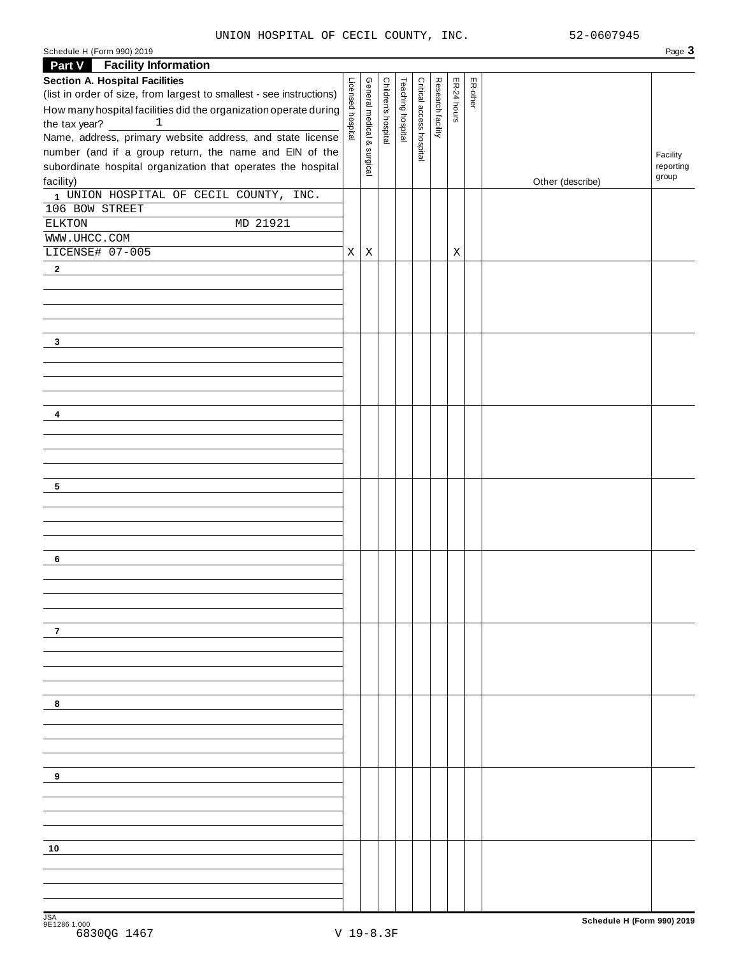**7**

**8**

**9**

**10**

| UNION HOSPITAL OF CECIL COUNTY, INC.                                 |                   |                   |                     |                   |                          |                   |             |          | 52-0607945       |           |
|----------------------------------------------------------------------|-------------------|-------------------|---------------------|-------------------|--------------------------|-------------------|-------------|----------|------------------|-----------|
| Schedule H (Form 990) 2019<br><b>Part V</b> Facility Information     |                   |                   |                     |                   |                          |                   |             |          |                  | Page 3    |
| <b>Section A. Hospital Facilities</b>                                |                   |                   |                     |                   |                          |                   |             |          |                  |           |
| (list in order of size, from largest to smallest - see instructions) |                   |                   |                     |                   |                          |                   | ER-24 hours | ER-other |                  |           |
| How many hospital facilities did the organization operate during     |                   |                   |                     |                   |                          |                   |             |          |                  |           |
| ı<br>the tax year?                                                   |                   |                   |                     |                   |                          | Research facility |             |          |                  |           |
| Name, address, primary website address, and state license            | Licensed hospital | General medical & | Children's hospital | Teaching hospital | Critical access hospital |                   |             |          |                  |           |
| number (and if a group return, the name and EIN of the               |                   |                   |                     |                   |                          |                   |             |          |                  | Facility  |
| subordinate hospital organization that operates the hospital         |                   | k surgical        |                     |                   |                          |                   |             |          |                  | reporting |
| facility)                                                            |                   |                   |                     |                   |                          |                   |             |          | Other (describe) | group     |
| 1 UNION HOSPITAL OF CECIL COUNTY, INC.                               |                   |                   |                     |                   |                          |                   |             |          |                  |           |
| 106 BOW STREET                                                       |                   |                   |                     |                   |                          |                   |             |          |                  |           |
| <b>ELKTON</b><br>MD 21921                                            |                   |                   |                     |                   |                          |                   |             |          |                  |           |
| WWW.UHCC.COM                                                         |                   |                   |                     |                   |                          |                   |             |          |                  |           |
| LICENSE# 07-005                                                      | X                 | X                 |                     |                   |                          |                   | Χ           |          |                  |           |
| $\mathbf{2}$                                                         |                   |                   |                     |                   |                          |                   |             |          |                  |           |
|                                                                      |                   |                   |                     |                   |                          |                   |             |          |                  |           |
|                                                                      |                   |                   |                     |                   |                          |                   |             |          |                  |           |
|                                                                      |                   |                   |                     |                   |                          |                   |             |          |                  |           |
|                                                                      |                   |                   |                     |                   |                          |                   |             |          |                  |           |
| $3^{\circ}$                                                          |                   |                   |                     |                   |                          |                   |             |          |                  |           |
|                                                                      |                   |                   |                     |                   |                          |                   |             |          |                  |           |
|                                                                      |                   |                   |                     |                   |                          |                   |             |          |                  |           |
|                                                                      |                   |                   |                     |                   |                          |                   |             |          |                  |           |
|                                                                      |                   |                   |                     |                   |                          |                   |             |          |                  |           |
| $\overline{4}$                                                       |                   |                   |                     |                   |                          |                   |             |          |                  |           |
|                                                                      |                   |                   |                     |                   |                          |                   |             |          |                  |           |
|                                                                      |                   |                   |                     |                   |                          |                   |             |          |                  |           |
|                                                                      |                   |                   |                     |                   |                          |                   |             |          |                  |           |
|                                                                      |                   |                   |                     |                   |                          |                   |             |          |                  |           |
| 5                                                                    |                   |                   |                     |                   |                          |                   |             |          |                  |           |
|                                                                      |                   |                   |                     |                   |                          |                   |             |          |                  |           |
|                                                                      |                   |                   |                     |                   |                          |                   |             |          |                  |           |
|                                                                      |                   |                   |                     |                   |                          |                   |             |          |                  |           |
|                                                                      |                   |                   |                     |                   |                          |                   |             |          |                  |           |
| 6                                                                    |                   |                   |                     |                   |                          |                   |             |          |                  |           |
|                                                                      |                   |                   |                     |                   |                          |                   |             |          |                  |           |
|                                                                      |                   |                   |                     |                   |                          |                   |             |          |                  |           |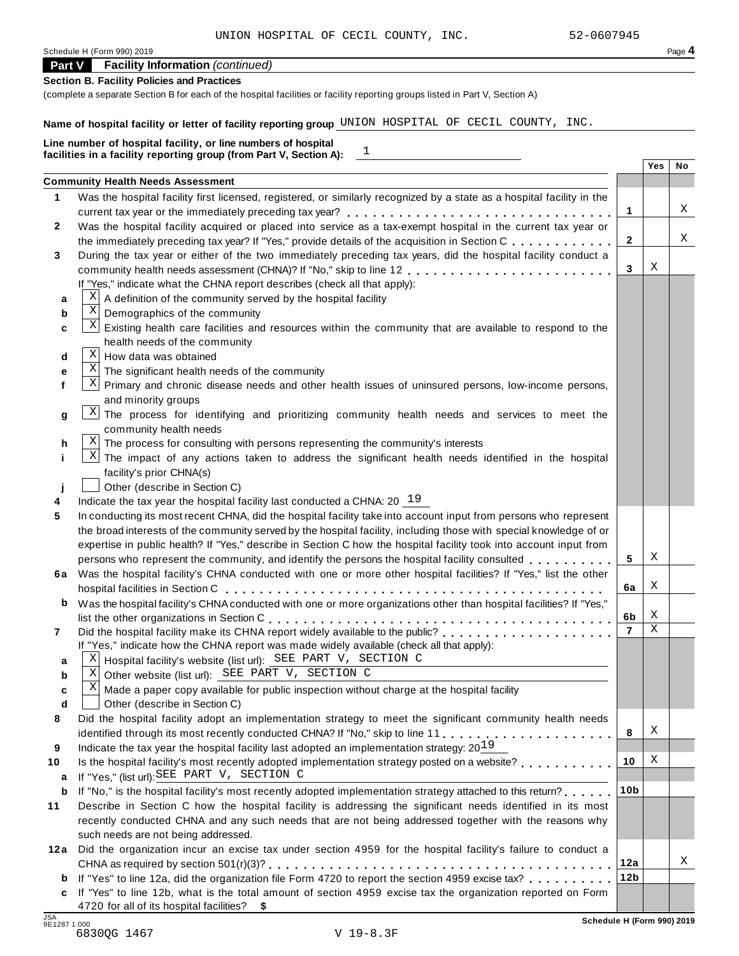1

| Page 4 |  |
|--------|--|
|        |  |

# **Part V Facility Information** *(continued)*

## **Section B. Facility Policies and Practices**

(complete a separate Section B for each of the hospital facilities or facility reporting groups listed in Part V, Section A)

**Name of hospital facility or letter of facility reporting group** UNION HOSPITAL OF CECIL COUNTY, INC.

**Line number of hospital facility, or line numbers of hospital facilities in a facility reporting group (from Part V, Section A):**

|     |                                                                                                                                 |                 | Yes | No |
|-----|---------------------------------------------------------------------------------------------------------------------------------|-----------------|-----|----|
|     | <b>Community Health Needs Assessment</b>                                                                                        |                 |     |    |
| 1   | Was the hospital facility first licensed, registered, or similarly recognized by a state as a hospital facility in the          |                 |     |    |
|     |                                                                                                                                 | 1               |     | Χ  |
| 2   | Was the hospital facility acquired or placed into service as a tax-exempt hospital in the current tax year or                   |                 |     |    |
|     | the immediately preceding tax year? If "Yes," provide details of the acquisition in Section C.                                  | $\mathbf{2}$    |     | Χ  |
| 3   | During the tax year or either of the two immediately preceding tax years, did the hospital facility conduct a                   |                 |     |    |
|     | community health needs assessment (CHNA)? If "No," skip to line 12                                                              | 3               | Χ   |    |
|     | If "Yes," indicate what the CHNA report describes (check all that apply):                                                       |                 |     |    |
| a   | X <br>A definition of the community served by the hospital facility                                                             |                 |     |    |
| b   | X<br>Demographics of the community                                                                                              |                 |     |    |
| c   | ΧJ<br>Existing health care facilities and resources within the community that are available to respond to the                   |                 |     |    |
|     | health needs of the community<br>$\mathbf{X}$                                                                                   |                 |     |    |
| d   | How data was obtained                                                                                                           |                 |     |    |
| е   | X<br>The significant health needs of the community                                                                              |                 |     |    |
| f   | X<br>Primary and chronic disease needs and other health issues of uninsured persons, low-income persons,<br>and minority groups |                 |     |    |
|     | X <br>The process for identifying and prioritizing community health needs and services to meet the                              |                 |     |    |
| g   | community health needs                                                                                                          |                 |     |    |
| h   | $X$ The process for consulting with persons representing the community's interests                                              |                 |     |    |
|     | ΧJ<br>The impact of any actions taken to address the significant health needs identified in the hospital                        |                 |     |    |
|     | facility's prior CHNA(s)                                                                                                        |                 |     |    |
|     | Other (describe in Section C)                                                                                                   |                 |     |    |
|     | Indicate the tax year the hospital facility last conducted a CHNA: 20 $19$                                                      |                 |     |    |
|     | In conducting its most recent CHNA, did the hospital facility take into account input from persons who represent                |                 |     |    |
|     | the broad interests of the community served by the hospital facility, including those with special knowledge of or              |                 |     |    |
|     | expertise in public health? If "Yes," describe in Section C how the hospital facility took into account input from              |                 |     |    |
|     | persons who represent the community, and identify the persons the hospital facility consulted                                   | 5               | Χ   |    |
|     | 6a Was the hospital facility's CHNA conducted with one or more other hospital facilities? If "Yes," list the other              |                 |     |    |
|     |                                                                                                                                 | 6a              | Χ   |    |
| b   | Was the hospital facility's CHNA conducted with one or more organizations other than hospital facilities? If "Yes,"             |                 |     |    |
|     | list the other organizations in Section C                                                                                       | 6b              | Χ   |    |
|     | Did the hospital facility make its CHNA report widely available to the public?<br>                                              | $\overline{7}$  | X   |    |
| 7   | If "Yes," indicate how the CHNA report was made widely available (check all that apply):                                        |                 |     |    |
| a   | Hospital facility's website (list url): SEE PART V, SECTION C<br>X                                                              |                 |     |    |
| b   | Other website (list url): SEE PART V, SECTION C<br>X                                                                            |                 |     |    |
| c   | Χ<br>Made a paper copy available for public inspection without charge at the hospital facility                                  |                 |     |    |
| d   | Other (describe in Section C)                                                                                                   |                 |     |    |
| 8   | Did the hospital facility adopt an implementation strategy to meet the significant community health needs                       |                 |     |    |
|     |                                                                                                                                 | 8               | Χ   |    |
|     | Indicate the tax year the hospital facility last adopted an implementation strategy: $20^{19}$                                  |                 |     |    |
|     | Is the hospital facility's most recently adopted implementation strategy posted on a website?                                   | 10              | Χ   |    |
| a   | If "Yes," (list url): SEE PART V, SECTION C                                                                                     |                 |     |    |
| b   | If "No," is the hospital facility's most recently adopted implementation strategy attached to this return?                      | 10 <sub>b</sub> |     |    |
|     | Describe in Section C how the hospital facility is addressing the significant needs identified in its most                      |                 |     |    |
|     | recently conducted CHNA and any such needs that are not being addressed together with the reasons why                           |                 |     |    |
|     | such needs are not being addressed.                                                                                             |                 |     |    |
| 12a | Did the organization incur an excise tax under section 4959 for the hospital facility's failure to conduct a                    |                 |     |    |
|     |                                                                                                                                 | 12a             |     | Χ  |
|     |                                                                                                                                 |                 |     |    |
|     | If "Yes" to line 12a, did the organization file Form 4720 to report the section 4959 excise tax?                                | 12b             |     |    |
|     | If "Yes" to line 12b, what is the total amount of section 4959 excise tax the organization reported on Form                     |                 |     |    |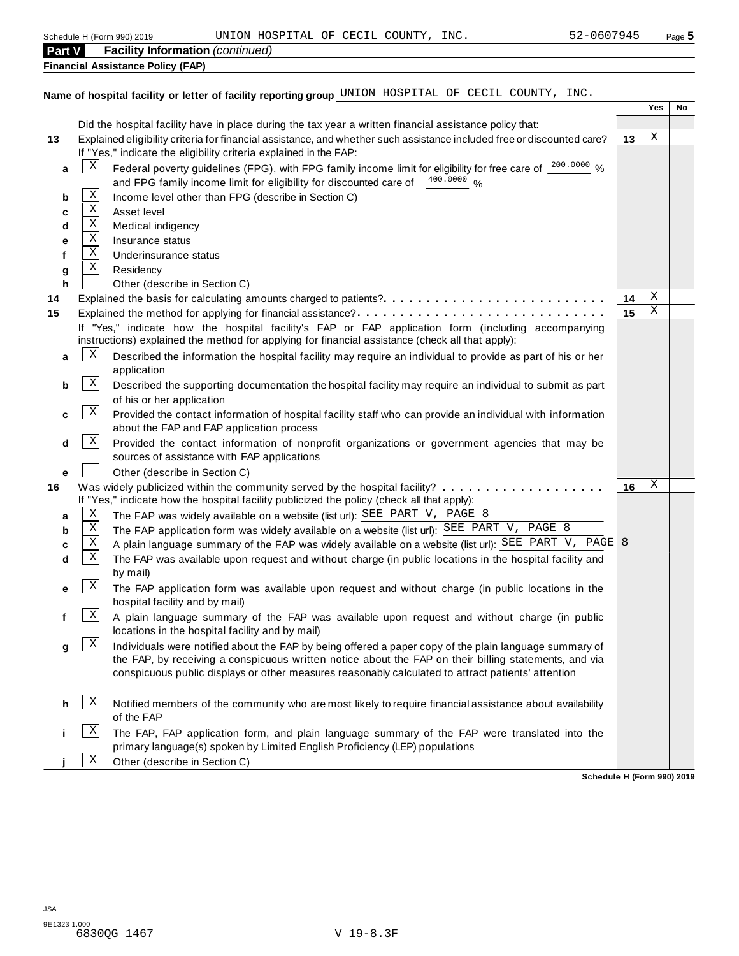|         |              | UNION HOSPITAL OF CECIL COUNTY, INC.<br>Schedule H (Form 990) 2019                                                                                                                                                                | 52-0607945 |     | Page 5 |
|---------|--------------|-----------------------------------------------------------------------------------------------------------------------------------------------------------------------------------------------------------------------------------|------------|-----|--------|
| Part V  |              | <b>Facility Information (continued)</b>                                                                                                                                                                                           |            |     |        |
|         |              | <b>Financial Assistance Policy (FAP)</b>                                                                                                                                                                                          |            |     |        |
|         |              |                                                                                                                                                                                                                                   |            |     |        |
|         |              | Name of hospital facility or letter of facility reporting group UNION HOSPITAL OF CECIL COUNTY, INC.                                                                                                                              |            | Yes | No     |
|         |              |                                                                                                                                                                                                                                   |            |     |        |
| 13      |              | Did the hospital facility have in place during the tax year a written financial assistance policy that:<br>Explained eligibility criteria for financial assistance, and whether such assistance included free or discounted care? | 13         | Χ   |        |
|         |              | If "Yes," indicate the eligibility criteria explained in the FAP:                                                                                                                                                                 |            |     |        |
| a       | X            | Federal poverty guidelines (FPG), with FPG family income limit for eligibility for free care of 200.0000 %                                                                                                                        |            |     |        |
|         |              | and FPG family income limit for eligibility for discounted care of 400.0000 %                                                                                                                                                     |            |     |        |
| b       | Χ            | Income level other than FPG (describe in Section C)                                                                                                                                                                               |            |     |        |
| c       | X            | Asset level                                                                                                                                                                                                                       |            |     |        |
| d       | $\mathbf X$  | Medical indigency                                                                                                                                                                                                                 |            |     |        |
| е       | $\mathbf X$  | Insurance status                                                                                                                                                                                                                  |            |     |        |
| f       | Χ            | Underinsurance status                                                                                                                                                                                                             |            |     |        |
| g       | X            | Residency                                                                                                                                                                                                                         |            |     |        |
| h       |              | Other (describe in Section C)                                                                                                                                                                                                     |            |     |        |
| 14      |              | Explained the basis for calculating amounts charged to patients?                                                                                                                                                                  | 14         | Χ   |        |
| 15      |              | Explained the method for applying for financial assistance?                                                                                                                                                                       | 15         | Χ   |        |
|         |              | If "Yes," indicate how the hospital facility's FAP or FAP application form (including accompanying                                                                                                                                |            |     |        |
|         |              | instructions) explained the method for applying for financial assistance (check all that apply):                                                                                                                                  |            |     |        |
| a       | X            | Described the information the hospital facility may require an individual to provide as part of his or her                                                                                                                        |            |     |        |
|         |              | application                                                                                                                                                                                                                       |            |     |        |
| b       | $\mathbf{X}$ | Described the supporting documentation the hospital facility may require an individual to submit as part                                                                                                                          |            |     |        |
|         |              | of his or her application                                                                                                                                                                                                         |            |     |        |
| c       | $\mathbf{X}$ | Provided the contact information of hospital facility staff who can provide an individual with information                                                                                                                        |            |     |        |
|         | $\mathbf{X}$ | about the FAP and FAP application process                                                                                                                                                                                         |            |     |        |
| d       |              | Provided the contact information of nonprofit organizations or government agencies that may be                                                                                                                                    |            |     |        |
|         |              | sources of assistance with FAP applications                                                                                                                                                                                       |            |     |        |
| e<br>16 |              | Other (describe in Section C)<br>Was widely publicized within the community served by the hospital facility?                                                                                                                      | 16         | Χ   |        |
|         |              | If "Yes," indicate how the hospital facility publicized the policy (check all that apply):                                                                                                                                        |            |     |        |
| a       | X            | The FAP was widely available on a website (list url): SEE PART V, PAGE 8                                                                                                                                                          |            |     |        |
| b       | Χ            | The FAP application form was widely available on a website (list url): SEE PART V, PAGE 8                                                                                                                                         |            |     |        |
| c       | Χ            | A plain language summary of the FAP was widely available on a website (list url): SEE PART V, PAGE                                                                                                                                | 8          |     |        |
| d       | Χ            | The FAP was available upon request and without charge (in public locations in the hospital facility and                                                                                                                           |            |     |        |
|         |              | by mail)                                                                                                                                                                                                                          |            |     |        |
| е       | $\mathbf{x}$ | The FAP application form was available upon request and without charge (in public locations in the                                                                                                                                |            |     |        |
|         |              | hospital facility and by mail)                                                                                                                                                                                                    |            |     |        |
| f       | $\mathbf{x}$ | A plain language summary of the FAP was available upon request and without charge (in public                                                                                                                                      |            |     |        |
|         |              | locations in the hospital facility and by mail)                                                                                                                                                                                   |            |     |        |
| g       | $\mathbf{x}$ | Individuals were notified about the FAP by being offered a paper copy of the plain language summary of                                                                                                                            |            |     |        |
|         |              | the FAP, by receiving a conspicuous written notice about the FAP on their billing statements, and via                                                                                                                             |            |     |        |
|         |              | conspicuous public displays or other measures reasonably calculated to attract patients' attention                                                                                                                                |            |     |        |
|         |              |                                                                                                                                                                                                                                   |            |     |        |
| h       | $\mathbf{X}$ | Notified members of the community who are most likely to require financial assistance about availability                                                                                                                          |            |     |        |
|         |              | of the FAP                                                                                                                                                                                                                        |            |     |        |
|         | $\mathbf{X}$ | The FAP, FAP application form, and plain language summary of the FAP were translated into the<br>primary language(s) spoken by Limited English Proficiency (LEP) populations                                                      |            |     |        |

**Other (describe in Section C)**  $j$  X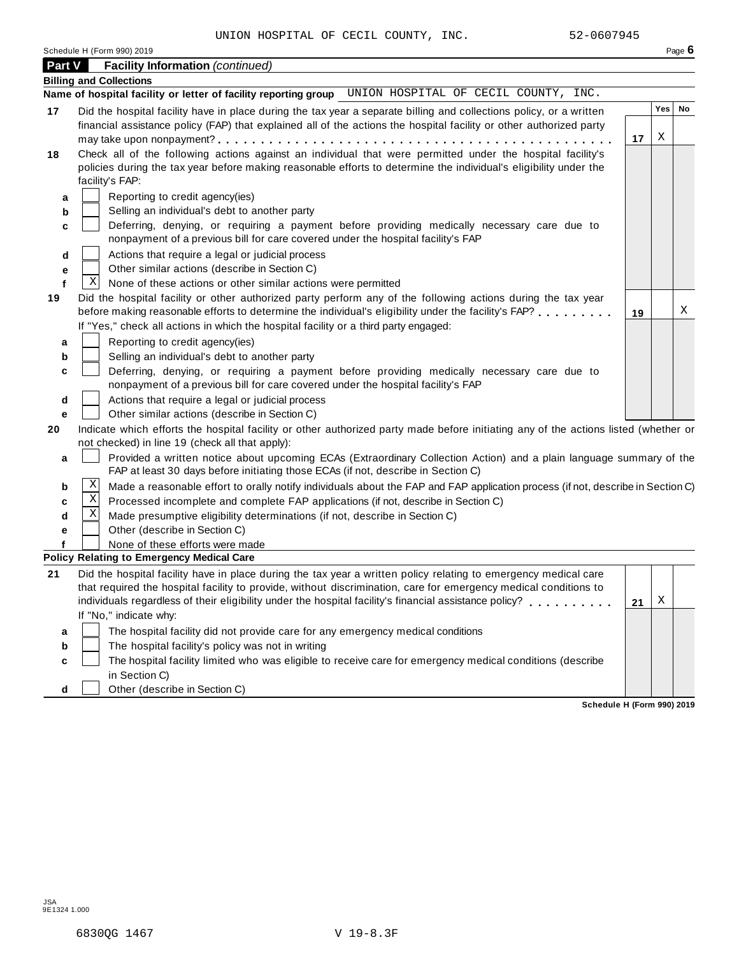| Schedule H (Form 990) 2019 |  |
|----------------------------|--|
|                            |  |

|                                                  | Schedule H (Form 990) 2019                                                                                                                                                                               |    |     | Page 6 |  |  |  |
|--------------------------------------------------|----------------------------------------------------------------------------------------------------------------------------------------------------------------------------------------------------------|----|-----|--------|--|--|--|
| Part V                                           | <b>Facility Information (continued)</b>                                                                                                                                                                  |    |     |        |  |  |  |
|                                                  | <b>Billing and Collections</b>                                                                                                                                                                           |    |     |        |  |  |  |
|                                                  | Name of hospital facility or letter of facility reporting group UNION HOSPITAL OF CECIL COUNTY, INC.                                                                                                     |    |     |        |  |  |  |
| 17                                               | Did the hospital facility have in place during the tax year a separate billing and collections policy, or a written                                                                                      |    | Yes | No     |  |  |  |
|                                                  | financial assistance policy (FAP) that explained all of the actions the hospital facility or other authorized party                                                                                      |    |     |        |  |  |  |
|                                                  |                                                                                                                                                                                                          | 17 | Χ   |        |  |  |  |
| 18                                               | Check all of the following actions against an individual that were permitted under the hospital facility's                                                                                               |    |     |        |  |  |  |
|                                                  | policies during the tax year before making reasonable efforts to determine the individual's eligibility under the                                                                                        |    |     |        |  |  |  |
|                                                  | facility's FAP:                                                                                                                                                                                          |    |     |        |  |  |  |
| a                                                | Reporting to credit agency(ies)                                                                                                                                                                          |    |     |        |  |  |  |
| b                                                | Selling an individual's debt to another party                                                                                                                                                            |    |     |        |  |  |  |
| c                                                | Deferring, denying, or requiring a payment before providing medically necessary care due to                                                                                                              |    |     |        |  |  |  |
|                                                  | nonpayment of a previous bill for care covered under the hospital facility's FAP                                                                                                                         |    |     |        |  |  |  |
| d                                                | Actions that require a legal or judicial process                                                                                                                                                         |    |     |        |  |  |  |
| е                                                | Other similar actions (describe in Section C)                                                                                                                                                            |    |     |        |  |  |  |
| f                                                | Χ<br>None of these actions or other similar actions were permitted                                                                                                                                       |    |     |        |  |  |  |
| 19                                               | Did the hospital facility or other authorized party perform any of the following actions during the tax year                                                                                             |    |     |        |  |  |  |
|                                                  | before making reasonable efforts to determine the individual's eligibility under the facility's FAP?                                                                                                     | 19 |     | Χ      |  |  |  |
|                                                  | If "Yes," check all actions in which the hospital facility or a third party engaged:                                                                                                                     |    |     |        |  |  |  |
| a                                                | Reporting to credit agency(ies)                                                                                                                                                                          |    |     |        |  |  |  |
| b                                                | Selling an individual's debt to another party                                                                                                                                                            |    |     |        |  |  |  |
| c                                                | Deferring, denying, or requiring a payment before providing medically necessary care due to                                                                                                              |    |     |        |  |  |  |
|                                                  | nonpayment of a previous bill for care covered under the hospital facility's FAP                                                                                                                         |    |     |        |  |  |  |
| d                                                | Actions that require a legal or judicial process                                                                                                                                                         |    |     |        |  |  |  |
| е                                                | Other similar actions (describe in Section C)                                                                                                                                                            |    |     |        |  |  |  |
| 20                                               | Indicate which efforts the hospital facility or other authorized party made before initiating any of the actions listed (whether or                                                                      |    |     |        |  |  |  |
|                                                  | not checked) in line 19 (check all that apply):                                                                                                                                                          |    |     |        |  |  |  |
| а                                                | Provided a written notice about upcoming ECAs (Extraordinary Collection Action) and a plain language summary of the<br>FAP at least 30 days before initiating those ECAs (if not, describe in Section C) |    |     |        |  |  |  |
| b                                                | Χ<br>Made a reasonable effort to orally notify individuals about the FAP and FAP application process (if not, describe in Section C)                                                                     |    |     |        |  |  |  |
| с                                                | Χ<br>Processed incomplete and complete FAP applications (if not, describe in Section C)                                                                                                                  |    |     |        |  |  |  |
| d                                                | Χ<br>Made presumptive eligibility determinations (if not, describe in Section C)                                                                                                                         |    |     |        |  |  |  |
| е                                                | Other (describe in Section C)                                                                                                                                                                            |    |     |        |  |  |  |
|                                                  | None of these efforts were made                                                                                                                                                                          |    |     |        |  |  |  |
| <b>Policy Relating to Emergency Medical Care</b> |                                                                                                                                                                                                          |    |     |        |  |  |  |
| 21                                               | Did the hospital facility have in place during the tax year a written policy relating to emergency medical care                                                                                          |    |     |        |  |  |  |
|                                                  | that required the hospital facility to provide, without discrimination, care for emergency medical conditions to                                                                                         |    |     |        |  |  |  |
|                                                  | individuals regardless of their eligibility under the hospital facility's financial assistance policy?                                                                                                   | 21 | Χ   |        |  |  |  |
|                                                  | If "No," indicate why:                                                                                                                                                                                   |    |     |        |  |  |  |
| а                                                | The hospital facility did not provide care for any emergency medical conditions                                                                                                                          |    |     |        |  |  |  |
| b                                                | The hospital facility's policy was not in writing                                                                                                                                                        |    |     |        |  |  |  |
| c                                                | The hospital facility limited who was eligible to receive care for emergency medical conditions (describe                                                                                                |    |     |        |  |  |  |
|                                                  | in Section C)                                                                                                                                                                                            |    |     |        |  |  |  |

**d** Other (describe in Section C)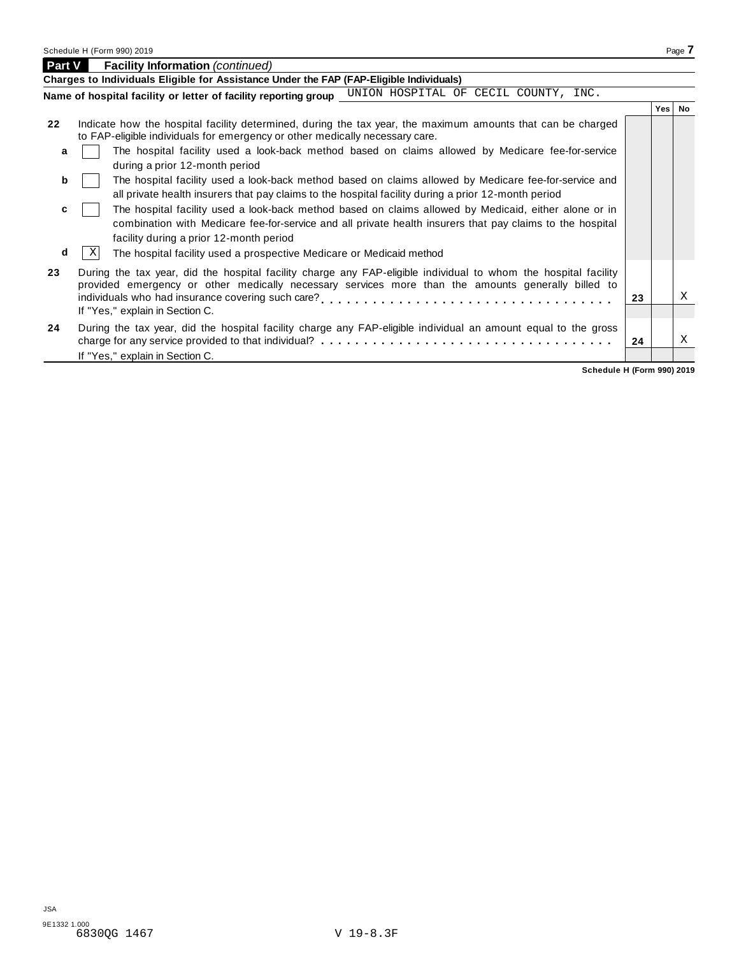| <b>Part V</b> | <b>Facility Information</b> (continued)                                                                                                                                                                                                                       |    |          |   |  |  |  |  |
|---------------|---------------------------------------------------------------------------------------------------------------------------------------------------------------------------------------------------------------------------------------------------------------|----|----------|---|--|--|--|--|
|               | Charges to Individuals Eligible for Assistance Under the FAP (FAP-Eligible Individuals)                                                                                                                                                                       |    |          |   |  |  |  |  |
|               | Name of hospital facility or letter of facility reporting group UNION HOSPITAL OF CECIL COUNTY, INC.                                                                                                                                                          |    |          |   |  |  |  |  |
|               |                                                                                                                                                                                                                                                               |    | Yes   No |   |  |  |  |  |
| 22            | Indicate how the hospital facility determined, during the tax year, the maximum amounts that can be charged<br>to FAP-eligible individuals for emergency or other medically necessary care.                                                                   |    |          |   |  |  |  |  |
| a             | The hospital facility used a look-back method based on claims allowed by Medicare fee-for-service<br>during a prior 12-month period                                                                                                                           |    |          |   |  |  |  |  |
| b             | The hospital facility used a look-back method based on claims allowed by Medicare fee-for-service and<br>all private health insurers that pay claims to the hospital facility during a prior 12-month period                                                  |    |          |   |  |  |  |  |
| c             | The hospital facility used a look-back method based on claims allowed by Medicaid, either alone or in<br>combination with Medicare fee-for-service and all private health insurers that pay claims to the hospital<br>facility during a prior 12-month period |    |          |   |  |  |  |  |
| d             | X<br>The hospital facility used a prospective Medicare or Medicaid method                                                                                                                                                                                     |    |          |   |  |  |  |  |
| 23            | During the tax year, did the hospital facility charge any FAP-eligible individual to whom the hospital facility<br>provided emergency or other medically necessary services more than the amounts generally billed to<br>If "Yes," explain in Section C.      | 23 |          | X |  |  |  |  |
| 24            | During the tax year, did the hospital facility charge any FAP-eligible individual an amount equal to the gross<br>If "Yes," explain in Section C.                                                                                                             | 24 |          | Χ |  |  |  |  |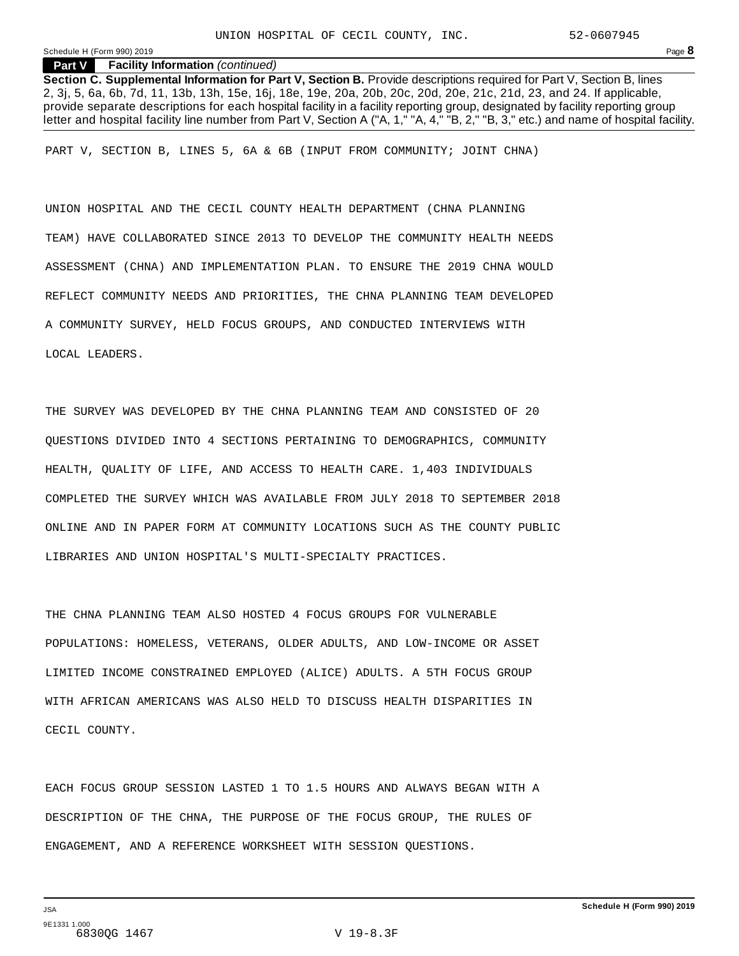## **Part V Facility Information** *(continued)*

**Section C. Supplemental Information for Part V, Section B.** Provide descriptions required for Part V, Section B, lines 2, 3j, 5, 6a, 6b, 7d, 11, 13b, 13h, 15e, 16j, 18e, 19e, 20a, 20b, 20c, 20d, 20e, 21c, 21d, 23, and 24. If applicable, provide separate descriptions for each hospital facility in a facility reporting group, designated by facility reporting group letter and hospital facility line number from Part V, Section A ("A, 1," "A, 4," "B, 2," "B, 3," etc.) and name of hospital facility.

PART V, SECTION B, LINES 5, 6A & 6B (INPUT FROM COMMUNITY; JOINT CHNA)

UNION HOSPITAL AND THE CECIL COUNTY HEALTH DEPARTMENT (CHNA PLANNING TEAM) HAVE COLLABORATED SINCE 2013 TO DEVELOP THE COMMUNITY HEALTH NEEDS ASSESSMENT (CHNA) AND IMPLEMENTATION PLAN. TO ENSURE THE 2019 CHNA WOULD REFLECT COMMUNITY NEEDS AND PRIORITIES, THE CHNA PLANNING TEAM DEVELOPED A COMMUNITY SURVEY, HELD FOCUS GROUPS, AND CONDUCTED INTERVIEWS WITH LOCAL LEADERS.

THE SURVEY WAS DEVELOPED BY THE CHNA PLANNING TEAM AND CONSISTED OF 20 QUESTIONS DIVIDED INTO 4 SECTIONS PERTAINING TO DEMOGRAPHICS, COMMUNITY HEALTH, QUALITY OF LIFE, AND ACCESS TO HEALTH CARE. 1,403 INDIVIDUALS COMPLETED THE SURVEY WHICH WAS AVAILABLE FROM JULY 2018 TO SEPTEMBER 2018 ONLINE AND IN PAPER FORM AT COMMUNITY LOCATIONS SUCH AS THE COUNTY PUBLIC LIBRARIES AND UNION HOSPITAL'S MULTI-SPECIALTY PRACTICES.

THE CHNA PLANNING TEAM ALSO HOSTED 4 FOCUS GROUPS FOR VULNERABLE POPULATIONS: HOMELESS, VETERANS, OLDER ADULTS, AND LOW-INCOME OR ASSET LIMITED INCOME CONSTRAINED EMPLOYED (ALICE) ADULTS. A 5TH FOCUS GROUP WITH AFRICAN AMERICANS WAS ALSO HELD TO DISCUSS HEALTH DISPARITIES IN CECIL COUNTY.

EACH FOCUS GROUP SESSION LASTED 1 TO 1.5 HOURS AND ALWAYS BEGAN WITH A DESCRIPTION OF THE CHNA, THE PURPOSE OF THE FOCUS GROUP, THE RULES OF ENGAGEMENT, AND A REFERENCE WORKSHEET WITH SESSION QUESTIONS.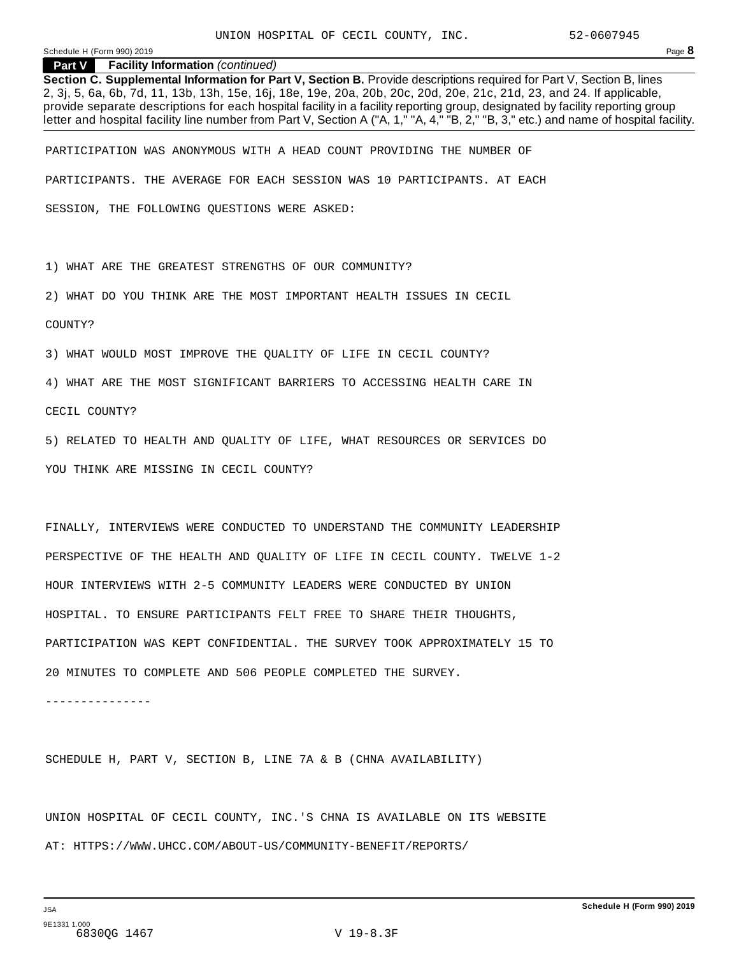Schedule <sup>H</sup> (Form 990) <sup>2019</sup> Page **8 Part V Facility Information** *(continued)* **Section C. Supplemental Information for Part V, Section B.** Provide descriptions required for Part V, Section B, lines 2, 3j, 5, 6a, 6b, 7d, 11, 13b, 13h, 15e, 16j, 18e, 19e, 20a, 20b, 20c, 20d, 20e, 21c, 21d, 23, and 24. If applicable, provide separate descriptions for each hospital facility in a facility reporting group, designated by facility reporting group letter and hospital facility line number from Part V, Section A ("A, 1," "A, 4," "B, 2," "B, 3," etc.) and name of hospital facility. PARTICIPATION WAS ANONYMOUS WITH A HEAD COUNT PROVIDING THE NUMBER OF PARTICIPANTS. THE AVERAGE FOR EACH SESSION WAS 10 PARTICIPANTS. AT EACH SESSION, THE FOLLOWING QUESTIONS WERE ASKED: 1) WHAT ARE THE GREATEST STRENGTHS OF OUR COMMUNITY? 2) WHAT DO YOU THINK ARE THE MOST IMPORTANT HEALTH ISSUES IN CECIL COUNTY? 3) WHAT WOULD MOST IMPROVE THE QUALITY OF LIFE IN CECIL COUNTY? 4) WHAT ARE THE MOST SIGNIFICANT BARRIERS TO ACCESSING HEALTH CARE IN CECIL COUNTY? 5) RELATED TO HEALTH AND QUALITY OF LIFE, WHAT RESOURCES OR SERVICES DO YOU THINK ARE MISSING IN CECIL COUNTY? FINALLY, INTERVIEWS WERE CONDUCTED TO UNDERSTAND THE COMMUNITY LEADERSHIP PERSPECTIVE OF THE HEALTH AND QUALITY OF LIFE IN CECIL COUNTY. TWELVE 1-2 HOUR INTERVIEWS WITH 2-5 COMMUNITY LEADERS WERE CONDUCTED BY UNION HOSPITAL. TO ENSURE PARTICIPANTS FELT FREE TO SHARE THEIR THOUGHTS, PARTICIPATION WAS KEPT CONFIDENTIAL. THE SURVEY TOOK APPROXIMATELY 15 TO 20 MINUTES TO COMPLETE AND 506 PEOPLE COMPLETED THE SURVEY.

---------------

SCHEDULE H, PART V, SECTION B, LINE 7A & B (CHNA AVAILABILITY)

UNION HOSPITAL OF CECIL COUNTY, INC.'S CHNA IS AVAILABLE ON ITS WEBSITE AT: HTTPS://WWW.UHCC.COM/ABOUT-US/COMMUNITY-BENEFIT/REPORTS/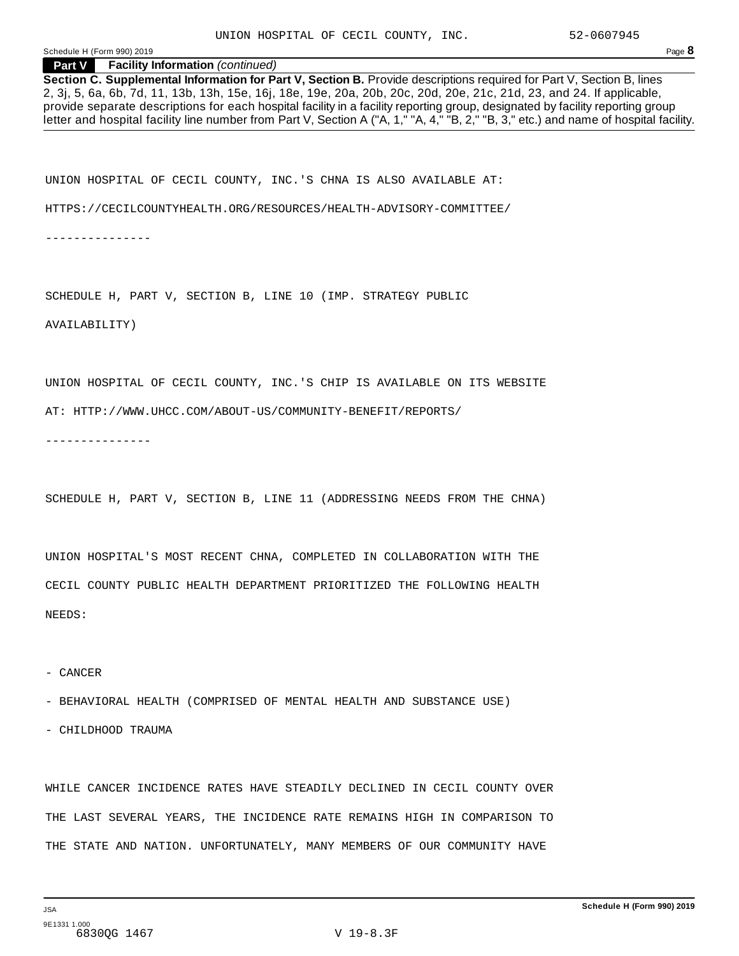**Part V Facility Information** *(continued)*

**Section C. Supplemental Information for Part V, Section B.** Provide descriptions required for Part V, Section B, lines 2, 3j, 5, 6a, 6b, 7d, 11, 13b, 13h, 15e, 16j, 18e, 19e, 20a, 20b, 20c, 20d, 20e, 21c, 21d, 23, and 24. If applicable, provide separate descriptions for each hospital facility in a facility reporting group, designated by facility reporting group letter and hospital facility line number from Part V, Section A ("A, 1," "A, 4," "B, 2," "B, 3," etc.) and name of hospital facility.

UNION HOSPITAL OF CECIL COUNTY, INC.'S CHNA IS ALSO AVAILABLE AT:

HTTPS://CECILCOUNTYHEALTH.ORG/RESOURCES/HEALTH-ADVISORY-COMMITTEE/

---------------

SCHEDULE H, PART V, SECTION B, LINE 10 (IMP. STRATEGY PUBLIC

AVAILABILITY)

UNION HOSPITAL OF CECIL COUNTY, INC.'S CHIP IS AVAILABLE ON ITS WEBSITE AT: HTTP://WWW.UHCC.COM/ABOUT-US/COMMUNITY-BENEFIT/REPORTS/

---------------

SCHEDULE H, PART V, SECTION B, LINE 11 (ADDRESSING NEEDS FROM THE CHNA)

UNION HOSPITAL'S MOST RECENT CHNA, COMPLETED IN COLLABORATION WITH THE CECIL COUNTY PUBLIC HEALTH DEPARTMENT PRIORITIZED THE FOLLOWING HEALTH NEEDS:

- CANCER

- BEHAVIORAL HEALTH (COMPRISED OF MENTAL HEALTH AND SUBSTANCE USE)

- CHILDHOOD TRAUMA

WHILE CANCER INCIDENCE RATES HAVE STEADILY DECLINED IN CECIL COUNTY OVER THE LAST SEVERAL YEARS, THE INCIDENCE RATE REMAINS HIGH IN COMPARISON TO THE STATE AND NATION. UNFORTUNATELY, MANY MEMBERS OF OUR COMMUNITY HAVE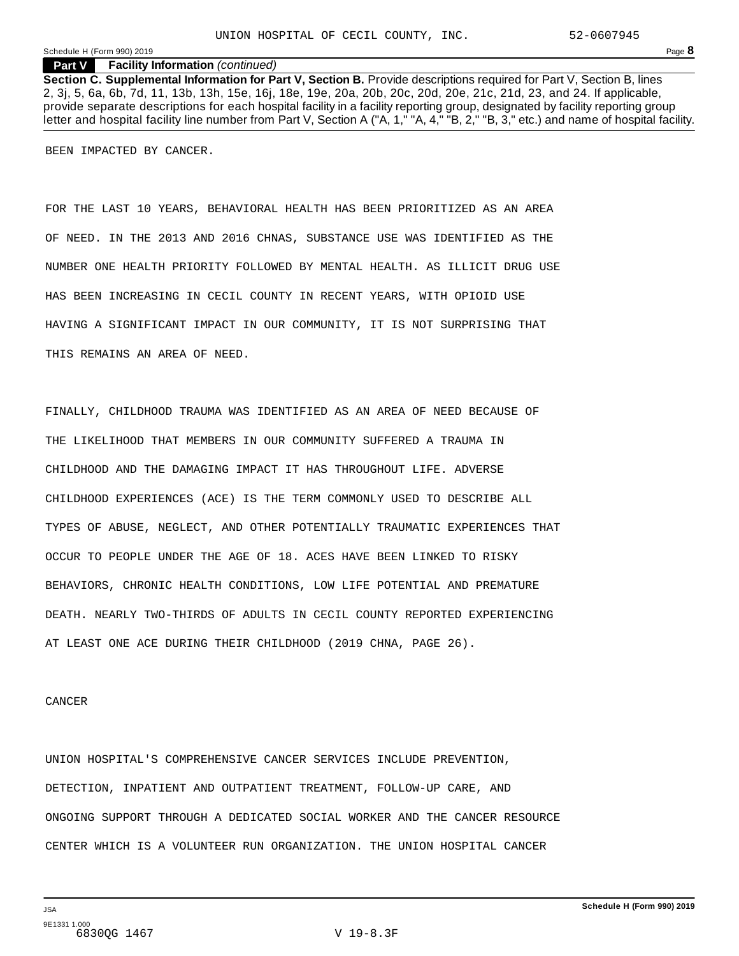#### **Part V Facility Information** *(continued)*

**Section C. Supplemental Information for Part V, Section B.** Provide descriptions required for Part V, Section B, lines 2, 3j, 5, 6a, 6b, 7d, 11, 13b, 13h, 15e, 16j, 18e, 19e, 20a, 20b, 20c, 20d, 20e, 21c, 21d, 23, and 24. If applicable, provide separate descriptions for each hospital facility in a facility reporting group, designated by facility reporting group letter and hospital facility line number from Part V, Section A ("A, 1," "A, 4," "B, 2," "B, 3," etc.) and name of hospital facility.

BEEN IMPACTED BY CANCER.

FOR THE LAST 10 YEARS, BEHAVIORAL HEALTH HAS BEEN PRIORITIZED AS AN AREA OF NEED. IN THE 2013 AND 2016 CHNAS, SUBSTANCE USE WAS IDENTIFIED AS THE NUMBER ONE HEALTH PRIORITY FOLLOWED BY MENTAL HEALTH. AS ILLICIT DRUG USE HAS BEEN INCREASING IN CECIL COUNTY IN RECENT YEARS, WITH OPIOID USE HAVING A SIGNIFICANT IMPACT IN OUR COMMUNITY, IT IS NOT SURPRISING THAT THIS REMAINS AN AREA OF NEED.

FINALLY, CHILDHOOD TRAUMA WAS IDENTIFIED AS AN AREA OF NEED BECAUSE OF THE LIKELIHOOD THAT MEMBERS IN OUR COMMUNITY SUFFERED A TRAUMA IN CHILDHOOD AND THE DAMAGING IMPACT IT HAS THROUGHOUT LIFE. ADVERSE CHILDHOOD EXPERIENCES (ACE) IS THE TERM COMMONLY USED TO DESCRIBE ALL TYPES OF ABUSE, NEGLECT, AND OTHER POTENTIALLY TRAUMATIC EXPERIENCES THAT OCCUR TO PEOPLE UNDER THE AGE OF 18. ACES HAVE BEEN LINKED TO RISKY BEHAVIORS, CHRONIC HEALTH CONDITIONS, LOW LIFE POTENTIAL AND PREMATURE DEATH. NEARLY TWO-THIRDS OF ADULTS IN CECIL COUNTY REPORTED EXPERIENCING AT LEAST ONE ACE DURING THEIR CHILDHOOD (2019 CHNA, PAGE 26).

## CANCER

UNION HOSPITAL'S COMPREHENSIVE CANCER SERVICES INCLUDE PREVENTION, DETECTION, INPATIENT AND OUTPATIENT TREATMENT, FOLLOW-UP CARE, AND ONGOING SUPPORT THROUGH A DEDICATED SOCIAL WORKER AND THE CANCER RESOURCE CENTER WHICH IS A VOLUNTEER RUN ORGANIZATION. THE UNION HOSPITAL CANCER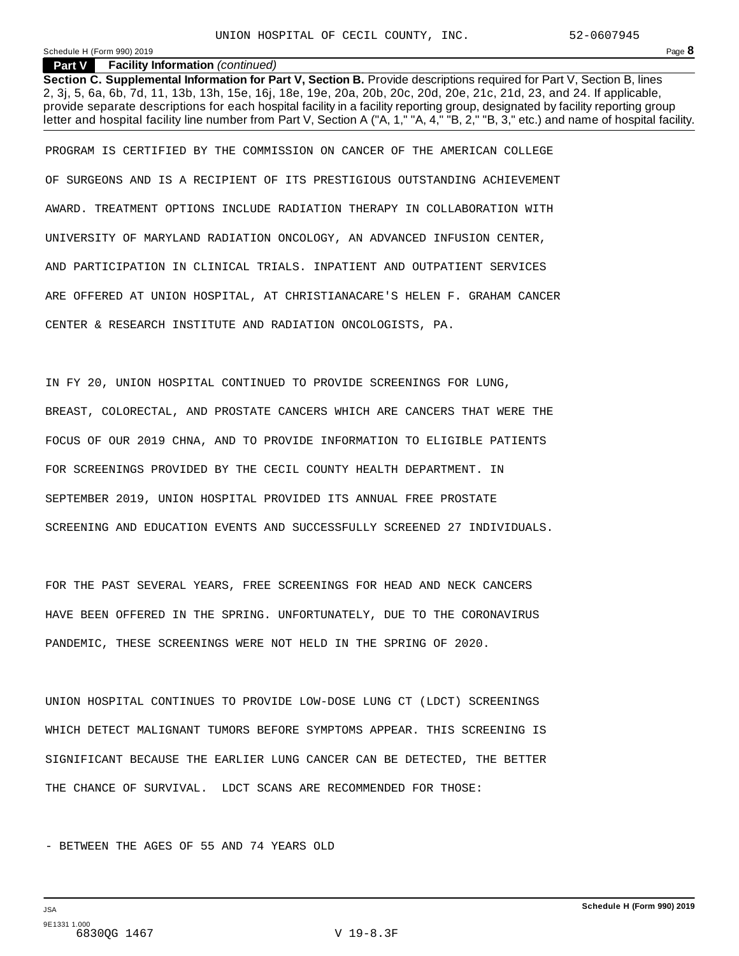#### **Part V Facility Information** *(continued)*

**Section C. Supplemental Information for Part V, Section B.** Provide descriptions required for Part V, Section B, lines 2, 3j, 5, 6a, 6b, 7d, 11, 13b, 13h, 15e, 16j, 18e, 19e, 20a, 20b, 20c, 20d, 20e, 21c, 21d, 23, and 24. If applicable, provide separate descriptions for each hospital facility in a facility reporting group, designated by facility reporting group letter and hospital facility line number from Part V, Section A ("A, 1," "A, 4," "B, 2," "B, 3," etc.) and name of hospital facility. PROGRAM IS CERTIFIED BY THE COMMISSION ON CANCER OF THE AMERICAN COLLEGE OF SURGEONS AND IS A RECIPIENT OF ITS PRESTIGIOUS OUTSTANDING ACHIEVEMENT AWARD. TREATMENT OPTIONS INCLUDE RADIATION THERAPY IN COLLABORATION WITH UNIVERSITY OF MARYLAND RADIATION ONCOLOGY, AN ADVANCED INFUSION CENTER, AND PARTICIPATION IN CLINICAL TRIALS. INPATIENT AND OUTPATIENT SERVICES ARE OFFERED AT UNION HOSPITAL, AT CHRISTIANACARE'S HELEN F. GRAHAM CANCER CENTER & RESEARCH INSTITUTE AND RADIATION ONCOLOGISTS, PA.

IN FY 20, UNION HOSPITAL CONTINUED TO PROVIDE SCREENINGS FOR LUNG, BREAST, COLORECTAL, AND PROSTATE CANCERS WHICH ARE CANCERS THAT WERE THE FOCUS OF OUR 2019 CHNA, AND TO PROVIDE INFORMATION TO ELIGIBLE PATIENTS FOR SCREENINGS PROVIDED BY THE CECIL COUNTY HEALTH DEPARTMENT. IN SEPTEMBER 2019, UNION HOSPITAL PROVIDED ITS ANNUAL FREE PROSTATE SCREENING AND EDUCATION EVENTS AND SUCCESSFULLY SCREENED 27 INDIVIDUALS.

FOR THE PAST SEVERAL YEARS, FREE SCREENINGS FOR HEAD AND NECK CANCERS HAVE BEEN OFFERED IN THE SPRING. UNFORTUNATELY, DUE TO THE CORONAVIRUS PANDEMIC, THESE SCREENINGS WERE NOT HELD IN THE SPRING OF 2020.

UNION HOSPITAL CONTINUES TO PROVIDE LOW-DOSE LUNG CT (LDCT) SCREENINGS WHICH DETECT MALIGNANT TUMORS BEFORE SYMPTOMS APPEAR. THIS SCREENING IS SIGNIFICANT BECAUSE THE EARLIER LUNG CANCER CAN BE DETECTED, THE BETTER THE CHANCE OF SURVIVAL. LDCT SCANS ARE RECOMMENDED FOR THOSE:

- BETWEEN THE AGES OF 55 AND 74 YEARS OLD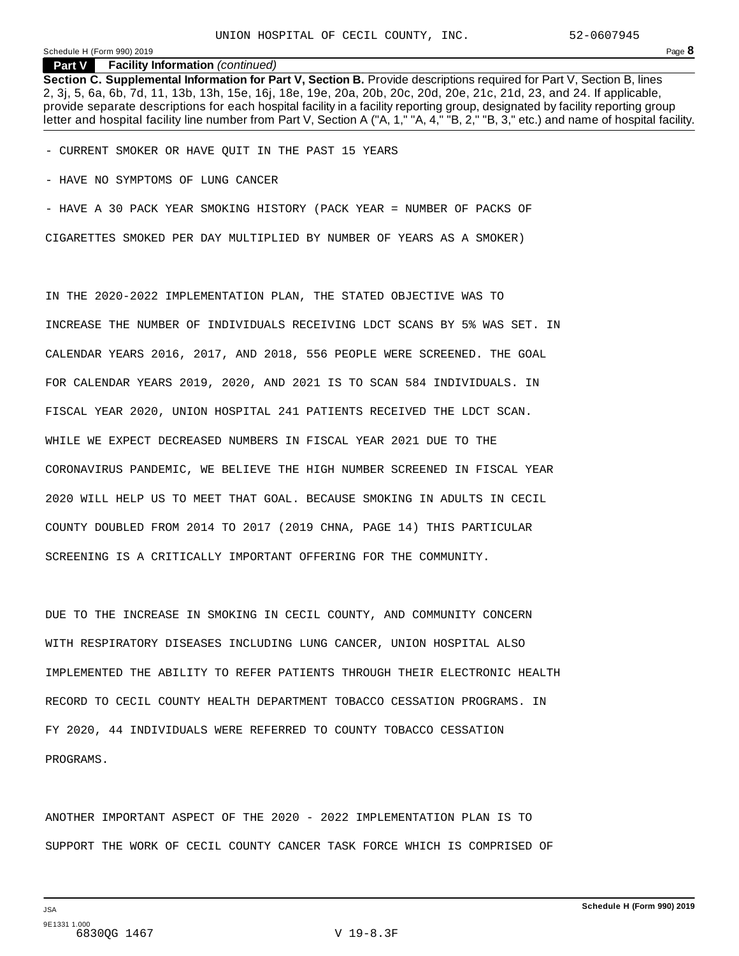#### **Part V Facility Information** *(continued)*

**Section C. Supplemental Information for Part V, Section B.** Provide descriptions required for Part V, Section B, lines 2, 3j, 5, 6a, 6b, 7d, 11, 13b, 13h, 15e, 16j, 18e, 19e, 20a, 20b, 20c, 20d, 20e, 21c, 21d, 23, and 24. If applicable, provide separate descriptions for each hospital facility in a facility reporting group, designated by facility reporting group letter and hospital facility line number from Part V, Section A ("A, 1," "A, 4," "B, 2," "B, 3," etc.) and name of hospital facility.

- CURRENT SMOKER OR HAVE QUIT IN THE PAST 15 YEARS

- HAVE NO SYMPTOMS OF LUNG CANCER

- HAVE A 30 PACK YEAR SMOKING HISTORY (PACK YEAR = NUMBER OF PACKS OF

CIGARETTES SMOKED PER DAY MULTIPLIED BY NUMBER OF YEARS AS A SMOKER)

IN THE 2020-2022 IMPLEMENTATION PLAN, THE STATED OBJECTIVE WAS TO INCREASE THE NUMBER OF INDIVIDUALS RECEIVING LDCT SCANS BY 5% WAS SET. IN CALENDAR YEARS 2016, 2017, AND 2018, 556 PEOPLE WERE SCREENED. THE GOAL FOR CALENDAR YEARS 2019, 2020, AND 2021 IS TO SCAN 584 INDIVIDUALS. IN FISCAL YEAR 2020, UNION HOSPITAL 241 PATIENTS RECEIVED THE LDCT SCAN. WHILE WE EXPECT DECREASED NUMBERS IN FISCAL YEAR 2021 DUE TO THE CORONAVIRUS PANDEMIC, WE BELIEVE THE HIGH NUMBER SCREENED IN FISCAL YEAR 2020 WILL HELP US TO MEET THAT GOAL. BECAUSE SMOKING IN ADULTS IN CECIL COUNTY DOUBLED FROM 2014 TO 2017 (2019 CHNA, PAGE 14) THIS PARTICULAR SCREENING IS A CRITICALLY IMPORTANT OFFERING FOR THE COMMUNITY.

DUE TO THE INCREASE IN SMOKING IN CECIL COUNTY, AND COMMUNITY CONCERN WITH RESPIRATORY DISEASES INCLUDING LUNG CANCER, UNION HOSPITAL ALSO IMPLEMENTED THE ABILITY TO REFER PATIENTS THROUGH THEIR ELECTRONIC HEALTH RECORD TO CECIL COUNTY HEALTH DEPARTMENT TOBACCO CESSATION PROGRAMS. IN FY 2020, 44 INDIVIDUALS WERE REFERRED TO COUNTY TOBACCO CESSATION PROGRAMS.

ANOTHER IMPORTANT ASPECT OF THE 2020 - 2022 IMPLEMENTATION PLAN IS TO SUPPORT THE WORK OF CECIL COUNTY CANCER TASK FORCE WHICH IS COMPRISED OF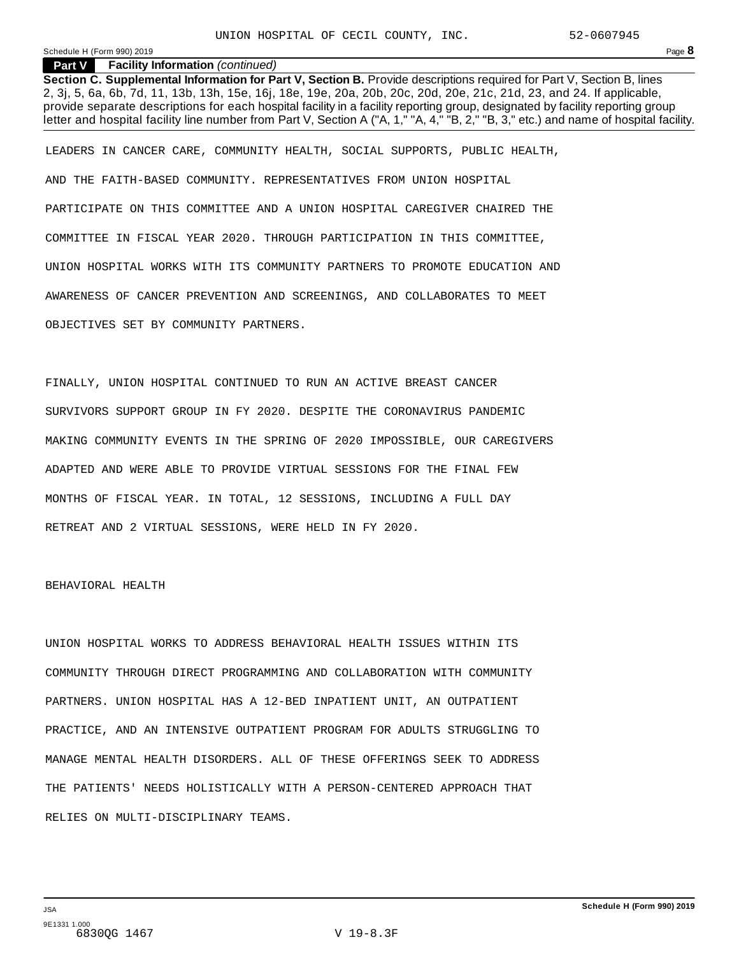#### **Part V Facility Information** *(continued)*

**Section C. Supplemental Information for Part V, Section B.** Provide descriptions required for Part V, Section B, lines 2, 3j, 5, 6a, 6b, 7d, 11, 13b, 13h, 15e, 16j, 18e, 19e, 20a, 20b, 20c, 20d, 20e, 21c, 21d, 23, and 24. If applicable, provide separate descriptions for each hospital facility in a facility reporting group, designated by facility reporting group letter and hospital facility line number from Part V, Section A ("A, 1," "A, 4," "B, 2," "B, 3," etc.) and name of hospital facility. LEADERS IN CANCER CARE, COMMUNITY HEALTH, SOCIAL SUPPORTS, PUBLIC HEALTH, AND THE FAITH-BASED COMMUNITY. REPRESENTATIVES FROM UNION HOSPITAL PARTICIPATE ON THIS COMMITTEE AND A UNION HOSPITAL CAREGIVER CHAIRED THE COMMITTEE IN FISCAL YEAR 2020. THROUGH PARTICIPATION IN THIS COMMITTEE, UNION HOSPITAL WORKS WITH ITS COMMUNITY PARTNERS TO PROMOTE EDUCATION AND AWARENESS OF CANCER PREVENTION AND SCREENINGS, AND COLLABORATES TO MEET OBJECTIVES SET BY COMMUNITY PARTNERS.

FINALLY, UNION HOSPITAL CONTINUED TO RUN AN ACTIVE BREAST CANCER SURVIVORS SUPPORT GROUP IN FY 2020. DESPITE THE CORONAVIRUS PANDEMIC MAKING COMMUNITY EVENTS IN THE SPRING OF 2020 IMPOSSIBLE, OUR CAREGIVERS ADAPTED AND WERE ABLE TO PROVIDE VIRTUAL SESSIONS FOR THE FINAL FEW MONTHS OF FISCAL YEAR. IN TOTAL, 12 SESSIONS, INCLUDING A FULL DAY RETREAT AND 2 VIRTUAL SESSIONS, WERE HELD IN FY 2020.

## BEHAVIORAL HEALTH

UNION HOSPITAL WORKS TO ADDRESS BEHAVIORAL HEALTH ISSUES WITHIN ITS COMMUNITY THROUGH DIRECT PROGRAMMING AND COLLABORATION WITH COMMUNITY PARTNERS. UNION HOSPITAL HAS A 12-BED INPATIENT UNIT, AN OUTPATIENT PRACTICE, AND AN INTENSIVE OUTPATIENT PROGRAM FOR ADULTS STRUGGLING TO MANAGE MENTAL HEALTH DISORDERS. ALL OF THESE OFFERINGS SEEK TO ADDRESS THE PATIENTS' NEEDS HOLISTICALLY WITH A PERSON-CENTERED APPROACH THAT RELIES ON MULTI-DISCIPLINARY TEAMS.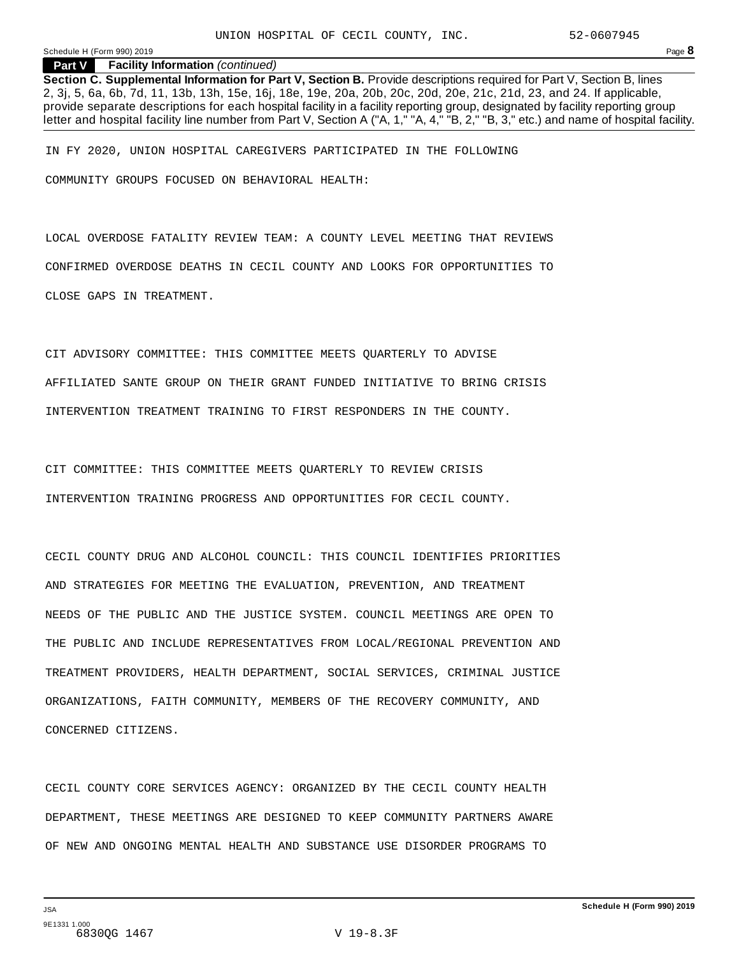**Part V Facility Information** *(continued)*

**Section C. Supplemental Information for Part V, Section B.** Provide descriptions required for Part V, Section B, lines 2, 3j, 5, 6a, 6b, 7d, 11, 13b, 13h, 15e, 16j, 18e, 19e, 20a, 20b, 20c, 20d, 20e, 21c, 21d, 23, and 24. If applicable, provide separate descriptions for each hospital facility in a facility reporting group, designated by facility reporting group letter and hospital facility line number from Part V, Section A ("A, 1," "A, 4," "B, 2," "B, 3," etc.) and name of hospital facility.

IN FY 2020, UNION HOSPITAL CAREGIVERS PARTICIPATED IN THE FOLLOWING COMMUNITY GROUPS FOCUSED ON BEHAVIORAL HEALTH:

LOCAL OVERDOSE FATALITY REVIEW TEAM: A COUNTY LEVEL MEETING THAT REVIEWS CONFIRMED OVERDOSE DEATHS IN CECIL COUNTY AND LOOKS FOR OPPORTUNITIES TO CLOSE GAPS IN TREATMENT.

CIT ADVISORY COMMITTEE: THIS COMMITTEE MEETS QUARTERLY TO ADVISE AFFILIATED SANTE GROUP ON THEIR GRANT FUNDED INITIATIVE TO BRING CRISIS INTERVENTION TREATMENT TRAINING TO FIRST RESPONDERS IN THE COUNTY.

CIT COMMITTEE: THIS COMMITTEE MEETS QUARTERLY TO REVIEW CRISIS INTERVENTION TRAINING PROGRESS AND OPPORTUNITIES FOR CECIL COUNTY.

CECIL COUNTY DRUG AND ALCOHOL COUNCIL: THIS COUNCIL IDENTIFIES PRIORITIES AND STRATEGIES FOR MEETING THE EVALUATION, PREVENTION, AND TREATMENT NEEDS OF THE PUBLIC AND THE JUSTICE SYSTEM. COUNCIL MEETINGS ARE OPEN TO THE PUBLIC AND INCLUDE REPRESENTATIVES FROM LOCAL/REGIONAL PREVENTION AND TREATMENT PROVIDERS, HEALTH DEPARTMENT, SOCIAL SERVICES, CRIMINAL JUSTICE ORGANIZATIONS, FAITH COMMUNITY, MEMBERS OF THE RECOVERY COMMUNITY, AND CONCERNED CITIZENS.

CECIL COUNTY CORE SERVICES AGENCY: ORGANIZED BY THE CECIL COUNTY HEALTH DEPARTMENT, THESE MEETINGS ARE DESIGNED TO KEEP COMMUNITY PARTNERS AWARE OF NEW AND ONGOING MENTAL HEALTH AND SUBSTANCE USE DISORDER PROGRAMS TO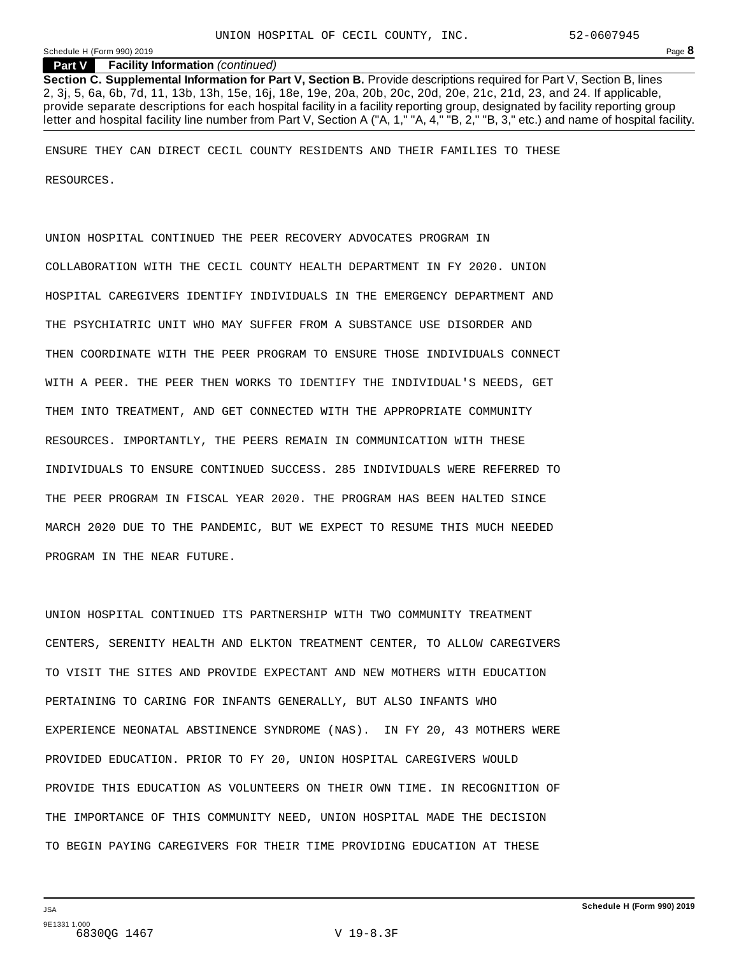**Part V Facility Information** *(continued)*

**Section C. Supplemental Information for Part V, Section B.** Provide descriptions required for Part V, Section B, lines 2, 3j, 5, 6a, 6b, 7d, 11, 13b, 13h, 15e, 16j, 18e, 19e, 20a, 20b, 20c, 20d, 20e, 21c, 21d, 23, and 24. If applicable, provide separate descriptions for each hospital facility in a facility reporting group, designated by facility reporting group letter and hospital facility line number from Part V, Section A ("A, 1," "A, 4," "B, 2," "B, 3," etc.) and name of hospital facility.

ENSURE THEY CAN DIRECT CECIL COUNTY RESIDENTS AND THEIR FAMILIES TO THESE

RESOURCES.

UNION HOSPITAL CONTINUED THE PEER RECOVERY ADVOCATES PROGRAM IN COLLABORATION WITH THE CECIL COUNTY HEALTH DEPARTMENT IN FY 2020. UNION HOSPITAL CAREGIVERS IDENTIFY INDIVIDUALS IN THE EMERGENCY DEPARTMENT AND THE PSYCHIATRIC UNIT WHO MAY SUFFER FROM A SUBSTANCE USE DISORDER AND THEN COORDINATE WITH THE PEER PROGRAM TO ENSURE THOSE INDIVIDUALS CONNECT WITH A PEER. THE PEER THEN WORKS TO IDENTIFY THE INDIVIDUAL'S NEEDS, GET THEM INTO TREATMENT, AND GET CONNECTED WITH THE APPROPRIATE COMMUNITY RESOURCES. IMPORTANTLY, THE PEERS REMAIN IN COMMUNICATION WITH THESE INDIVIDUALS TO ENSURE CONTINUED SUCCESS. 285 INDIVIDUALS WERE REFERRED TO THE PEER PROGRAM IN FISCAL YEAR 2020. THE PROGRAM HAS BEEN HALTED SINCE MARCH 2020 DUE TO THE PANDEMIC, BUT WE EXPECT TO RESUME THIS MUCH NEEDED PROGRAM IN THE NEAR FUTURE.

UNION HOSPITAL CONTINUED ITS PARTNERSHIP WITH TWO COMMUNITY TREATMENT CENTERS, SERENITY HEALTH AND ELKTON TREATMENT CENTER, TO ALLOW CAREGIVERS TO VISIT THE SITES AND PROVIDE EXPECTANT AND NEW MOTHERS WITH EDUCATION PERTAINING TO CARING FOR INFANTS GENERALLY, BUT ALSO INFANTS WHO EXPERIENCE NEONATAL ABSTINENCE SYNDROME (NAS). IN FY 20, 43 MOTHERS WERE PROVIDED EDUCATION. PRIOR TO FY 20, UNION HOSPITAL CAREGIVERS WOULD PROVIDE THIS EDUCATION AS VOLUNTEERS ON THEIR OWN TIME. IN RECOGNITION OF THE IMPORTANCE OF THIS COMMUNITY NEED, UNION HOSPITAL MADE THE DECISION TO BEGIN PAYING CAREGIVERS FOR THEIR TIME PROVIDING EDUCATION AT THESE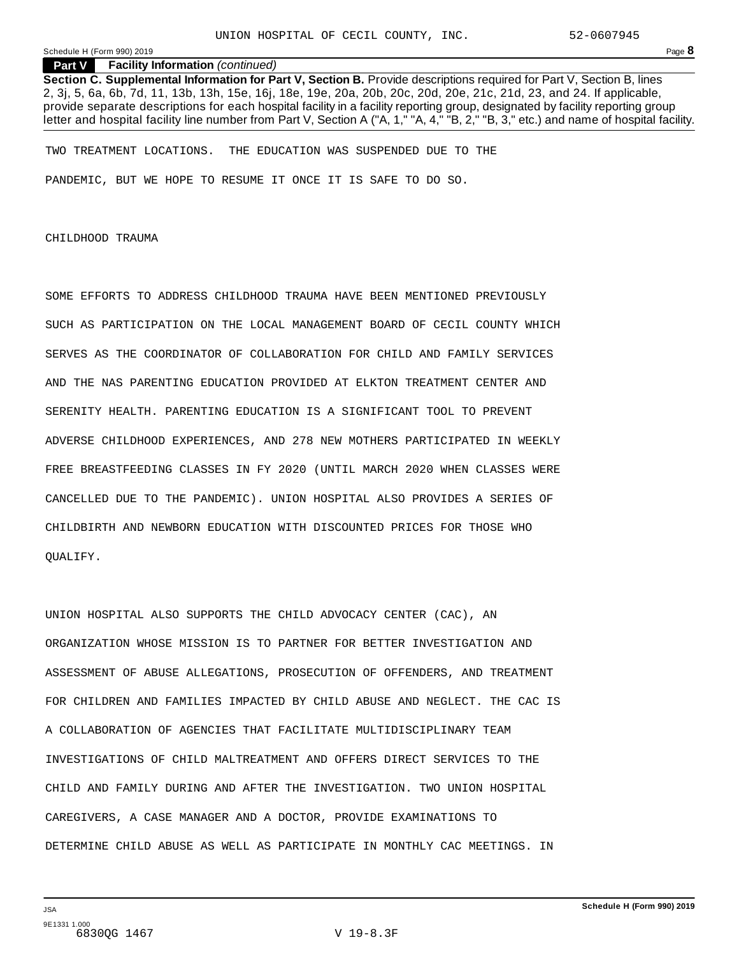**Part V Facility Information** *(continued)*

**Section C. Supplemental Information for Part V, Section B.** Provide descriptions required for Part V, Section B, lines 2, 3j, 5, 6a, 6b, 7d, 11, 13b, 13h, 15e, 16j, 18e, 19e, 20a, 20b, 20c, 20d, 20e, 21c, 21d, 23, and 24. If applicable, provide separate descriptions for each hospital facility in a facility reporting group, designated by facility reporting group letter and hospital facility line number from Part V, Section A ("A, 1," "A, 4," "B, 2," "B, 3," etc.) and name of hospital facility.

TWO TREATMENT LOCATIONS. THE EDUCATION WAS SUSPENDED DUE TO THE PANDEMIC, BUT WE HOPE TO RESUME IT ONCE IT IS SAFE TO DO SO.

CHILDHOOD TRAUMA

SOME EFFORTS TO ADDRESS CHILDHOOD TRAUMA HAVE BEEN MENTIONED PREVIOUSLY SUCH AS PARTICIPATION ON THE LOCAL MANAGEMENT BOARD OF CECIL COUNTY WHICH SERVES AS THE COORDINATOR OF COLLABORATION FOR CHILD AND FAMILY SERVICES AND THE NAS PARENTING EDUCATION PROVIDED AT ELKTON TREATMENT CENTER AND SERENITY HEALTH. PARENTING EDUCATION IS A SIGNIFICANT TOOL TO PREVENT ADVERSE CHILDHOOD EXPERIENCES, AND 278 NEW MOTHERS PARTICIPATED IN WEEKLY FREE BREASTFEEDING CLASSES IN FY 2020 (UNTIL MARCH 2020 WHEN CLASSES WERE CANCELLED DUE TO THE PANDEMIC). UNION HOSPITAL ALSO PROVIDES A SERIES OF CHILDBIRTH AND NEWBORN EDUCATION WITH DISCOUNTED PRICES FOR THOSE WHO QUALIFY.

UNION HOSPITAL ALSO SUPPORTS THE CHILD ADVOCACY CENTER (CAC), AN ORGANIZATION WHOSE MISSION IS TO PARTNER FOR BETTER INVESTIGATION AND ASSESSMENT OF ABUSE ALLEGATIONS, PROSECUTION OF OFFENDERS, AND TREATMENT FOR CHILDREN AND FAMILIES IMPACTED BY CHILD ABUSE AND NEGLECT. THE CAC IS A COLLABORATION OF AGENCIES THAT FACILITATE MULTIDISCIPLINARY TEAM INVESTIGATIONS OF CHILD MALTREATMENT AND OFFERS DIRECT SERVICES TO THE CHILD AND FAMILY DURING AND AFTER THE INVESTIGATION. TWO UNION HOSPITAL CAREGIVERS, A CASE MANAGER AND A DOCTOR, PROVIDE EXAMINATIONS TO DETERMINE CHILD ABUSE AS WELL AS PARTICIPATE IN MONTHLY CAC MEETINGS. IN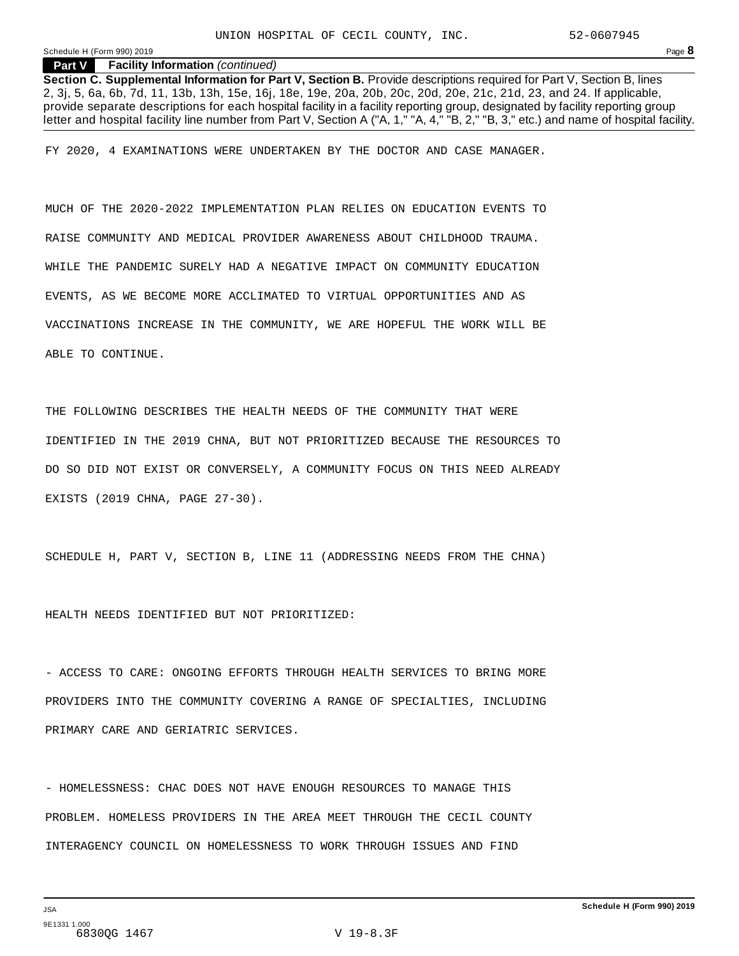#### **Part V Facility Information** *(continued)*

**Section C. Supplemental Information for Part V, Section B.** Provide descriptions required for Part V, Section B, lines 2, 3j, 5, 6a, 6b, 7d, 11, 13b, 13h, 15e, 16j, 18e, 19e, 20a, 20b, 20c, 20d, 20e, 21c, 21d, 23, and 24. If applicable, provide separate descriptions for each hospital facility in a facility reporting group, designated by facility reporting group letter and hospital facility line number from Part V, Section A ("A, 1," "A, 4," "B, 2," "B, 3," etc.) and name of hospital facility.

FY 2020, 4 EXAMINATIONS WERE UNDERTAKEN BY THE DOCTOR AND CASE MANAGER.

MUCH OF THE 2020-2022 IMPLEMENTATION PLAN RELIES ON EDUCATION EVENTS TO RAISE COMMUNITY AND MEDICAL PROVIDER AWARENESS ABOUT CHILDHOOD TRAUMA. WHILE THE PANDEMIC SURELY HAD A NEGATIVE IMPACT ON COMMUNITY EDUCATION EVENTS, AS WE BECOME MORE ACCLIMATED TO VIRTUAL OPPORTUNITIES AND AS VACCINATIONS INCREASE IN THE COMMUNITY, WE ARE HOPEFUL THE WORK WILL BE ABLE TO CONTINUE.

THE FOLLOWING DESCRIBES THE HEALTH NEEDS OF THE COMMUNITY THAT WERE IDENTIFIED IN THE 2019 CHNA, BUT NOT PRIORITIZED BECAUSE THE RESOURCES TO DO SO DID NOT EXIST OR CONVERSELY, A COMMUNITY FOCUS ON THIS NEED ALREADY EXISTS (2019 CHNA, PAGE 27-30).

SCHEDULE H, PART V, SECTION B, LINE 11 (ADDRESSING NEEDS FROM THE CHNA)

HEALTH NEEDS IDENTIFIED BUT NOT PRIORITIZED:

- ACCESS TO CARE: ONGOING EFFORTS THROUGH HEALTH SERVICES TO BRING MORE PROVIDERS INTO THE COMMUNITY COVERING A RANGE OF SPECIALTIES, INCLUDING PRIMARY CARE AND GERIATRIC SERVICES.

- HOMELESSNESS: CHAC DOES NOT HAVE ENOUGH RESOURCES TO MANAGE THIS PROBLEM. HOMELESS PROVIDERS IN THE AREA MEET THROUGH THE CECIL COUNTY INTERAGENCY COUNCIL ON HOMELESSNESS TO WORK THROUGH ISSUES AND FIND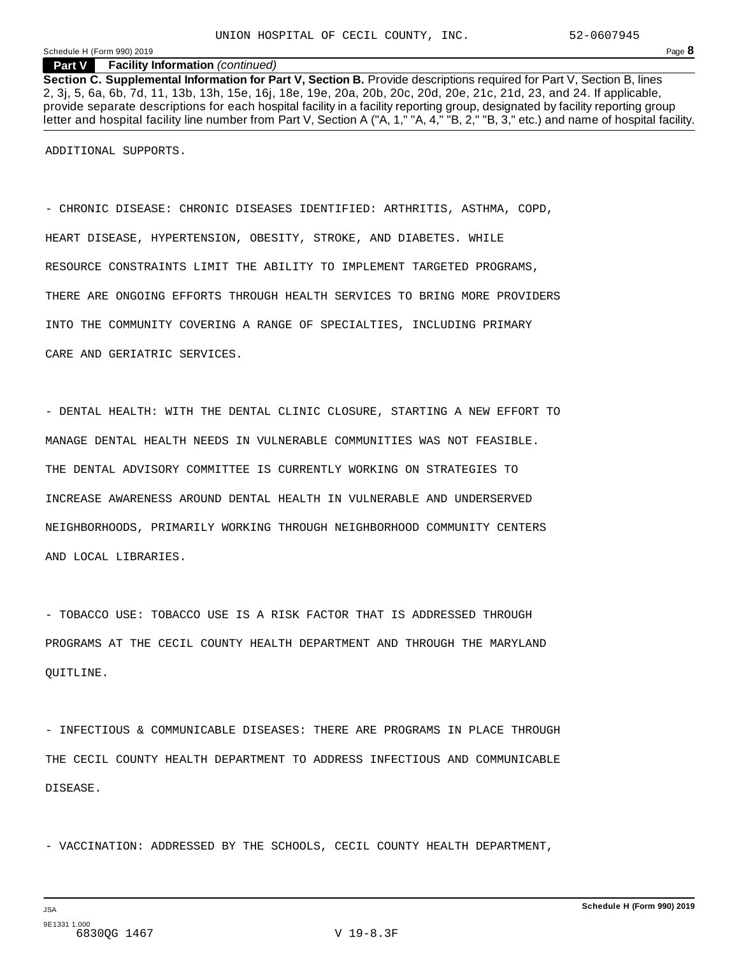#### **Part V Facility Information** *(continued)*

**Section C. Supplemental Information for Part V, Section B.** Provide descriptions required for Part V, Section B, lines 2, 3j, 5, 6a, 6b, 7d, 11, 13b, 13h, 15e, 16j, 18e, 19e, 20a, 20b, 20c, 20d, 20e, 21c, 21d, 23, and 24. If applicable, provide separate descriptions for each hospital facility in a facility reporting group, designated by facility reporting group letter and hospital facility line number from Part V, Section A ("A, 1," "A, 4," "B, 2," "B, 3," etc.) and name of hospital facility.

ADDITIONAL SUPPORTS.

- CHRONIC DISEASE: CHRONIC DISEASES IDENTIFIED: ARTHRITIS, ASTHMA, COPD, HEART DISEASE, HYPERTENSION, OBESITY, STROKE, AND DIABETES. WHILE RESOURCE CONSTRAINTS LIMIT THE ABILITY TO IMPLEMENT TARGETED PROGRAMS, THERE ARE ONGOING EFFORTS THROUGH HEALTH SERVICES TO BRING MORE PROVIDERS INTO THE COMMUNITY COVERING A RANGE OF SPECIALTIES, INCLUDING PRIMARY CARE AND GERIATRIC SERVICES.

- DENTAL HEALTH: WITH THE DENTAL CLINIC CLOSURE, STARTING A NEW EFFORT TO MANAGE DENTAL HEALTH NEEDS IN VULNERABLE COMMUNITIES WAS NOT FEASIBLE. THE DENTAL ADVISORY COMMITTEE IS CURRENTLY WORKING ON STRATEGIES TO INCREASE AWARENESS AROUND DENTAL HEALTH IN VULNERABLE AND UNDERSERVED NEIGHBORHOODS, PRIMARILY WORKING THROUGH NEIGHBORHOOD COMMUNITY CENTERS AND LOCAL LIBRARIES.

- TOBACCO USE: TOBACCO USE IS A RISK FACTOR THAT IS ADDRESSED THROUGH PROGRAMS AT THE CECIL COUNTY HEALTH DEPARTMENT AND THROUGH THE MARYLAND QUITLINE.

- INFECTIOUS & COMMUNICABLE DISEASES: THERE ARE PROGRAMS IN PLACE THROUGH THE CECIL COUNTY HEALTH DEPARTMENT TO ADDRESS INFECTIOUS AND COMMUNICABLE DISEASE.

- VACCINATION: ADDRESSED BY THE SCHOOLS, CECIL COUNTY HEALTH DEPARTMENT,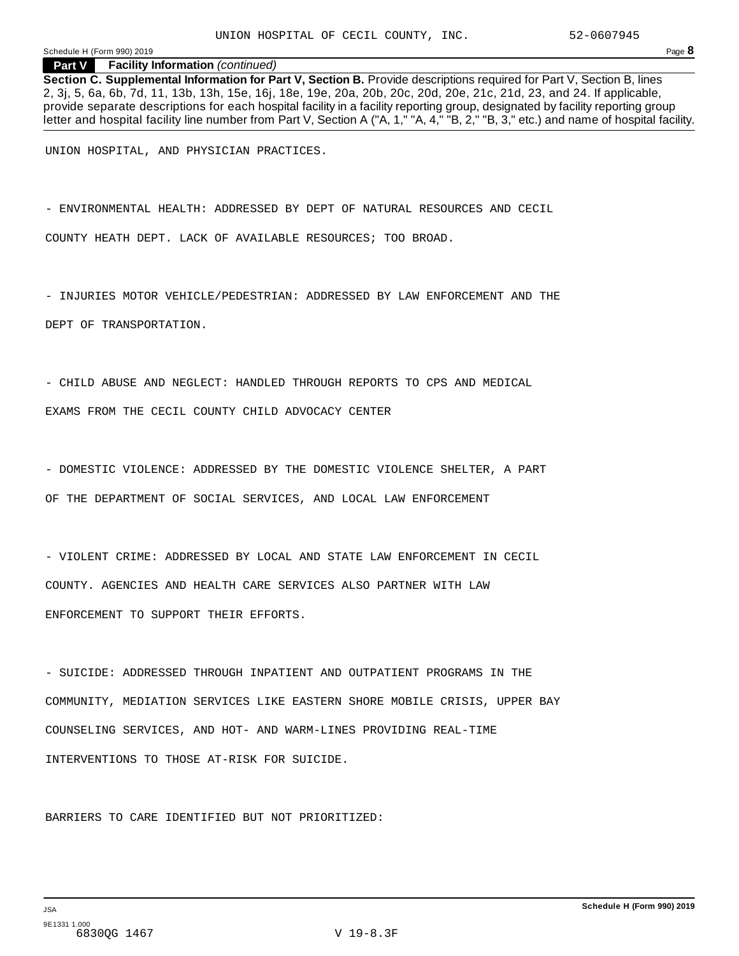#### **Part V Facility Information** *(continued)*

**Section C. Supplemental Information for Part V, Section B.** Provide descriptions required for Part V, Section B, lines 2, 3j, 5, 6a, 6b, 7d, 11, 13b, 13h, 15e, 16j, 18e, 19e, 20a, 20b, 20c, 20d, 20e, 21c, 21d, 23, and 24. If applicable, provide separate descriptions for each hospital facility in a facility reporting group, designated by facility reporting group letter and hospital facility line number from Part V, Section A ("A, 1," "A, 4," "B, 2," "B, 3," etc.) and name of hospital facility.

UNION HOSPITAL, AND PHYSICIAN PRACTICES.

- ENVIRONMENTAL HEALTH: ADDRESSED BY DEPT OF NATURAL RESOURCES AND CECIL

COUNTY HEATH DEPT. LACK OF AVAILABLE RESOURCES; TOO BROAD.

- INJURIES MOTOR VEHICLE/PEDESTRIAN: ADDRESSED BY LAW ENFORCEMENT AND THE

DEPT OF TRANSPORTATION.

- CHILD ABUSE AND NEGLECT: HANDLED THROUGH REPORTS TO CPS AND MEDICAL EXAMS FROM THE CECIL COUNTY CHILD ADVOCACY CENTER

- DOMESTIC VIOLENCE: ADDRESSED BY THE DOMESTIC VIOLENCE SHELTER, A PART OF THE DEPARTMENT OF SOCIAL SERVICES, AND LOCAL LAW ENFORCEMENT

- VIOLENT CRIME: ADDRESSED BY LOCAL AND STATE LAW ENFORCEMENT IN CECIL COUNTY. AGENCIES AND HEALTH CARE SERVICES ALSO PARTNER WITH LAW ENFORCEMENT TO SUPPORT THEIR EFFORTS.

- SUICIDE: ADDRESSED THROUGH INPATIENT AND OUTPATIENT PROGRAMS IN THE COMMUNITY, MEDIATION SERVICES LIKE EASTERN SHORE MOBILE CRISIS, UPPER BAY COUNSELING SERVICES, AND HOT- AND WARM-LINES PROVIDING REAL-TIME INTERVENTIONS TO THOSE AT-RISK FOR SUICIDE.

BARRIERS TO CARE IDENTIFIED BUT NOT PRIORITIZED: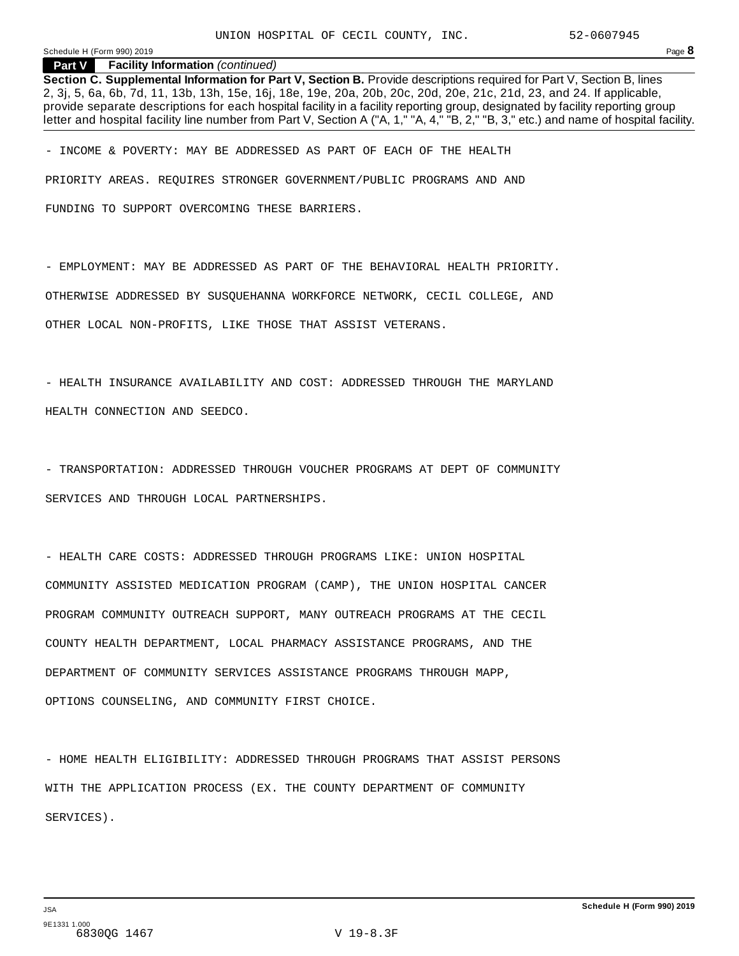## **Part V Facility Information** *(continued)*

**Section C. Supplemental Information for Part V, Section B.** Provide descriptions required for Part V, Section B, lines 2, 3j, 5, 6a, 6b, 7d, 11, 13b, 13h, 15e, 16j, 18e, 19e, 20a, 20b, 20c, 20d, 20e, 21c, 21d, 23, and 24. If applicable, provide separate descriptions for each hospital facility in a facility reporting group, designated by facility reporting group letter and hospital facility line number from Part V, Section A ("A, 1," "A, 4," "B, 2," "B, 3," etc.) and name of hospital facility.

- INCOME & POVERTY: MAY BE ADDRESSED AS PART OF EACH OF THE HEALTH PRIORITY AREAS. REQUIRES STRONGER GOVERNMENT/PUBLIC PROGRAMS AND AND FUNDING TO SUPPORT OVERCOMING THESE BARRIERS.

- EMPLOYMENT: MAY BE ADDRESSED AS PART OF THE BEHAVIORAL HEALTH PRIORITY. OTHERWISE ADDRESSED BY SUSQUEHANNA WORKFORCE NETWORK, CECIL COLLEGE, AND OTHER LOCAL NON-PROFITS, LIKE THOSE THAT ASSIST VETERANS.

- HEALTH INSURANCE AVAILABILITY AND COST: ADDRESSED THROUGH THE MARYLAND HEALTH CONNECTION AND SEEDCO.

- TRANSPORTATION: ADDRESSED THROUGH VOUCHER PROGRAMS AT DEPT OF COMMUNITY SERVICES AND THROUGH LOCAL PARTNERSHIPS.

- HEALTH CARE COSTS: ADDRESSED THROUGH PROGRAMS LIKE: UNION HOSPITAL COMMUNITY ASSISTED MEDICATION PROGRAM (CAMP), THE UNION HOSPITAL CANCER PROGRAM COMMUNITY OUTREACH SUPPORT, MANY OUTREACH PROGRAMS AT THE CECIL COUNTY HEALTH DEPARTMENT, LOCAL PHARMACY ASSISTANCE PROGRAMS, AND THE DEPARTMENT OF COMMUNITY SERVICES ASSISTANCE PROGRAMS THROUGH MAPP, OPTIONS COUNSELING, AND COMMUNITY FIRST CHOICE.

- HOME HEALTH ELIGIBILITY: ADDRESSED THROUGH PROGRAMS THAT ASSIST PERSONS WITH THE APPLICATION PROCESS (EX. THE COUNTY DEPARTMENT OF COMMUNITY SERVICES).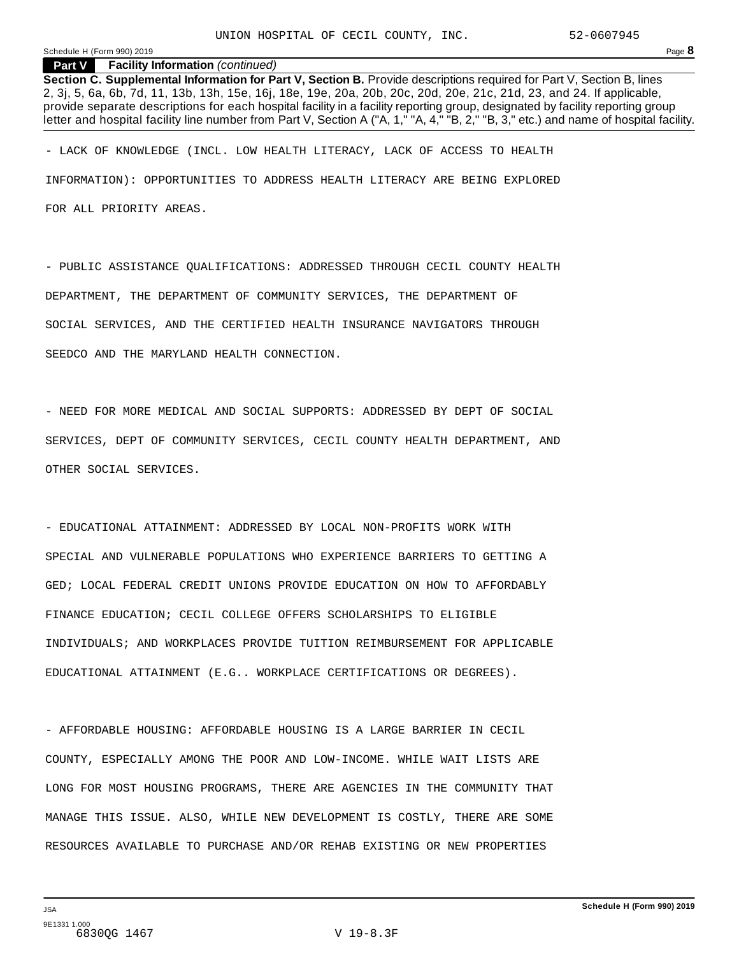#### **Part V Facility Information** *(continued)*

**Section C. Supplemental Information for Part V, Section B.** Provide descriptions required for Part V, Section B, lines 2, 3j, 5, 6a, 6b, 7d, 11, 13b, 13h, 15e, 16j, 18e, 19e, 20a, 20b, 20c, 20d, 20e, 21c, 21d, 23, and 24. If applicable, provide separate descriptions for each hospital facility in a facility reporting group, designated by facility reporting group letter and hospital facility line number from Part V, Section A ("A, 1," "A, 4," "B, 2," "B, 3," etc.) and name of hospital facility.

- LACK OF KNOWLEDGE (INCL. LOW HEALTH LITERACY, LACK OF ACCESS TO HEALTH INFORMATION): OPPORTUNITIES TO ADDRESS HEALTH LITERACY ARE BEING EXPLORED FOR ALL PRIORITY AREAS.

- PUBLIC ASSISTANCE QUALIFICATIONS: ADDRESSED THROUGH CECIL COUNTY HEALTH DEPARTMENT, THE DEPARTMENT OF COMMUNITY SERVICES, THE DEPARTMENT OF SOCIAL SERVICES, AND THE CERTIFIED HEALTH INSURANCE NAVIGATORS THROUGH SEEDCO AND THE MARYLAND HEALTH CONNECTION.

- NEED FOR MORE MEDICAL AND SOCIAL SUPPORTS: ADDRESSED BY DEPT OF SOCIAL SERVICES, DEPT OF COMMUNITY SERVICES, CECIL COUNTY HEALTH DEPARTMENT, AND OTHER SOCIAL SERVICES.

- EDUCATIONAL ATTAINMENT: ADDRESSED BY LOCAL NON-PROFITS WORK WITH SPECIAL AND VULNERABLE POPULATIONS WHO EXPERIENCE BARRIERS TO GETTING A GED; LOCAL FEDERAL CREDIT UNIONS PROVIDE EDUCATION ON HOW TO AFFORDABLY FINANCE EDUCATION; CECIL COLLEGE OFFERS SCHOLARSHIPS TO ELIGIBLE INDIVIDUALS; AND WORKPLACES PROVIDE TUITION REIMBURSEMENT FOR APPLICABLE EDUCATIONAL ATTAINMENT (E.G.. WORKPLACE CERTIFICATIONS OR DEGREES).

- AFFORDABLE HOUSING: AFFORDABLE HOUSING IS A LARGE BARRIER IN CECIL COUNTY, ESPECIALLY AMONG THE POOR AND LOW-INCOME. WHILE WAIT LISTS ARE LONG FOR MOST HOUSING PROGRAMS, THERE ARE AGENCIES IN THE COMMUNITY THAT MANAGE THIS ISSUE. ALSO, WHILE NEW DEVELOPMENT IS COSTLY, THERE ARE SOME RESOURCES AVAILABLE TO PURCHASE AND/OR REHAB EXISTING OR NEW PROPERTIES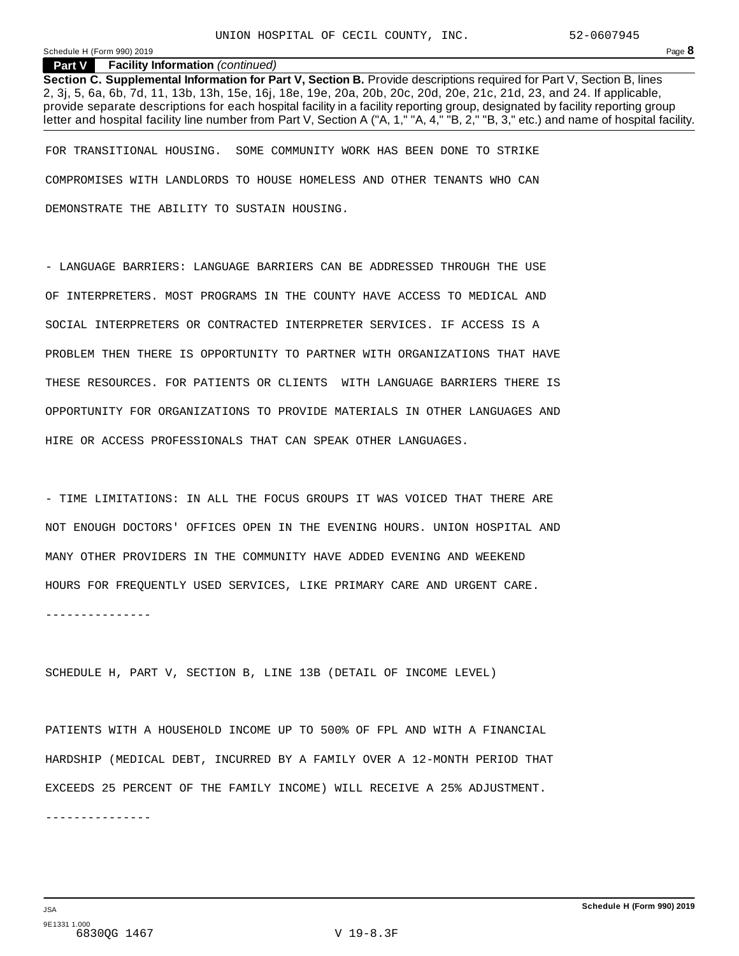#### **Part V Facility Information** *(continued)*

**Section C. Supplemental Information for Part V, Section B.** Provide descriptions required for Part V, Section B, lines 2, 3j, 5, 6a, 6b, 7d, 11, 13b, 13h, 15e, 16j, 18e, 19e, 20a, 20b, 20c, 20d, 20e, 21c, 21d, 23, and 24. If applicable, provide separate descriptions for each hospital facility in a facility reporting group, designated by facility reporting group letter and hospital facility line number from Part V, Section A ("A, 1," "A, 4," "B, 2," "B, 3," etc.) and name of hospital facility. FOR TRANSITIONAL HOUSING. SOME COMMUNITY WORK HAS BEEN DONE TO STRIKE

COMPROMISES WITH LANDLORDS TO HOUSE HOMELESS AND OTHER TENANTS WHO CAN DEMONSTRATE THE ABILITY TO SUSTAIN HOUSING.

- LANGUAGE BARRIERS: LANGUAGE BARRIERS CAN BE ADDRESSED THROUGH THE USE OF INTERPRETERS. MOST PROGRAMS IN THE COUNTY HAVE ACCESS TO MEDICAL AND SOCIAL INTERPRETERS OR CONTRACTED INTERPRETER SERVICES. IF ACCESS IS A PROBLEM THEN THERE IS OPPORTUNITY TO PARTNER WITH ORGANIZATIONS THAT HAVE THESE RESOURCES. FOR PATIENTS OR CLIENTS WITH LANGUAGE BARRIERS THERE IS OPPORTUNITY FOR ORGANIZATIONS TO PROVIDE MATERIALS IN OTHER LANGUAGES AND HIRE OR ACCESS PROFESSIONALS THAT CAN SPEAK OTHER LANGUAGES.

- TIME LIMITATIONS: IN ALL THE FOCUS GROUPS IT WAS VOICED THAT THERE ARE NOT ENOUGH DOCTORS' OFFICES OPEN IN THE EVENING HOURS. UNION HOSPITAL AND MANY OTHER PROVIDERS IN THE COMMUNITY HAVE ADDED EVENING AND WEEKEND HOURS FOR FREQUENTLY USED SERVICES, LIKE PRIMARY CARE AND URGENT CARE. ---------------

SCHEDULE H, PART V, SECTION B, LINE 13B (DETAIL OF INCOME LEVEL)

PATIENTS WITH A HOUSEHOLD INCOME UP TO 500% OF FPL AND WITH A FINANCIAL HARDSHIP (MEDICAL DEBT, INCURRED BY A FAMILY OVER A 12-MONTH PERIOD THAT EXCEEDS 25 PERCENT OF THE FAMILY INCOME) WILL RECEIVE A 25% ADJUSTMENT. ---------------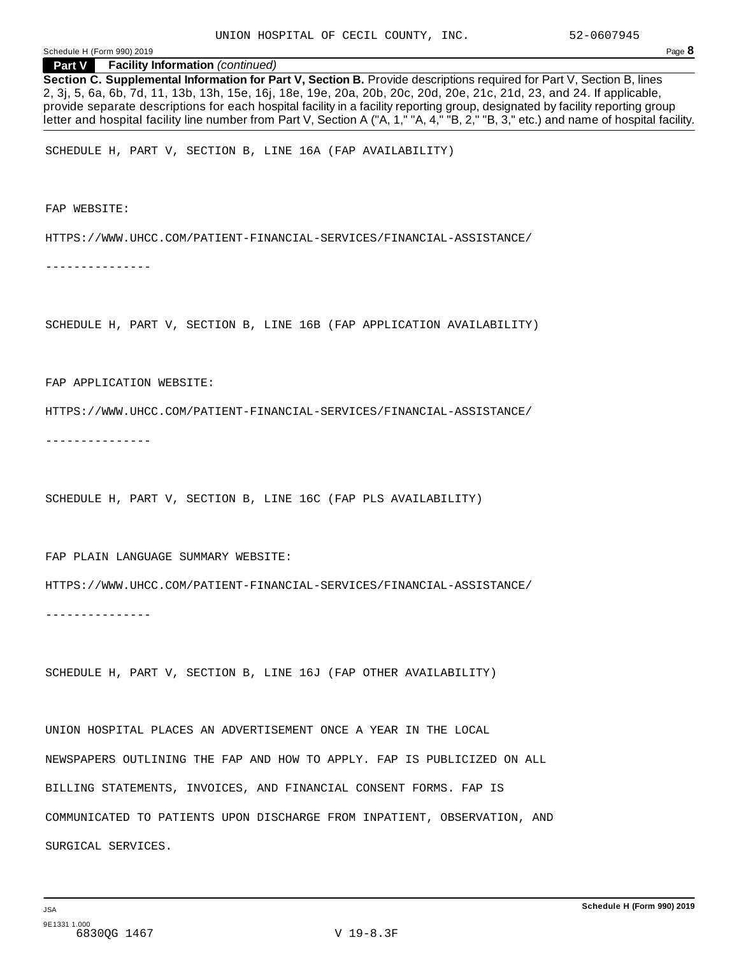**Part V Facility Information** *(continued)*

**Section C. Supplemental Information for Part V, Section B.** Provide descriptions required for Part V, Section B, lines 2, 3j, 5, 6a, 6b, 7d, 11, 13b, 13h, 15e, 16j, 18e, 19e, 20a, 20b, 20c, 20d, 20e, 21c, 21d, 23, and 24. If applicable, provide separate descriptions for each hospital facility in a facility reporting group, designated by facility reporting group letter and hospital facility line number from Part V, Section A ("A, 1," "A, 4," "B, 2," "B, 3," etc.) and name of hospital facility.

SCHEDULE H, PART V, SECTION B, LINE 16A (FAP AVAILABILITY)

FAP WEBSITE:

HTTPS://WWW.UHCC.COM/PATIENT-FINANCIAL-SERVICES/FINANCIAL-ASSISTANCE/

---------------

SCHEDULE H, PART V, SECTION B, LINE 16B (FAP APPLICATION AVAILABILITY)

FAP APPLICATION WEBSITE:

HTTPS://WWW.UHCC.COM/PATIENT-FINANCIAL-SERVICES/FINANCIAL-ASSISTANCE/

---------------

SCHEDULE H, PART V, SECTION B, LINE 16C (FAP PLS AVAILABILITY)

FAP PLAIN LANGUAGE SUMMARY WEBSITE:

HTTPS://WWW.UHCC.COM/PATIENT-FINANCIAL-SERVICES/FINANCIAL-ASSISTANCE/

---------------

SCHEDULE H, PART V, SECTION B, LINE 16J (FAP OTHER AVAILABILITY)

UNION HOSPITAL PLACES AN ADVERTISEMENT ONCE A YEAR IN THE LOCAL NEWSPAPERS OUTLINING THE FAP AND HOW TO APPLY. FAP IS PUBLICIZED ON ALL BILLING STATEMENTS, INVOICES, AND FINANCIAL CONSENT FORMS. FAP IS COMMUNICATED TO PATIENTS UPON DISCHARGE FROM INPATIENT, OBSERVATION, AND SURGICAL SERVICES.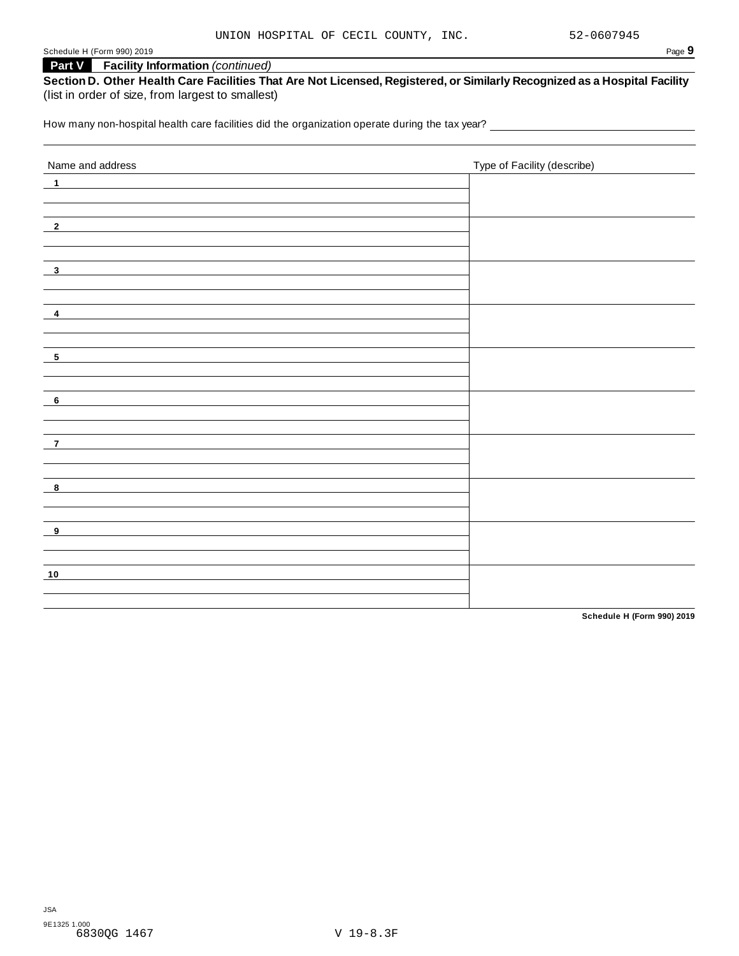## **Part V Facility Information** *(continued)*

Section D. Other Health Care Facilities That Are Not Licensed, Registered, or Similarly Recognized as a Hospital Facility (list in order of size, from largest to smallest)

How many non-hospital health care facilities did the organization operate during the tax year? \_\_\_\_\_\_\_\_\_\_\_\_\_\_\_\_\_\_\_\_\_

| Name and address           | Type of Facility (describe) |
|----------------------------|-----------------------------|
| $\blacksquare$             |                             |
|                            |                             |
|                            |                             |
| $\overline{\phantom{2}}^2$ |                             |
|                            |                             |
| $\overline{\phantom{0}3}$  |                             |
|                            |                             |
|                            |                             |
| $\overline{\mathbf{4}}$    |                             |
|                            |                             |
| $\overline{\phantom{0}}$   |                             |
|                            |                             |
|                            |                             |
| $\overline{\phantom{0}}$ 6 |                             |
|                            |                             |
| $\overline{\phantom{0}}$   |                             |
|                            |                             |
|                            |                             |
| $\overline{\mathbf{8}}$    |                             |
|                            |                             |
|                            |                             |
| $\overline{\phantom{a}}$   |                             |
|                            |                             |
| 10                         |                             |
|                            |                             |
|                            |                             |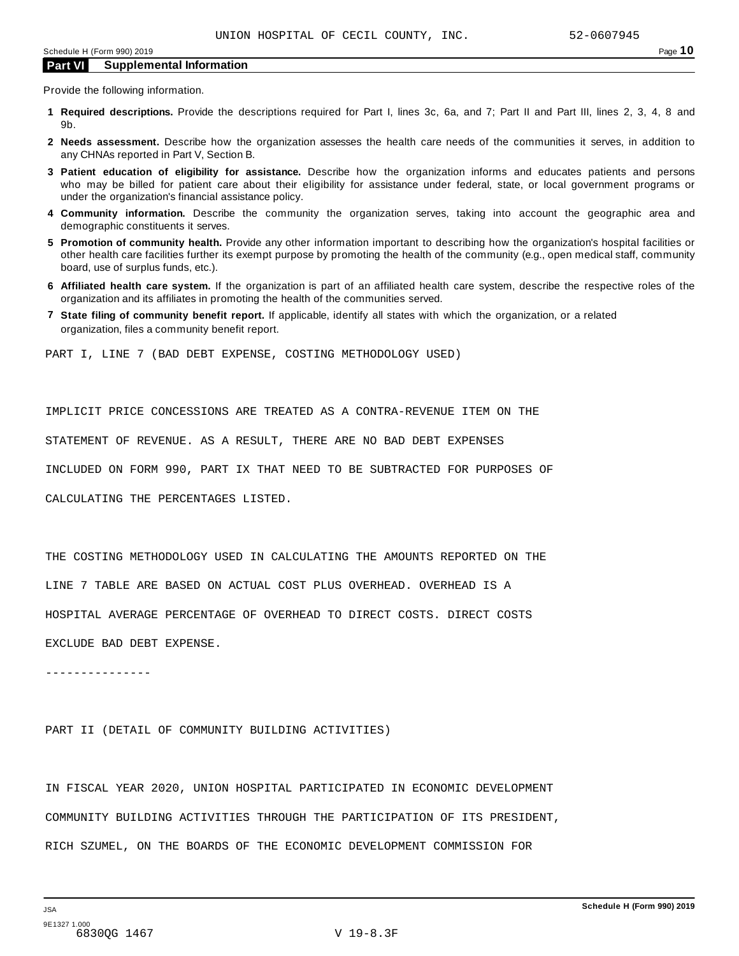Provide the following information.

- **1 Required descriptions.** Provide the descriptions required for Part I, lines 3c, 6a, and 7; Part II and Part III, lines 2, 3, 4, 8 and 9b.
- **2 Needs assessment.** Describe how the organization assesses the health care needs of the communities it serves, in addition to any CHNAs reported in Part V, Section B.
- **3 Patient education of eligibility for assistance.** Describe how the organization informs and educates patients and persons who may be billed for patient care about their eligibility for assistance under federal, state, or local government programs or under the organization's financial assistance policy.
- **4 Community information.** Describe the community the organization serves, taking into account the geographic area and demographic constituents it serves.
- **5 Promotion of community health.** Provide any other information important to describing how the organization's hospital facilities or other health care facilities further its exempt purpose by promoting the health of the community (e.g., open medical staff, community board, use of surplus funds, etc.).
- **6 Affiliated health care system.** If the organization is part of an affiliated health care system, describe the respective roles of the organization and its affiliates in promoting the health of the communities served.
- **7 State filing of community benefit report.** If applicable, identify all states with which the organization, or a related organization, files a community benefit report.

PART I, LINE 7 (BAD DEBT EXPENSE, COSTING METHODOLOGY USED)

IMPLICIT PRICE CONCESSIONS ARE TREATED AS A CONTRA-REVENUE ITEM ON THE STATEMENT OF REVENUE. AS A RESULT, THERE ARE NO BAD DEBT EXPENSES INCLUDED ON FORM 990, PART IX THAT NEED TO BE SUBTRACTED FOR PURPOSES OF CALCULATING THE PERCENTAGES LISTED.

THE COSTING METHODOLOGY USED IN CALCULATING THE AMOUNTS REPORTED ON THE LINE 7 TABLE ARE BASED ON ACTUAL COST PLUS OVERHEAD. OVERHEAD IS A HOSPITAL AVERAGE PERCENTAGE OF OVERHEAD TO DIRECT COSTS. DIRECT COSTS EXCLUDE BAD DEBT EXPENSE.

---------------

PART II (DETAIL OF COMMUNITY BUILDING ACTIVITIES)

IN FISCAL YEAR 2020, UNION HOSPITAL PARTICIPATED IN ECONOMIC DEVELOPMENT COMMUNITY BUILDING ACTIVITIES THROUGH THE PARTICIPATION OF ITS PRESIDENT, RICH SZUMEL, ON THE BOARDS OF THE ECONOMIC DEVELOPMENT COMMISSION FOR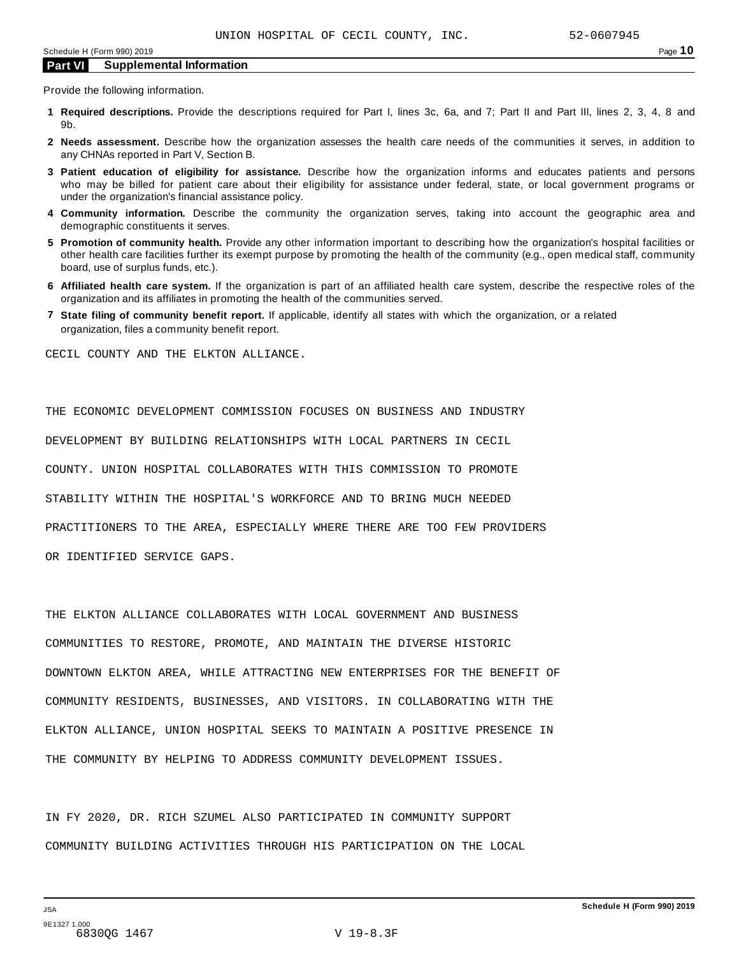Provide the following information.

- **1 Required descriptions.** Provide the descriptions required for Part I, lines 3c, 6a, and 7; Part II and Part III, lines 2, 3, 4, 8 and 9b.
- **2 Needs assessment.** Describe how the organization assesses the health care needs of the communities it serves, in addition to any CHNAs reported in Part V, Section B.
- **3 Patient education of eligibility for assistance.** Describe how the organization informs and educates patients and persons who may be billed for patient care about their eligibility for assistance under federal, state, or local government programs or under the organization's financial assistance policy.
- **4 Community information.** Describe the community the organization serves, taking into account the geographic area and demographic constituents it serves.
- **5 Promotion of community health.** Provide any other information important to describing how the organization's hospital facilities or other health care facilities further its exempt purpose by promoting the health of the community (e.g., open medical staff, community board, use of surplus funds, etc.).
- **6 Affiliated health care system.** If the organization is part of an affiliated health care system, describe the respective roles of the organization and its affiliates in promoting the health of the communities served.
- **7 State filing of community benefit report.** If applicable, identify all states with which the organization, or a related organization, files a community benefit report.

CECIL COUNTY AND THE ELKTON ALLIANCE.

THE ECONOMIC DEVELOPMENT COMMISSION FOCUSES ON BUSINESS AND INDUSTRY DEVELOPMENT BY BUILDING RELATIONSHIPS WITH LOCAL PARTNERS IN CECIL COUNTY. UNION HOSPITAL COLLABORATES WITH THIS COMMISSION TO PROMOTE STABILITY WITHIN THE HOSPITAL'S WORKFORCE AND TO BRING MUCH NEEDED PRACTITIONERS TO THE AREA, ESPECIALLY WHERE THERE ARE TOO FEW PROVIDERS OR IDENTIFIED SERVICE GAPS.

THE ELKTON ALLIANCE COLLABORATES WITH LOCAL GOVERNMENT AND BUSINESS COMMUNITIES TO RESTORE, PROMOTE, AND MAINTAIN THE DIVERSE HISTORIC DOWNTOWN ELKTON AREA, WHILE ATTRACTING NEW ENTERPRISES FOR THE BENEFIT OF COMMUNITY RESIDENTS, BUSINESSES, AND VISITORS. IN COLLABORATING WITH THE ELKTON ALLIANCE, UNION HOSPITAL SEEKS TO MAINTAIN A POSITIVE PRESENCE IN THE COMMUNITY BY HELPING TO ADDRESS COMMUNITY DEVELOPMENT ISSUES.

IN FY 2020, DR. RICH SZUMEL ALSO PARTICIPATED IN COMMUNITY SUPPORT COMMUNITY BUILDING ACTIVITIES THROUGH HIS PARTICIPATION ON THE LOCAL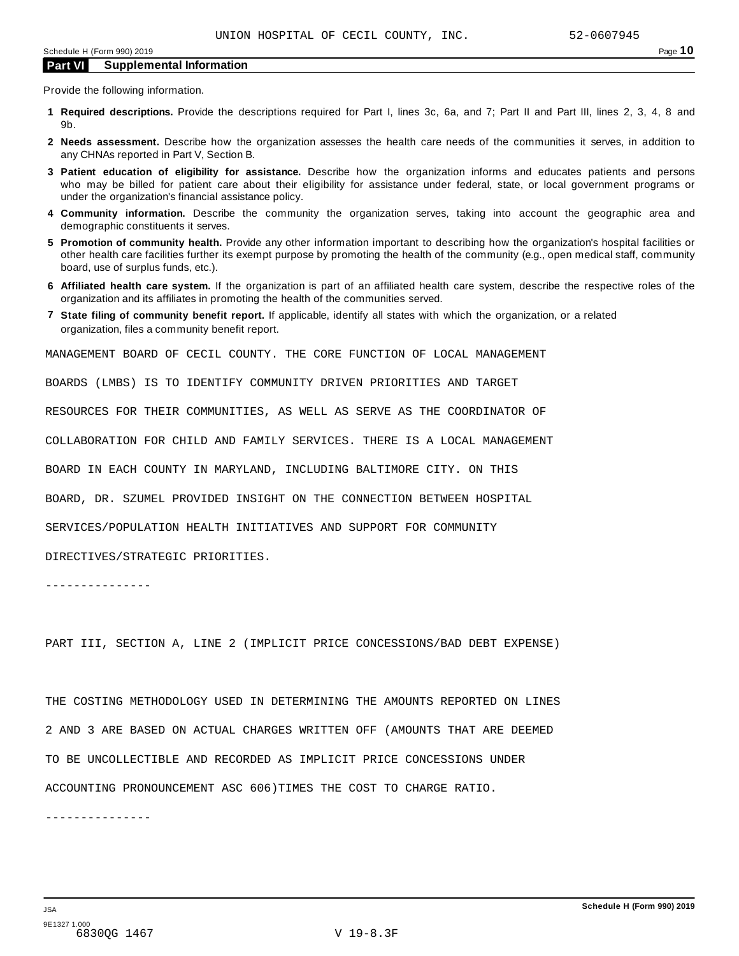Provide the following information.

- **1 Required descriptions.** Provide the descriptions required for Part I, lines 3c, 6a, and 7; Part II and Part III, lines 2, 3, 4, 8 and 9b.
- **2 Needs assessment.** Describe how the organization assesses the health care needs of the communities it serves, in addition to any CHNAs reported in Part V, Section B.
- **3 Patient education of eligibility for assistance.** Describe how the organization informs and educates patients and persons who may be billed for patient care about their eligibility for assistance under federal, state, or local government programs or under the organization's financial assistance policy.
- **4 Community information.** Describe the community the organization serves, taking into account the geographic area and demographic constituents it serves.
- **5 Promotion of community health.** Provide any other information important to describing how the organization's hospital facilities or other health care facilities further its exempt purpose by promoting the health of the community (e.g., open medical staff, community board, use of surplus funds, etc.).
- **6 Affiliated health care system.** If the organization is part of an affiliated health care system, describe the respective roles of the organization and its affiliates in promoting the health of the communities served.
- **7 State filing of community benefit report.** If applicable, identify all states with which the organization, or a related organization, files a community benefit report.

MANAGEMENT BOARD OF CECIL COUNTY. THE CORE FUNCTION OF LOCAL MANAGEMENT

BOARDS (LMBS) IS TO IDENTIFY COMMUNITY DRIVEN PRIORITIES AND TARGET

RESOURCES FOR THEIR COMMUNITIES, AS WELL AS SERVE AS THE COORDINATOR OF

COLLABORATION FOR CHILD AND FAMILY SERVICES. THERE IS A LOCAL MANAGEMENT

BOARD IN EACH COUNTY IN MARYLAND, INCLUDING BALTIMORE CITY. ON THIS

BOARD, DR. SZUMEL PROVIDED INSIGHT ON THE CONNECTION BETWEEN HOSPITAL

SERVICES/POPULATION HEALTH INITIATIVES AND SUPPORT FOR COMMUNITY

DIRECTIVES/STRATEGIC PRIORITIES.

---------------

PART III, SECTION A, LINE 2 (IMPLICIT PRICE CONCESSIONS/BAD DEBT EXPENSE)

THE COSTING METHODOLOGY USED IN DETERMINING THE AMOUNTS REPORTED ON LINES 2 AND 3 ARE BASED ON ACTUAL CHARGES WRITTEN OFF (AMOUNTS THAT ARE DEEMED TO BE UNCOLLECTIBLE AND RECORDED AS IMPLICIT PRICE CONCESSIONS UNDER ACCOUNTING PRONOUNCEMENT ASC 606)TIMES THE COST TO CHARGE RATIO.

---------------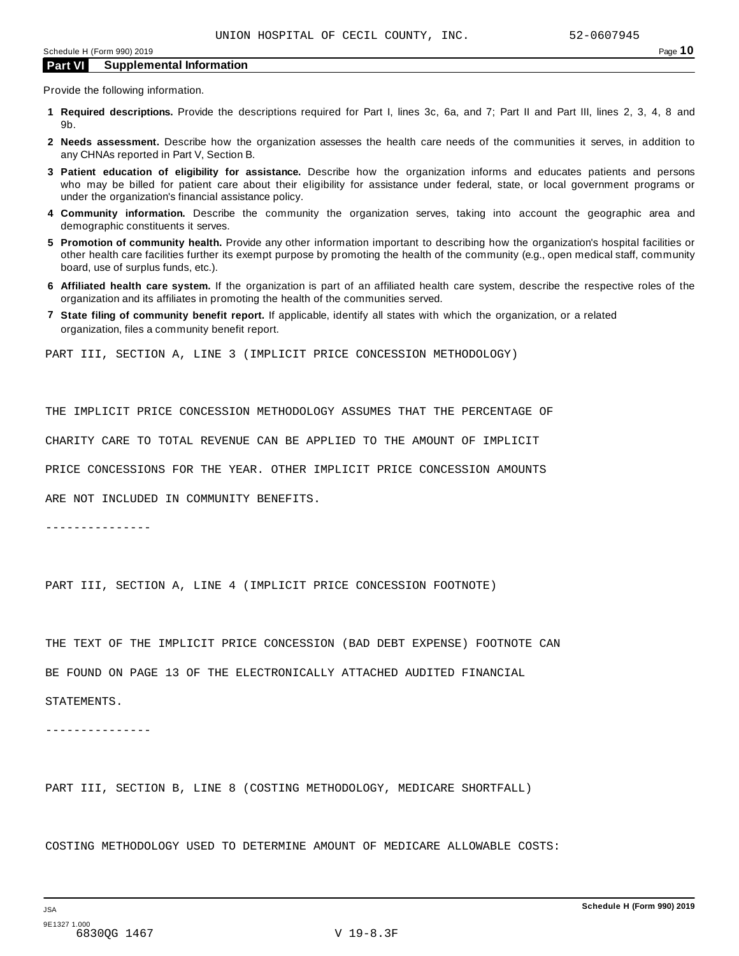Provide the following information.

- **1 Required descriptions.** Provide the descriptions required for Part I, lines 3c, 6a, and 7; Part II and Part III, lines 2, 3, 4, 8 and 9b.
- **2 Needs assessment.** Describe how the organization assesses the health care needs of the communities it serves, in addition to any CHNAs reported in Part V, Section B.
- **3 Patient education of eligibility for assistance.** Describe how the organization informs and educates patients and persons who may be billed for patient care about their eligibility for assistance under federal, state, or local government programs or under the organization's financial assistance policy.
- **4 Community information.** Describe the community the organization serves, taking into account the geographic area and demographic constituents it serves.
- **5 Promotion of community health.** Provide any other information important to describing how the organization's hospital facilities or other health care facilities further its exempt purpose by promoting the health of the community (e.g., open medical staff, community board, use of surplus funds, etc.).
- **6 Affiliated health care system.** If the organization is part of an affiliated health care system, describe the respective roles of the organization and its affiliates in promoting the health of the communities served.
- **7 State filing of community benefit report.** If applicable, identify all states with which the organization, or a related organization, files a community benefit report.

PART III, SECTION A, LINE 3 (IMPLICIT PRICE CONCESSION METHODOLOGY)

THE IMPLICIT PRICE CONCESSION METHODOLOGY ASSUMES THAT THE PERCENTAGE OF CHARITY CARE TO TOTAL REVENUE CAN BE APPLIED TO THE AMOUNT OF IMPLICIT PRICE CONCESSIONS FOR THE YEAR. OTHER IMPLICIT PRICE CONCESSION AMOUNTS ARE NOT INCLUDED IN COMMUNITY BENEFITS.

---------------

PART III, SECTION A, LINE 4 (IMPLICIT PRICE CONCESSION FOOTNOTE)

THE TEXT OF THE IMPLICIT PRICE CONCESSION (BAD DEBT EXPENSE) FOOTNOTE CAN

BE FOUND ON PAGE 13 OF THE ELECTRONICALLY ATTACHED AUDITED FINANCIAL

STATEMENTS.

---------------

PART III, SECTION B, LINE 8 (COSTING METHODOLOGY, MEDICARE SHORTFALL)

COSTING METHODOLOGY USED TO DETERMINE AMOUNT OF MEDICARE ALLOWABLE COSTS: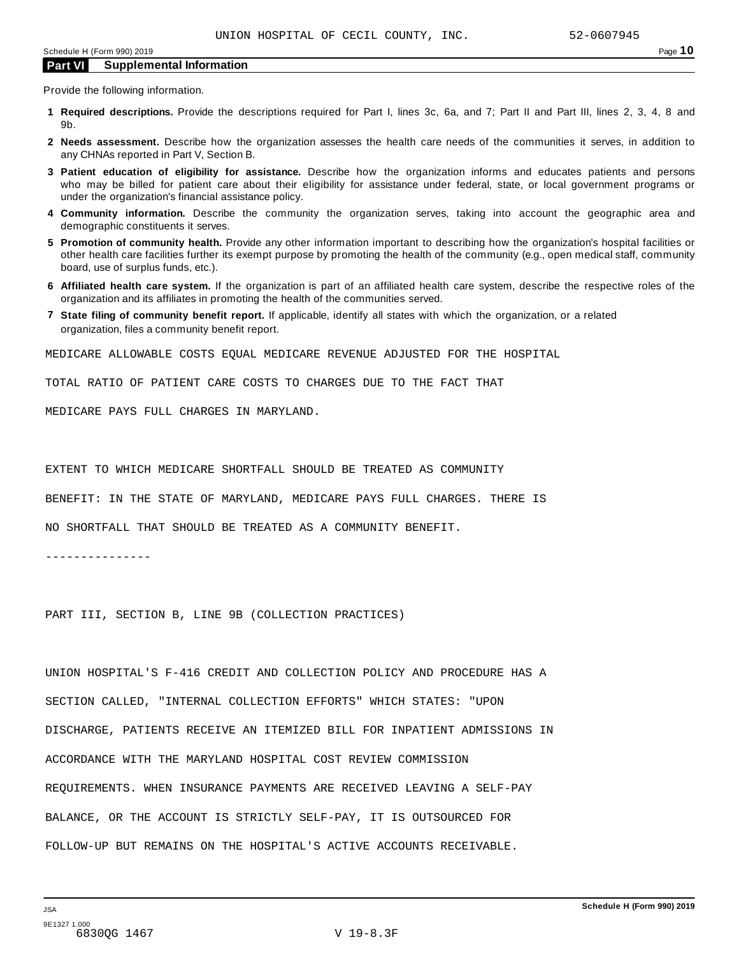Provide the following information.

- **1 Required descriptions.** Provide the descriptions required for Part I, lines 3c, 6a, and 7; Part II and Part III, lines 2, 3, 4, 8 and 9b.
- **2 Needs assessment.** Describe how the organization assesses the health care needs of the communities it serves, in addition to any CHNAs reported in Part V, Section B.
- **3 Patient education of eligibility for assistance.** Describe how the organization informs and educates patients and persons who may be billed for patient care about their eligibility for assistance under federal, state, or local government programs or under the organization's financial assistance policy.
- **4 Community information.** Describe the community the organization serves, taking into account the geographic area and demographic constituents it serves.
- **5 Promotion of community health.** Provide any other information important to describing how the organization's hospital facilities or other health care facilities further its exempt purpose by promoting the health of the community (e.g., open medical staff, community board, use of surplus funds, etc.).
- **6 Affiliated health care system.** If the organization is part of an affiliated health care system, describe the respective roles of the organization and its affiliates in promoting the health of the communities served.
- **7 State filing of community benefit report.** If applicable, identify all states with which the organization, or a related organization, files a community benefit report.

MEDICARE ALLOWABLE COSTS EQUAL MEDICARE REVENUE ADJUSTED FOR THE HOSPITAL

TOTAL RATIO OF PATIENT CARE COSTS TO CHARGES DUE TO THE FACT THAT

MEDICARE PAYS FULL CHARGES IN MARYLAND.

EXTENT TO WHICH MEDICARE SHORTFALL SHOULD BE TREATED AS COMMUNITY

BENEFIT: IN THE STATE OF MARYLAND, MEDICARE PAYS FULL CHARGES. THERE IS

NO SHORTFALL THAT SHOULD BE TREATED AS A COMMUNITY BENEFIT.

---------------

PART III, SECTION B, LINE 9B (COLLECTION PRACTICES)

UNION HOSPITAL'S F-416 CREDIT AND COLLECTION POLICY AND PROCEDURE HAS A SECTION CALLED, "INTERNAL COLLECTION EFFORTS" WHICH STATES: "UPON DISCHARGE, PATIENTS RECEIVE AN ITEMIZED BILL FOR INPATIENT ADMISSIONS IN ACCORDANCE WITH THE MARYLAND HOSPITAL COST REVIEW COMMISSION REQUIREMENTS. WHEN INSURANCE PAYMENTS ARE RECEIVED LEAVING A SELF-PAY BALANCE, OR THE ACCOUNT IS STRICTLY SELF-PAY, IT IS OUTSOURCED FOR FOLLOW-UP BUT REMAINS ON THE HOSPITAL'S ACTIVE ACCOUNTS RECEIVABLE.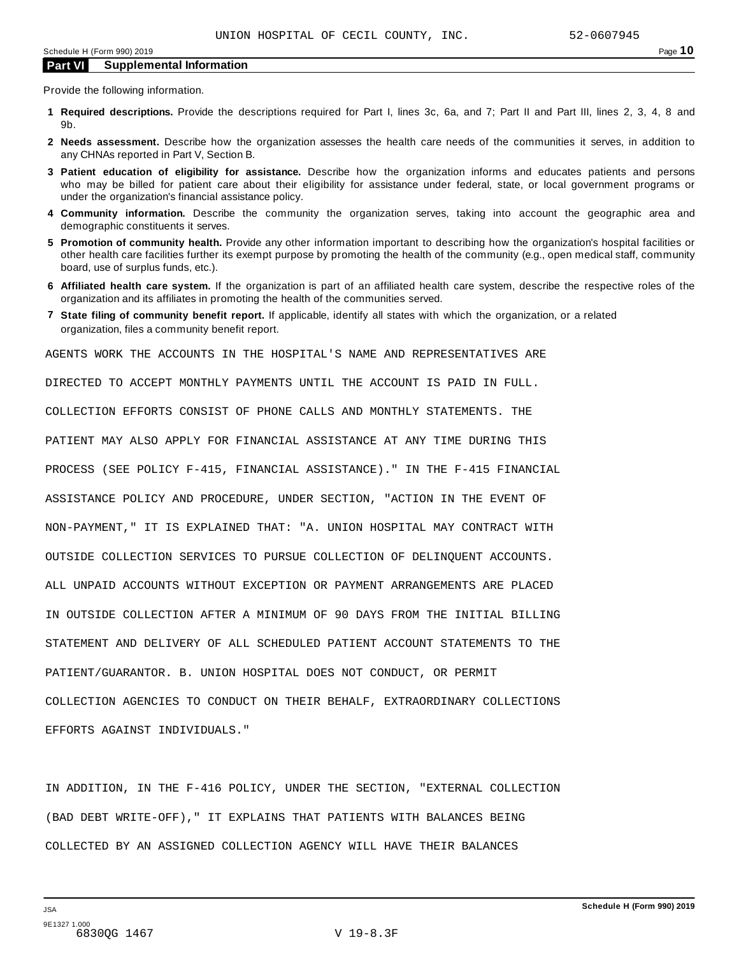Provide the following information.

- **1 Required descriptions.** Provide the descriptions required for Part I, lines 3c, 6a, and 7; Part II and Part III, lines 2, 3, 4, 8 and 9b.
- **2 Needs assessment.** Describe how the organization assesses the health care needs of the communities it serves, in addition to any CHNAs reported in Part V, Section B.
- **3 Patient education of eligibility for assistance.** Describe how the organization informs and educates patients and persons who may be billed for patient care about their eligibility for assistance under federal, state, or local government programs or under the organization's financial assistance policy.
- **4 Community information.** Describe the community the organization serves, taking into account the geographic area and demographic constituents it serves.
- **5 Promotion of community health.** Provide any other information important to describing how the organization's hospital facilities or other health care facilities further its exempt purpose by promoting the health of the community (e.g., open medical staff, community board, use of surplus funds, etc.).
- **6 Affiliated health care system.** If the organization is part of an affiliated health care system, describe the respective roles of the organization and its affiliates in promoting the health of the communities served.
- **7 State filing of community benefit report.** If applicable, identify all states with which the organization, or a related organization, files a community benefit report.

AGENTS WORK THE ACCOUNTS IN THE HOSPITAL'S NAME AND REPRESENTATIVES ARE

DIRECTED TO ACCEPT MONTHLY PAYMENTS UNTIL THE ACCOUNT IS PAID IN FULL.

COLLECTION EFFORTS CONSIST OF PHONE CALLS AND MONTHLY STATEMENTS. THE

PATIENT MAY ALSO APPLY FOR FINANCIAL ASSISTANCE AT ANY TIME DURING THIS

PROCESS (SEE POLICY F-415, FINANCIAL ASSISTANCE)." IN THE F-415 FINANCIAL

ASSISTANCE POLICY AND PROCEDURE, UNDER SECTION, "ACTION IN THE EVENT OF

NON-PAYMENT," IT IS EXPLAINED THAT: "A. UNION HOSPITAL MAY CONTRACT WITH

OUTSIDE COLLECTION SERVICES TO PURSUE COLLECTION OF DELINQUENT ACCOUNTS.

ALL UNPAID ACCOUNTS WITHOUT EXCEPTION OR PAYMENT ARRANGEMENTS ARE PLACED

IN OUTSIDE COLLECTION AFTER A MINIMUM OF 90 DAYS FROM THE INITIAL BILLING

STATEMENT AND DELIVERY OF ALL SCHEDULED PATIENT ACCOUNT STATEMENTS TO THE

PATIENT/GUARANTOR. B. UNION HOSPITAL DOES NOT CONDUCT, OR PERMIT

COLLECTION AGENCIES TO CONDUCT ON THEIR BEHALF, EXTRAORDINARY COLLECTIONS

EFFORTS AGAINST INDIVIDUALS."

IN ADDITION, IN THE F-416 POLICY, UNDER THE SECTION, "EXTERNAL COLLECTION (BAD DEBT WRITE-OFF)," IT EXPLAINS THAT PATIENTS WITH BALANCES BEING COLLECTED BY AN ASSIGNED COLLECTION AGENCY WILL HAVE THEIR BALANCES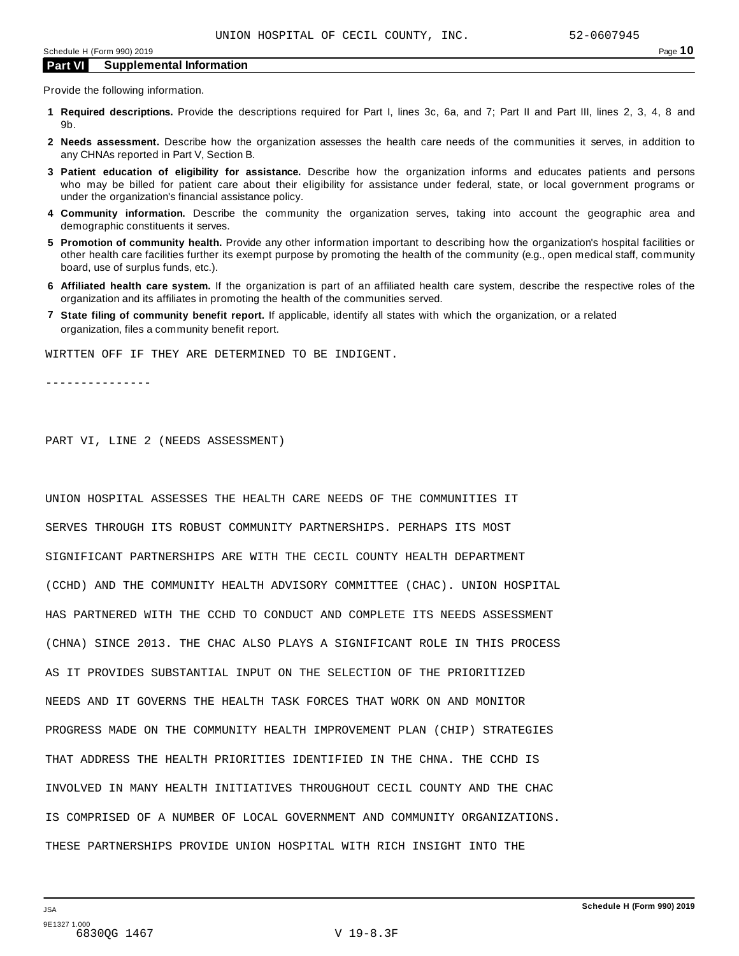Provide the following information.

- **1 Required descriptions.** Provide the descriptions required for Part I, lines 3c, 6a, and 7; Part II and Part III, lines 2, 3, 4, 8 and 9b.
- **2 Needs assessment.** Describe how the organization assesses the health care needs of the communities it serves, in addition to any CHNAs reported in Part V, Section B.
- **3 Patient education of eligibility for assistance.** Describe how the organization informs and educates patients and persons who may be billed for patient care about their eligibility for assistance under federal, state, or local government programs or under the organization's financial assistance policy.
- **4 Community information.** Describe the community the organization serves, taking into account the geographic area and demographic constituents it serves.
- **5 Promotion of community health.** Provide any other information important to describing how the organization's hospital facilities or other health care facilities further its exempt purpose by promoting the health of the community (e.g., open medical staff, community board, use of surplus funds, etc.).
- **6 Affiliated health care system.** If the organization is part of an affiliated health care system, describe the respective roles of the organization and its affiliates in promoting the health of the communities served.
- **7 State filing of community benefit report.** If applicable, identify all states with which the organization, or a related organization, files a community benefit report.

WIRTTEN OFF IF THEY ARE DETERMINED TO BE INDIGENT.

---------------

PART VI, LINE 2 (NEEDS ASSESSMENT)

UNION HOSPITAL ASSESSES THE HEALTH CARE NEEDS OF THE COMMUNITIES IT SERVES THROUGH ITS ROBUST COMMUNITY PARTNERSHIPS. PERHAPS ITS MOST SIGNIFICANT PARTNERSHIPS ARE WITH THE CECIL COUNTY HEALTH DEPARTMENT (CCHD) AND THE COMMUNITY HEALTH ADVISORY COMMITTEE (CHAC). UNION HOSPITAL HAS PARTNERED WITH THE CCHD TO CONDUCT AND COMPLETE ITS NEEDS ASSESSMENT (CHNA) SINCE 2013. THE CHAC ALSO PLAYS A SIGNIFICANT ROLE IN THIS PROCESS AS IT PROVIDES SUBSTANTIAL INPUT ON THE SELECTION OF THE PRIORITIZED NEEDS AND IT GOVERNS THE HEALTH TASK FORCES THAT WORK ON AND MONITOR PROGRESS MADE ON THE COMMUNITY HEALTH IMPROVEMENT PLAN (CHIP) STRATEGIES THAT ADDRESS THE HEALTH PRIORITIES IDENTIFIED IN THE CHNA. THE CCHD IS INVOLVED IN MANY HEALTH INITIATIVES THROUGHOUT CECIL COUNTY AND THE CHAC IS COMPRISED OF A NUMBER OF LOCAL GOVERNMENT AND COMMUNITY ORGANIZATIONS. THESE PARTNERSHIPS PROVIDE UNION HOSPITAL WITH RICH INSIGHT INTO THE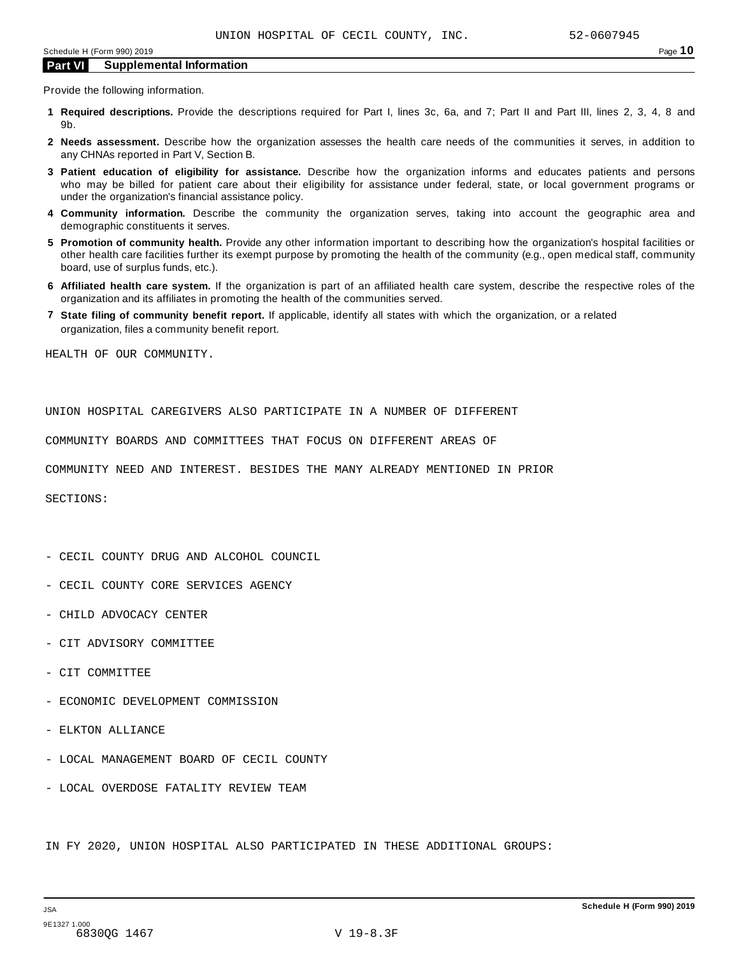Provide the following information.

- **1 Required descriptions.** Provide the descriptions required for Part I, lines 3c, 6a, and 7; Part II and Part III, lines 2, 3, 4, 8 and 9b.
- **2 Needs assessment.** Describe how the organization assesses the health care needs of the communities it serves, in addition to any CHNAs reported in Part V, Section B.
- **3 Patient education of eligibility for assistance.** Describe how the organization informs and educates patients and persons who may be billed for patient care about their eligibility for assistance under federal, state, or local government programs or under the organization's financial assistance policy.
- **4 Community information.** Describe the community the organization serves, taking into account the geographic area and demographic constituents it serves.
- **5 Promotion of community health.** Provide any other information important to describing how the organization's hospital facilities or other health care facilities further its exempt purpose by promoting the health of the community (e.g., open medical staff, community board, use of surplus funds, etc.).
- **6 Affiliated health care system.** If the organization is part of an affiliated health care system, describe the respective roles of the organization and its affiliates in promoting the health of the communities served.
- **7 State filing of community benefit report.** If applicable, identify all states with which the organization, or a related organization, files a community benefit report.

HEALTH OF OUR COMMUNITY.

UNION HOSPITAL CAREGIVERS ALSO PARTICIPATE IN A NUMBER OF DIFFERENT

COMMUNITY BOARDS AND COMMITTEES THAT FOCUS ON DIFFERENT AREAS OF

COMMUNITY NEED AND INTEREST. BESIDES THE MANY ALREADY MENTIONED IN PRIOR

SECTIONS:

- CECIL COUNTY DRUG AND ALCOHOL COUNCIL
- CECIL COUNTY CORE SERVICES AGENCY
- CHILD ADVOCACY CENTER
- CIT ADVISORY COMMITTEE
- CIT COMMITTEE
- ECONOMIC DEVELOPMENT COMMISSION
- ELKTON ALLIANCE
- LOCAL MANAGEMENT BOARD OF CECIL COUNTY
- LOCAL OVERDOSE FATALITY REVIEW TEAM

IN FY 2020, UNION HOSPITAL ALSO PARTICIPATED IN THESE ADDITIONAL GROUPS: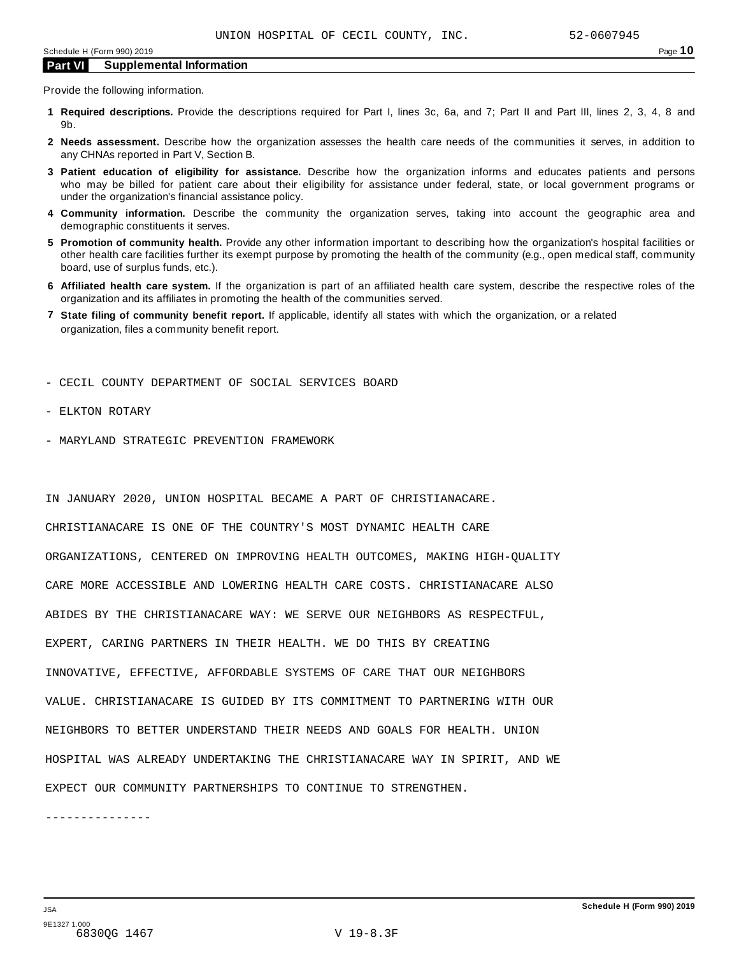Provide the following information.

- **1 Required descriptions.** Provide the descriptions required for Part I, lines 3c, 6a, and 7; Part II and Part III, lines 2, 3, 4, 8 and 9b.
- **2 Needs assessment.** Describe how the organization assesses the health care needs of the communities it serves, in addition to any CHNAs reported in Part V, Section B.
- **3 Patient education of eligibility for assistance.** Describe how the organization informs and educates patients and persons who may be billed for patient care about their eligibility for assistance under federal, state, or local government programs or under the organization's financial assistance policy.
- **4 Community information.** Describe the community the organization serves, taking into account the geographic area and demographic constituents it serves.
- **5 Promotion of community health.** Provide any other information important to describing how the organization's hospital facilities or other health care facilities further its exempt purpose by promoting the health of the community (e.g., open medical staff, community board, use of surplus funds, etc.).
- **6 Affiliated health care system.** If the organization is part of an affiliated health care system, describe the respective roles of the organization and its affiliates in promoting the health of the communities served.
- **7 State filing of community benefit report.** If applicable, identify all states with which the organization, or a related organization, files a community benefit report.

- CECIL COUNTY DEPARTMENT OF SOCIAL SERVICES BOARD

- ELKTON ROTARY
- MARYLAND STRATEGIC PREVENTION FRAMEWORK

IN JANUARY 2020, UNION HOSPITAL BECAME A PART OF CHRISTIANACARE. CHRISTIANACARE IS ONE OF THE COUNTRY'S MOST DYNAMIC HEALTH CARE ORGANIZATIONS, CENTERED ON IMPROVING HEALTH OUTCOMES, MAKING HIGH-QUALITY CARE MORE ACCESSIBLE AND LOWERING HEALTH CARE COSTS. CHRISTIANACARE ALSO ABIDES BY THE CHRISTIANACARE WAY: WE SERVE OUR NEIGHBORS AS RESPECTFUL, EXPERT, CARING PARTNERS IN THEIR HEALTH. WE DO THIS BY CREATING INNOVATIVE, EFFECTIVE, AFFORDABLE SYSTEMS OF CARE THAT OUR NEIGHBORS VALUE. CHRISTIANACARE IS GUIDED BY ITS COMMITMENT TO PARTNERING WITH OUR NEIGHBORS TO BETTER UNDERSTAND THEIR NEEDS AND GOALS FOR HEALTH. UNION HOSPITAL WAS ALREADY UNDERTAKING THE CHRISTIANACARE WAY IN SPIRIT, AND WE EXPECT OUR COMMUNITY PARTNERSHIPS TO CONTINUE TO STRENGTHEN.

---------------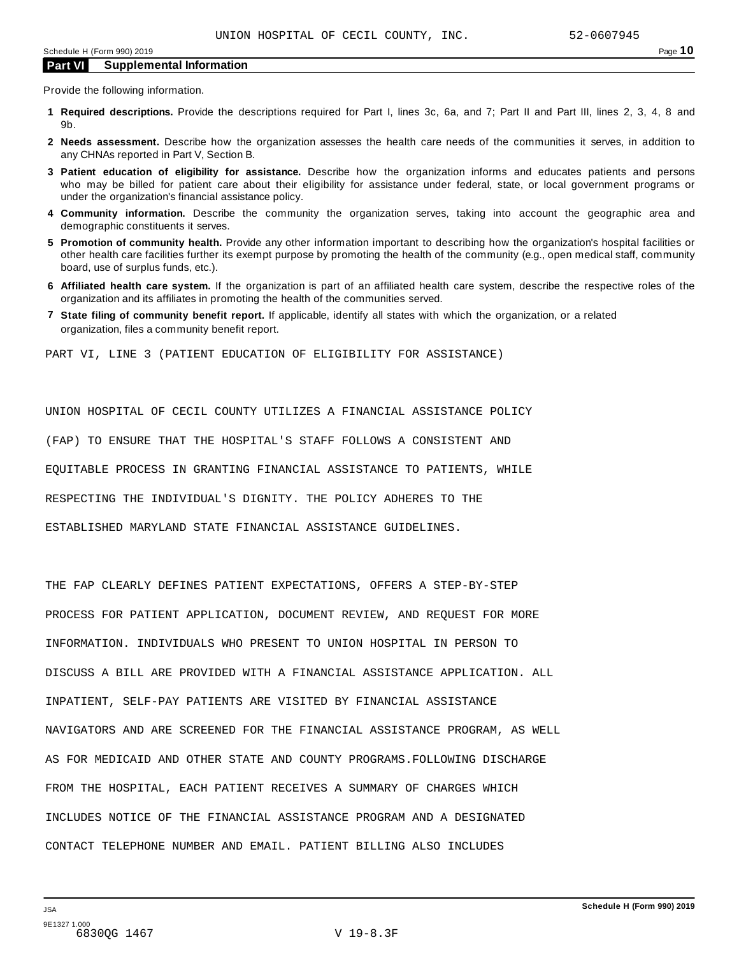Provide the following information.

- **1 Required descriptions.** Provide the descriptions required for Part I, lines 3c, 6a, and 7; Part II and Part III, lines 2, 3, 4, 8 and 9b.
- **2 Needs assessment.** Describe how the organization assesses the health care needs of the communities it serves, in addition to any CHNAs reported in Part V, Section B.
- **3 Patient education of eligibility for assistance.** Describe how the organization informs and educates patients and persons who may be billed for patient care about their eligibility for assistance under federal, state, or local government programs or under the organization's financial assistance policy.
- **4 Community information.** Describe the community the organization serves, taking into account the geographic area and demographic constituents it serves.
- **5 Promotion of community health.** Provide any other information important to describing how the organization's hospital facilities or other health care facilities further its exempt purpose by promoting the health of the community (e.g., open medical staff, community board, use of surplus funds, etc.).
- **6 Affiliated health care system.** If the organization is part of an affiliated health care system, describe the respective roles of the organization and its affiliates in promoting the health of the communities served.
- **7 State filing of community benefit report.** If applicable, identify all states with which the organization, or a related organization, files a community benefit report.

PART VI, LINE 3 (PATIENT EDUCATION OF ELIGIBILITY FOR ASSISTANCE)

UNION HOSPITAL OF CECIL COUNTY UTILIZES A FINANCIAL ASSISTANCE POLICY (FAP) TO ENSURE THAT THE HOSPITAL'S STAFF FOLLOWS A CONSISTENT AND EQUITABLE PROCESS IN GRANTING FINANCIAL ASSISTANCE TO PATIENTS, WHILE RESPECTING THE INDIVIDUAL'S DIGNITY. THE POLICY ADHERES TO THE ESTABLISHED MARYLAND STATE FINANCIAL ASSISTANCE GUIDELINES.

THE FAP CLEARLY DEFINES PATIENT EXPECTATIONS, OFFERS A STEP-BY-STEP PROCESS FOR PATIENT APPLICATION, DOCUMENT REVIEW, AND REQUEST FOR MORE INFORMATION. INDIVIDUALS WHO PRESENT TO UNION HOSPITAL IN PERSON TO DISCUSS A BILL ARE PROVIDED WITH A FINANCIAL ASSISTANCE APPLICATION. ALL INPATIENT, SELF-PAY PATIENTS ARE VISITED BY FINANCIAL ASSISTANCE NAVIGATORS AND ARE SCREENED FOR THE FINANCIAL ASSISTANCE PROGRAM, AS WELL AS FOR MEDICAID AND OTHER STATE AND COUNTY PROGRAMS.FOLLOWING DISCHARGE FROM THE HOSPITAL, EACH PATIENT RECEIVES A SUMMARY OF CHARGES WHICH INCLUDES NOTICE OF THE FINANCIAL ASSISTANCE PROGRAM AND A DESIGNATED CONTACT TELEPHONE NUMBER AND EMAIL. PATIENT BILLING ALSO INCLUDES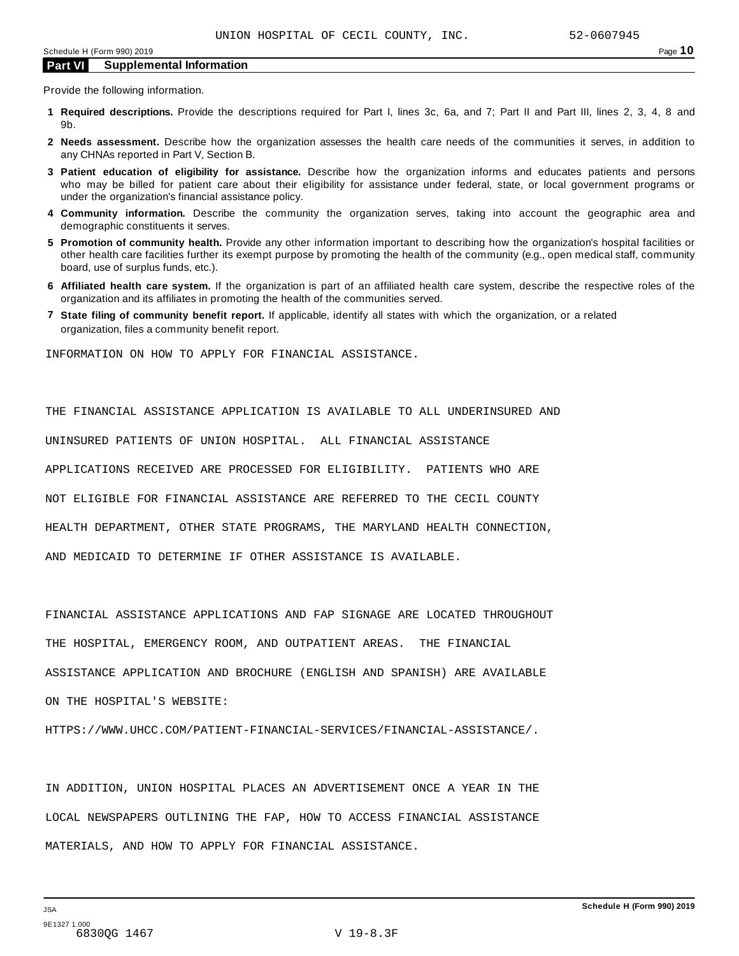Provide the following information.

- **1 Required descriptions.** Provide the descriptions required for Part I, lines 3c, 6a, and 7; Part II and Part III, lines 2, 3, 4, 8 and 9b.
- **2 Needs assessment.** Describe how the organization assesses the health care needs of the communities it serves, in addition to any CHNAs reported in Part V, Section B.
- **3 Patient education of eligibility for assistance.** Describe how the organization informs and educates patients and persons who may be billed for patient care about their eligibility for assistance under federal, state, or local government programs or under the organization's financial assistance policy.
- **4 Community information.** Describe the community the organization serves, taking into account the geographic area and demographic constituents it serves.
- **5 Promotion of community health.** Provide any other information important to describing how the organization's hospital facilities or other health care facilities further its exempt purpose by promoting the health of the community (e.g., open medical staff, community board, use of surplus funds, etc.).
- **6 Affiliated health care system.** If the organization is part of an affiliated health care system, describe the respective roles of the organization and its affiliates in promoting the health of the communities served.
- **7 State filing of community benefit report.** If applicable, identify all states with which the organization, or a related organization, files a community benefit report.

INFORMATION ON HOW TO APPLY FOR FINANCIAL ASSISTANCE.

THE FINANCIAL ASSISTANCE APPLICATION IS AVAILABLE TO ALL UNDERINSURED AND UNINSURED PATIENTS OF UNION HOSPITAL. ALL FINANCIAL ASSISTANCE APPLICATIONS RECEIVED ARE PROCESSED FOR ELIGIBILITY. PATIENTS WHO ARE NOT ELIGIBLE FOR FINANCIAL ASSISTANCE ARE REFERRED TO THE CECIL COUNTY HEALTH DEPARTMENT, OTHER STATE PROGRAMS, THE MARYLAND HEALTH CONNECTION,

AND MEDICAID TO DETERMINE IF OTHER ASSISTANCE IS AVAILABLE.

FINANCIAL ASSISTANCE APPLICATIONS AND FAP SIGNAGE ARE LOCATED THROUGHOUT

THE HOSPITAL, EMERGENCY ROOM, AND OUTPATIENT AREAS. THE FINANCIAL

ASSISTANCE APPLICATION AND BROCHURE (ENGLISH AND SPANISH) ARE AVAILABLE

ON THE HOSPITAL'S WEBSITE:

HTTPS://WWW.UHCC.COM/PATIENT-FINANCIAL-SERVICES/FINANCIAL-ASSISTANCE/.

IN ADDITION, UNION HOSPITAL PLACES AN ADVERTISEMENT ONCE A YEAR IN THE LOCAL NEWSPAPERS OUTLINING THE FAP, HOW TO ACCESS FINANCIAL ASSISTANCE MATERIALS, AND HOW TO APPLY FOR FINANCIAL ASSISTANCE.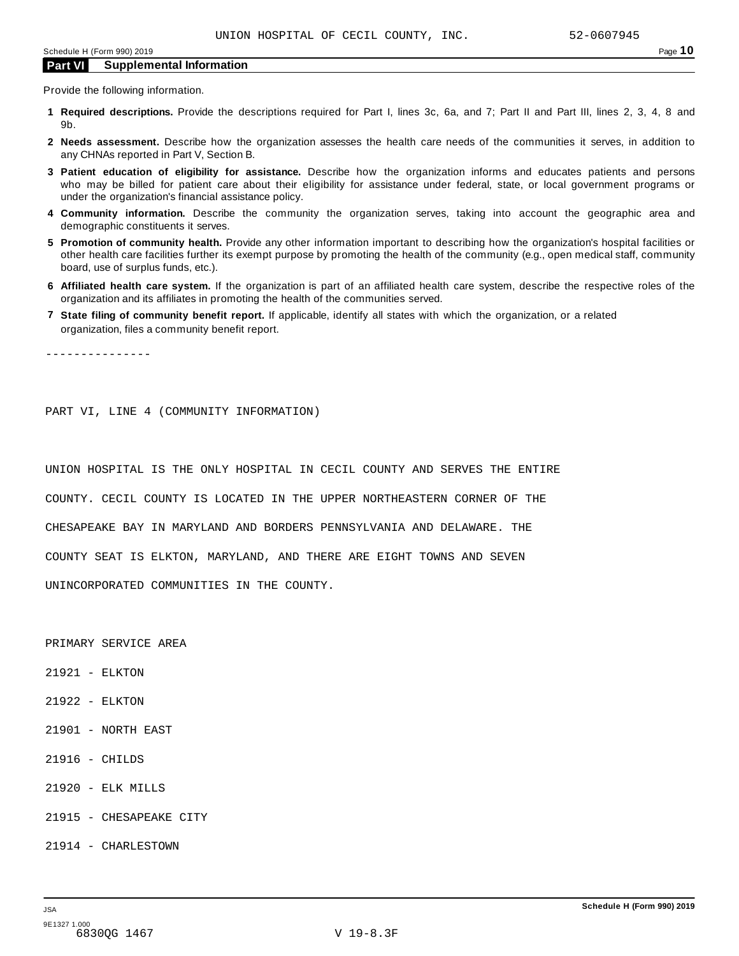Provide the following information.

- **1 Required descriptions.** Provide the descriptions required for Part I, lines 3c, 6a, and 7; Part II and Part III, lines 2, 3, 4, 8 and 9b.
- **2 Needs assessment.** Describe how the organization assesses the health care needs of the communities it serves, in addition to any CHNAs reported in Part V, Section B.
- **3 Patient education of eligibility for assistance.** Describe how the organization informs and educates patients and persons who may be billed for patient care about their eligibility for assistance under federal, state, or local government programs or under the organization's financial assistance policy.
- **4 Community information.** Describe the community the organization serves, taking into account the geographic area and demographic constituents it serves.
- **5 Promotion of community health.** Provide any other information important to describing how the organization's hospital facilities or other health care facilities further its exempt purpose by promoting the health of the community (e.g., open medical staff, community board, use of surplus funds, etc.).
- **6 Affiliated health care system.** If the organization is part of an affiliated health care system, describe the respective roles of the organization and its affiliates in promoting the health of the communities served.
- **7 State filing of community benefit report.** If applicable, identify all states with which the organization, or a related organization, files a community benefit report.

---------------

PART VI, LINE 4 (COMMUNITY INFORMATION)

UNION HOSPITAL IS THE ONLY HOSPITAL IN CECIL COUNTY AND SERVES THE ENTIRE COUNTY. CECIL COUNTY IS LOCATED IN THE UPPER NORTHEASTERN CORNER OF THE CHESAPEAKE BAY IN MARYLAND AND BORDERS PENNSYLVANIA AND DELAWARE. THE COUNTY SEAT IS ELKTON, MARYLAND, AND THERE ARE EIGHT TOWNS AND SEVEN UNINCORPORATED COMMUNITIES IN THE COUNTY.

PRIMARY SERVICE AREA

- 21921 ELKTON
- 21922 ELKTON
- 21901 NORTH EAST
- 21916 CHILDS
- 21920 ELK MILLS
- 21915 CHESAPEAKE CITY
- 21914 CHARLESTOWN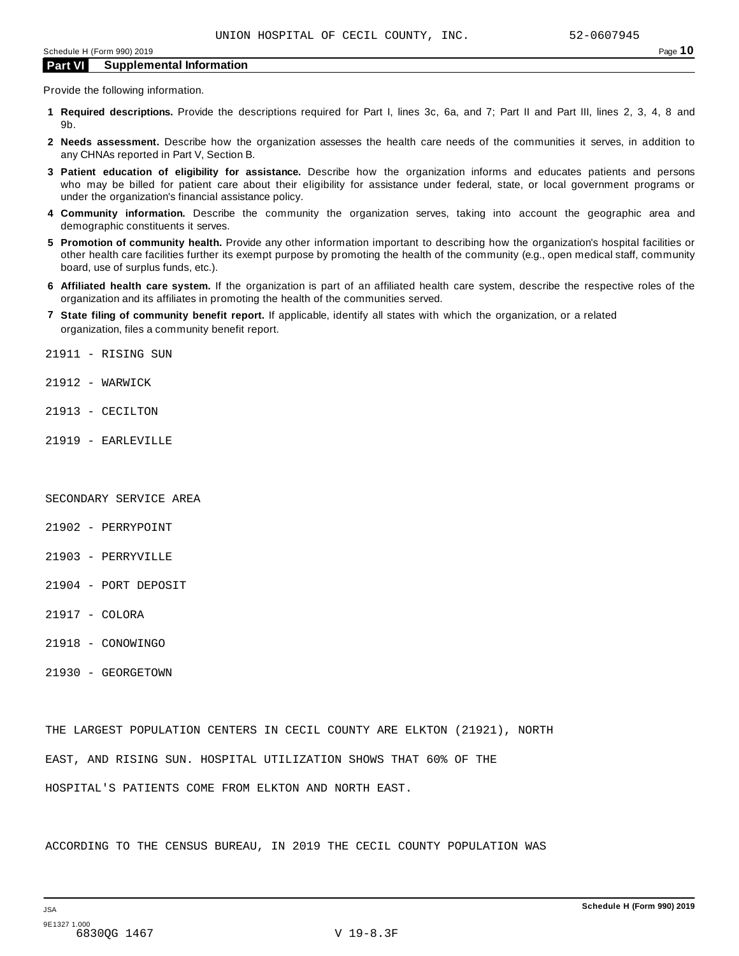Provide the following information.

- **1 Required descriptions.** Provide the descriptions required for Part I, lines 3c, 6a, and 7; Part II and Part III, lines 2, 3, 4, 8 and 9b.
- **2 Needs assessment.** Describe how the organization assesses the health care needs of the communities it serves, in addition to any CHNAs reported in Part V, Section B.
- **3 Patient education of eligibility for assistance.** Describe how the organization informs and educates patients and persons who may be billed for patient care about their eligibility for assistance under federal, state, or local government programs or under the organization's financial assistance policy.
- **4 Community information.** Describe the community the organization serves, taking into account the geographic area and demographic constituents it serves.
- **5 Promotion of community health.** Provide any other information important to describing how the organization's hospital facilities or other health care facilities further its exempt purpose by promoting the health of the community (e.g., open medical staff, community board, use of surplus funds, etc.).
- **6 Affiliated health care system.** If the organization is part of an affiliated health care system, describe the respective roles of the organization and its affiliates in promoting the health of the communities served.
- **7 State filing of community benefit report.** If applicable, identify all states with which the organization, or a related organization, files a community benefit report.

21911 - RISING SUN

21912 - WARWICK

- 21913 CECILTON
- 21919 EARLEVILLE

### SECONDARY SERVICE AREA

- 21902 PERRYPOINT
- 21903 PERRYVILLE
- 21904 PORT DEPOSIT
- 21917 COLORA
- 21918 CONOWINGO
- 21930 GEORGETOWN

THE LARGEST POPULATION CENTERS IN CECIL COUNTY ARE ELKTON (21921), NORTH EAST, AND RISING SUN. HOSPITAL UTILIZATION SHOWS THAT 60% OF THE HOSPITAL'S PATIENTS COME FROM ELKTON AND NORTH EAST.

ACCORDING TO THE CENSUS BUREAU, IN 2019 THE CECIL COUNTY POPULATION WAS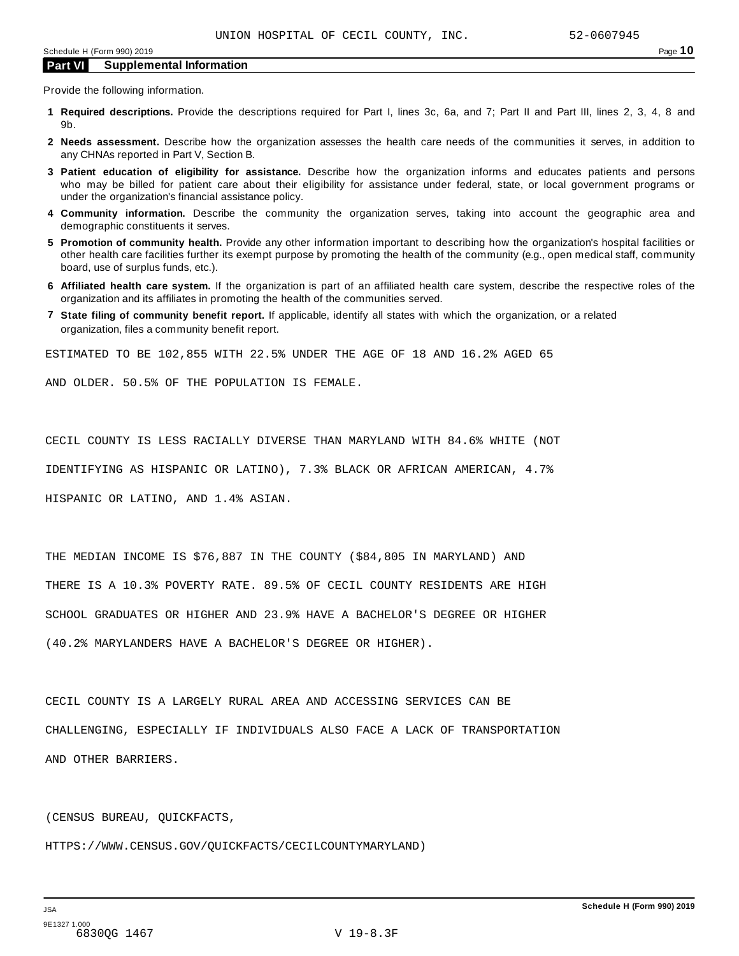Provide the following information.

- **1 Required descriptions.** Provide the descriptions required for Part I, lines 3c, 6a, and 7; Part II and Part III, lines 2, 3, 4, 8 and 9b.
- **2 Needs assessment.** Describe how the organization assesses the health care needs of the communities it serves, in addition to any CHNAs reported in Part V, Section B.
- **3 Patient education of eligibility for assistance.** Describe how the organization informs and educates patients and persons who may be billed for patient care about their eligibility for assistance under federal, state, or local government programs or under the organization's financial assistance policy.
- **4 Community information.** Describe the community the organization serves, taking into account the geographic area and demographic constituents it serves.
- **5 Promotion of community health.** Provide any other information important to describing how the organization's hospital facilities or other health care facilities further its exempt purpose by promoting the health of the community (e.g., open medical staff, community board, use of surplus funds, etc.).
- **6 Affiliated health care system.** If the organization is part of an affiliated health care system, describe the respective roles of the organization and its affiliates in promoting the health of the communities served.
- **7 State filing of community benefit report.** If applicable, identify all states with which the organization, or a related organization, files a community benefit report.

ESTIMATED TO BE 102,855 WITH 22.5% UNDER THE AGE OF 18 AND 16.2% AGED 65

AND OLDER. 50.5% OF THE POPULATION IS FEMALE.

CECIL COUNTY IS LESS RACIALLY DIVERSE THAN MARYLAND WITH 84.6% WHITE (NOT IDENTIFYING AS HISPANIC OR LATINO), 7.3% BLACK OR AFRICAN AMERICAN, 4.7% HISPANIC OR LATINO, AND 1.4% ASIAN.

THE MEDIAN INCOME IS \$76,887 IN THE COUNTY (\$84,805 IN MARYLAND) AND THERE IS A 10.3% POVERTY RATE. 89.5% OF CECIL COUNTY RESIDENTS ARE HIGH SCHOOL GRADUATES OR HIGHER AND 23.9% HAVE A BACHELOR'S DEGREE OR HIGHER (40.2% MARYLANDERS HAVE A BACHELOR'S DEGREE OR HIGHER).

CECIL COUNTY IS A LARGELY RURAL AREA AND ACCESSING SERVICES CAN BE CHALLENGING, ESPECIALLY IF INDIVIDUALS ALSO FACE A LACK OF TRANSPORTATION AND OTHER BARRIERS.

(CENSUS BUREAU, QUICKFACTS,

HTTPS://WWW.CENSUS.GOV/QUICKFACTS/CECILCOUNTYMARYLAND)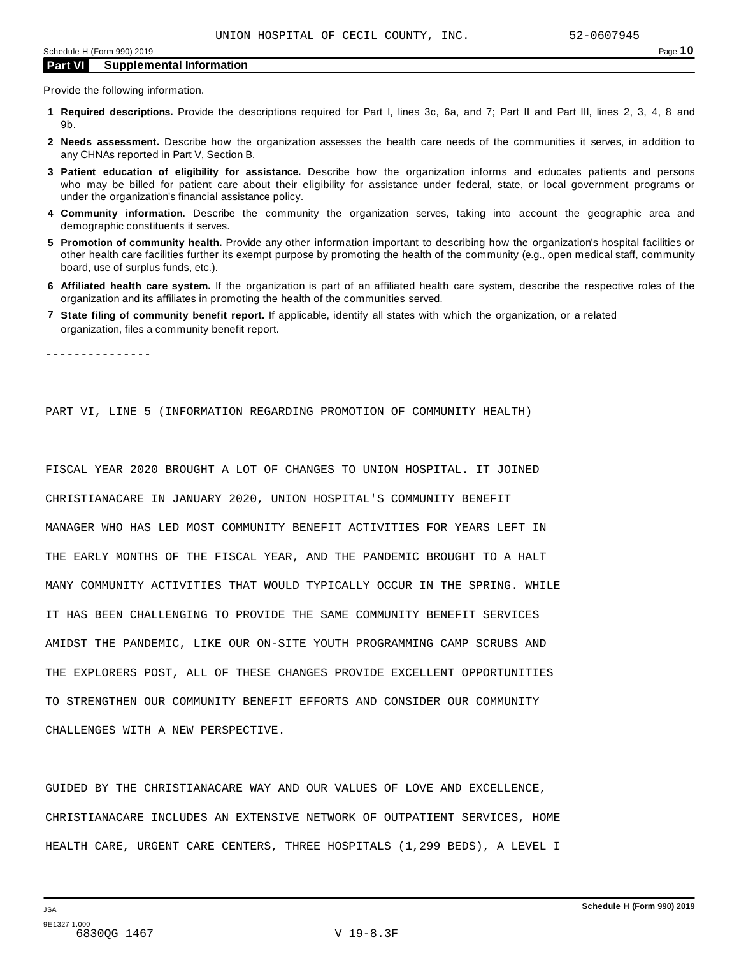Provide the following information.

- **1 Required descriptions.** Provide the descriptions required for Part I, lines 3c, 6a, and 7; Part II and Part III, lines 2, 3, 4, 8 and 9b.
- **2 Needs assessment.** Describe how the organization assesses the health care needs of the communities it serves, in addition to any CHNAs reported in Part V, Section B.
- **3 Patient education of eligibility for assistance.** Describe how the organization informs and educates patients and persons who may be billed for patient care about their eligibility for assistance under federal, state, or local government programs or under the organization's financial assistance policy.
- **4 Community information.** Describe the community the organization serves, taking into account the geographic area and demographic constituents it serves.
- **5 Promotion of community health.** Provide any other information important to describing how the organization's hospital facilities or other health care facilities further its exempt purpose by promoting the health of the community (e.g., open medical staff, community board, use of surplus funds, etc.).
- **6 Affiliated health care system.** If the organization is part of an affiliated health care system, describe the respective roles of the organization and its affiliates in promoting the health of the communities served.
- **7 State filing of community benefit report.** If applicable, identify all states with which the organization, or a related organization, files a community benefit report.

---------------

PART VI, LINE 5 (INFORMATION REGARDING PROMOTION OF COMMUNITY HEALTH)

FISCAL YEAR 2020 BROUGHT A LOT OF CHANGES TO UNION HOSPITAL. IT JOINED CHRISTIANACARE IN JANUARY 2020, UNION HOSPITAL'S COMMUNITY BENEFIT MANAGER WHO HAS LED MOST COMMUNITY BENEFIT ACTIVITIES FOR YEARS LEFT IN THE EARLY MONTHS OF THE FISCAL YEAR, AND THE PANDEMIC BROUGHT TO A HALT MANY COMMUNITY ACTIVITIES THAT WOULD TYPICALLY OCCUR IN THE SPRING. WHILE IT HAS BEEN CHALLENGING TO PROVIDE THE SAME COMMUNITY BENEFIT SERVICES AMIDST THE PANDEMIC, LIKE OUR ON-SITE YOUTH PROGRAMMING CAMP SCRUBS AND THE EXPLORERS POST, ALL OF THESE CHANGES PROVIDE EXCELLENT OPPORTUNITIES TO STRENGTHEN OUR COMMUNITY BENEFIT EFFORTS AND CONSIDER OUR COMMUNITY CHALLENGES WITH A NEW PERSPECTIVE.

GUIDED BY THE CHRISTIANACARE WAY AND OUR VALUES OF LOVE AND EXCELLENCE, CHRISTIANACARE INCLUDES AN EXTENSIVE NETWORK OF OUTPATIENT SERVICES, HOME HEALTH CARE, URGENT CARE CENTERS, THREE HOSPITALS (1,299 BEDS), A LEVEL I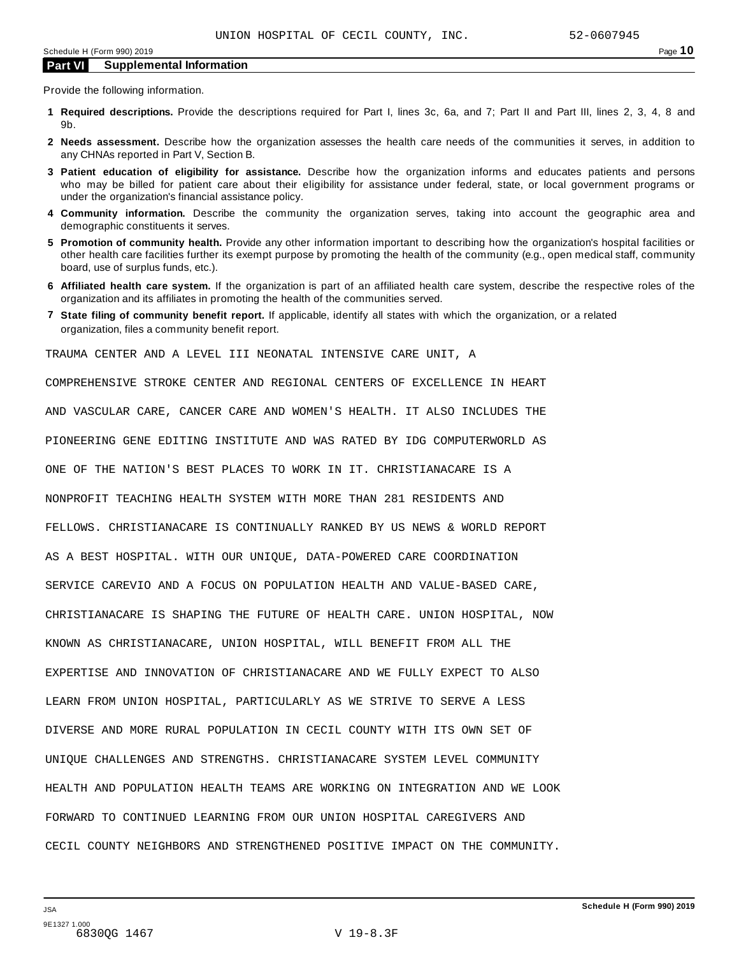Provide the following information.

- **1 Required descriptions.** Provide the descriptions required for Part I, lines 3c, 6a, and 7; Part II and Part III, lines 2, 3, 4, 8 and 9b.
- **2 Needs assessment.** Describe how the organization assesses the health care needs of the communities it serves, in addition to any CHNAs reported in Part V, Section B.
- **3 Patient education of eligibility for assistance.** Describe how the organization informs and educates patients and persons who may be billed for patient care about their eligibility for assistance under federal, state, or local government programs or under the organization's financial assistance policy.
- **4 Community information.** Describe the community the organization serves, taking into account the geographic area and demographic constituents it serves.
- **5 Promotion of community health.** Provide any other information important to describing how the organization's hospital facilities or other health care facilities further its exempt purpose by promoting the health of the community (e.g., open medical staff, community board, use of surplus funds, etc.).
- **6 Affiliated health care system.** If the organization is part of an affiliated health care system, describe the respective roles of the organization and its affiliates in promoting the health of the communities served.
- **7 State filing of community benefit report.** If applicable, identify all states with which the organization, or a related organization, files a community benefit report.

TRAUMA CENTER AND A LEVEL III NEONATAL INTENSIVE CARE UNIT, A

COMPREHENSIVE STROKE CENTER AND REGIONAL CENTERS OF EXCELLENCE IN HEART

AND VASCULAR CARE, CANCER CARE AND WOMEN'S HEALTH. IT ALSO INCLUDES THE

PIONEERING GENE EDITING INSTITUTE AND WAS RATED BY IDG COMPUTERWORLD AS

ONE OF THE NATION'S BEST PLACES TO WORK IN IT. CHRISTIANACARE IS A

NONPROFIT TEACHING HEALTH SYSTEM WITH MORE THAN 281 RESIDENTS AND

FELLOWS. CHRISTIANACARE IS CONTINUALLY RANKED BY US NEWS & WORLD REPORT

AS A BEST HOSPITAL. WITH OUR UNIQUE, DATA-POWERED CARE COORDINATION

SERVICE CAREVIO AND A FOCUS ON POPULATION HEALTH AND VALUE-BASED CARE,

CHRISTIANACARE IS SHAPING THE FUTURE OF HEALTH CARE. UNION HOSPITAL, NOW

KNOWN AS CHRISTIANACARE, UNION HOSPITAL, WILL BENEFIT FROM ALL THE

EXPERTISE AND INNOVATION OF CHRISTIANACARE AND WE FULLY EXPECT TO ALSO

LEARN FROM UNION HOSPITAL, PARTICULARLY AS WE STRIVE TO SERVE A LESS

DIVERSE AND MORE RURAL POPULATION IN CECIL COUNTY WITH ITS OWN SET OF

UNIQUE CHALLENGES AND STRENGTHS. CHRISTIANACARE SYSTEM LEVEL COMMUNITY

HEALTH AND POPULATION HEALTH TEAMS ARE WORKING ON INTEGRATION AND WE LOOK

CECIL COUNTY NEIGHBORS AND STRENGTHENED POSITIVE IMPACT ON THE COMMUNITY.

FORWARD TO CONTINUED LEARNING FROM OUR UNION HOSPITAL CAREGIVERS AND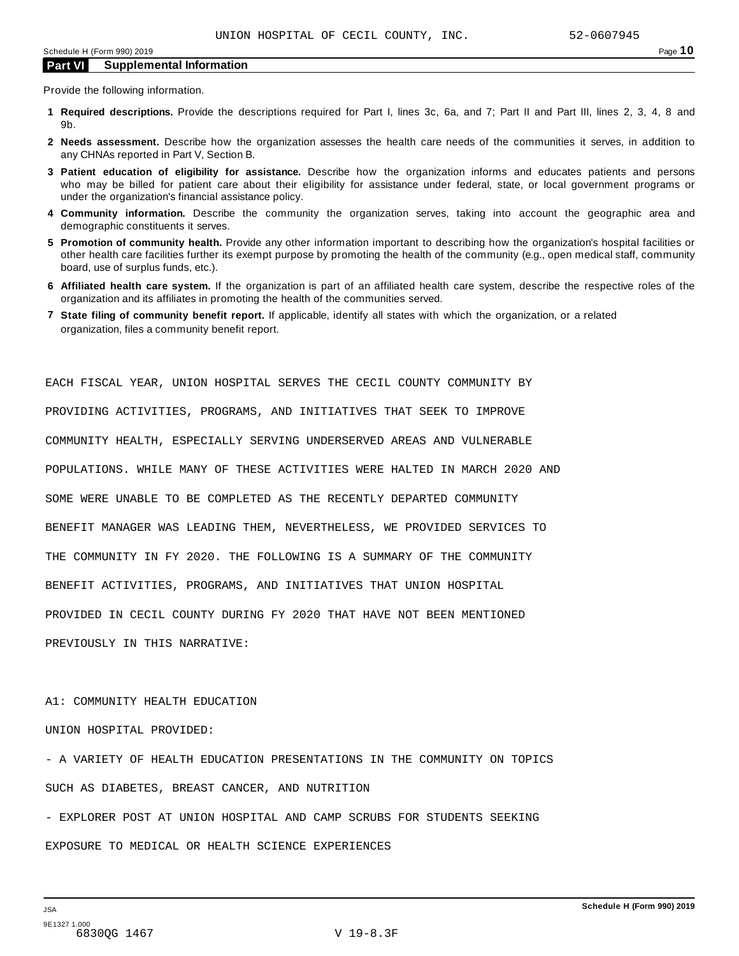Provide the following information.

- **1 Required descriptions.** Provide the descriptions required for Part I, lines 3c, 6a, and 7; Part II and Part III, lines 2, 3, 4, 8 and 9b.
- **2 Needs assessment.** Describe how the organization assesses the health care needs of the communities it serves, in addition to any CHNAs reported in Part V, Section B.
- **3 Patient education of eligibility for assistance.** Describe how the organization informs and educates patients and persons who may be billed for patient care about their eligibility for assistance under federal, state, or local government programs or under the organization's financial assistance policy.
- **4 Community information.** Describe the community the organization serves, taking into account the geographic area and demographic constituents it serves.
- **5 Promotion of community health.** Provide any other information important to describing how the organization's hospital facilities or other health care facilities further its exempt purpose by promoting the health of the community (e.g., open medical staff, community board, use of surplus funds, etc.).
- **6 Affiliated health care system.** If the organization is part of an affiliated health care system, describe the respective roles of the organization and its affiliates in promoting the health of the communities served.
- **7 State filing of community benefit report.** If applicable, identify all states with which the organization, or a related organization, files a community benefit report.

EACH FISCAL YEAR, UNION HOSPITAL SERVES THE CECIL COUNTY COMMUNITY BY PROVIDING ACTIVITIES, PROGRAMS, AND INITIATIVES THAT SEEK TO IMPROVE COMMUNITY HEALTH, ESPECIALLY SERVING UNDERSERVED AREAS AND VULNERABLE POPULATIONS. WHILE MANY OF THESE ACTIVITIES WERE HALTED IN MARCH 2020 AND SOME WERE UNABLE TO BE COMPLETED AS THE RECENTLY DEPARTED COMMUNITY BENEFIT MANAGER WAS LEADING THEM, NEVERTHELESS, WE PROVIDED SERVICES TO THE COMMUNITY IN FY 2020. THE FOLLOWING IS A SUMMARY OF THE COMMUNITY BENEFIT ACTIVITIES, PROGRAMS, AND INITIATIVES THAT UNION HOSPITAL PROVIDED IN CECIL COUNTY DURING FY 2020 THAT HAVE NOT BEEN MENTIONED PREVIOUSLY IN THIS NARRATIVE:

### A1: COMMUNITY HEALTH EDUCATION

### UNION HOSPITAL PROVIDED:

- A VARIETY OF HEALTH EDUCATION PRESENTATIONS IN THE COMMUNITY ON TOPICS SUCH AS DIABETES, BREAST CANCER, AND NUTRITION

- EXPLORER POST AT UNION HOSPITAL AND CAMP SCRUBS FOR STUDENTS SEEKING EXPOSURE TO MEDICAL OR HEALTH SCIENCE EXPERIENCES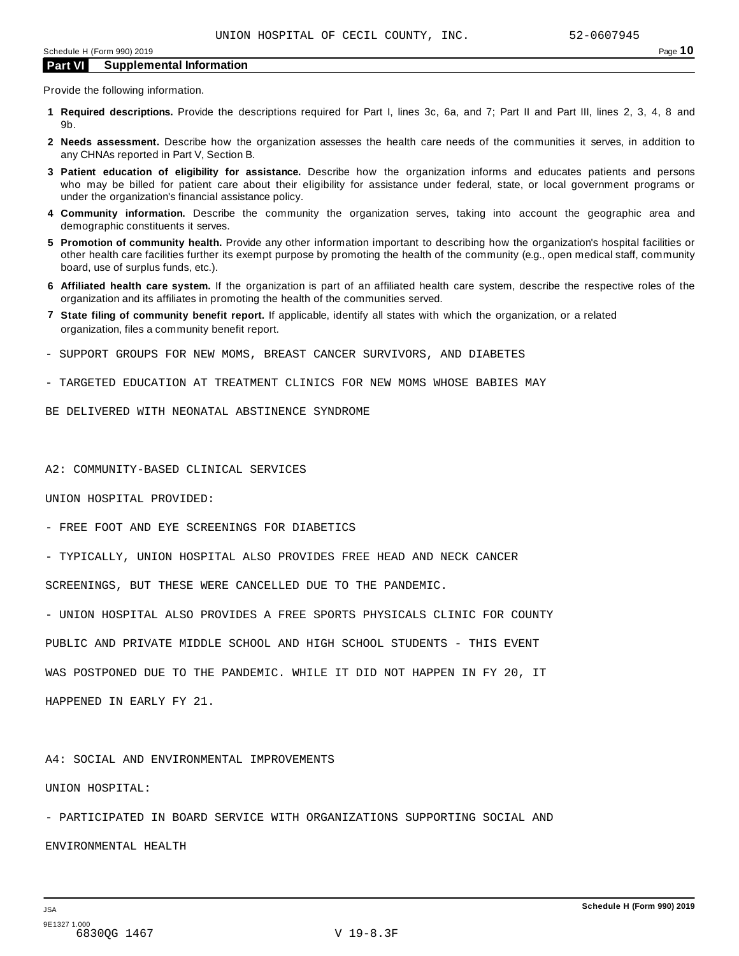Provide the following information.

- **1 Required descriptions.** Provide the descriptions required for Part I, lines 3c, 6a, and 7; Part II and Part III, lines 2, 3, 4, 8 and 9b.
- **2 Needs assessment.** Describe how the organization assesses the health care needs of the communities it serves, in addition to any CHNAs reported in Part V, Section B.
- **3 Patient education of eligibility for assistance.** Describe how the organization informs and educates patients and persons who may be billed for patient care about their eligibility for assistance under federal, state, or local government programs or under the organization's financial assistance policy.
- **4 Community information.** Describe the community the organization serves, taking into account the geographic area and demographic constituents it serves.
- **5 Promotion of community health.** Provide any other information important to describing how the organization's hospital facilities or other health care facilities further its exempt purpose by promoting the health of the community (e.g., open medical staff, community board, use of surplus funds, etc.).
- **6 Affiliated health care system.** If the organization is part of an affiliated health care system, describe the respective roles of the organization and its affiliates in promoting the health of the communities served.
- **7 State filing of community benefit report.** If applicable, identify all states with which the organization, or a related organization, files a community benefit report.
- SUPPORT GROUPS FOR NEW MOMS, BREAST CANCER SURVIVORS, AND DIABETES
- TARGETED EDUCATION AT TREATMENT CLINICS FOR NEW MOMS WHOSE BABIES MAY

BE DELIVERED WITH NEONATAL ABSTINENCE SYNDROME

A2: COMMUNITY-BASED CLINICAL SERVICES

UNION HOSPITAL PROVIDED:

- FREE FOOT AND EYE SCREENINGS FOR DIABETICS
- TYPICALLY, UNION HOSPITAL ALSO PROVIDES FREE HEAD AND NECK CANCER

SCREENINGS, BUT THESE WERE CANCELLED DUE TO THE PANDEMIC.

- UNION HOSPITAL ALSO PROVIDES A FREE SPORTS PHYSICALS CLINIC FOR COUNTY

PUBLIC AND PRIVATE MIDDLE SCHOOL AND HIGH SCHOOL STUDENTS - THIS EVENT

WAS POSTPONED DUE TO THE PANDEMIC. WHILE IT DID NOT HAPPEN IN FY 20, IT

HAPPENED IN EARLY FY 21.

A4: SOCIAL AND ENVIRONMENTAL IMPROVEMENTS

UNION HOSPITAL:

- PARTICIPATED IN BOARD SERVICE WITH ORGANIZATIONS SUPPORTING SOCIAL AND

ENVIRONMENTAL HEALTH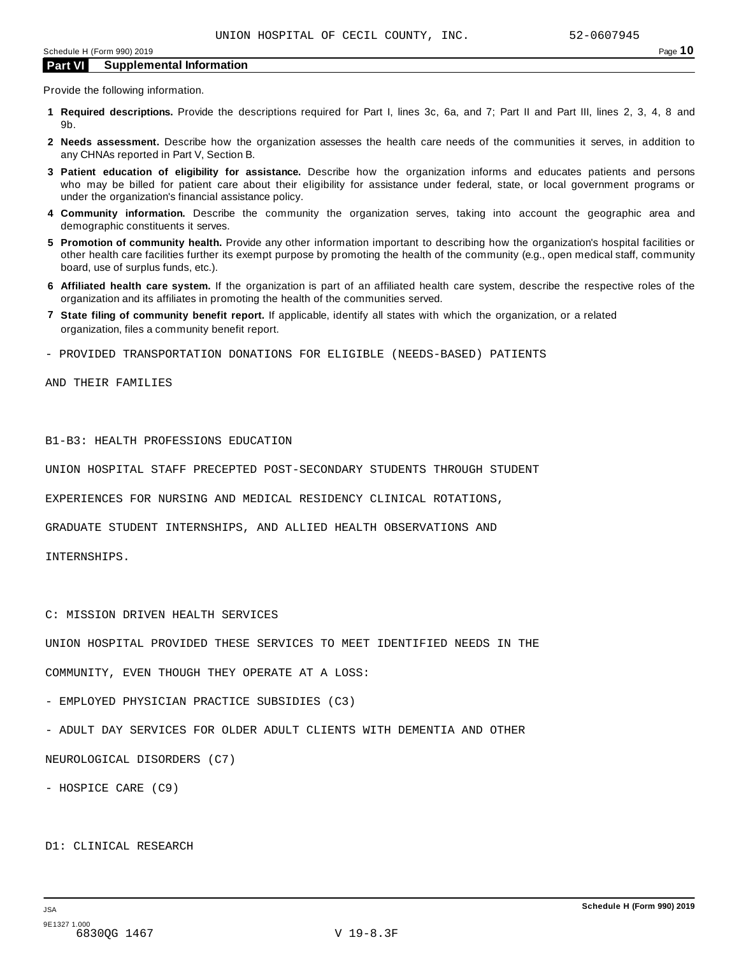```
Schedule H (Form 990) 2019 Page 10
```
Provide the following information.

- **1 Required descriptions.** Provide the descriptions required for Part I, lines 3c, 6a, and 7; Part II and Part III, lines 2, 3, 4, 8 and 9b.
- **2 Needs assessment.** Describe how the organization assesses the health care needs of the communities it serves, in addition to any CHNAs reported in Part V, Section B.
- **3 Patient education of eligibility for assistance.** Describe how the organization informs and educates patients and persons who may be billed for patient care about their eligibility for assistance under federal, state, or local government programs or under the organization's financial assistance policy.
- **4 Community information.** Describe the community the organization serves, taking into account the geographic area and demographic constituents it serves.
- **5 Promotion of community health.** Provide any other information important to describing how the organization's hospital facilities or other health care facilities further its exempt purpose by promoting the health of the community (e.g., open medical staff, community board, use of surplus funds, etc.).
- **6 Affiliated health care system.** If the organization is part of an affiliated health care system, describe the respective roles of the organization and its affiliates in promoting the health of the communities served.
- **7 State filing of community benefit report.** If applicable, identify all states with which the organization, or a related organization, files a community benefit report.
- PROVIDED TRANSPORTATION DONATIONS FOR ELIGIBLE (NEEDS-BASED) PATIENTS

AND THEIR FAMILIES

B1-B3: HEALTH PROFESSIONS EDUCATION

UNION HOSPITAL STAFF PRECEPTED POST-SECONDARY STUDENTS THROUGH STUDENT

EXPERIENCES FOR NURSING AND MEDICAL RESIDENCY CLINICAL ROTATIONS,

GRADUATE STUDENT INTERNSHIPS, AND ALLIED HEALTH OBSERVATIONS AND

INTERNSHIPS.

C: MISSION DRIVEN HEALTH SERVICES

UNION HOSPITAL PROVIDED THESE SERVICES TO MEET IDENTIFIED NEEDS IN THE

COMMUNITY, EVEN THOUGH THEY OPERATE AT A LOSS:

- EMPLOYED PHYSICIAN PRACTICE SUBSIDIES (C3)

- ADULT DAY SERVICES FOR OLDER ADULT CLIENTS WITH DEMENTIA AND OTHER

NEUROLOGICAL DISORDERS (C7)

- HOSPICE CARE (C9)

D1: CLINICAL RESEARCH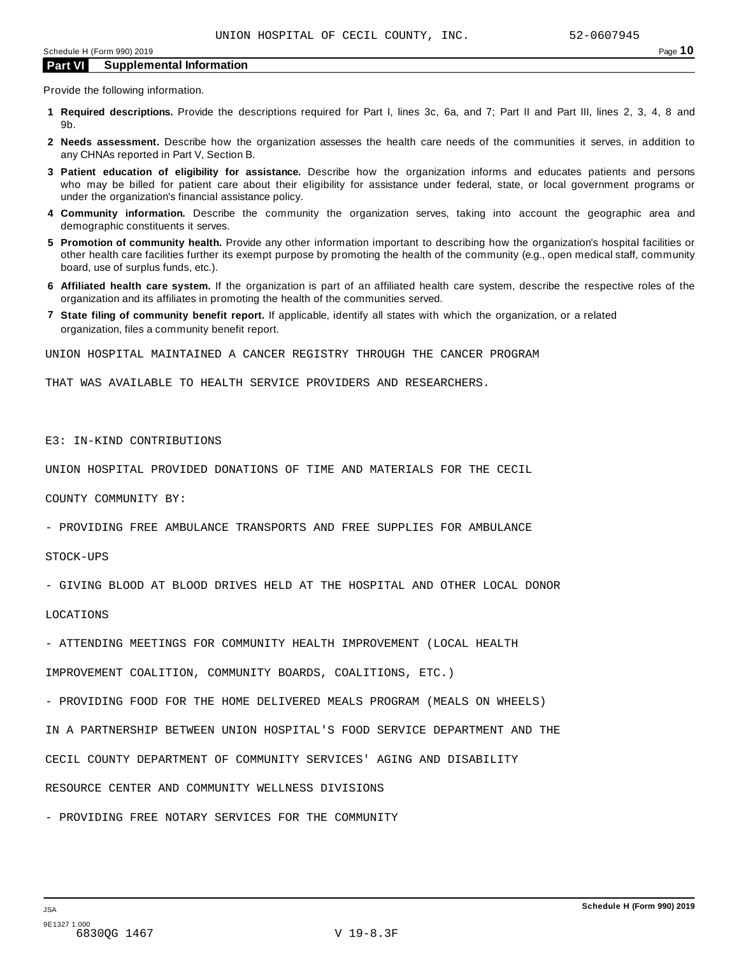Provide the following information.

- **1 Required descriptions.** Provide the descriptions required for Part I, lines 3c, 6a, and 7; Part II and Part III, lines 2, 3, 4, 8 and 9b.
- **2 Needs assessment.** Describe how the organization assesses the health care needs of the communities it serves, in addition to any CHNAs reported in Part V, Section B.
- **3 Patient education of eligibility for assistance.** Describe how the organization informs and educates patients and persons who may be billed for patient care about their eligibility for assistance under federal, state, or local government programs or under the organization's financial assistance policy.
- **4 Community information.** Describe the community the organization serves, taking into account the geographic area and demographic constituents it serves.
- **5 Promotion of community health.** Provide any other information important to describing how the organization's hospital facilities or other health care facilities further its exempt purpose by promoting the health of the community (e.g., open medical staff, community board, use of surplus funds, etc.).
- **6 Affiliated health care system.** If the organization is part of an affiliated health care system, describe the respective roles of the organization and its affiliates in promoting the health of the communities served.
- **7 State filing of community benefit report.** If applicable, identify all states with which the organization, or a related organization, files a community benefit report.

UNION HOSPITAL MAINTAINED A CANCER REGISTRY THROUGH THE CANCER PROGRAM

THAT WAS AVAILABLE TO HEALTH SERVICE PROVIDERS AND RESEARCHERS.

### E3: IN-KIND CONTRIBUTIONS

UNION HOSPITAL PROVIDED DONATIONS OF TIME AND MATERIALS FOR THE CECIL

COUNTY COMMUNITY BY:

- PROVIDING FREE AMBULANCE TRANSPORTS AND FREE SUPPLIES FOR AMBULANCE

STOCK-UPS

- GIVING BLOOD AT BLOOD DRIVES HELD AT THE HOSPITAL AND OTHER LOCAL DONOR

LOCATIONS

- ATTENDING MEETINGS FOR COMMUNITY HEALTH IMPROVEMENT (LOCAL HEALTH

IMPROVEMENT COALITION, COMMUNITY BOARDS, COALITIONS, ETC.)

- PROVIDING FOOD FOR THE HOME DELIVERED MEALS PROGRAM (MEALS ON WHEELS)
- IN A PARTNERSHIP BETWEEN UNION HOSPITAL'S FOOD SERVICE DEPARTMENT AND THE

CECIL COUNTY DEPARTMENT OF COMMUNITY SERVICES' AGING AND DISABILITY

RESOURCE CENTER AND COMMUNITY WELLNESS DIVISIONS

- PROVIDING FREE NOTARY SERVICES FOR THE COMMUNITY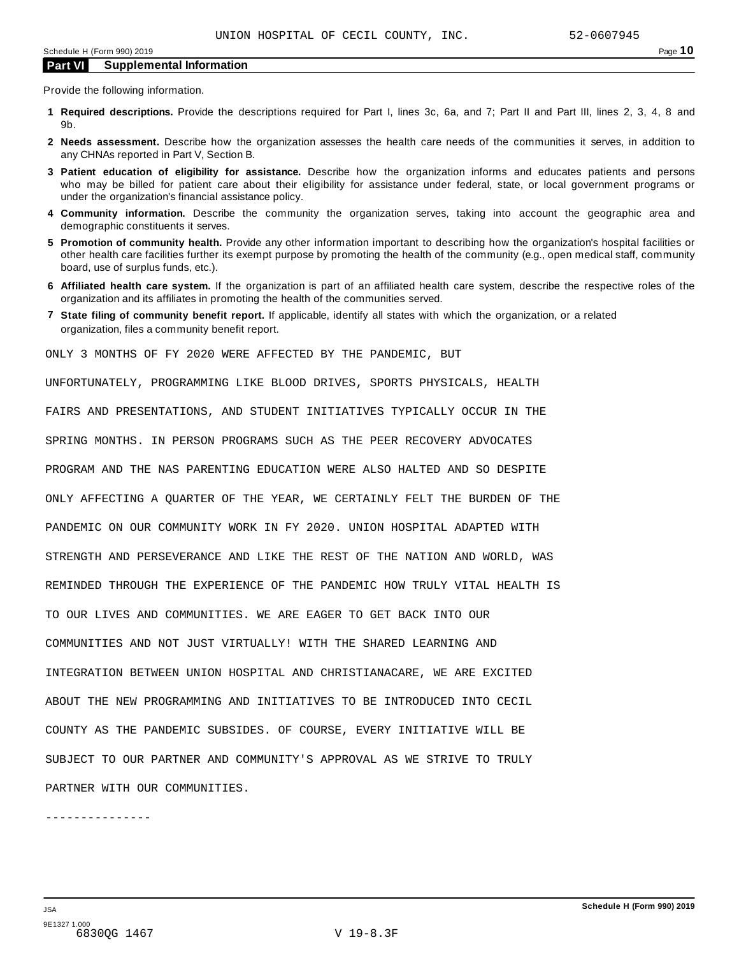Provide the following information.

- **1 Required descriptions.** Provide the descriptions required for Part I, lines 3c, 6a, and 7; Part II and Part III, lines 2, 3, 4, 8 and 9b.
- **2 Needs assessment.** Describe how the organization assesses the health care needs of the communities it serves, in addition to any CHNAs reported in Part V, Section B.
- **3 Patient education of eligibility for assistance.** Describe how the organization informs and educates patients and persons who may be billed for patient care about their eligibility for assistance under federal, state, or local government programs or under the organization's financial assistance policy.
- **4 Community information.** Describe the community the organization serves, taking into account the geographic area and demographic constituents it serves.
- **5 Promotion of community health.** Provide any other information important to describing how the organization's hospital facilities or other health care facilities further its exempt purpose by promoting the health of the community (e.g., open medical staff, community board, use of surplus funds, etc.).
- **6 Affiliated health care system.** If the organization is part of an affiliated health care system, describe the respective roles of the organization and its affiliates in promoting the health of the communities served.
- **7 State filing of community benefit report.** If applicable, identify all states with which the organization, or a related organization, files a community benefit report.

ONLY 3 MONTHS OF FY 2020 WERE AFFECTED BY THE PANDEMIC, BUT

UNFORTUNATELY, PROGRAMMING LIKE BLOOD DRIVES, SPORTS PHYSICALS, HEALTH

FAIRS AND PRESENTATIONS, AND STUDENT INITIATIVES TYPICALLY OCCUR IN THE

SPRING MONTHS. IN PERSON PROGRAMS SUCH AS THE PEER RECOVERY ADVOCATES

PROGRAM AND THE NAS PARENTING EDUCATION WERE ALSO HALTED AND SO DESPITE

ONLY AFFECTING A QUARTER OF THE YEAR, WE CERTAINLY FELT THE BURDEN OF THE

PANDEMIC ON OUR COMMUNITY WORK IN FY 2020. UNION HOSPITAL ADAPTED WITH

STRENGTH AND PERSEVERANCE AND LIKE THE REST OF THE NATION AND WORLD, WAS

REMINDED THROUGH THE EXPERIENCE OF THE PANDEMIC HOW TRULY VITAL HEALTH IS

TO OUR LIVES AND COMMUNITIES. WE ARE EAGER TO GET BACK INTO OUR

COMMUNITIES AND NOT JUST VIRTUALLY! WITH THE SHARED LEARNING AND

INTEGRATION BETWEEN UNION HOSPITAL AND CHRISTIANACARE, WE ARE EXCITED

ABOUT THE NEW PROGRAMMING AND INITIATIVES TO BE INTRODUCED INTO CECIL

COUNTY AS THE PANDEMIC SUBSIDES. OF COURSE, EVERY INITIATIVE WILL BE

SUBJECT TO OUR PARTNER AND COMMUNITY'S APPROVAL AS WE STRIVE TO TRULY

PARTNER WITH OUR COMMUNITIES.

---------------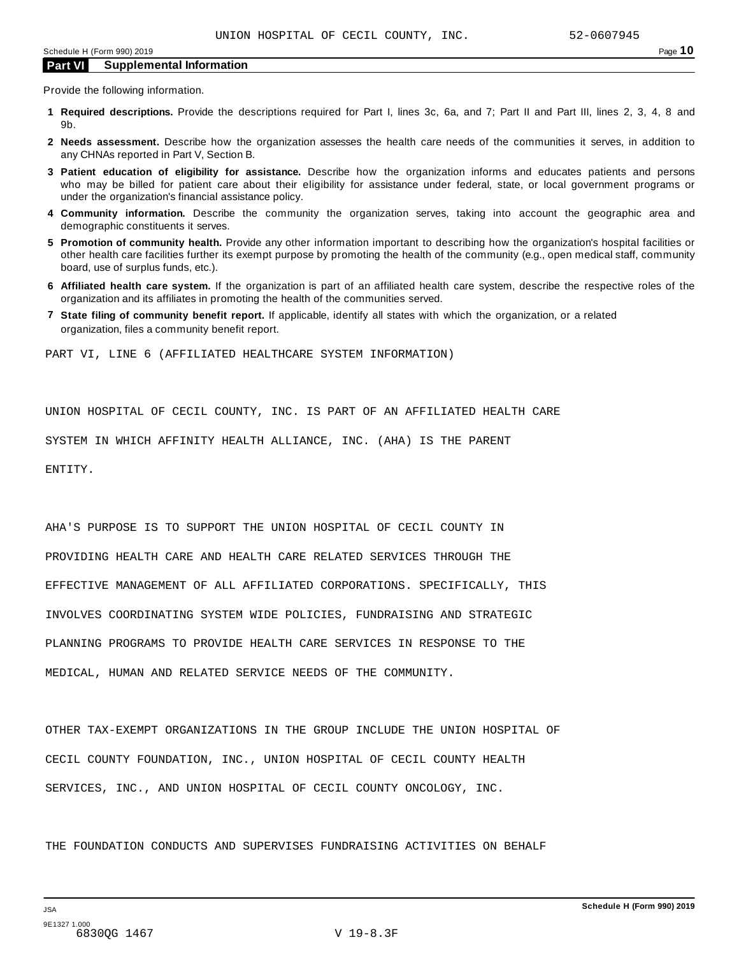Provide the following information.

- **1 Required descriptions.** Provide the descriptions required for Part I, lines 3c, 6a, and 7; Part II and Part III, lines 2, 3, 4, 8 and 9b.
- **2 Needs assessment.** Describe how the organization assesses the health care needs of the communities it serves, in addition to any CHNAs reported in Part V, Section B.
- **3 Patient education of eligibility for assistance.** Describe how the organization informs and educates patients and persons who may be billed for patient care about their eligibility for assistance under federal, state, or local government programs or under the organization's financial assistance policy.
- **4 Community information.** Describe the community the organization serves, taking into account the geographic area and demographic constituents it serves.
- **5 Promotion of community health.** Provide any other information important to describing how the organization's hospital facilities or other health care facilities further its exempt purpose by promoting the health of the community (e.g., open medical staff, community board, use of surplus funds, etc.).
- **6 Affiliated health care system.** If the organization is part of an affiliated health care system, describe the respective roles of the organization and its affiliates in promoting the health of the communities served.
- **7 State filing of community benefit report.** If applicable, identify all states with which the organization, or a related organization, files a community benefit report.

PART VI, LINE 6 (AFFILIATED HEALTHCARE SYSTEM INFORMATION)

UNION HOSPITAL OF CECIL COUNTY, INC. IS PART OF AN AFFILIATED HEALTH CARE SYSTEM IN WHICH AFFINITY HEALTH ALLIANCE, INC. (AHA) IS THE PARENT

ENTITY.

AHA'S PURPOSE IS TO SUPPORT THE UNION HOSPITAL OF CECIL COUNTY IN PROVIDING HEALTH CARE AND HEALTH CARE RELATED SERVICES THROUGH THE EFFECTIVE MANAGEMENT OF ALL AFFILIATED CORPORATIONS. SPECIFICALLY, THIS INVOLVES COORDINATING SYSTEM WIDE POLICIES, FUNDRAISING AND STRATEGIC PLANNING PROGRAMS TO PROVIDE HEALTH CARE SERVICES IN RESPONSE TO THE MEDICAL, HUMAN AND RELATED SERVICE NEEDS OF THE COMMUNITY.

OTHER TAX-EXEMPT ORGANIZATIONS IN THE GROUP INCLUDE THE UNION HOSPITAL OF CECIL COUNTY FOUNDATION, INC., UNION HOSPITAL OF CECIL COUNTY HEALTH SERVICES, INC., AND UNION HOSPITAL OF CECIL COUNTY ONCOLOGY, INC.

THE FOUNDATION CONDUCTS AND SUPERVISES FUNDRAISING ACTIVITIES ON BEHALF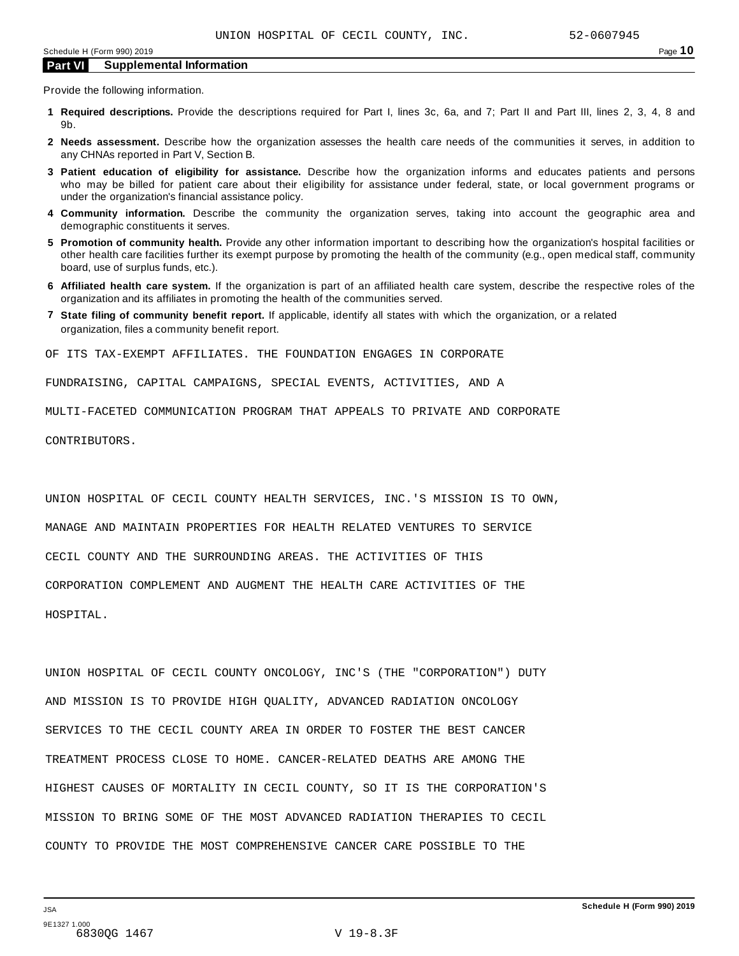Provide the following information.

- **1 Required descriptions.** Provide the descriptions required for Part I, lines 3c, 6a, and 7; Part II and Part III, lines 2, 3, 4, 8 and 9b.
- **2 Needs assessment.** Describe how the organization assesses the health care needs of the communities it serves, in addition to any CHNAs reported in Part V, Section B.
- **3 Patient education of eligibility for assistance.** Describe how the organization informs and educates patients and persons who may be billed for patient care about their eligibility for assistance under federal, state, or local government programs or under the organization's financial assistance policy.
- **4 Community information.** Describe the community the organization serves, taking into account the geographic area and demographic constituents it serves.
- **5 Promotion of community health.** Provide any other information important to describing how the organization's hospital facilities or other health care facilities further its exempt purpose by promoting the health of the community (e.g., open medical staff, community board, use of surplus funds, etc.).
- **6 Affiliated health care system.** If the organization is part of an affiliated health care system, describe the respective roles of the organization and its affiliates in promoting the health of the communities served.
- **7 State filing of community benefit report.** If applicable, identify all states with which the organization, or a related organization, files a community benefit report.

OF ITS TAX-EXEMPT AFFILIATES. THE FOUNDATION ENGAGES IN CORPORATE

FUNDRAISING, CAPITAL CAMPAIGNS, SPECIAL EVENTS, ACTIVITIES, AND A

MULTI-FACETED COMMUNICATION PROGRAM THAT APPEALS TO PRIVATE AND CORPORATE

CONTRIBUTORS.

UNION HOSPITAL OF CECIL COUNTY HEALTH SERVICES, INC.'S MISSION IS TO OWN, MANAGE AND MAINTAIN PROPERTIES FOR HEALTH RELATED VENTURES TO SERVICE CECIL COUNTY AND THE SURROUNDING AREAS. THE ACTIVITIES OF THIS CORPORATION COMPLEMENT AND AUGMENT THE HEALTH CARE ACTIVITIES OF THE HOSPITAL.

UNION HOSPITAL OF CECIL COUNTY ONCOLOGY, INC'S (THE "CORPORATION") DUTY AND MISSION IS TO PROVIDE HIGH QUALITY, ADVANCED RADIATION ONCOLOGY SERVICES TO THE CECIL COUNTY AREA IN ORDER TO FOSTER THE BEST CANCER TREATMENT PROCESS CLOSE TO HOME. CANCER-RELATED DEATHS ARE AMONG THE HIGHEST CAUSES OF MORTALITY IN CECIL COUNTY, SO IT IS THE CORPORATION'S MISSION TO BRING SOME OF THE MOST ADVANCED RADIATION THERAPIES TO CECIL COUNTY TO PROVIDE THE MOST COMPREHENSIVE CANCER CARE POSSIBLE TO THE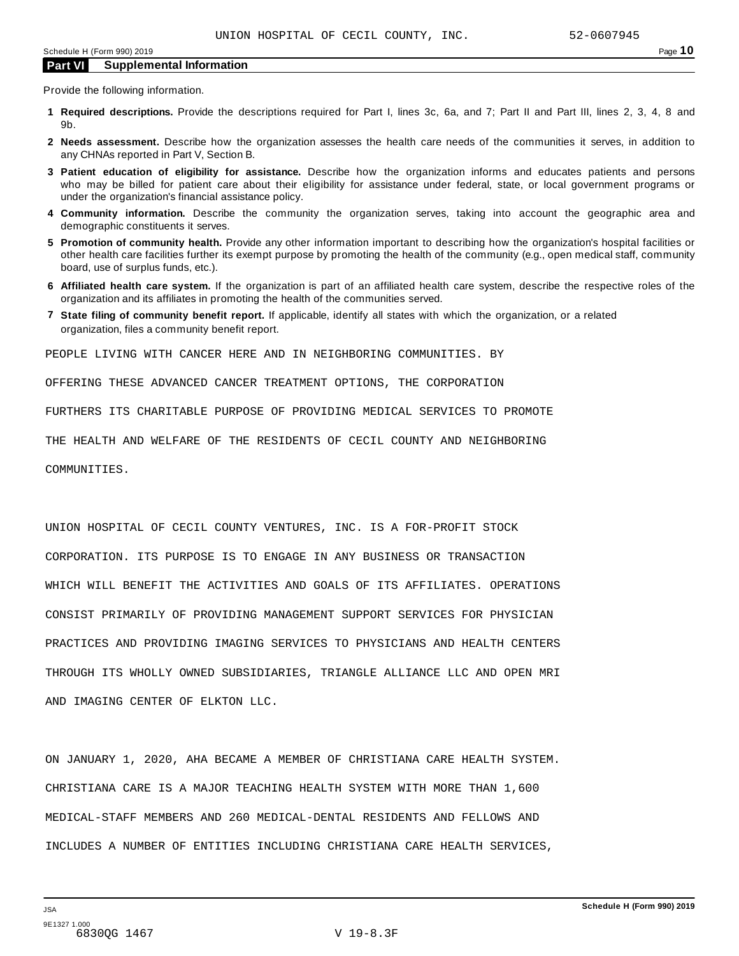Provide the following information.

- **1 Required descriptions.** Provide the descriptions required for Part I, lines 3c, 6a, and 7; Part II and Part III, lines 2, 3, 4, 8 and 9b.
- **2 Needs assessment.** Describe how the organization assesses the health care needs of the communities it serves, in addition to any CHNAs reported in Part V, Section B.
- **3 Patient education of eligibility for assistance.** Describe how the organization informs and educates patients and persons who may be billed for patient care about their eligibility for assistance under federal, state, or local government programs or under the organization's financial assistance policy.
- **4 Community information.** Describe the community the organization serves, taking into account the geographic area and demographic constituents it serves.
- **5 Promotion of community health.** Provide any other information important to describing how the organization's hospital facilities or other health care facilities further its exempt purpose by promoting the health of the community (e.g., open medical staff, community board, use of surplus funds, etc.).
- **6 Affiliated health care system.** If the organization is part of an affiliated health care system, describe the respective roles of the organization and its affiliates in promoting the health of the communities served.
- **7 State filing of community benefit report.** If applicable, identify all states with which the organization, or a related organization, files a community benefit report.

PEOPLE LIVING WITH CANCER HERE AND IN NEIGHBORING COMMUNITIES. BY

OFFERING THESE ADVANCED CANCER TREATMENT OPTIONS, THE CORPORATION

FURTHERS ITS CHARITABLE PURPOSE OF PROVIDING MEDICAL SERVICES TO PROMOTE

THE HEALTH AND WELFARE OF THE RESIDENTS OF CECIL COUNTY AND NEIGHBORING

COMMUNITIES.

UNION HOSPITAL OF CECIL COUNTY VENTURES, INC. IS A FOR-PROFIT STOCK CORPORATION. ITS PURPOSE IS TO ENGAGE IN ANY BUSINESS OR TRANSACTION WHICH WILL BENEFIT THE ACTIVITIES AND GOALS OF ITS AFFILIATES. OPERATIONS CONSIST PRIMARILY OF PROVIDING MANAGEMENT SUPPORT SERVICES FOR PHYSICIAN PRACTICES AND PROVIDING IMAGING SERVICES TO PHYSICIANS AND HEALTH CENTERS THROUGH ITS WHOLLY OWNED SUBSIDIARIES, TRIANGLE ALLIANCE LLC AND OPEN MRI AND IMAGING CENTER OF ELKTON LLC.

ON JANUARY 1, 2020, AHA BECAME A MEMBER OF CHRISTIANA CARE HEALTH SYSTEM. CHRISTIANA CARE IS A MAJOR TEACHING HEALTH SYSTEM WITH MORE THAN 1,600 MEDICAL-STAFF MEMBERS AND 260 MEDICAL-DENTAL RESIDENTS AND FELLOWS AND INCLUDES A NUMBER OF ENTITIES INCLUDING CHRISTIANA CARE HEALTH SERVICES,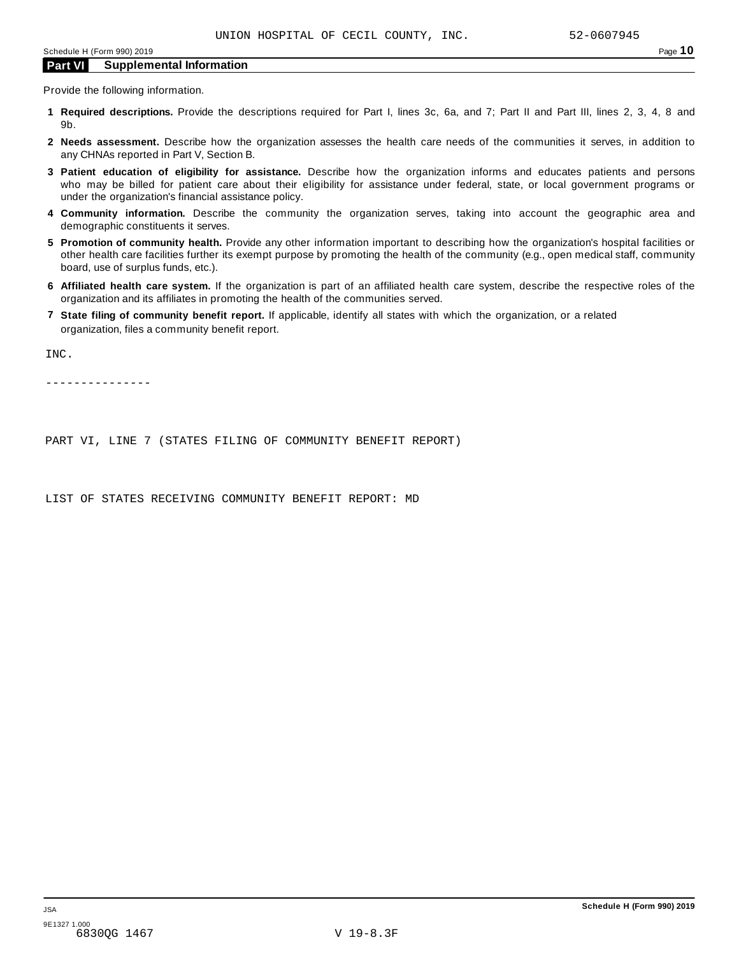Provide the following information.

- **1 Required descriptions.** Provide the descriptions required for Part I, lines 3c, 6a, and 7; Part II and Part III, lines 2, 3, 4, 8 and 9b.
- **2 Needs assessment.** Describe how the organization assesses the health care needs of the communities it serves, in addition to any CHNAs reported in Part V, Section B.
- **3 Patient education of eligibility for assistance.** Describe how the organization informs and educates patients and persons who may be billed for patient care about their eligibility for assistance under federal, state, or local government programs or under the organization's financial assistance policy.
- **4 Community information.** Describe the community the organization serves, taking into account the geographic area and demographic constituents it serves.
- **5 Promotion of community health.** Provide any other information important to describing how the organization's hospital facilities or other health care facilities further its exempt purpose by promoting the health of the community (e.g., open medical staff, community board, use of surplus funds, etc.).
- **6 Affiliated health care system.** If the organization is part of an affiliated health care system, describe the respective roles of the organization and its affiliates in promoting the health of the communities served.
- **7 State filing of community benefit report.** If applicable, identify all states with which the organization, or a related organization, files a community benefit report.

INC.

---------------

PART VI, LINE 7 (STATES FILING OF COMMUNITY BENEFIT REPORT)

LIST OF STATES RECEIVING COMMUNITY BENEFIT REPORT: MD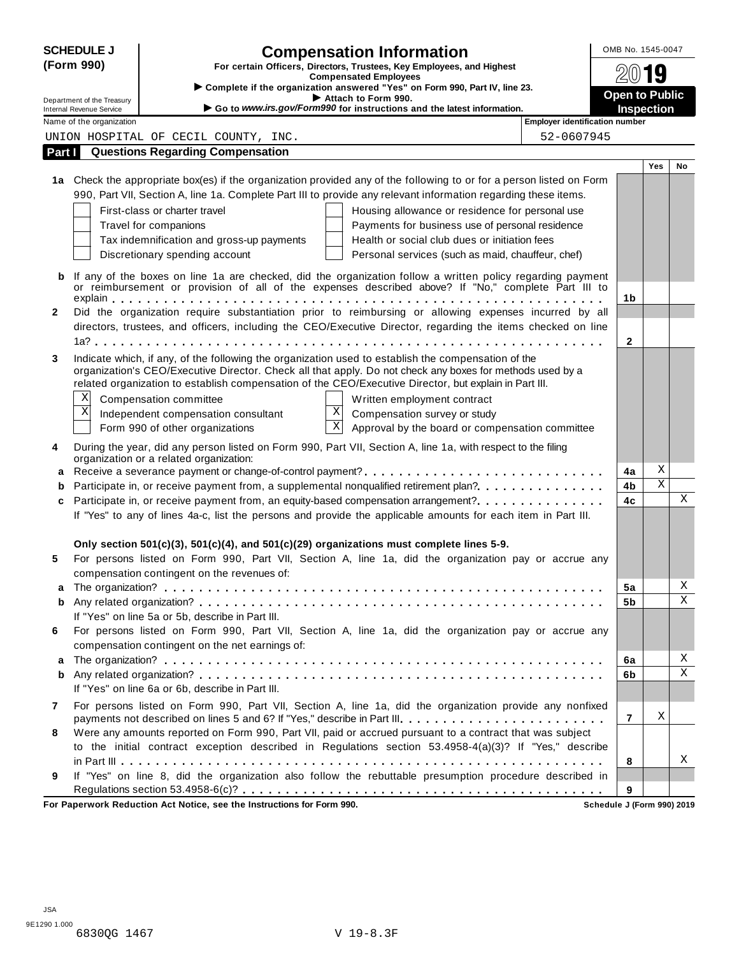|              | <b>SCHEDULE J</b>                                    |                                                  | <b>Compensation Information</b>                                                                                      |                                       | OMB No. 1545-0047     |             |             |
|--------------|------------------------------------------------------|--------------------------------------------------|----------------------------------------------------------------------------------------------------------------------|---------------------------------------|-----------------------|-------------|-------------|
|              | (Form 990)                                           |                                                  | For certain Officers, Directors, Trustees, Key Employees, and Highest                                                |                                       |                       | 9           |             |
|              |                                                      |                                                  | <b>Compensated Employees</b><br>Complete if the organization answered "Yes" on Form 990, Part IV, line 23.           |                                       |                       |             |             |
|              | Department of the Treasury                           |                                                  | Attach to Form 990.                                                                                                  |                                       | <b>Open to Public</b> |             |             |
|              | Internal Revenue Service<br>Name of the organization |                                                  | Go to www.irs.gov/Form990 for instructions and the latest information.                                               | <b>Employer identification number</b> | <b>Inspection</b>     |             |             |
|              |                                                      | UNION HOSPITAL OF CECIL COUNTY, INC.             |                                                                                                                      | 52-0607945                            |                       |             |             |
| Part I       |                                                      | <b>Questions Regarding Compensation</b>          |                                                                                                                      |                                       |                       |             |             |
|              |                                                      |                                                  |                                                                                                                      |                                       |                       | <b>Yes</b>  | No          |
|              |                                                      |                                                  | 1a Check the appropriate box(es) if the organization provided any of the following to or for a person listed on Form |                                       |                       |             |             |
|              |                                                      |                                                  | 990, Part VII, Section A, line 1a. Complete Part III to provide any relevant information regarding these items.      |                                       |                       |             |             |
|              |                                                      | First-class or charter travel                    | Housing allowance or residence for personal use                                                                      |                                       |                       |             |             |
|              |                                                      | Travel for companions                            | Payments for business use of personal residence                                                                      |                                       |                       |             |             |
|              |                                                      | Tax indemnification and gross-up payments        | Health or social club dues or initiation fees                                                                        |                                       |                       |             |             |
|              |                                                      | Discretionary spending account                   | Personal services (such as maid, chauffeur, chef)                                                                    |                                       |                       |             |             |
| b            |                                                      |                                                  | If any of the boxes on line 1a are checked, did the organization follow a written policy regarding payment           |                                       |                       |             |             |
|              |                                                      |                                                  | or reimbursement or provision of all of the expenses described above? If "No," complete Part III to                  |                                       | 1 <sub>b</sub>        |             |             |
| $\mathbf{2}$ |                                                      |                                                  | Did the organization require substantiation prior to reimbursing or allowing expenses incurred by all                |                                       |                       |             |             |
|              |                                                      |                                                  | directors, trustees, and officers, including the CEO/Executive Director, regarding the items checked on line         |                                       |                       |             |             |
|              |                                                      |                                                  |                                                                                                                      |                                       | 2                     |             |             |
| 3            |                                                      |                                                  | Indicate which, if any, of the following the organization used to establish the compensation of the                  |                                       |                       |             |             |
|              |                                                      |                                                  | organization's CEO/Executive Director. Check all that apply. Do not check any boxes for methods used by a            |                                       |                       |             |             |
|              |                                                      |                                                  | related organization to establish compensation of the CEO/Executive Director, but explain in Part III.               |                                       |                       |             |             |
|              | Χ                                                    | Compensation committee                           | Written employment contract                                                                                          |                                       |                       |             |             |
|              | Χ                                                    | Independent compensation consultant              | $\mathbf X$<br>Compensation survey or study                                                                          |                                       |                       |             |             |
|              |                                                      | Form 990 of other organizations                  | $\overline{\mathbf{X}}$<br>Approval by the board or compensation committee                                           |                                       |                       |             |             |
| 4            |                                                      | organization or a related organization:          | During the year, did any person listed on Form 990, Part VII, Section A, line 1a, with respect to the filing         |                                       |                       |             |             |
|              |                                                      |                                                  | a Receive a severance payment or change-of-control payment?                                                          |                                       | 4a                    | Χ           |             |
| b            |                                                      |                                                  | Participate in, or receive payment from, a supplemental nonqualified retirement plan?                                |                                       | 4b                    | $\mathbf X$ |             |
| c            |                                                      |                                                  | Participate in, or receive payment from, an equity-based compensation arrangement?                                   |                                       | 4c                    |             | Χ           |
|              |                                                      |                                                  | If "Yes" to any of lines 4a-c, list the persons and provide the applicable amounts for each item in Part III.        |                                       |                       |             |             |
|              |                                                      |                                                  |                                                                                                                      |                                       |                       |             |             |
|              |                                                      |                                                  | Only section $501(c)(3)$ , $501(c)(4)$ , and $501(c)(29)$ organizations must complete lines 5-9.                     |                                       |                       |             |             |
| 5            |                                                      |                                                  | For persons listed on Form 990, Part VII, Section A, line 1a, did the organization pay or accrue any                 |                                       |                       |             |             |
|              |                                                      | compensation contingent on the revenues of:      |                                                                                                                      |                                       | 5a                    |             | Χ           |
| b            |                                                      |                                                  |                                                                                                                      |                                       | 5b                    |             | $\mathbf X$ |
|              |                                                      | If "Yes" on line 5a or 5b, describe in Part III. |                                                                                                                      |                                       |                       |             |             |
| 6            |                                                      |                                                  | For persons listed on Form 990, Part VII, Section A, line 1a, did the organization pay or accrue any                 |                                       |                       |             |             |
|              |                                                      | compensation contingent on the net earnings of:  |                                                                                                                      |                                       |                       |             |             |
| a            |                                                      |                                                  |                                                                                                                      |                                       | 6a                    |             | Χ           |
| b            |                                                      |                                                  |                                                                                                                      |                                       | 6b                    |             | Χ           |
|              |                                                      | If "Yes" on line 6a or 6b, describe in Part III. |                                                                                                                      |                                       |                       |             |             |
| 7            |                                                      |                                                  | For persons listed on Form 990, Part VII, Section A, line 1a, did the organization provide any nonfixed              |                                       |                       |             |             |
|              |                                                      |                                                  | payments not described on lines 5 and 6? If "Yes," describe in Part III.                                             |                                       | 7                     | Χ           |             |
| 8            |                                                      |                                                  | Were any amounts reported on Form 990, Part VII, paid or accrued pursuant to a contract that was subject             |                                       |                       |             |             |
|              |                                                      |                                                  | to the initial contract exception described in Regulations section 53.4958-4(a)(3)? If "Yes," describe               |                                       |                       |             |             |
|              |                                                      |                                                  |                                                                                                                      |                                       | 8                     |             | X           |
| 9            |                                                      |                                                  | If "Yes" on line 8, did the organization also follow the rebuttable presumption procedure described in               |                                       |                       |             |             |
|              |                                                      |                                                  |                                                                                                                      |                                       | 9                     |             |             |

**For Paperwork Reduction Act Notice, see the Instructions for Form 990. Schedule J (Form 990) 2019**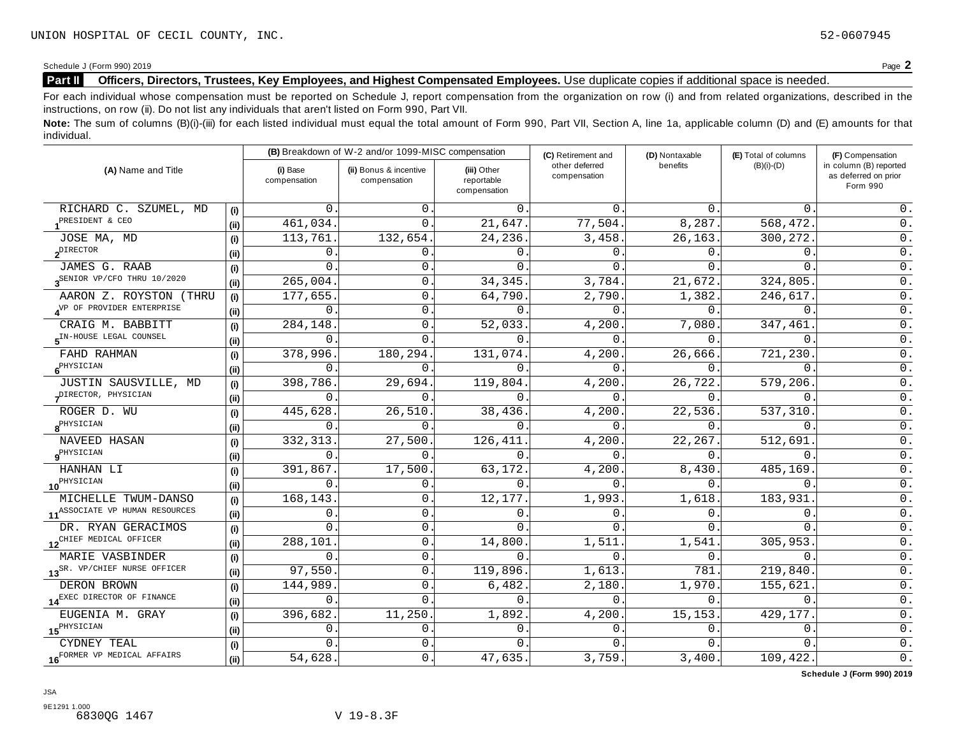## **Part II Officers, Directors, Trustees, Key Employees, and Highest Compensated Employees.** Use duplicate copies ifadditional space is needed.

For each individual whose compensation must be reported on Schedule J, report compensation from the organization on row (i) and from related organizations, described in the instructions, on row (ii). Do not list any individuals that aren't listed on Form 990, Part VII.

Note: The sum of columns (B)(i)-(iii) for each listed individual must equal the total amount of Form 990, Part VII, Section A, line 1a, applicable column (D) and (E) amounts for that individual.

|                                            |      |                          | (B) Breakdown of W-2 and/or 1099-MISC compensation |                                           | (C) Retirement and             | (D) Nontaxable | (E) Total of columns | (F) Compensation                                           |
|--------------------------------------------|------|--------------------------|----------------------------------------------------|-------------------------------------------|--------------------------------|----------------|----------------------|------------------------------------------------------------|
| (A) Name and Title                         |      | (i) Base<br>compensation | (ii) Bonus & incentive<br>compensation             | (iii) Other<br>reportable<br>compensation | other deferred<br>compensation | benefits       | $(B)(i)-(D)$         | in column (B) reported<br>as deferred on prior<br>Form 990 |
| RICHARD C. SZUMEL, MD                      | (i)  | $\Omega$                 | $\mathbf{0}$ .                                     | $\Omega$                                  | $\Omega$                       | 0.             | $\Omega$ .           | 0.                                                         |
| PRESIDENT & CEO                            | (ii) | 461,034                  | $\Omega$                                           | 21,647.                                   | 77,504                         | 8,287.         | 568,472              | $\overline{0}$ .                                           |
| JOSE MA, MD                                | (i)  | 113,761                  | 132,654.                                           | 24,236.                                   | 3,458                          | 26,163.        | 300,272.             | $0$ .                                                      |
| $2^{\text{DIFFOR}}$                        | (ii) | 0                        | 0                                                  | 0                                         | $\Omega$                       | 0.             | $\Omega$             | 0.                                                         |
| JAMES G. RAAB                              | (i)  | $\Omega$                 | $0$ .                                              | $\Omega$                                  | $\Omega$                       | 0.             | $\Omega$             | 0.                                                         |
| 3 <sup>SENIOR VP/CFO THRU 10/2020</sup>    | (i)  | 265,004                  | $\mathbf 0$                                        | 34,345                                    | 3,784                          | 21,672.        | 324,805              | 0.                                                         |
| AARON Z. ROYSTON (THRU                     | (i)  | 177,655                  | $\mathsf 0$                                        | 64,790                                    | 2,790                          | 1,382.         | 246,617              | $\overline{0}$ .                                           |
| 4 <sup>VP</sup> OF PROVIDER ENTERPRISE     | (ii) | $\Omega$                 | 0                                                  | $\Omega$ .                                | $\Omega$                       | $0$ .          | 0                    | 0.                                                         |
| CRAIG M. BABBITT                           | (i)  | 284,148                  | 0                                                  | 52,033                                    | 4,200                          | 7,080.         | 347,461              | $0$ .                                                      |
| $5^{IN-HOUSE}$ LEGAL COUNSEL               | (ii) | 0                        | 0                                                  | $\Omega$ .                                | 0                              | 0.             | $\mathbf{0}$ .       | $0$ .                                                      |
| FAHD RAHMAN                                | (i)  | 378,996                  | 180,294.                                           | 131,074.                                  | 4,200                          | 26,666.        | 721,230              | 0.                                                         |
| $6^{PHYSICIAN}$                            | (i)  | 0                        | 0                                                  | $\Omega$                                  | 0                              | 0.             | 0                    | $\overline{0}$ .                                           |
| JUSTIN SAUSVILLE, MD                       | (i)  | 398,786                  | 29,694.                                            | 119,804.                                  | 4,200                          | 26,722.        | 579, 206.            | $\overline{0}$ .                                           |
| DIRECTOR, PHYSICIAN                        | (ii) | $\Omega$                 | $\Omega$                                           | $\Omega$                                  | $\Omega$                       | $0$ .          | $\Omega$             | 0.                                                         |
| ROGER D. WU                                | (i)  | 445,628                  | 26,510                                             | 38,436                                    | 4,200                          | 22,536.        | 537,310              | $0$ .                                                      |
| $8^{\text{PHYSICIAN}}$                     | (ii) | $\Omega$                 | $\Omega$                                           | $\Omega$                                  | 0                              | 0.             | 0                    | $0$ .                                                      |
| NAVEED HASAN                               | (i)  | 332,313                  | 27,500                                             | 126,411                                   | 4,200                          | 22, 267.       | 512,691              | $\overline{0}$ .                                           |
| $9^{\text{PHYSICIAN}}$                     | (ii) | $\Omega$                 | $\Omega$                                           | $\Omega$                                  | $\Omega$                       | 0.             | $\Omega$             | $\overline{0}$ .                                           |
| HANHAN LI                                  | (i)  | 391,867                  | 17,500                                             | 63,172                                    | 4,200                          | 8,430.         | 485,169              | $\overline{0}$ .                                           |
| 10 <sup>PHYSICIAN</sup>                    | (ii) | $\Omega$                 | $\mathbf 0$ .                                      | $\Omega$                                  | $\Omega$                       | $0$ .          | $\Omega$             | $0$ .                                                      |
| MICHELLE TWUM-DANSO                        | (i)  | 168,143                  | 0                                                  | 12,177                                    | 1,993                          | 1,618.         | 183,931              | $0$ .                                                      |
| 11 <sup>ASSOCIATE</sup> VP HUMAN RESOURCES | (i)  | 0                        | 0                                                  | $\Omega$                                  | $\Omega$                       | 0.             | 0                    | 0.                                                         |
| DR. RYAN GERACIMOS                         | (i)  | 0                        | 0                                                  | 0                                         | $\Omega$                       | 0.             | 0                    | 0.                                                         |
| 12 <sup>CHIEF</sup> MEDICAL OFFICER        | (i)  | 288,101                  | 0                                                  | 14,800                                    | 1,511                          | 1,541          | 305,953              | $\overline{0}$ .                                           |
| MARIE VASBINDER                            | (i)  | 0                        | $\mathsf{0}$ .                                     | $\Omega$ .                                | 0                              | 0.             | $\mathsf{O}$ .       | 0.                                                         |
| 13 <sup>SR. VP/CHIEF NURSE OFFICER</sup>   | (ii) | 97,550                   | 0                                                  | 119,896.                                  | 1,613                          | 781.           | 219,840              | 0.                                                         |
| DERON BROWN                                | (i)  | 144,989                  | 0                                                  | 6,482.                                    | 2,180                          | 1,970.         | 155,621              | 0.                                                         |
| 14 <sup>EXEC</sup> DIRECTOR OF FINANCE     | (ii) | 0                        | $\Omega$                                           | $\Omega$ .                                | $\Omega$                       | 0.             | $\mathbf{0}$ .       | $\overline{0}$ .                                           |
| EUGENIA M. GRAY                            | (i)  | 396,682                  | 11,250                                             | 1,892                                     | 4,200                          | 15, 153.       | 429,177              | 0.                                                         |
| $15^{\text{PHYSICIAN}}$                    | (i)  | 0                        | 0                                                  | $\mathbf{0}$ .                            | $\Omega$                       | $\Omega$ .     | $\Omega$             | 0.                                                         |
| CYDNEY TEAL                                | (i)  | $\Omega$                 | 0                                                  | $\Omega$                                  | 0                              | $\Omega$ .     | $\Omega$             | $0$ .                                                      |
| 16 FORMER VP MEDICAL AFFAIRS               | (i)  | 54,628                   | 0.                                                 | $\overline{47}$ , 635.                    | 3,759                          | 3,400.         | 109,422              | $\mathsf 0$ .                                              |

**Schedule J (Form 990) 2019**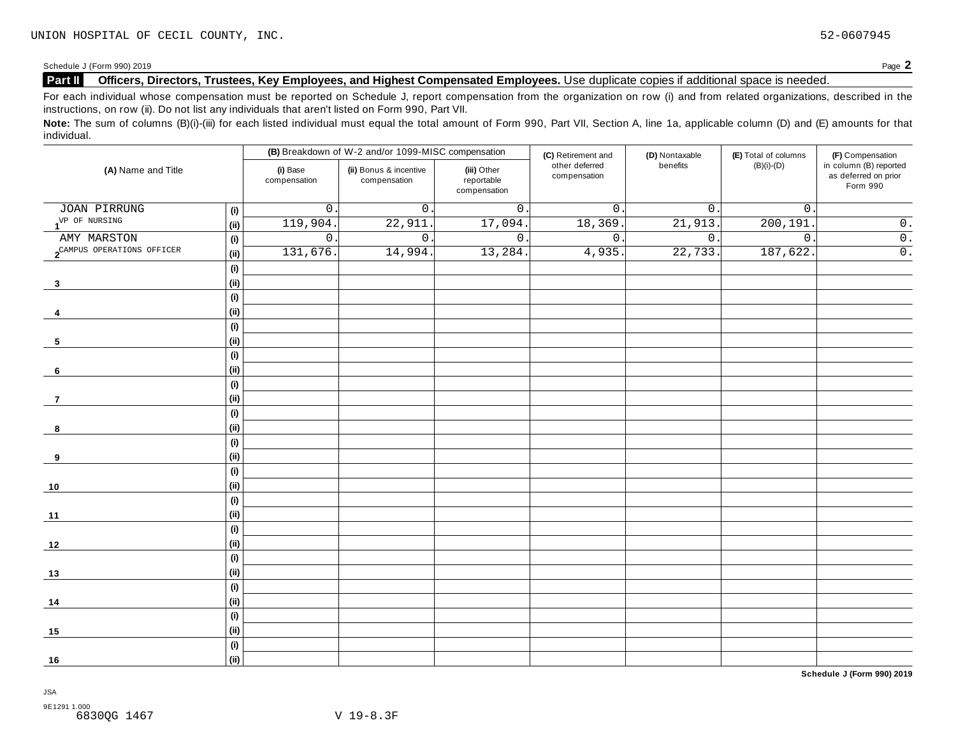## **Part II Officers, Directors, Trustees, Key Employees, and Highest Compensated Employees.** Use duplicate copies ifadditional space is needed.

For each individual whose compensation must be reported on Schedule J, report compensation from the organization on row (i) and from related organizations, described in the instructions, on row (ii). Do not list any individuals that aren't listed on Form 990, Part VII.

Note: The sum of columns (B)(i)-(iii) for each listed individual must equal the total amount of Form 990, Part VII, Section A, line 1a, applicable column (D) and (E) amounts for that individual.

|                                        |                              |                          | (B) Breakdown of W-2 and/or 1099-MISC compensation |                                           | (C) Retirement and             | (D) Nontaxable   | (E) Total of columns | (F) Compensation                                           |
|----------------------------------------|------------------------------|--------------------------|----------------------------------------------------|-------------------------------------------|--------------------------------|------------------|----------------------|------------------------------------------------------------|
| (A) Name and Title                     |                              | (i) Base<br>compensation | (ii) Bonus & incentive<br>compensation             | (iii) Other<br>reportable<br>compensation | other deferred<br>compensation | benefits         | $(B)(i)-(D)$         | in column (B) reported<br>as deferred on prior<br>Form 990 |
| <b>JOAN PIRRUNG</b>                    | (i)                          | $\mathsf{O}$             | 0                                                  | $\mathsf{O}$ .                            | $\mathsf{0}$ .                 | $\mathsf 0$ .    | $0\,$ .              |                                                            |
| 1 <sup>VP</sup> OF NURSING             | (i)                          | 119,904                  | 22,911                                             | 17,094.                                   | 18,369                         | 21,913.          | 200, 191             | $\mathsf 0$ .                                              |
| AMY MARSTON                            | (i)                          | $\overline{0}$           | $\overline{0}$ .                                   | $\overline{0}$ .                          | $\overline{0}$ .               | $\overline{0}$ . | $\overline{0}$ .     | $\overline{0}$ .                                           |
| 2 <sup>CAMPUS</sup> OPERATIONS OFFICER | (i)                          | 131,676                  | 14,994.                                            | 13,284.                                   | 4,935.                         | 22,733.          | 187,622              | $\overline{0}$ .                                           |
|                                        | (i)                          |                          |                                                    |                                           |                                |                  |                      |                                                            |
| $\mathbf{3}$                           | (ii)                         |                          |                                                    |                                           |                                |                  |                      |                                                            |
|                                        | (i)                          |                          |                                                    |                                           |                                |                  |                      |                                                            |
| 4                                      | (i)                          |                          |                                                    |                                           |                                |                  |                      |                                                            |
|                                        | $\qquad \qquad \textbf{(i)}$ |                          |                                                    |                                           |                                |                  |                      |                                                            |
| 5                                      | (i)                          |                          |                                                    |                                           |                                |                  |                      |                                                            |
|                                        | (i)                          |                          |                                                    |                                           |                                |                  |                      |                                                            |
| 6                                      | (ii)                         |                          |                                                    |                                           |                                |                  |                      |                                                            |
|                                        | (i)                          |                          |                                                    |                                           |                                |                  |                      |                                                            |
| 7                                      | (i)                          |                          |                                                    |                                           |                                |                  |                      |                                                            |
|                                        | (i)                          |                          |                                                    |                                           |                                |                  |                      |                                                            |
| 8                                      | (i)                          |                          |                                                    |                                           |                                |                  |                      |                                                            |
|                                        | $\qquad \qquad \textbf{(i)}$ |                          |                                                    |                                           |                                |                  |                      |                                                            |
| 9                                      | (i)                          |                          |                                                    |                                           |                                |                  |                      |                                                            |
|                                        | $\qquad \qquad \textbf{(i)}$ |                          |                                                    |                                           |                                |                  |                      |                                                            |
| 10                                     | (ii)                         |                          |                                                    |                                           |                                |                  |                      |                                                            |
|                                        | (i)                          |                          |                                                    |                                           |                                |                  |                      |                                                            |
| 11                                     | (ii)                         |                          |                                                    |                                           |                                |                  |                      |                                                            |
|                                        | (i)                          |                          |                                                    |                                           |                                |                  |                      |                                                            |
| $12$                                   | (ii)                         |                          |                                                    |                                           |                                |                  |                      |                                                            |
|                                        | $\qquad \qquad \textbf{(i)}$ |                          |                                                    |                                           |                                |                  |                      |                                                            |
| 13                                     | (ii)                         |                          |                                                    |                                           |                                |                  |                      |                                                            |
|                                        | (i)                          |                          |                                                    |                                           |                                |                  |                      |                                                            |
| 14                                     | (i)                          |                          |                                                    |                                           |                                |                  |                      |                                                            |
|                                        | (i)                          |                          |                                                    |                                           |                                |                  |                      |                                                            |
| 15                                     | (i)                          |                          |                                                    |                                           |                                |                  |                      |                                                            |
|                                        | (i)                          |                          |                                                    |                                           |                                |                  |                      |                                                            |
| 16                                     | (ii)                         |                          |                                                    |                                           |                                |                  |                      |                                                            |

**Schedule J (Form 990) 2019**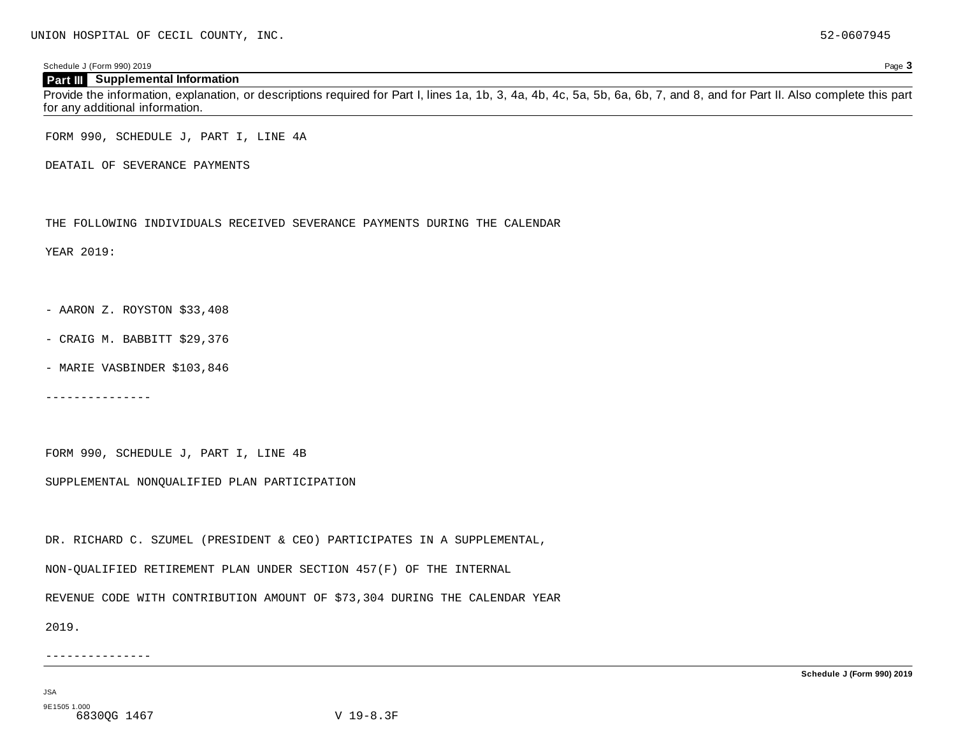Schedule J (Form 990) 2019 Page **3**

## **Part III Supplemental Information**

Provide the information, explanation, or descriptions required for Part I, lines 1a, 1b, 3, 4a, 4b, 4c, 5a, 5b, 6a, 6b, 7, and 8, and for Part II. Also complete this part for any additional information.

FORM 990, SCHEDULE J, PART I, LINE 4A

DEATAIL OF SEVERANCE PAYMENTS

THE FOLLOWING INDIVIDUALS RECEIVED SEVERANCE PAYMENTS DURING THE CALENDAR

YEAR 2019:

- AARON Z. ROYSTON \$33,408
- CRAIG M. BABBITT \$29,376
- MARIE VASBINDER \$103,846

---------------

FORM 990, SCHEDULE J, PART I, LINE 4B

SUPPLEMENTAL NONQUALIFIED PLAN PARTICIPATION

DR. RICHARD C. SZUMEL (PRESIDENT & CEO) PARTICIPATES IN A SUPPLEMENTAL,

NON-QUALIFIED RETIREMENT PLAN UNDER SECTION 457(F) OF THE INTERNAL

REVENUE CODE WITH CONTRIBUTION AMOUNT OF \$73,304 DURING THE CALENDAR YEAR

2019.

---------------

**Schedule J (Form 990) 2019**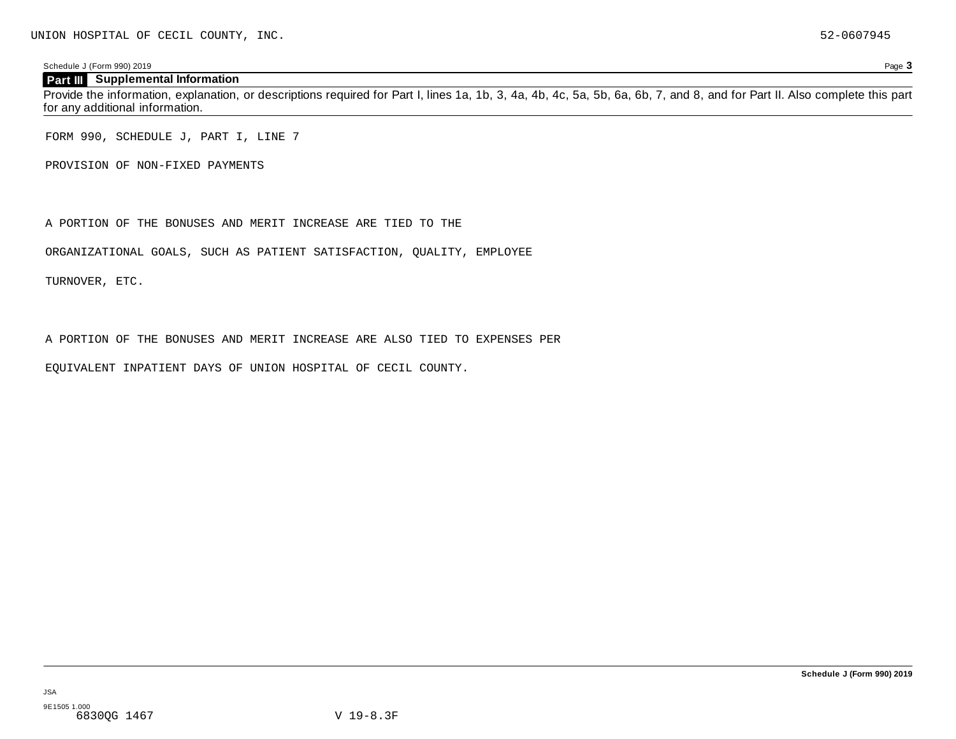Schedule J (Form 990) 2019 Page **3**

## **Part III Supplemental Information**

Provide the information, explanation, or descriptions required for Part I, lines 1a, 1b, 3, 4a, 4b, 4c, 5a, 5b, 6a, 6b, 7, and 8, and for Part II. Also complete this part for any additional information.

FORM 990, SCHEDULE J, PART I, LINE 7

PROVISION OF NON-FIXED PAYMENTS

A PORTION OF THE BONUSES AND MERIT INCREASE ARE TIED TO THE

ORGANIZATIONAL GOALS, SUCH AS PATIENT SATISFACTION, QUALITY, EMPLOYEE

TURNOVER, ETC.

A PORTION OF THE BONUSES AND MERIT INCREASE ARE ALSO TIED TO EXPENSES PER

EQUIVALENT INPATIENT DAYS OF UNION HOSPITAL OF CECIL COUNTY.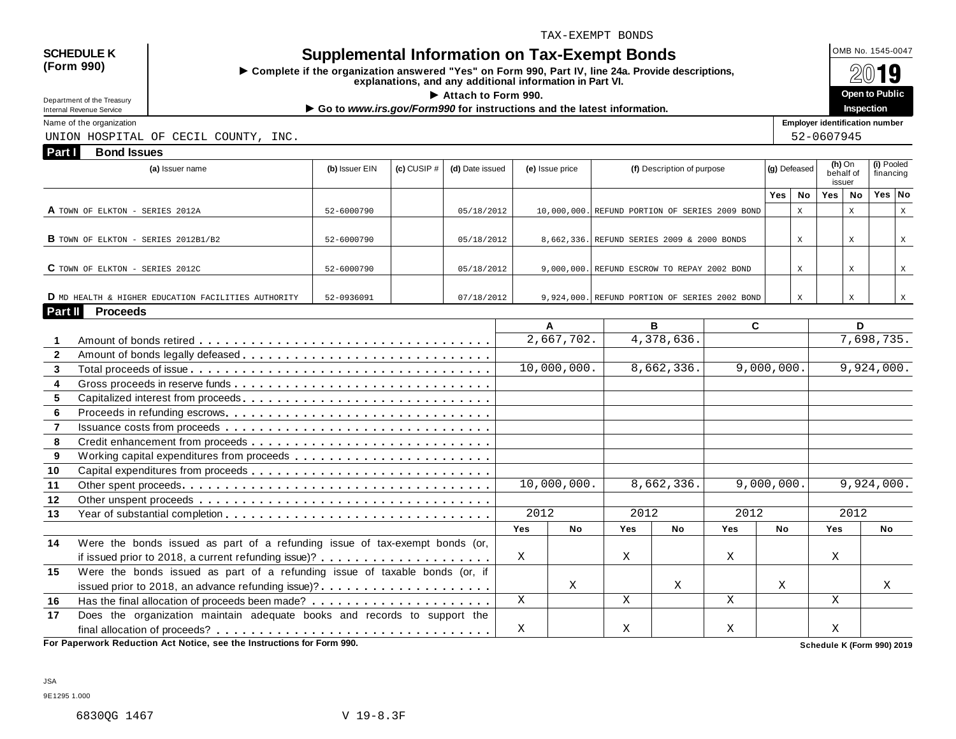TAX-EXEMPT BONDS

## **(Form 990)**

## SCHEDULE K  $\bigcup_{\text{OMB No. 1545-0047}}$  **Supplemental Information on Tax-Exempt Bonds**

 $\triangleright$  Complete if the organization answered "Yes" on Form 990, Part IV, line 24a. Provide descriptions,<br>explanations, and any additional information in Part VI.

Department of the Treasury

Department of the Treasury<br>
Inspection ■ Department of the Treasury<br>
Name of the organization **Department of the Treasury** ● Go to www.irs.gov/Form990 for instructions and the latest information.<br>
Name of the organization



UNION HOSPITAL OF CECIL COUNTY, INC. 52-0607945

| (a) Issuer name                                                                               | (b) Issuer EIN | (c) CUSIP $\#$ | (d) Date issued | (e) Issue price | (f) Description of purpose                     |   | (g) Defeased |    |            | $(h)$ On<br>behalf of<br>issuer | (i) Pooled<br>financing |   |
|-----------------------------------------------------------------------------------------------|----------------|----------------|-----------------|-----------------|------------------------------------------------|---|--------------|----|------------|---------------------------------|-------------------------|---|
|                                                                                               |                |                |                 |                 |                                                |   | Yes          | No | <b>Yes</b> | No                              | Yes $N$                 |   |
| A TOWN OF ELKTON - SERIES 2012A                                                               | 52-6000790     |                | 05/18/2012      |                 | 10,000,000. REFUND PORTION OF SERIES 2009 BOND |   |              | X  |            | X                               |                         | X |
| <b>B</b> TOWN OF ELKTON - SERIES 2012B1/B2                                                    | 52-6000790     |                | 05/18/2012      | 8,662,336.      | REFUND SERIES 2009 & 2000 BONDS                |   |              | X  |            | X                               |                         | X |
| C TOWN OF ELKTON - SERIES 2012C                                                               | 52-6000790     |                | 05/18/2012      |                 | 9,000,000. REFUND ESCROW TO REPAY 2002 BOND    |   |              | Х  |            |                                 |                         |   |
| D MD HEALTH & HIGHER EDUCATION FACILITIES AUTHORITY                                           | 52-0936091     |                | 07/18/2012      |                 | 9,924,000. REFUND PORTION OF SERIES 2002 BOND  |   |              | Χ  |            | $\boldsymbol{\mathsf{x}}$       |                         |   |
| Part II<br><b>Proceeds</b>                                                                    |                |                |                 |                 |                                                |   |              |    |            |                                 |                         |   |
|                                                                                               |                |                |                 |                 | в                                              | C |              |    |            |                                 |                         |   |
|                                                                                               |                |                |                 | 2,667,702.      | 4,378,636.                                     |   |              |    |            |                                 | 7,698,735.              |   |
| Amount of bonds legally defeased entering reserves in the case of the Amount of bonds legally |                |                |                 |                 |                                                |   |              |    |            |                                 |                         |   |

|               |                                                                             |            | 2,667,702.  |            | 4,378,636.   |            |              |            | 7,698,735.                        |
|---------------|-----------------------------------------------------------------------------|------------|-------------|------------|--------------|------------|--------------|------------|-----------------------------------|
| $\mathcal{P}$ |                                                                             |            |             |            |              |            |              |            |                                   |
| 3             |                                                                             |            | 10,000,000. |            | 8,662,336.   |            | 9,000,000.   |            | 9,924,000.                        |
| 4             |                                                                             |            |             |            |              |            |              |            |                                   |
| 5             |                                                                             |            |             |            |              |            |              |            |                                   |
| 6             |                                                                             |            |             |            |              |            |              |            |                                   |
| 7             |                                                                             |            |             |            |              |            |              |            |                                   |
| 8             |                                                                             |            |             |            |              |            |              |            |                                   |
| 9             |                                                                             |            |             |            |              |            |              |            |                                   |
| 10            |                                                                             |            |             |            |              |            |              |            |                                   |
| 11            |                                                                             |            | 10,000,000. |            | 8,662,336.   |            | 9,000,000.   |            | 9,924,000.                        |
| 12            |                                                                             |            |             |            |              |            |              |            |                                   |
| 13            |                                                                             | 2012       |             | 2012       |              | 2012       |              | 2012       |                                   |
|               |                                                                             | <b>Yes</b> | <b>No</b>   | <b>Yes</b> | No           | <b>Yes</b> | No.          | <b>Yes</b> | No                                |
| 14            | Were the bonds issued as part of a refunding issue of tax-exempt bonds (or, |            |             |            |              |            |              |            |                                   |
|               |                                                                             | X          |             | X          |              | X          |              | X          |                                   |
| 15            | Were the bonds issued as part of a refunding issue of taxable bonds (or, if |            |             |            |              |            |              |            |                                   |
|               | issued prior to 2018, an advance refunding issue)?                          |            | Χ           |            | $\mathbf{X}$ |            | $\mathbf{X}$ |            | Χ                                 |
| 16            |                                                                             | X          |             | X          |              | X          |              | X          |                                   |
| 17            | Does the organization maintain adequate books and records to support the    |            |             |            |              |            |              |            |                                   |
|               |                                                                             | Χ          |             | X          |              | X          |              | X          |                                   |
|               | For Paperwork Reduction Act Notice, see the Instructions for Form 990.      |            |             |            |              |            |              |            | <b>Schedule K (Form 990) 2019</b> |

JSA

9E1295 1.000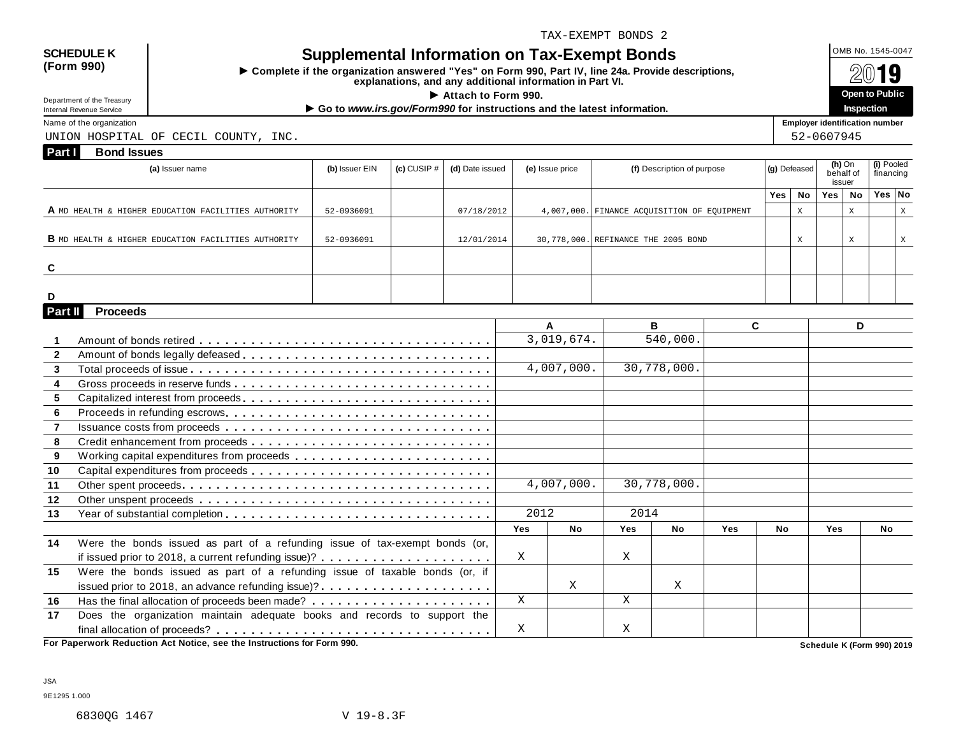TAX-EXEMPT BONDS 2

# **(Form 990)**

## SCHEDULE K  $\bigcup_{\text{OMB No. 1545-0047}}$  **Supplemental Information on Tax-Exempt Bonds**

 $\triangleright$  Complete if the organization answered "Yes" on Form 990, Part IV, line 24a. Provide descriptions,<br>explanations, and any additional information in Part VI.

Department of the Treasury<br>Internal Revenue Service

Department of the Treasury<br>
Inspection ■ Department of the Treasury<br>
Name of the organization **Department of the Treasury** ● Go to www.irs.gov/Form990 for instructions and the latest information.<br>
Name of the organization



UNION HOSPITAL OF CECIL COUNTY, INC. Same of the set of the set of the set of the set of the set of the set of the set of the set of the set of the set of the set of the set of the set of the set of the set of the set of t

| (a) Issuer name                                            | (b) Issuer EIN | $ $ (c) CUSIP $\#$ $ $ | (d) Date issued | (e) Issue price | (f) Description of purpose                  | (g) Defeased |                      | (h) On<br>behalf of | issuer                                 | (i) Pooled<br>financing |  |
|------------------------------------------------------------|----------------|------------------------|-----------------|-----------------|---------------------------------------------|--------------|----------------------|---------------------|----------------------------------------|-------------------------|--|
|                                                            |                |                        |                 |                 |                                             | Yes          | No                   | Yes <sub>1</sub>    | No                                     | Yes No                  |  |
| A MD HEALTH & HIGHER EDUCATION FACILITIES AUTHORITY        | 52-0936091     |                        | 07/18/2012      |                 | 4,007,000. FINANCE ACQUISITION OF EQUIPMENT |              | $\cdot$ $\cdot$<br>▵ |                     |                                        |                         |  |
|                                                            |                |                        |                 |                 |                                             |              |                      |                     |                                        |                         |  |
| <b>B</b> MD HEALTH & HIGHER EDUCATION FACILITIES AUTHORITY | 52-0936091     |                        | 12/01/2014      |                 | 30,778,000. REFINANCE THE 2005 BOND         |              | $\cdot$ $\cdot$<br>▵ |                     | $\ddot{\phantom{0}}$<br>$\overline{1}$ |                         |  |
|                                                            |                |                        |                 |                 |                                             |              |                      |                     |                                        |                         |  |
| C                                                          |                |                        |                 |                 |                                             |              |                      |                     |                                        |                         |  |
|                                                            |                |                        |                 |                 |                                             |              |                      |                     |                                        |                         |  |
| D                                                          |                |                        |                 |                 |                                             |              |                      |                     |                                        |                         |  |

| Part II        |                                                                             |             | A          |            | в           | C.         |           |     | D         |
|----------------|-----------------------------------------------------------------------------|-------------|------------|------------|-------------|------------|-----------|-----|-----------|
|                |                                                                             |             | 3,019,674. |            | 540,000.    |            |           |     |           |
| $\overline{2}$ |                                                                             |             |            |            |             |            |           |     |           |
| $\overline{3}$ |                                                                             |             | 4,007,000. |            | 30,778,000. |            |           |     |           |
| 4              | Gross proceeds in reserve funds                                             |             |            |            |             |            |           |     |           |
| 5              |                                                                             |             |            |            |             |            |           |     |           |
| 6              |                                                                             |             |            |            |             |            |           |     |           |
| $\overline{7}$ |                                                                             |             |            |            |             |            |           |     |           |
| 8              |                                                                             |             |            |            |             |            |           |     |           |
| 9              |                                                                             |             |            |            |             |            |           |     |           |
| 10             |                                                                             |             |            |            |             |            |           |     |           |
| 11             |                                                                             |             | 4,007,000. |            | 30,778,000. |            |           |     |           |
| 12             |                                                                             |             |            |            |             |            |           |     |           |
| 13             |                                                                             | 2012        |            | 2014       |             |            |           |     |           |
|                |                                                                             | <b>Yes</b>  | <b>No</b>  | <b>Yes</b> | <b>No</b>   | <b>Yes</b> | <b>No</b> | Yes | <b>No</b> |
| 14             | Were the bonds issued as part of a refunding issue of tax-exempt bonds (or, |             |            |            |             |            |           |     |           |
|                |                                                                             | X           |            | X          |             |            |           |     |           |
| 15             | Were the bonds issued as part of a refunding issue of taxable bonds (or, if |             |            |            |             |            |           |     |           |
|                | issued prior to 2018, an advance refunding issue)?                          |             | X          |            | X           |            |           |     |           |
| 16             |                                                                             | $\mathbf X$ |            | X          |             |            |           |     |           |
| 17             | Does the organization maintain adequate books and records to support the    |             |            |            |             |            |           |     |           |
|                |                                                                             | X           |            | X          |             |            |           |     |           |

JSA

9E1295 1.000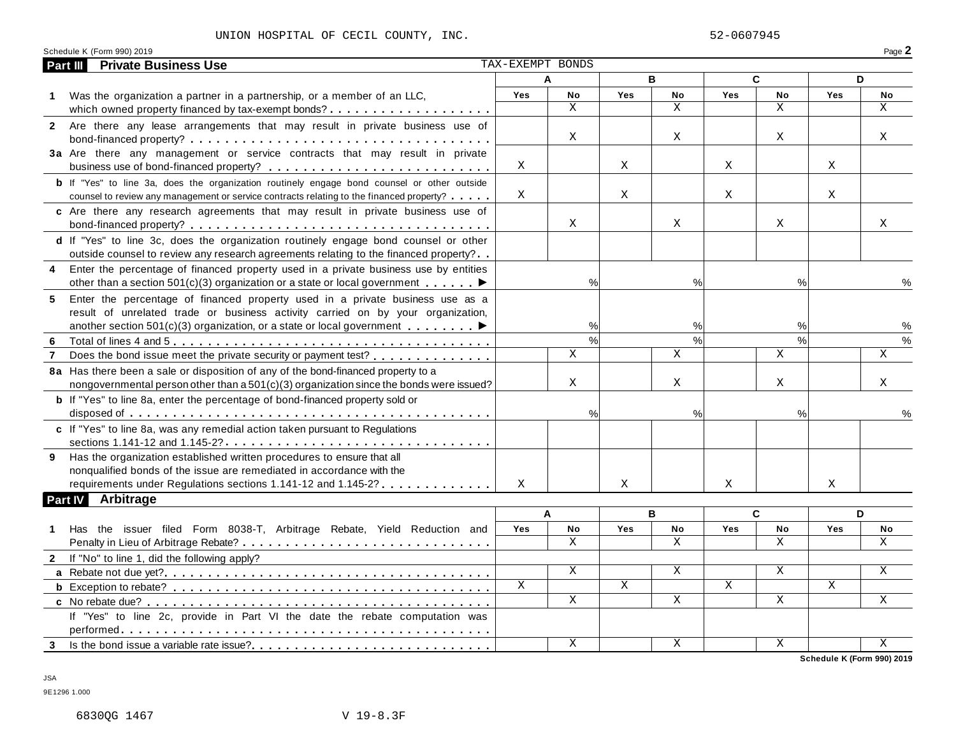UNION HOSPITAL OF CECIL COUNTY, INC. 52

Schedule <sup>K</sup> (Form 990) <sup>2019</sup> Page **2**

| B<br>$\mathbf{C}$<br>D<br>A<br><b>No</b><br>Yes<br><b>Yes</b><br>Yes<br>No<br>No<br><b>Yes</b><br>Was the organization a partner in a partnership, or a member of an LLC,<br>No<br>1<br>$\mathbf x$<br>X<br>X<br>X<br>Are there any lease arrangements that may result in private business use of<br>$\mathbf{2}$<br>X<br>X<br>X<br>Χ<br>3a Are there any management or service contracts that may result in private<br>Χ<br>Χ<br>Χ<br>Χ<br>b If "Yes" to line 3a, does the organization routinely engage bond counsel or other outside<br>X<br>X<br>X<br>Χ<br>counsel to review any management or service contracts relating to the financed property?<br>c Are there any research agreements that may result in private business use of<br>$\mathbf x$<br>Χ<br>X<br>X<br>d If "Yes" to line 3c, does the organization routinely engage bond counsel or other<br>outside counsel to review any research agreements relating to the financed property?<br>4 Enter the percentage of financed property used in a private business use by entities<br>$\%$<br>%<br>%<br>other than a section 501(c)(3) organization or a state or local government $\dots \dots$<br>%<br>Enter the percentage of financed property used in a private business use as a<br>5<br>result of unrelated trade or business activity carried on by your organization,<br>another section 501(c)(3) organization, or a state or local government $\dots \dots$<br>%<br>%<br>%<br>%<br>$\overline{\%}$<br>$\%$<br>%<br>%<br>-6<br>$\mathbf X$<br>Χ<br>Χ<br>Χ<br>Does the bond issue meet the private security or payment test?<br>$\mathbf{7}$<br>8a Has there been a sale or disposition of any of the bond-financed property to a<br>X<br>Χ<br>Χ<br>X<br>nongovernmental person other than $a\,501(c)(3)$ organization since the bonds were issued?<br><b>b</b> If "Yes" to line 8a, enter the percentage of bond-financed property sold or<br>%<br>$\%$<br>%<br>℅<br>c If "Yes" to line 8a, was any remedial action taken pursuant to Regulations<br>sections 1.141-12 and 1.145-2? $\dots \dots \dots \dots \dots \dots \dots \dots \dots \dots \dots \dots \dots \dots$<br>9 Has the organization established written procedures to ensure that all<br>nonqualified bonds of the issue are remediated in accordance with the<br>requirements under Regulations sections 1.141-12 and 1.145-2?<br>X<br>X<br>X<br>X<br>Arbitrage<br>C<br>в<br>D<br>A<br><b>No</b><br>Has the issuer filed Form 8038-T, Arbitrage Rebate, Yield Reduction and<br>No<br>Yes<br>Yes<br><b>No</b><br><b>Yes</b><br><b>Yes</b><br>No<br>$\mathbf 1$<br>X<br>X<br>X<br>X<br>2 If "No" to line 1, did the following apply?<br>$\mathbf x$<br>X<br>Χ<br>Χ<br>$\mathbf{X}$<br>$\mathbf x$<br>$\mathbf{X}$<br>X<br>$\mathbf{x}$<br>X<br>X<br>X<br>If "Yes" to line 2c, provide in Part VI the date the rebate computation was<br>$\mathbf X$<br>X<br>X<br>X | <b>Private Business Use</b><br>Part III | TAX-EXEMPT BONDS |  |  |  |  |
|-----------------------------------------------------------------------------------------------------------------------------------------------------------------------------------------------------------------------------------------------------------------------------------------------------------------------------------------------------------------------------------------------------------------------------------------------------------------------------------------------------------------------------------------------------------------------------------------------------------------------------------------------------------------------------------------------------------------------------------------------------------------------------------------------------------------------------------------------------------------------------------------------------------------------------------------------------------------------------------------------------------------------------------------------------------------------------------------------------------------------------------------------------------------------------------------------------------------------------------------------------------------------------------------------------------------------------------------------------------------------------------------------------------------------------------------------------------------------------------------------------------------------------------------------------------------------------------------------------------------------------------------------------------------------------------------------------------------------------------------------------------------------------------------------------------------------------------------------------------------------------------------------------------------------------------------------------------------------------------------------------------------------------------------------------------------------------------------------------------------------------------------------------------------------------------------------------------------------------------------------------------------------------------------------------------------------------------------------------------------------------------------------------------------------------------------------------------------------------------------------------------------------------------------------------------------------------------------------------------------------------------------------------------------------------------------------------------------------------------------------------------------------------------------------------------------------------------------------------------------------------------------------------------|-----------------------------------------|------------------|--|--|--|--|
|                                                                                                                                                                                                                                                                                                                                                                                                                                                                                                                                                                                                                                                                                                                                                                                                                                                                                                                                                                                                                                                                                                                                                                                                                                                                                                                                                                                                                                                                                                                                                                                                                                                                                                                                                                                                                                                                                                                                                                                                                                                                                                                                                                                                                                                                                                                                                                                                                                                                                                                                                                                                                                                                                                                                                                                                                                                                                                           |                                         |                  |  |  |  |  |
|                                                                                                                                                                                                                                                                                                                                                                                                                                                                                                                                                                                                                                                                                                                                                                                                                                                                                                                                                                                                                                                                                                                                                                                                                                                                                                                                                                                                                                                                                                                                                                                                                                                                                                                                                                                                                                                                                                                                                                                                                                                                                                                                                                                                                                                                                                                                                                                                                                                                                                                                                                                                                                                                                                                                                                                                                                                                                                           |                                         |                  |  |  |  |  |
|                                                                                                                                                                                                                                                                                                                                                                                                                                                                                                                                                                                                                                                                                                                                                                                                                                                                                                                                                                                                                                                                                                                                                                                                                                                                                                                                                                                                                                                                                                                                                                                                                                                                                                                                                                                                                                                                                                                                                                                                                                                                                                                                                                                                                                                                                                                                                                                                                                                                                                                                                                                                                                                                                                                                                                                                                                                                                                           |                                         |                  |  |  |  |  |
|                                                                                                                                                                                                                                                                                                                                                                                                                                                                                                                                                                                                                                                                                                                                                                                                                                                                                                                                                                                                                                                                                                                                                                                                                                                                                                                                                                                                                                                                                                                                                                                                                                                                                                                                                                                                                                                                                                                                                                                                                                                                                                                                                                                                                                                                                                                                                                                                                                                                                                                                                                                                                                                                                                                                                                                                                                                                                                           |                                         |                  |  |  |  |  |
|                                                                                                                                                                                                                                                                                                                                                                                                                                                                                                                                                                                                                                                                                                                                                                                                                                                                                                                                                                                                                                                                                                                                                                                                                                                                                                                                                                                                                                                                                                                                                                                                                                                                                                                                                                                                                                                                                                                                                                                                                                                                                                                                                                                                                                                                                                                                                                                                                                                                                                                                                                                                                                                                                                                                                                                                                                                                                                           |                                         |                  |  |  |  |  |
|                                                                                                                                                                                                                                                                                                                                                                                                                                                                                                                                                                                                                                                                                                                                                                                                                                                                                                                                                                                                                                                                                                                                                                                                                                                                                                                                                                                                                                                                                                                                                                                                                                                                                                                                                                                                                                                                                                                                                                                                                                                                                                                                                                                                                                                                                                                                                                                                                                                                                                                                                                                                                                                                                                                                                                                                                                                                                                           |                                         |                  |  |  |  |  |
|                                                                                                                                                                                                                                                                                                                                                                                                                                                                                                                                                                                                                                                                                                                                                                                                                                                                                                                                                                                                                                                                                                                                                                                                                                                                                                                                                                                                                                                                                                                                                                                                                                                                                                                                                                                                                                                                                                                                                                                                                                                                                                                                                                                                                                                                                                                                                                                                                                                                                                                                                                                                                                                                                                                                                                                                                                                                                                           |                                         |                  |  |  |  |  |
|                                                                                                                                                                                                                                                                                                                                                                                                                                                                                                                                                                                                                                                                                                                                                                                                                                                                                                                                                                                                                                                                                                                                                                                                                                                                                                                                                                                                                                                                                                                                                                                                                                                                                                                                                                                                                                                                                                                                                                                                                                                                                                                                                                                                                                                                                                                                                                                                                                                                                                                                                                                                                                                                                                                                                                                                                                                                                                           |                                         |                  |  |  |  |  |
|                                                                                                                                                                                                                                                                                                                                                                                                                                                                                                                                                                                                                                                                                                                                                                                                                                                                                                                                                                                                                                                                                                                                                                                                                                                                                                                                                                                                                                                                                                                                                                                                                                                                                                                                                                                                                                                                                                                                                                                                                                                                                                                                                                                                                                                                                                                                                                                                                                                                                                                                                                                                                                                                                                                                                                                                                                                                                                           |                                         |                  |  |  |  |  |
|                                                                                                                                                                                                                                                                                                                                                                                                                                                                                                                                                                                                                                                                                                                                                                                                                                                                                                                                                                                                                                                                                                                                                                                                                                                                                                                                                                                                                                                                                                                                                                                                                                                                                                                                                                                                                                                                                                                                                                                                                                                                                                                                                                                                                                                                                                                                                                                                                                                                                                                                                                                                                                                                                                                                                                                                                                                                                                           |                                         |                  |  |  |  |  |
|                                                                                                                                                                                                                                                                                                                                                                                                                                                                                                                                                                                                                                                                                                                                                                                                                                                                                                                                                                                                                                                                                                                                                                                                                                                                                                                                                                                                                                                                                                                                                                                                                                                                                                                                                                                                                                                                                                                                                                                                                                                                                                                                                                                                                                                                                                                                                                                                                                                                                                                                                                                                                                                                                                                                                                                                                                                                                                           |                                         |                  |  |  |  |  |
|                                                                                                                                                                                                                                                                                                                                                                                                                                                                                                                                                                                                                                                                                                                                                                                                                                                                                                                                                                                                                                                                                                                                                                                                                                                                                                                                                                                                                                                                                                                                                                                                                                                                                                                                                                                                                                                                                                                                                                                                                                                                                                                                                                                                                                                                                                                                                                                                                                                                                                                                                                                                                                                                                                                                                                                                                                                                                                           |                                         |                  |  |  |  |  |
|                                                                                                                                                                                                                                                                                                                                                                                                                                                                                                                                                                                                                                                                                                                                                                                                                                                                                                                                                                                                                                                                                                                                                                                                                                                                                                                                                                                                                                                                                                                                                                                                                                                                                                                                                                                                                                                                                                                                                                                                                                                                                                                                                                                                                                                                                                                                                                                                                                                                                                                                                                                                                                                                                                                                                                                                                                                                                                           |                                         |                  |  |  |  |  |
|                                                                                                                                                                                                                                                                                                                                                                                                                                                                                                                                                                                                                                                                                                                                                                                                                                                                                                                                                                                                                                                                                                                                                                                                                                                                                                                                                                                                                                                                                                                                                                                                                                                                                                                                                                                                                                                                                                                                                                                                                                                                                                                                                                                                                                                                                                                                                                                                                                                                                                                                                                                                                                                                                                                                                                                                                                                                                                           |                                         |                  |  |  |  |  |
|                                                                                                                                                                                                                                                                                                                                                                                                                                                                                                                                                                                                                                                                                                                                                                                                                                                                                                                                                                                                                                                                                                                                                                                                                                                                                                                                                                                                                                                                                                                                                                                                                                                                                                                                                                                                                                                                                                                                                                                                                                                                                                                                                                                                                                                                                                                                                                                                                                                                                                                                                                                                                                                                                                                                                                                                                                                                                                           |                                         |                  |  |  |  |  |
|                                                                                                                                                                                                                                                                                                                                                                                                                                                                                                                                                                                                                                                                                                                                                                                                                                                                                                                                                                                                                                                                                                                                                                                                                                                                                                                                                                                                                                                                                                                                                                                                                                                                                                                                                                                                                                                                                                                                                                                                                                                                                                                                                                                                                                                                                                                                                                                                                                                                                                                                                                                                                                                                                                                                                                                                                                                                                                           |                                         |                  |  |  |  |  |
|                                                                                                                                                                                                                                                                                                                                                                                                                                                                                                                                                                                                                                                                                                                                                                                                                                                                                                                                                                                                                                                                                                                                                                                                                                                                                                                                                                                                                                                                                                                                                                                                                                                                                                                                                                                                                                                                                                                                                                                                                                                                                                                                                                                                                                                                                                                                                                                                                                                                                                                                                                                                                                                                                                                                                                                                                                                                                                           |                                         |                  |  |  |  |  |
|                                                                                                                                                                                                                                                                                                                                                                                                                                                                                                                                                                                                                                                                                                                                                                                                                                                                                                                                                                                                                                                                                                                                                                                                                                                                                                                                                                                                                                                                                                                                                                                                                                                                                                                                                                                                                                                                                                                                                                                                                                                                                                                                                                                                                                                                                                                                                                                                                                                                                                                                                                                                                                                                                                                                                                                                                                                                                                           |                                         |                  |  |  |  |  |
|                                                                                                                                                                                                                                                                                                                                                                                                                                                                                                                                                                                                                                                                                                                                                                                                                                                                                                                                                                                                                                                                                                                                                                                                                                                                                                                                                                                                                                                                                                                                                                                                                                                                                                                                                                                                                                                                                                                                                                                                                                                                                                                                                                                                                                                                                                                                                                                                                                                                                                                                                                                                                                                                                                                                                                                                                                                                                                           |                                         |                  |  |  |  |  |
|                                                                                                                                                                                                                                                                                                                                                                                                                                                                                                                                                                                                                                                                                                                                                                                                                                                                                                                                                                                                                                                                                                                                                                                                                                                                                                                                                                                                                                                                                                                                                                                                                                                                                                                                                                                                                                                                                                                                                                                                                                                                                                                                                                                                                                                                                                                                                                                                                                                                                                                                                                                                                                                                                                                                                                                                                                                                                                           |                                         |                  |  |  |  |  |
|                                                                                                                                                                                                                                                                                                                                                                                                                                                                                                                                                                                                                                                                                                                                                                                                                                                                                                                                                                                                                                                                                                                                                                                                                                                                                                                                                                                                                                                                                                                                                                                                                                                                                                                                                                                                                                                                                                                                                                                                                                                                                                                                                                                                                                                                                                                                                                                                                                                                                                                                                                                                                                                                                                                                                                                                                                                                                                           |                                         |                  |  |  |  |  |
|                                                                                                                                                                                                                                                                                                                                                                                                                                                                                                                                                                                                                                                                                                                                                                                                                                                                                                                                                                                                                                                                                                                                                                                                                                                                                                                                                                                                                                                                                                                                                                                                                                                                                                                                                                                                                                                                                                                                                                                                                                                                                                                                                                                                                                                                                                                                                                                                                                                                                                                                                                                                                                                                                                                                                                                                                                                                                                           |                                         |                  |  |  |  |  |
|                                                                                                                                                                                                                                                                                                                                                                                                                                                                                                                                                                                                                                                                                                                                                                                                                                                                                                                                                                                                                                                                                                                                                                                                                                                                                                                                                                                                                                                                                                                                                                                                                                                                                                                                                                                                                                                                                                                                                                                                                                                                                                                                                                                                                                                                                                                                                                                                                                                                                                                                                                                                                                                                                                                                                                                                                                                                                                           |                                         |                  |  |  |  |  |
|                                                                                                                                                                                                                                                                                                                                                                                                                                                                                                                                                                                                                                                                                                                                                                                                                                                                                                                                                                                                                                                                                                                                                                                                                                                                                                                                                                                                                                                                                                                                                                                                                                                                                                                                                                                                                                                                                                                                                                                                                                                                                                                                                                                                                                                                                                                                                                                                                                                                                                                                                                                                                                                                                                                                                                                                                                                                                                           |                                         |                  |  |  |  |  |
|                                                                                                                                                                                                                                                                                                                                                                                                                                                                                                                                                                                                                                                                                                                                                                                                                                                                                                                                                                                                                                                                                                                                                                                                                                                                                                                                                                                                                                                                                                                                                                                                                                                                                                                                                                                                                                                                                                                                                                                                                                                                                                                                                                                                                                                                                                                                                                                                                                                                                                                                                                                                                                                                                                                                                                                                                                                                                                           |                                         |                  |  |  |  |  |
|                                                                                                                                                                                                                                                                                                                                                                                                                                                                                                                                                                                                                                                                                                                                                                                                                                                                                                                                                                                                                                                                                                                                                                                                                                                                                                                                                                                                                                                                                                                                                                                                                                                                                                                                                                                                                                                                                                                                                                                                                                                                                                                                                                                                                                                                                                                                                                                                                                                                                                                                                                                                                                                                                                                                                                                                                                                                                                           |                                         |                  |  |  |  |  |
|                                                                                                                                                                                                                                                                                                                                                                                                                                                                                                                                                                                                                                                                                                                                                                                                                                                                                                                                                                                                                                                                                                                                                                                                                                                                                                                                                                                                                                                                                                                                                                                                                                                                                                                                                                                                                                                                                                                                                                                                                                                                                                                                                                                                                                                                                                                                                                                                                                                                                                                                                                                                                                                                                                                                                                                                                                                                                                           |                                         |                  |  |  |  |  |
|                                                                                                                                                                                                                                                                                                                                                                                                                                                                                                                                                                                                                                                                                                                                                                                                                                                                                                                                                                                                                                                                                                                                                                                                                                                                                                                                                                                                                                                                                                                                                                                                                                                                                                                                                                                                                                                                                                                                                                                                                                                                                                                                                                                                                                                                                                                                                                                                                                                                                                                                                                                                                                                                                                                                                                                                                                                                                                           |                                         |                  |  |  |  |  |
|                                                                                                                                                                                                                                                                                                                                                                                                                                                                                                                                                                                                                                                                                                                                                                                                                                                                                                                                                                                                                                                                                                                                                                                                                                                                                                                                                                                                                                                                                                                                                                                                                                                                                                                                                                                                                                                                                                                                                                                                                                                                                                                                                                                                                                                                                                                                                                                                                                                                                                                                                                                                                                                                                                                                                                                                                                                                                                           |                                         |                  |  |  |  |  |
|                                                                                                                                                                                                                                                                                                                                                                                                                                                                                                                                                                                                                                                                                                                                                                                                                                                                                                                                                                                                                                                                                                                                                                                                                                                                                                                                                                                                                                                                                                                                                                                                                                                                                                                                                                                                                                                                                                                                                                                                                                                                                                                                                                                                                                                                                                                                                                                                                                                                                                                                                                                                                                                                                                                                                                                                                                                                                                           | Part IV                                 |                  |  |  |  |  |
|                                                                                                                                                                                                                                                                                                                                                                                                                                                                                                                                                                                                                                                                                                                                                                                                                                                                                                                                                                                                                                                                                                                                                                                                                                                                                                                                                                                                                                                                                                                                                                                                                                                                                                                                                                                                                                                                                                                                                                                                                                                                                                                                                                                                                                                                                                                                                                                                                                                                                                                                                                                                                                                                                                                                                                                                                                                                                                           |                                         |                  |  |  |  |  |
|                                                                                                                                                                                                                                                                                                                                                                                                                                                                                                                                                                                                                                                                                                                                                                                                                                                                                                                                                                                                                                                                                                                                                                                                                                                                                                                                                                                                                                                                                                                                                                                                                                                                                                                                                                                                                                                                                                                                                                                                                                                                                                                                                                                                                                                                                                                                                                                                                                                                                                                                                                                                                                                                                                                                                                                                                                                                                                           |                                         |                  |  |  |  |  |
|                                                                                                                                                                                                                                                                                                                                                                                                                                                                                                                                                                                                                                                                                                                                                                                                                                                                                                                                                                                                                                                                                                                                                                                                                                                                                                                                                                                                                                                                                                                                                                                                                                                                                                                                                                                                                                                                                                                                                                                                                                                                                                                                                                                                                                                                                                                                                                                                                                                                                                                                                                                                                                                                                                                                                                                                                                                                                                           |                                         |                  |  |  |  |  |
|                                                                                                                                                                                                                                                                                                                                                                                                                                                                                                                                                                                                                                                                                                                                                                                                                                                                                                                                                                                                                                                                                                                                                                                                                                                                                                                                                                                                                                                                                                                                                                                                                                                                                                                                                                                                                                                                                                                                                                                                                                                                                                                                                                                                                                                                                                                                                                                                                                                                                                                                                                                                                                                                                                                                                                                                                                                                                                           |                                         |                  |  |  |  |  |
|                                                                                                                                                                                                                                                                                                                                                                                                                                                                                                                                                                                                                                                                                                                                                                                                                                                                                                                                                                                                                                                                                                                                                                                                                                                                                                                                                                                                                                                                                                                                                                                                                                                                                                                                                                                                                                                                                                                                                                                                                                                                                                                                                                                                                                                                                                                                                                                                                                                                                                                                                                                                                                                                                                                                                                                                                                                                                                           |                                         |                  |  |  |  |  |
|                                                                                                                                                                                                                                                                                                                                                                                                                                                                                                                                                                                                                                                                                                                                                                                                                                                                                                                                                                                                                                                                                                                                                                                                                                                                                                                                                                                                                                                                                                                                                                                                                                                                                                                                                                                                                                                                                                                                                                                                                                                                                                                                                                                                                                                                                                                                                                                                                                                                                                                                                                                                                                                                                                                                                                                                                                                                                                           |                                         |                  |  |  |  |  |
|                                                                                                                                                                                                                                                                                                                                                                                                                                                                                                                                                                                                                                                                                                                                                                                                                                                                                                                                                                                                                                                                                                                                                                                                                                                                                                                                                                                                                                                                                                                                                                                                                                                                                                                                                                                                                                                                                                                                                                                                                                                                                                                                                                                                                                                                                                                                                                                                                                                                                                                                                                                                                                                                                                                                                                                                                                                                                                           |                                         |                  |  |  |  |  |
|                                                                                                                                                                                                                                                                                                                                                                                                                                                                                                                                                                                                                                                                                                                                                                                                                                                                                                                                                                                                                                                                                                                                                                                                                                                                                                                                                                                                                                                                                                                                                                                                                                                                                                                                                                                                                                                                                                                                                                                                                                                                                                                                                                                                                                                                                                                                                                                                                                                                                                                                                                                                                                                                                                                                                                                                                                                                                                           |                                         |                  |  |  |  |  |
|                                                                                                                                                                                                                                                                                                                                                                                                                                                                                                                                                                                                                                                                                                                                                                                                                                                                                                                                                                                                                                                                                                                                                                                                                                                                                                                                                                                                                                                                                                                                                                                                                                                                                                                                                                                                                                                                                                                                                                                                                                                                                                                                                                                                                                                                                                                                                                                                                                                                                                                                                                                                                                                                                                                                                                                                                                                                                                           |                                         |                  |  |  |  |  |
|                                                                                                                                                                                                                                                                                                                                                                                                                                                                                                                                                                                                                                                                                                                                                                                                                                                                                                                                                                                                                                                                                                                                                                                                                                                                                                                                                                                                                                                                                                                                                                                                                                                                                                                                                                                                                                                                                                                                                                                                                                                                                                                                                                                                                                                                                                                                                                                                                                                                                                                                                                                                                                                                                                                                                                                                                                                                                                           |                                         |                  |  |  |  |  |

**Schedule K (Form 990) 2019**

JSA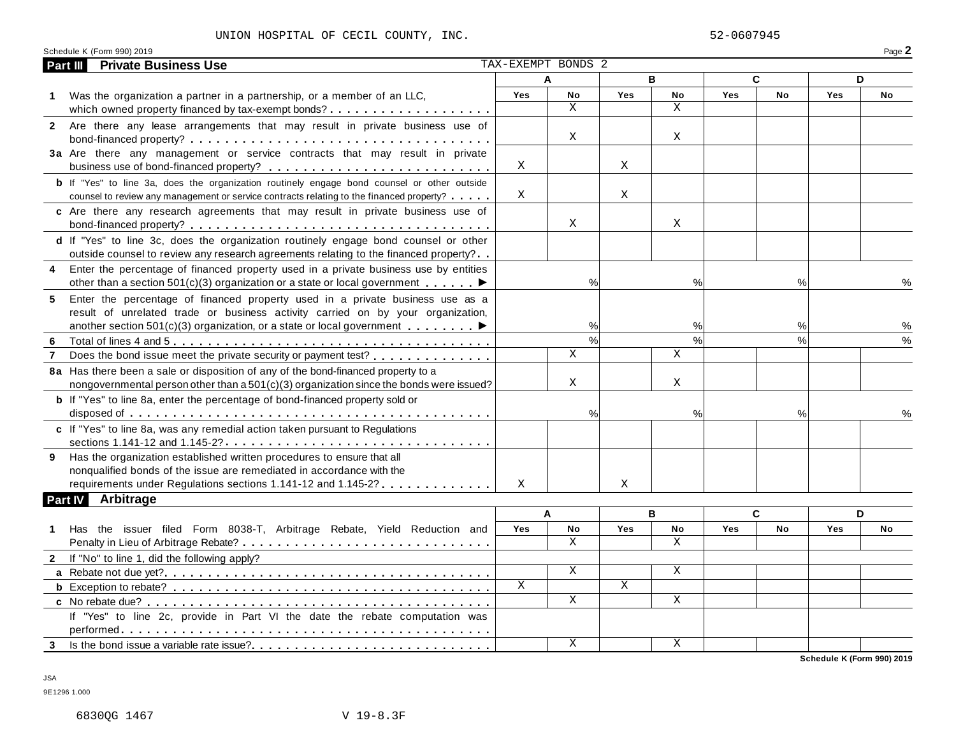UNION HOSPITAL OF CECIL COUNTY, INC. 52

| 2-0607945 |  |
|-----------|--|
|-----------|--|

Schedule <sup>K</sup> (Form 990) <sup>2019</sup> Page **2**

| B<br>$\mathbf{C}$<br>D<br>A<br><b>Yes</b><br><b>No</b><br>Yes<br>No<br><b>Yes</b><br>No<br><b>Yes</b><br>Was the organization a partner in a partnership, or a member of an LLC,<br>No<br>$\mathbf 1$<br>$\mathbf{X}$<br>X<br>Are there any lease arrangements that may result in private business use of<br>$\mathbf{2}$<br>$\mathbf x$<br>X<br>3a Are there any management or service contracts that may result in private<br>X<br>X<br>b If "Yes" to line 3a, does the organization routinely engage bond counsel or other outside<br>Χ<br>X<br>counsel to review any management or service contracts relating to the financed property?<br>c Are there any research agreements that may result in private business use of<br>Χ<br>Χ<br>d If "Yes" to line 3c, does the organization routinely engage bond counsel or other<br>outside counsel to review any research agreements relating to the financed property?<br>Enter the percentage of financed property used in a private business use by entities<br>4<br>$\%$<br>%<br>$\%$<br>other than a section 501(c)(3) organization or a state or local government $\ldots \ldots$<br>℅<br>Enter the percentage of financed property used in a private business use as a<br>5<br>result of unrelated trade or business activity carried on by your organization,<br>$\%$<br>$\%$<br>another section 501(c)(3) organization, or a state or local government $\dots \dots$<br>%<br>%<br>$\overline{\frac{9}{6}}$<br>$\frac{9}{6}$<br>%<br>$\frac{1}{2}$<br>6.<br>$\overline{\mathbf{x}}$<br>$\mathbf X$<br>Does the bond issue meet the private security or payment test?<br>$\mathbf{7}$<br>8a Has there been a sale or disposition of any of the bond-financed property to a<br>X<br>X<br>nongovernmental person other than a 501(c)(3) organization since the bonds were issued?<br><b>b</b> If "Yes" to line 8a, enter the percentage of bond-financed property sold or<br>$\%$<br>$\%$<br>%<br>%<br>c If "Yes" to line 8a, was any remedial action taken pursuant to Regulations<br>Has the organization established written procedures to ensure that all<br>9<br>nonqualified bonds of the issue are remediated in accordance with the<br>requirements under Regulations sections 1.141-12 and 1.145-2?<br>X<br>$\mathbf x$<br>Arbitrage<br><b>Part IV</b><br>B<br>C<br>D<br>A<br>Has the issuer filed Form 8038-T, Arbitrage Rebate, Yield Reduction and<br>No<br>No<br><b>Yes</b><br><b>Yes</b><br><b>Yes</b><br><b>Yes</b><br>No<br>No<br>1<br>X<br>$\mathbf{x}$<br>If "No" to line 1, did the following apply?<br>$\overline{2}$<br>$\mathbf X$<br>$\mathbf{X}$<br>X<br>X<br>$\mathbf{X}$<br>X<br>If "Yes" to line 2c, provide in Part VI the date the rebate computation was<br>X<br>X |             | <b>Private Business Use</b><br>Part III | TAX-EXEMPT BONDS 2 |  |  |  |
|------------------------------------------------------------------------------------------------------------------------------------------------------------------------------------------------------------------------------------------------------------------------------------------------------------------------------------------------------------------------------------------------------------------------------------------------------------------------------------------------------------------------------------------------------------------------------------------------------------------------------------------------------------------------------------------------------------------------------------------------------------------------------------------------------------------------------------------------------------------------------------------------------------------------------------------------------------------------------------------------------------------------------------------------------------------------------------------------------------------------------------------------------------------------------------------------------------------------------------------------------------------------------------------------------------------------------------------------------------------------------------------------------------------------------------------------------------------------------------------------------------------------------------------------------------------------------------------------------------------------------------------------------------------------------------------------------------------------------------------------------------------------------------------------------------------------------------------------------------------------------------------------------------------------------------------------------------------------------------------------------------------------------------------------------------------------------------------------------------------------------------------------------------------------------------------------------------------------------------------------------------------------------------------------------------------------------------------------------------------------------------------------------------------------------------------------------------------------------------------------------------------------------------------------------------------------------------------------------------------------------------------------------------------------------------------------------------------------------------------------------|-------------|-----------------------------------------|--------------------|--|--|--|
|                                                                                                                                                                                                                                                                                                                                                                                                                                                                                                                                                                                                                                                                                                                                                                                                                                                                                                                                                                                                                                                                                                                                                                                                                                                                                                                                                                                                                                                                                                                                                                                                                                                                                                                                                                                                                                                                                                                                                                                                                                                                                                                                                                                                                                                                                                                                                                                                                                                                                                                                                                                                                                                                                                                                                      |             |                                         |                    |  |  |  |
|                                                                                                                                                                                                                                                                                                                                                                                                                                                                                                                                                                                                                                                                                                                                                                                                                                                                                                                                                                                                                                                                                                                                                                                                                                                                                                                                                                                                                                                                                                                                                                                                                                                                                                                                                                                                                                                                                                                                                                                                                                                                                                                                                                                                                                                                                                                                                                                                                                                                                                                                                                                                                                                                                                                                                      |             |                                         |                    |  |  |  |
|                                                                                                                                                                                                                                                                                                                                                                                                                                                                                                                                                                                                                                                                                                                                                                                                                                                                                                                                                                                                                                                                                                                                                                                                                                                                                                                                                                                                                                                                                                                                                                                                                                                                                                                                                                                                                                                                                                                                                                                                                                                                                                                                                                                                                                                                                                                                                                                                                                                                                                                                                                                                                                                                                                                                                      |             |                                         |                    |  |  |  |
|                                                                                                                                                                                                                                                                                                                                                                                                                                                                                                                                                                                                                                                                                                                                                                                                                                                                                                                                                                                                                                                                                                                                                                                                                                                                                                                                                                                                                                                                                                                                                                                                                                                                                                                                                                                                                                                                                                                                                                                                                                                                                                                                                                                                                                                                                                                                                                                                                                                                                                                                                                                                                                                                                                                                                      |             |                                         |                    |  |  |  |
|                                                                                                                                                                                                                                                                                                                                                                                                                                                                                                                                                                                                                                                                                                                                                                                                                                                                                                                                                                                                                                                                                                                                                                                                                                                                                                                                                                                                                                                                                                                                                                                                                                                                                                                                                                                                                                                                                                                                                                                                                                                                                                                                                                                                                                                                                                                                                                                                                                                                                                                                                                                                                                                                                                                                                      |             |                                         |                    |  |  |  |
|                                                                                                                                                                                                                                                                                                                                                                                                                                                                                                                                                                                                                                                                                                                                                                                                                                                                                                                                                                                                                                                                                                                                                                                                                                                                                                                                                                                                                                                                                                                                                                                                                                                                                                                                                                                                                                                                                                                                                                                                                                                                                                                                                                                                                                                                                                                                                                                                                                                                                                                                                                                                                                                                                                                                                      |             |                                         |                    |  |  |  |
|                                                                                                                                                                                                                                                                                                                                                                                                                                                                                                                                                                                                                                                                                                                                                                                                                                                                                                                                                                                                                                                                                                                                                                                                                                                                                                                                                                                                                                                                                                                                                                                                                                                                                                                                                                                                                                                                                                                                                                                                                                                                                                                                                                                                                                                                                                                                                                                                                                                                                                                                                                                                                                                                                                                                                      |             |                                         |                    |  |  |  |
|                                                                                                                                                                                                                                                                                                                                                                                                                                                                                                                                                                                                                                                                                                                                                                                                                                                                                                                                                                                                                                                                                                                                                                                                                                                                                                                                                                                                                                                                                                                                                                                                                                                                                                                                                                                                                                                                                                                                                                                                                                                                                                                                                                                                                                                                                                                                                                                                                                                                                                                                                                                                                                                                                                                                                      |             |                                         |                    |  |  |  |
|                                                                                                                                                                                                                                                                                                                                                                                                                                                                                                                                                                                                                                                                                                                                                                                                                                                                                                                                                                                                                                                                                                                                                                                                                                                                                                                                                                                                                                                                                                                                                                                                                                                                                                                                                                                                                                                                                                                                                                                                                                                                                                                                                                                                                                                                                                                                                                                                                                                                                                                                                                                                                                                                                                                                                      |             |                                         |                    |  |  |  |
|                                                                                                                                                                                                                                                                                                                                                                                                                                                                                                                                                                                                                                                                                                                                                                                                                                                                                                                                                                                                                                                                                                                                                                                                                                                                                                                                                                                                                                                                                                                                                                                                                                                                                                                                                                                                                                                                                                                                                                                                                                                                                                                                                                                                                                                                                                                                                                                                                                                                                                                                                                                                                                                                                                                                                      |             |                                         |                    |  |  |  |
|                                                                                                                                                                                                                                                                                                                                                                                                                                                                                                                                                                                                                                                                                                                                                                                                                                                                                                                                                                                                                                                                                                                                                                                                                                                                                                                                                                                                                                                                                                                                                                                                                                                                                                                                                                                                                                                                                                                                                                                                                                                                                                                                                                                                                                                                                                                                                                                                                                                                                                                                                                                                                                                                                                                                                      |             |                                         |                    |  |  |  |
|                                                                                                                                                                                                                                                                                                                                                                                                                                                                                                                                                                                                                                                                                                                                                                                                                                                                                                                                                                                                                                                                                                                                                                                                                                                                                                                                                                                                                                                                                                                                                                                                                                                                                                                                                                                                                                                                                                                                                                                                                                                                                                                                                                                                                                                                                                                                                                                                                                                                                                                                                                                                                                                                                                                                                      |             |                                         |                    |  |  |  |
|                                                                                                                                                                                                                                                                                                                                                                                                                                                                                                                                                                                                                                                                                                                                                                                                                                                                                                                                                                                                                                                                                                                                                                                                                                                                                                                                                                                                                                                                                                                                                                                                                                                                                                                                                                                                                                                                                                                                                                                                                                                                                                                                                                                                                                                                                                                                                                                                                                                                                                                                                                                                                                                                                                                                                      |             |                                         |                    |  |  |  |
|                                                                                                                                                                                                                                                                                                                                                                                                                                                                                                                                                                                                                                                                                                                                                                                                                                                                                                                                                                                                                                                                                                                                                                                                                                                                                                                                                                                                                                                                                                                                                                                                                                                                                                                                                                                                                                                                                                                                                                                                                                                                                                                                                                                                                                                                                                                                                                                                                                                                                                                                                                                                                                                                                                                                                      |             |                                         |                    |  |  |  |
|                                                                                                                                                                                                                                                                                                                                                                                                                                                                                                                                                                                                                                                                                                                                                                                                                                                                                                                                                                                                                                                                                                                                                                                                                                                                                                                                                                                                                                                                                                                                                                                                                                                                                                                                                                                                                                                                                                                                                                                                                                                                                                                                                                                                                                                                                                                                                                                                                                                                                                                                                                                                                                                                                                                                                      |             |                                         |                    |  |  |  |
|                                                                                                                                                                                                                                                                                                                                                                                                                                                                                                                                                                                                                                                                                                                                                                                                                                                                                                                                                                                                                                                                                                                                                                                                                                                                                                                                                                                                                                                                                                                                                                                                                                                                                                                                                                                                                                                                                                                                                                                                                                                                                                                                                                                                                                                                                                                                                                                                                                                                                                                                                                                                                                                                                                                                                      |             |                                         |                    |  |  |  |
|                                                                                                                                                                                                                                                                                                                                                                                                                                                                                                                                                                                                                                                                                                                                                                                                                                                                                                                                                                                                                                                                                                                                                                                                                                                                                                                                                                                                                                                                                                                                                                                                                                                                                                                                                                                                                                                                                                                                                                                                                                                                                                                                                                                                                                                                                                                                                                                                                                                                                                                                                                                                                                                                                                                                                      |             |                                         |                    |  |  |  |
|                                                                                                                                                                                                                                                                                                                                                                                                                                                                                                                                                                                                                                                                                                                                                                                                                                                                                                                                                                                                                                                                                                                                                                                                                                                                                                                                                                                                                                                                                                                                                                                                                                                                                                                                                                                                                                                                                                                                                                                                                                                                                                                                                                                                                                                                                                                                                                                                                                                                                                                                                                                                                                                                                                                                                      |             |                                         |                    |  |  |  |
|                                                                                                                                                                                                                                                                                                                                                                                                                                                                                                                                                                                                                                                                                                                                                                                                                                                                                                                                                                                                                                                                                                                                                                                                                                                                                                                                                                                                                                                                                                                                                                                                                                                                                                                                                                                                                                                                                                                                                                                                                                                                                                                                                                                                                                                                                                                                                                                                                                                                                                                                                                                                                                                                                                                                                      |             |                                         |                    |  |  |  |
|                                                                                                                                                                                                                                                                                                                                                                                                                                                                                                                                                                                                                                                                                                                                                                                                                                                                                                                                                                                                                                                                                                                                                                                                                                                                                                                                                                                                                                                                                                                                                                                                                                                                                                                                                                                                                                                                                                                                                                                                                                                                                                                                                                                                                                                                                                                                                                                                                                                                                                                                                                                                                                                                                                                                                      |             |                                         |                    |  |  |  |
|                                                                                                                                                                                                                                                                                                                                                                                                                                                                                                                                                                                                                                                                                                                                                                                                                                                                                                                                                                                                                                                                                                                                                                                                                                                                                                                                                                                                                                                                                                                                                                                                                                                                                                                                                                                                                                                                                                                                                                                                                                                                                                                                                                                                                                                                                                                                                                                                                                                                                                                                                                                                                                                                                                                                                      |             |                                         |                    |  |  |  |
|                                                                                                                                                                                                                                                                                                                                                                                                                                                                                                                                                                                                                                                                                                                                                                                                                                                                                                                                                                                                                                                                                                                                                                                                                                                                                                                                                                                                                                                                                                                                                                                                                                                                                                                                                                                                                                                                                                                                                                                                                                                                                                                                                                                                                                                                                                                                                                                                                                                                                                                                                                                                                                                                                                                                                      |             |                                         |                    |  |  |  |
|                                                                                                                                                                                                                                                                                                                                                                                                                                                                                                                                                                                                                                                                                                                                                                                                                                                                                                                                                                                                                                                                                                                                                                                                                                                                                                                                                                                                                                                                                                                                                                                                                                                                                                                                                                                                                                                                                                                                                                                                                                                                                                                                                                                                                                                                                                                                                                                                                                                                                                                                                                                                                                                                                                                                                      |             |                                         |                    |  |  |  |
|                                                                                                                                                                                                                                                                                                                                                                                                                                                                                                                                                                                                                                                                                                                                                                                                                                                                                                                                                                                                                                                                                                                                                                                                                                                                                                                                                                                                                                                                                                                                                                                                                                                                                                                                                                                                                                                                                                                                                                                                                                                                                                                                                                                                                                                                                                                                                                                                                                                                                                                                                                                                                                                                                                                                                      |             |                                         |                    |  |  |  |
|                                                                                                                                                                                                                                                                                                                                                                                                                                                                                                                                                                                                                                                                                                                                                                                                                                                                                                                                                                                                                                                                                                                                                                                                                                                                                                                                                                                                                                                                                                                                                                                                                                                                                                                                                                                                                                                                                                                                                                                                                                                                                                                                                                                                                                                                                                                                                                                                                                                                                                                                                                                                                                                                                                                                                      |             |                                         |                    |  |  |  |
|                                                                                                                                                                                                                                                                                                                                                                                                                                                                                                                                                                                                                                                                                                                                                                                                                                                                                                                                                                                                                                                                                                                                                                                                                                                                                                                                                                                                                                                                                                                                                                                                                                                                                                                                                                                                                                                                                                                                                                                                                                                                                                                                                                                                                                                                                                                                                                                                                                                                                                                                                                                                                                                                                                                                                      |             |                                         |                    |  |  |  |
|                                                                                                                                                                                                                                                                                                                                                                                                                                                                                                                                                                                                                                                                                                                                                                                                                                                                                                                                                                                                                                                                                                                                                                                                                                                                                                                                                                                                                                                                                                                                                                                                                                                                                                                                                                                                                                                                                                                                                                                                                                                                                                                                                                                                                                                                                                                                                                                                                                                                                                                                                                                                                                                                                                                                                      |             |                                         |                    |  |  |  |
|                                                                                                                                                                                                                                                                                                                                                                                                                                                                                                                                                                                                                                                                                                                                                                                                                                                                                                                                                                                                                                                                                                                                                                                                                                                                                                                                                                                                                                                                                                                                                                                                                                                                                                                                                                                                                                                                                                                                                                                                                                                                                                                                                                                                                                                                                                                                                                                                                                                                                                                                                                                                                                                                                                                                                      |             |                                         |                    |  |  |  |
|                                                                                                                                                                                                                                                                                                                                                                                                                                                                                                                                                                                                                                                                                                                                                                                                                                                                                                                                                                                                                                                                                                                                                                                                                                                                                                                                                                                                                                                                                                                                                                                                                                                                                                                                                                                                                                                                                                                                                                                                                                                                                                                                                                                                                                                                                                                                                                                                                                                                                                                                                                                                                                                                                                                                                      |             |                                         |                    |  |  |  |
|                                                                                                                                                                                                                                                                                                                                                                                                                                                                                                                                                                                                                                                                                                                                                                                                                                                                                                                                                                                                                                                                                                                                                                                                                                                                                                                                                                                                                                                                                                                                                                                                                                                                                                                                                                                                                                                                                                                                                                                                                                                                                                                                                                                                                                                                                                                                                                                                                                                                                                                                                                                                                                                                                                                                                      |             |                                         |                    |  |  |  |
|                                                                                                                                                                                                                                                                                                                                                                                                                                                                                                                                                                                                                                                                                                                                                                                                                                                                                                                                                                                                                                                                                                                                                                                                                                                                                                                                                                                                                                                                                                                                                                                                                                                                                                                                                                                                                                                                                                                                                                                                                                                                                                                                                                                                                                                                                                                                                                                                                                                                                                                                                                                                                                                                                                                                                      |             |                                         |                    |  |  |  |
|                                                                                                                                                                                                                                                                                                                                                                                                                                                                                                                                                                                                                                                                                                                                                                                                                                                                                                                                                                                                                                                                                                                                                                                                                                                                                                                                                                                                                                                                                                                                                                                                                                                                                                                                                                                                                                                                                                                                                                                                                                                                                                                                                                                                                                                                                                                                                                                                                                                                                                                                                                                                                                                                                                                                                      |             |                                         |                    |  |  |  |
|                                                                                                                                                                                                                                                                                                                                                                                                                                                                                                                                                                                                                                                                                                                                                                                                                                                                                                                                                                                                                                                                                                                                                                                                                                                                                                                                                                                                                                                                                                                                                                                                                                                                                                                                                                                                                                                                                                                                                                                                                                                                                                                                                                                                                                                                                                                                                                                                                                                                                                                                                                                                                                                                                                                                                      |             |                                         |                    |  |  |  |
|                                                                                                                                                                                                                                                                                                                                                                                                                                                                                                                                                                                                                                                                                                                                                                                                                                                                                                                                                                                                                                                                                                                                                                                                                                                                                                                                                                                                                                                                                                                                                                                                                                                                                                                                                                                                                                                                                                                                                                                                                                                                                                                                                                                                                                                                                                                                                                                                                                                                                                                                                                                                                                                                                                                                                      |             |                                         |                    |  |  |  |
|                                                                                                                                                                                                                                                                                                                                                                                                                                                                                                                                                                                                                                                                                                                                                                                                                                                                                                                                                                                                                                                                                                                                                                                                                                                                                                                                                                                                                                                                                                                                                                                                                                                                                                                                                                                                                                                                                                                                                                                                                                                                                                                                                                                                                                                                                                                                                                                                                                                                                                                                                                                                                                                                                                                                                      |             |                                         |                    |  |  |  |
|                                                                                                                                                                                                                                                                                                                                                                                                                                                                                                                                                                                                                                                                                                                                                                                                                                                                                                                                                                                                                                                                                                                                                                                                                                                                                                                                                                                                                                                                                                                                                                                                                                                                                                                                                                                                                                                                                                                                                                                                                                                                                                                                                                                                                                                                                                                                                                                                                                                                                                                                                                                                                                                                                                                                                      |             |                                         |                    |  |  |  |
|                                                                                                                                                                                                                                                                                                                                                                                                                                                                                                                                                                                                                                                                                                                                                                                                                                                                                                                                                                                                                                                                                                                                                                                                                                                                                                                                                                                                                                                                                                                                                                                                                                                                                                                                                                                                                                                                                                                                                                                                                                                                                                                                                                                                                                                                                                                                                                                                                                                                                                                                                                                                                                                                                                                                                      |             |                                         |                    |  |  |  |
|                                                                                                                                                                                                                                                                                                                                                                                                                                                                                                                                                                                                                                                                                                                                                                                                                                                                                                                                                                                                                                                                                                                                                                                                                                                                                                                                                                                                                                                                                                                                                                                                                                                                                                                                                                                                                                                                                                                                                                                                                                                                                                                                                                                                                                                                                                                                                                                                                                                                                                                                                                                                                                                                                                                                                      |             |                                         |                    |  |  |  |
|                                                                                                                                                                                                                                                                                                                                                                                                                                                                                                                                                                                                                                                                                                                                                                                                                                                                                                                                                                                                                                                                                                                                                                                                                                                                                                                                                                                                                                                                                                                                                                                                                                                                                                                                                                                                                                                                                                                                                                                                                                                                                                                                                                                                                                                                                                                                                                                                                                                                                                                                                                                                                                                                                                                                                      |             |                                         |                    |  |  |  |
|                                                                                                                                                                                                                                                                                                                                                                                                                                                                                                                                                                                                                                                                                                                                                                                                                                                                                                                                                                                                                                                                                                                                                                                                                                                                                                                                                                                                                                                                                                                                                                                                                                                                                                                                                                                                                                                                                                                                                                                                                                                                                                                                                                                                                                                                                                                                                                                                                                                                                                                                                                                                                                                                                                                                                      | $3^{\circ}$ |                                         |                    |  |  |  |

**Schedule K (Form 990) 2019**

JSA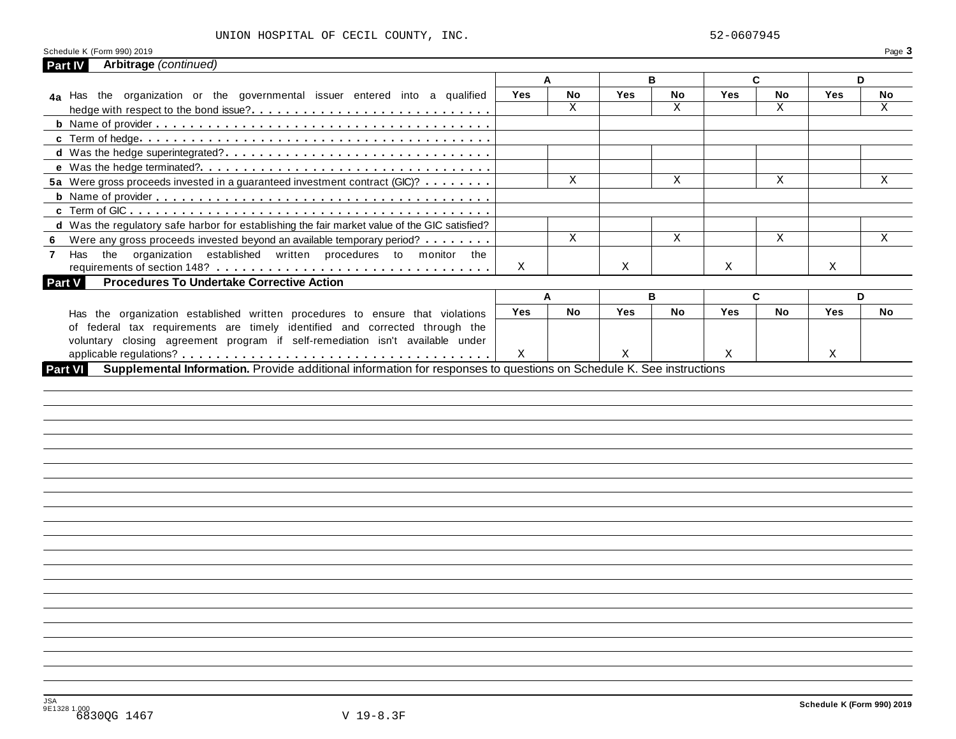## UNION HOSPITAL OF CECIL COUNTY, INC. 52-0607945

| Arbitrage (continued)<br><b>Part IV</b>                                                                                        |             |              |     |             |     |             |     |    |
|--------------------------------------------------------------------------------------------------------------------------------|-------------|--------------|-----|-------------|-----|-------------|-----|----|
|                                                                                                                                |             | A            | B   |             |     | C           |     | D  |
| 4a Has the organization or the governmental issuer entered into a qualified                                                    | <b>Yes</b>  | <b>No</b>    | Yes | No          | Yes | No          | Yes | No |
|                                                                                                                                |             | X            |     | X           |     | X           |     | X  |
|                                                                                                                                |             |              |     |             |     |             |     |    |
|                                                                                                                                |             |              |     |             |     |             |     |    |
|                                                                                                                                |             |              |     |             |     |             |     |    |
|                                                                                                                                |             |              |     |             |     |             |     |    |
| 5a Were gross proceeds invested in a guaranteed investment contract (GIC)?                                                     |             | X            |     | X           |     | X           |     | X  |
|                                                                                                                                |             |              |     |             |     |             |     |    |
|                                                                                                                                |             |              |     |             |     |             |     |    |
| d Was the regulatory safe harbor for establishing the fair market value of the GIC satisfied?                                  |             |              |     |             |     |             |     |    |
| 6 Were any gross proceeds invested beyond an available temporary period?                                                       |             | $\mathbf{x}$ |     | $\mathbf x$ |     | $\mathbf x$ |     | X  |
| 7 Has the organization established written procedures to monitor the                                                           |             |              |     |             |     |             |     |    |
|                                                                                                                                | Χ           |              | X   |             | X   |             | X   |    |
| <b>Procedures To Undertake Corrective Action</b><br><b>Part V</b>                                                              |             |              |     |             |     |             |     |    |
|                                                                                                                                |             | A            | B   |             |     | C           |     | D  |
| Has the organization established written procedures to ensure that violations                                                  | <b>Yes</b>  | <b>No</b>    | Yes | No          | Yes | No          | Yes | No |
| of federal tax requirements are timely identified and corrected through the                                                    |             |              |     |             |     |             |     |    |
| voluntary closing agreement program if self-remediation isn't available under                                                  |             |              |     |             |     |             |     |    |
|                                                                                                                                |             |              |     |             |     |             |     |    |
| Supplemental Information. Provide additional information for responses to questions on Schedule K. See instructions<br>Part VI | $\mathbf X$ |              | X   |             | X   |             | X   |    |
|                                                                                                                                |             |              |     |             |     |             |     |    |
|                                                                                                                                |             |              |     |             |     |             |     |    |
|                                                                                                                                |             |              |     |             |     |             |     |    |
|                                                                                                                                |             |              |     |             |     |             |     |    |
|                                                                                                                                |             |              |     |             |     |             |     |    |
|                                                                                                                                |             |              |     |             |     |             |     |    |
|                                                                                                                                |             |              |     |             |     |             |     |    |
|                                                                                                                                |             |              |     |             |     |             |     |    |
|                                                                                                                                |             |              |     |             |     |             |     |    |
|                                                                                                                                |             |              |     |             |     |             |     |    |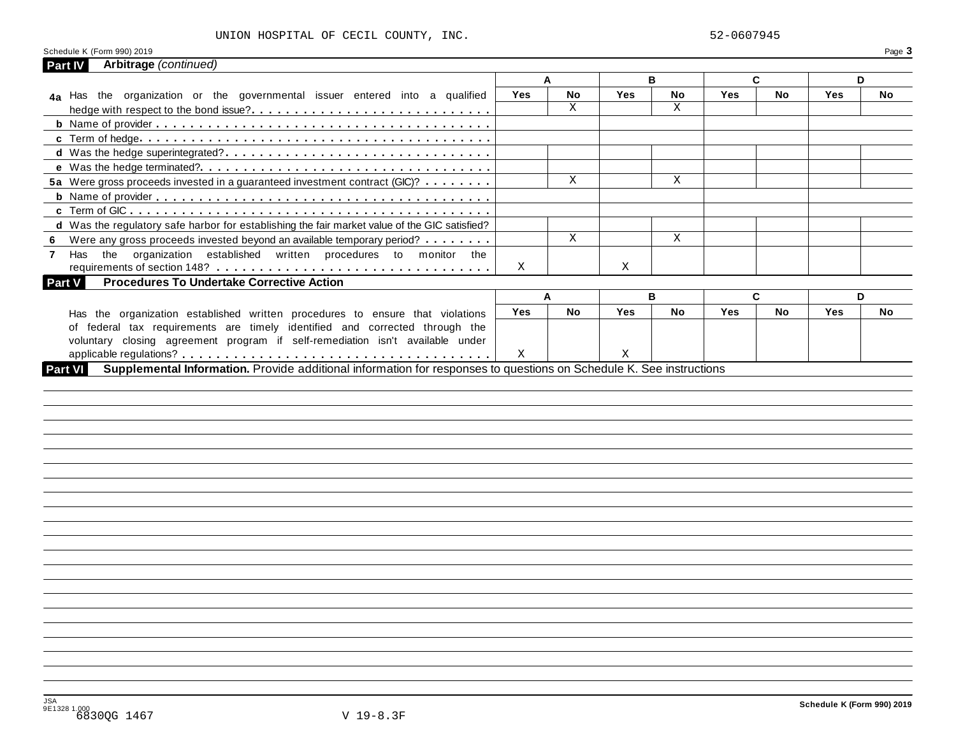## UNION HOSPITAL OF CECIL COUNTY, INC. 52-0607945

| Arbitrage (continued)<br><b>Part IV</b>                                                                                        |            |              |            |             |            |              |            |    |
|--------------------------------------------------------------------------------------------------------------------------------|------------|--------------|------------|-------------|------------|--------------|------------|----|
|                                                                                                                                |            | A            |            | в           |            | C            |            | D  |
| 4a Has the organization or the governmental issuer entered into a qualified                                                    | Yes        | No           | Yes        | No          | Yes        | No           | Yes        | No |
|                                                                                                                                |            | X            |            | $\mathbf x$ |            |              |            |    |
|                                                                                                                                |            |              |            |             |            |              |            |    |
|                                                                                                                                |            |              |            |             |            |              |            |    |
|                                                                                                                                |            |              |            |             |            |              |            |    |
|                                                                                                                                |            |              |            |             |            |              |            |    |
| 5a Were gross proceeds invested in a guaranteed investment contract (GIC)?                                                     |            | X            |            | X           |            |              |            |    |
|                                                                                                                                |            |              |            |             |            |              |            |    |
|                                                                                                                                |            |              |            |             |            |              |            |    |
| d Was the regulatory safe harbor for establishing the fair market value of the GIC satisfied?                                  |            |              |            |             |            |              |            |    |
| Were any gross proceeds invested beyond an available temporary period?<br>6                                                    |            | X            |            | X           |            |              |            |    |
| 7 Has the organization established written procedures to monitor the                                                           |            |              |            |             |            |              |            |    |
|                                                                                                                                | Χ          |              | Χ          |             |            |              |            |    |
| <b>Procedures To Undertake Corrective Action</b><br>Part V                                                                     |            |              |            |             |            |              |            |    |
|                                                                                                                                |            | $\mathbf{A}$ |            | B           |            | $\mathbf{C}$ |            | D  |
| Has the organization established written procedures to ensure that violations                                                  | <b>Yes</b> | <b>No</b>    | <b>Yes</b> | <b>No</b>   | <b>Yes</b> | <b>No</b>    | <b>Yes</b> | No |
| of federal tax requirements are timely identified and corrected through the                                                    |            |              |            |             |            |              |            |    |
|                                                                                                                                |            |              |            |             |            |              |            |    |
|                                                                                                                                |            |              |            |             |            |              |            |    |
| voluntary closing agreement program if self-remediation isn't available under                                                  | X          |              | X          |             |            |              |            |    |
|                                                                                                                                |            |              |            |             |            |              |            |    |
| Supplemental Information. Provide additional information for responses to questions on Schedule K. See instructions<br>Part VI |            |              |            |             |            |              |            |    |
|                                                                                                                                |            |              |            |             |            |              |            |    |
|                                                                                                                                |            |              |            |             |            |              |            |    |
|                                                                                                                                |            |              |            |             |            |              |            |    |
|                                                                                                                                |            |              |            |             |            |              |            |    |
|                                                                                                                                |            |              |            |             |            |              |            |    |
|                                                                                                                                |            |              |            |             |            |              |            |    |
|                                                                                                                                |            |              |            |             |            |              |            |    |
|                                                                                                                                |            |              |            |             |            |              |            |    |
|                                                                                                                                |            |              |            |             |            |              |            |    |
|                                                                                                                                |            |              |            |             |            |              |            |    |
|                                                                                                                                |            |              |            |             |            |              |            |    |
|                                                                                                                                |            |              |            |             |            |              |            |    |
|                                                                                                                                |            |              |            |             |            |              |            |    |
|                                                                                                                                |            |              |            |             |            |              |            |    |
|                                                                                                                                |            |              |            |             |            |              |            |    |
|                                                                                                                                |            |              |            |             |            |              |            |    |
|                                                                                                                                |            |              |            |             |            |              |            |    |
|                                                                                                                                |            |              |            |             |            |              |            |    |
|                                                                                                                                |            |              |            |             |            |              |            |    |
|                                                                                                                                |            |              |            |             |            |              |            |    |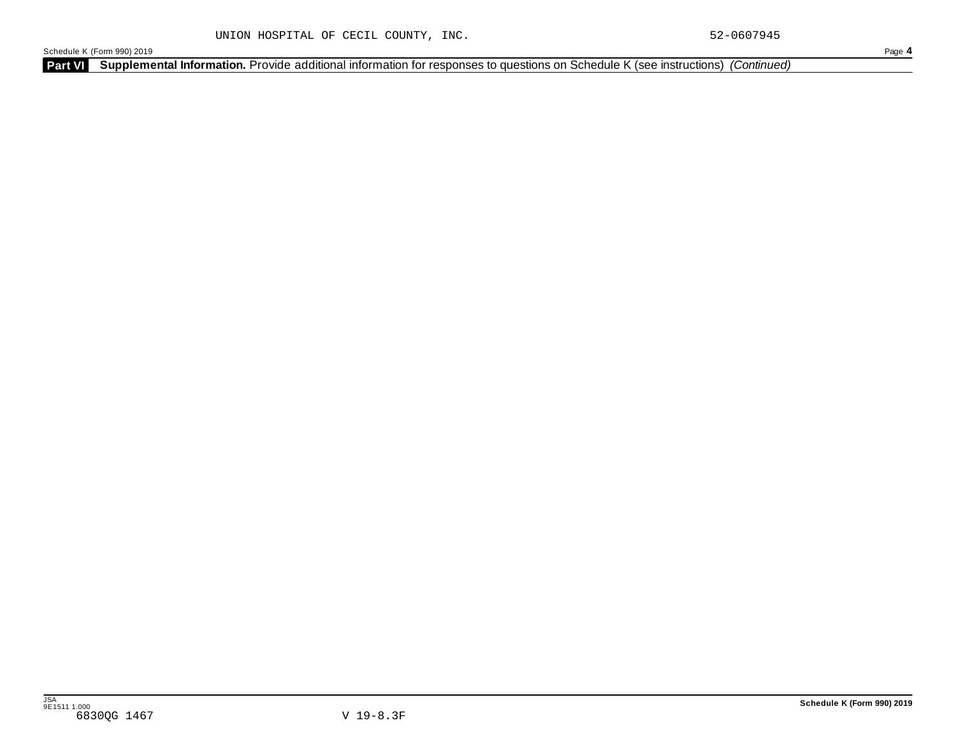Schedule K (Form 990) 2019 Page **4**

**Part VI Supplemental Information.** Provide additional information for responses to questions on Schedule K (see instructions) *(Continued)*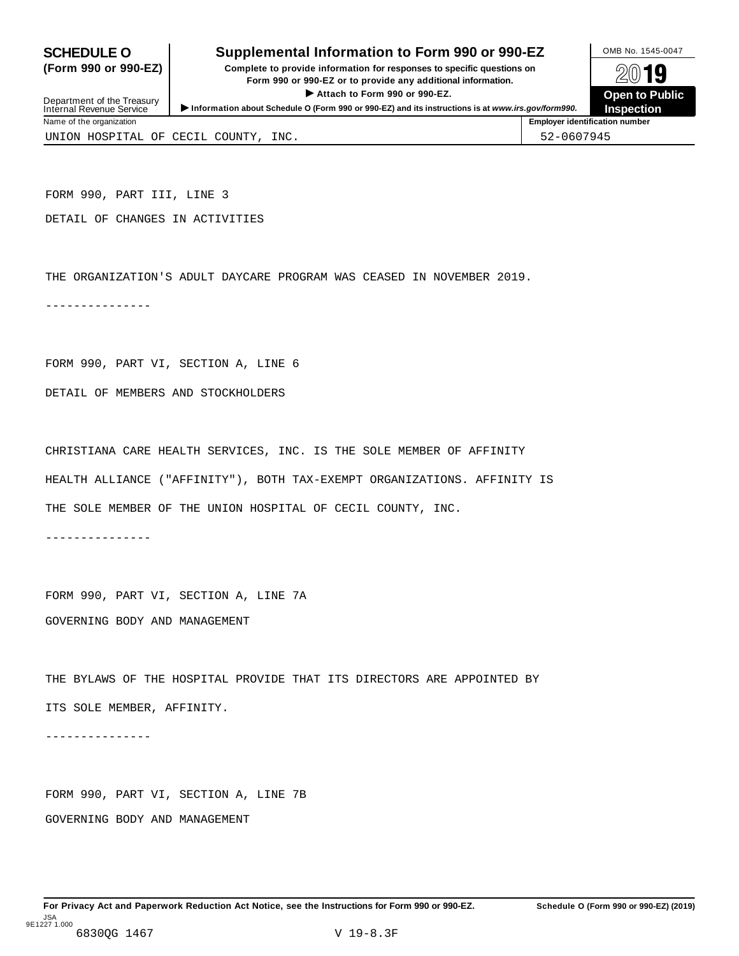Department of the Treasury<br>Internal Revenue Service

## **SCHEDULE O** Supplemental Information to Form 990 or 990-EZ DMB No. 1545-0047

**(Form 990 or 990-EZ) Complete to provide information for responses to specific questions on** plete to provide information for responses to specific questions on  $\mathbb{Z}^{0}$  **19 EV I D**<br>
■ Attach to Form 990 or 990-EZ.<br>
■ Public Public Public Public Public Department of the Treasury between to Public<br>
Internal Revenue Service between to Public<br>
Name of the organization<br>
Name of the organization

gov/form990. **Inspection**<br>Employer identification number

UNION HOSPITAL OF CECIL COUNTY, INC.  $\vert$  52-0607945

FORM 990, PART III, LINE 3

DETAIL OF CHANGES IN ACTIVITIES

THE ORGANIZATION'S ADULT DAYCARE PROGRAM WAS CEASED IN NOVEMBER 2019.

---------------

FORM 990, PART VI, SECTION A, LINE 6

DETAIL OF MEMBERS AND STOCKHOLDERS

CHRISTIANA CARE HEALTH SERVICES, INC. IS THE SOLE MEMBER OF AFFINITY HEALTH ALLIANCE ("AFFINITY"), BOTH TAX-EXEMPT ORGANIZATIONS. AFFINITY IS THE SOLE MEMBER OF THE UNION HOSPITAL OF CECIL COUNTY, INC.

---------------

FORM 990, PART VI, SECTION A, LINE 7A GOVERNING BODY AND MANAGEMENT

THE BYLAWS OF THE HOSPITAL PROVIDE THAT ITS DIRECTORS ARE APPOINTED BY ITS SOLE MEMBER, AFFINITY.

---------------

FORM 990, PART VI, SECTION A, LINE 7B GOVERNING BODY AND MANAGEMENT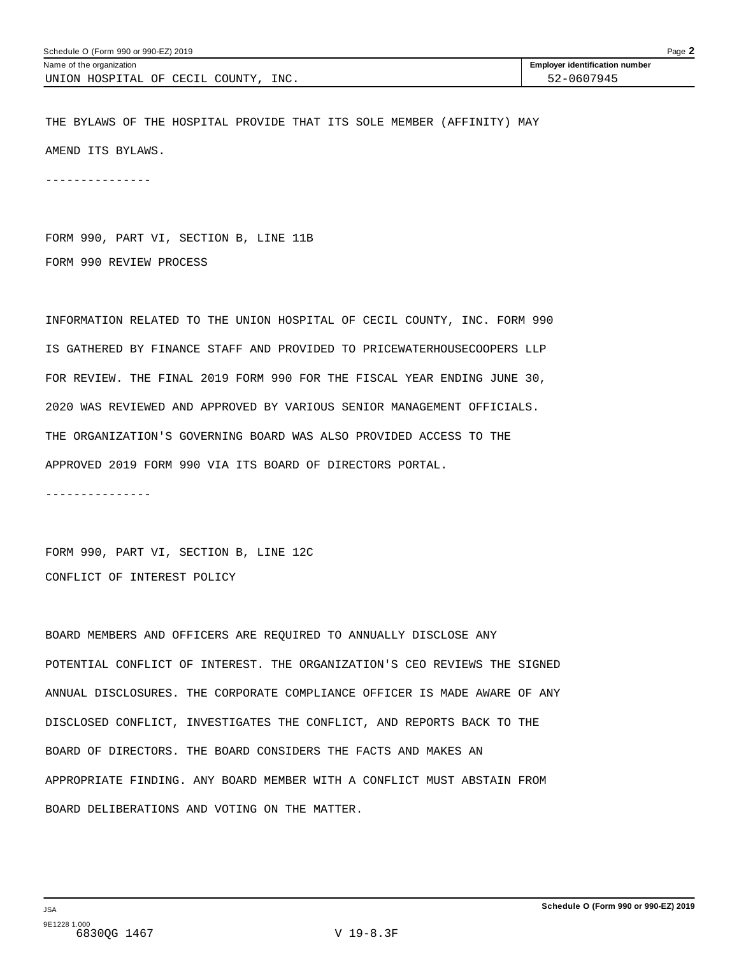| Schedule O (Form 990 or 990-EZ) 2019   | Page $\blacktriangle$                 |
|----------------------------------------|---------------------------------------|
| Name of the organization               | <b>Employer identification number</b> |
| INC.<br>UNION HOSPITAL OF CECIL COUNTY | 52-0607945                            |

THE BYLAWS OF THE HOSPITAL PROVIDE THAT ITS SOLE MEMBER (AFFINITY) MAY AMEND ITS BYLAWS.

---------------

FORM 990, PART VI, SECTION B, LINE 11B FORM 990 REVIEW PROCESS

INFORMATION RELATED TO THE UNION HOSPITAL OF CECIL COUNTY, INC. FORM 990 IS GATHERED BY FINANCE STAFF AND PROVIDED TO PRICEWATERHOUSECOOPERS LLP FOR REVIEW. THE FINAL 2019 FORM 990 FOR THE FISCAL YEAR ENDING JUNE 30, 2020 WAS REVIEWED AND APPROVED BY VARIOUS SENIOR MANAGEMENT OFFICIALS. THE ORGANIZATION'S GOVERNING BOARD WAS ALSO PROVIDED ACCESS TO THE APPROVED 2019 FORM 990 VIA ITS BOARD OF DIRECTORS PORTAL.

---------------

FORM 990, PART VI, SECTION B, LINE 12C CONFLICT OF INTEREST POLICY

BOARD MEMBERS AND OFFICERS ARE REQUIRED TO ANNUALLY DISCLOSE ANY POTENTIAL CONFLICT OF INTEREST. THE ORGANIZATION'S CEO REVIEWS THE SIGNED ANNUAL DISCLOSURES. THE CORPORATE COMPLIANCE OFFICER IS MADE AWARE OF ANY DISCLOSED CONFLICT, INVESTIGATES THE CONFLICT, AND REPORTS BACK TO THE BOARD OF DIRECTORS. THE BOARD CONSIDERS THE FACTS AND MAKES AN APPROPRIATE FINDING. ANY BOARD MEMBER WITH A CONFLICT MUST ABSTAIN FROM BOARD DELIBERATIONS AND VOTING ON THE MATTER.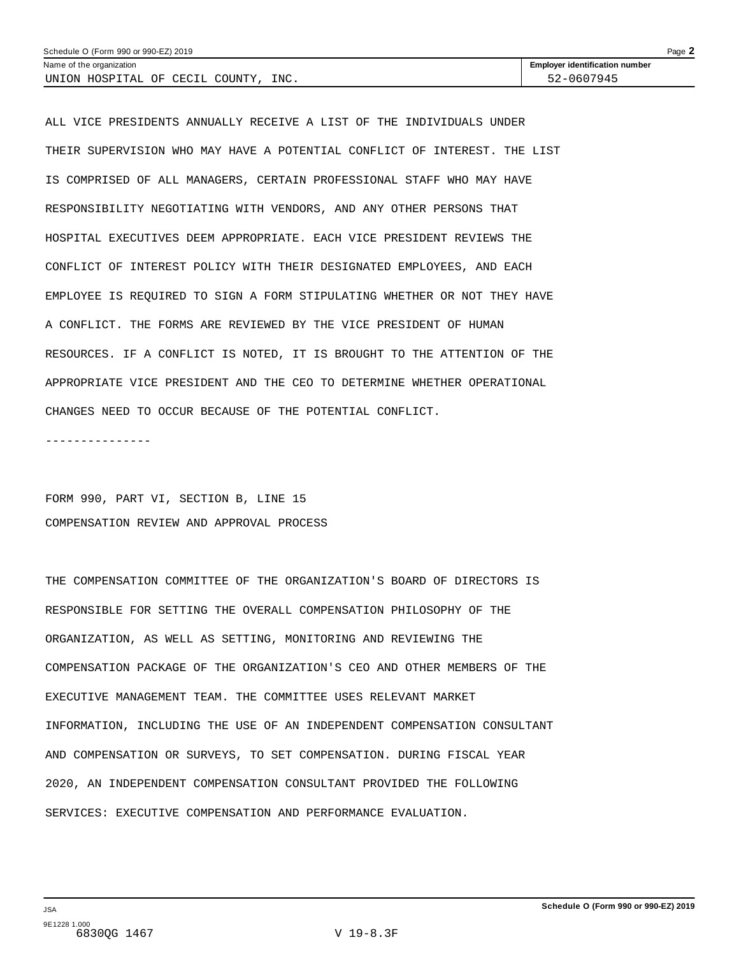| Schedule O (Form 990 or 990-EZ) 2019    |                                       | Page $\blacktriangle$ |
|-----------------------------------------|---------------------------------------|-----------------------|
| Name of the organization                | <b>Employer identification number</b> |                       |
| UNION HOSPITAL OF CECIL COUNTY,<br>INC. | 52-0607945                            |                       |

ALL VICE PRESIDENTS ANNUALLY RECEIVE A LIST OF THE INDIVIDUALS UNDER THEIR SUPERVISION WHO MAY HAVE A POTENTIAL CONFLICT OF INTEREST. THE LIST IS COMPRISED OF ALL MANAGERS, CERTAIN PROFESSIONAL STAFF WHO MAY HAVE RESPONSIBILITY NEGOTIATING WITH VENDORS, AND ANY OTHER PERSONS THAT HOSPITAL EXECUTIVES DEEM APPROPRIATE. EACH VICE PRESIDENT REVIEWS THE CONFLICT OF INTEREST POLICY WITH THEIR DESIGNATED EMPLOYEES, AND EACH EMPLOYEE IS REQUIRED TO SIGN A FORM STIPULATING WHETHER OR NOT THEY HAVE A CONFLICT. THE FORMS ARE REVIEWED BY THE VICE PRESIDENT OF HUMAN RESOURCES. IF A CONFLICT IS NOTED, IT IS BROUGHT TO THE ATTENTION OF THE APPROPRIATE VICE PRESIDENT AND THE CEO TO DETERMINE WHETHER OPERATIONAL CHANGES NEED TO OCCUR BECAUSE OF THE POTENTIAL CONFLICT.

---------------

FORM 990, PART VI, SECTION B, LINE 15 COMPENSATION REVIEW AND APPROVAL PROCESS

THE COMPENSATION COMMITTEE OF THE ORGANIZATION'S BOARD OF DIRECTORS IS RESPONSIBLE FOR SETTING THE OVERALL COMPENSATION PHILOSOPHY OF THE ORGANIZATION, AS WELL AS SETTING, MONITORING AND REVIEWING THE COMPENSATION PACKAGE OF THE ORGANIZATION'S CEO AND OTHER MEMBERS OF THE EXECUTIVE MANAGEMENT TEAM. THE COMMITTEE USES RELEVANT MARKET INFORMATION, INCLUDING THE USE OF AN INDEPENDENT COMPENSATION CONSULTANT AND COMPENSATION OR SURVEYS, TO SET COMPENSATION. DURING FISCAL YEAR 2020, AN INDEPENDENT COMPENSATION CONSULTANT PROVIDED THE FOLLOWING SERVICES: EXECUTIVE COMPENSATION AND PERFORMANCE EVALUATION.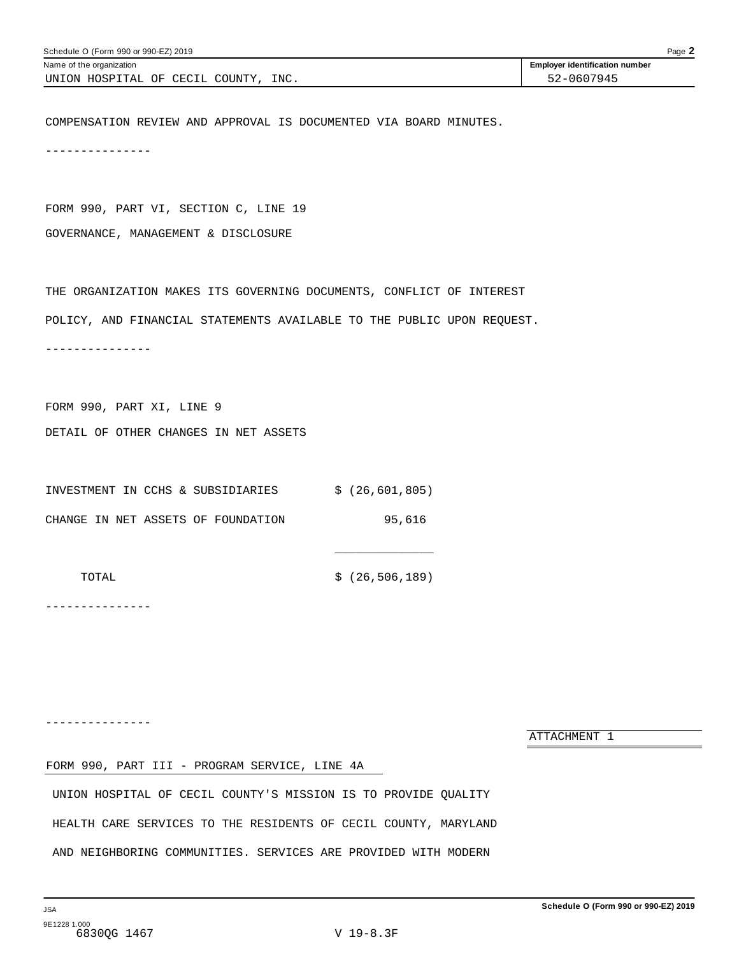| Schedule O (Form 990 or 990-EZ) 2019   |                                       | Page $\blacktriangle$ |
|----------------------------------------|---------------------------------------|-----------------------|
| Name of the organization               | <b>Employer identification number</b> |                       |
| INC.<br>UNION HOSPITAL OF CECIL COUNTY | 52-0607945                            |                       |

COMPENSATION REVIEW AND APPROVAL IS DOCUMENTED VIA BOARD MINUTES.

---------------

FORM 990, PART VI, SECTION C, LINE 19 GOVERNANCE, MANAGEMENT & DISCLOSURE

THE ORGANIZATION MAKES ITS GOVERNING DOCUMENTS, CONFLICT OF INTEREST POLICY, AND FINANCIAL STATEMENTS AVAILABLE TO THE PUBLIC UPON REQUEST.

---------------

FORM 990, PART XI, LINE 9

DETAIL OF OTHER CHANGES IN NET ASSETS

| INVESTMENT IN CCHS & SUBSIDIARIES  | \$(26,601,805) |
|------------------------------------|----------------|
| CHANGE IN NET ASSETS OF FOUNDATION | 95,616         |
|                                    |                |

TOTAL  $\qquad \qquad$  (26,506,189)

---------------

---------------

ATTACHMENT 1

## FORM 990, PART III - PROGRAM SERVICE, LINE 4A

UNION HOSPITAL OF CECIL COUNTY'S MISSION IS TO PROVIDE QUALITY HEALTH CARE SERVICES TO THE RESIDENTS OF CECIL COUNTY, MARYLAND AND NEIGHBORING COMMUNITIES. SERVICES ARE PROVIDED WITH MODERN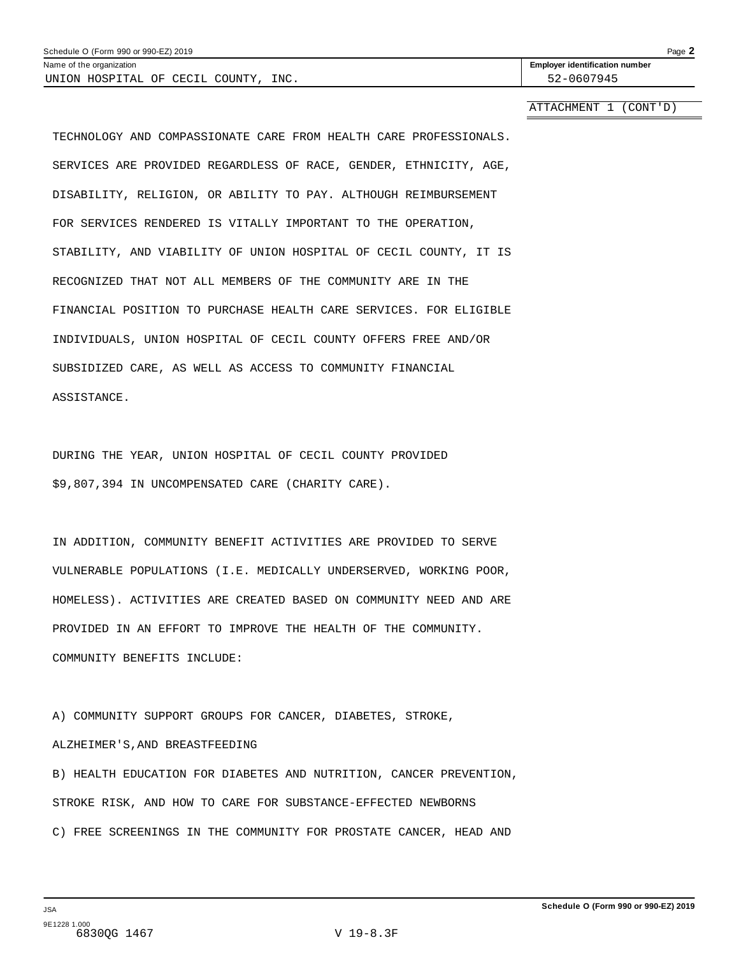UNION HOSPITAL OF CECIL COUNTY, INC.  $\vert$  52-0607945

Name of the organization **intervalse of the organization <b>intervalse of the original intervalse of the original intervalse of the original intervalse of the original intervalse of the original intervalse of the original in** 

ATTACHMENT 1 (CONT'D)

TECHNOLOGY AND COMPASSIONATE CARE FROM HEALTH CARE PROFESSIONALS. SERVICES ARE PROVIDED REGARDLESS OF RACE, GENDER, ETHNICITY, AGE, DISABILITY, RELIGION, OR ABILITY TO PAY. ALTHOUGH REIMBURSEMENT FOR SERVICES RENDERED IS VITALLY IMPORTANT TO THE OPERATION, STABILITY, AND VIABILITY OF UNION HOSPITAL OF CECIL COUNTY, IT IS RECOGNIZED THAT NOT ALL MEMBERS OF THE COMMUNITY ARE IN THE FINANCIAL POSITION TO PURCHASE HEALTH CARE SERVICES. FOR ELIGIBLE INDIVIDUALS, UNION HOSPITAL OF CECIL COUNTY OFFERS FREE AND/OR SUBSIDIZED CARE, AS WELL AS ACCESS TO COMMUNITY FINANCIAL ASSISTANCE.

DURING THE YEAR, UNION HOSPITAL OF CECIL COUNTY PROVIDED \$9,807,394 IN UNCOMPENSATED CARE (CHARITY CARE).

IN ADDITION, COMMUNITY BENEFIT ACTIVITIES ARE PROVIDED TO SERVE VULNERABLE POPULATIONS (I.E. MEDICALLY UNDERSERVED, WORKING POOR, HOMELESS). ACTIVITIES ARE CREATED BASED ON COMMUNITY NEED AND ARE PROVIDED IN AN EFFORT TO IMPROVE THE HEALTH OF THE COMMUNITY. COMMUNITY BENEFITS INCLUDE:

A) COMMUNITY SUPPORT GROUPS FOR CANCER, DIABETES, STROKE, ALZHEIMER'S,AND BREASTFEEDING B) HEALTH EDUCATION FOR DIABETES AND NUTRITION, CANCER PREVENTION, STROKE RISK, AND HOW TO CARE FOR SUBSTANCE-EFFECTED NEWBORNS

C) FREE SCREENINGS IN THE COMMUNITY FOR PROSTATE CANCER, HEAD AND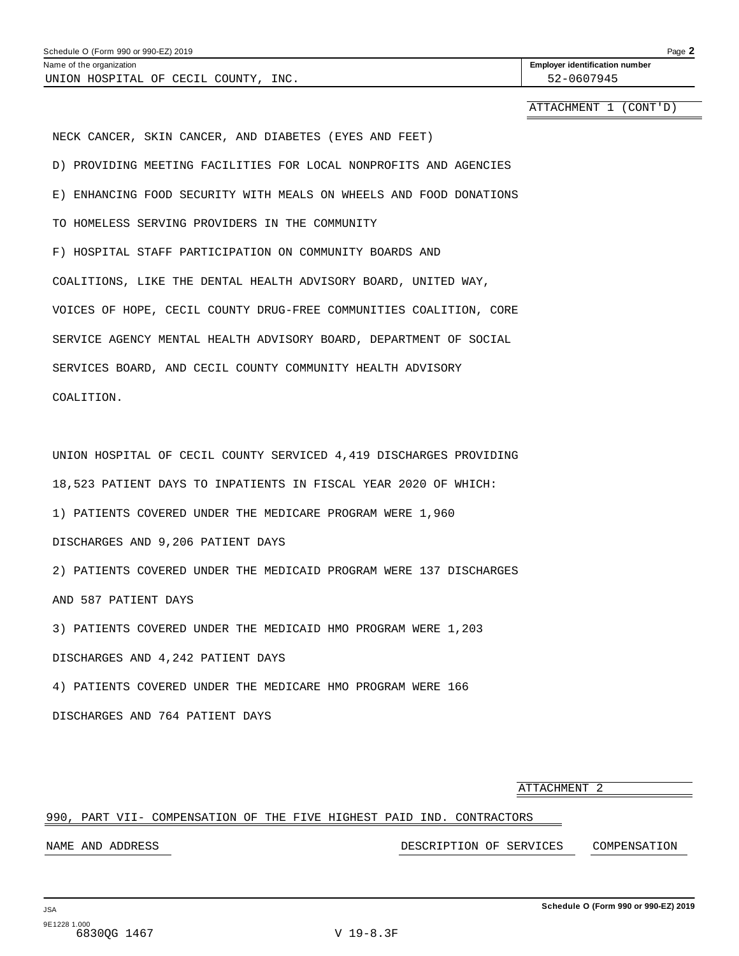| Schedule O (Form 990 or 990-EZ) 2019 | $P$ age. |  |
|--------------------------------------|----------|--|
|--------------------------------------|----------|--|

UNION HOSPITAL OF CECIL COUNTY, INC.  $\vert$  52-0607945

Name of the organization **intervalse of the organization <b>intervalse of the original intervalse of the original intervalse of the original intervalse of the original intervalse of the original intervalse of the original in** 

ATTACHMENT 1 (CONT'D)

NECK CANCER, SKIN CANCER, AND DIABETES (EYES AND FEET) D) PROVIDING MEETING FACILITIES FOR LOCAL NONPROFITS AND AGENCIES E) ENHANCING FOOD SECURITY WITH MEALS ON WHEELS AND FOOD DONATIONS TO HOMELESS SERVING PROVIDERS IN THE COMMUNITY F) HOSPITAL STAFF PARTICIPATION ON COMMUNITY BOARDS AND COALITIONS, LIKE THE DENTAL HEALTH ADVISORY BOARD, UNITED WAY, VOICES OF HOPE, CECIL COUNTY DRUG-FREE COMMUNITIES COALITION, CORE SERVICE AGENCY MENTAL HEALTH ADVISORY BOARD, DEPARTMENT OF SOCIAL SERVICES BOARD, AND CECIL COUNTY COMMUNITY HEALTH ADVISORY COALITION. UNION HOSPITAL OF CECIL COUNTY SERVICED 4,419 DISCHARGES PROVIDING 18,523 PATIENT DAYS TO INPATIENTS IN FISCAL YEAR 2020 OF WHICH: 1) PATIENTS COVERED UNDER THE MEDICARE PROGRAM WERE 1,960

DISCHARGES AND 9,206 PATIENT DAYS

2) PATIENTS COVERED UNDER THE MEDICAID PROGRAM WERE 137 DISCHARGES AND 587 PATIENT DAYS

3) PATIENTS COVERED UNDER THE MEDICAID HMO PROGRAM WERE 1,203 DISCHARGES AND 4,242 PATIENT DAYS

4) PATIENTS COVERED UNDER THE MEDICARE HMO PROGRAM WERE 166 DISCHARGES AND 764 PATIENT DAYS

ATTACHMENT 2

## 990, PART VII- COMPENSATION OF THE FIVE HIGHEST PAID IND. CONTRACTORS

NAME AND ADDRESS DESCRIPTION OF SERVICES COMPENSATION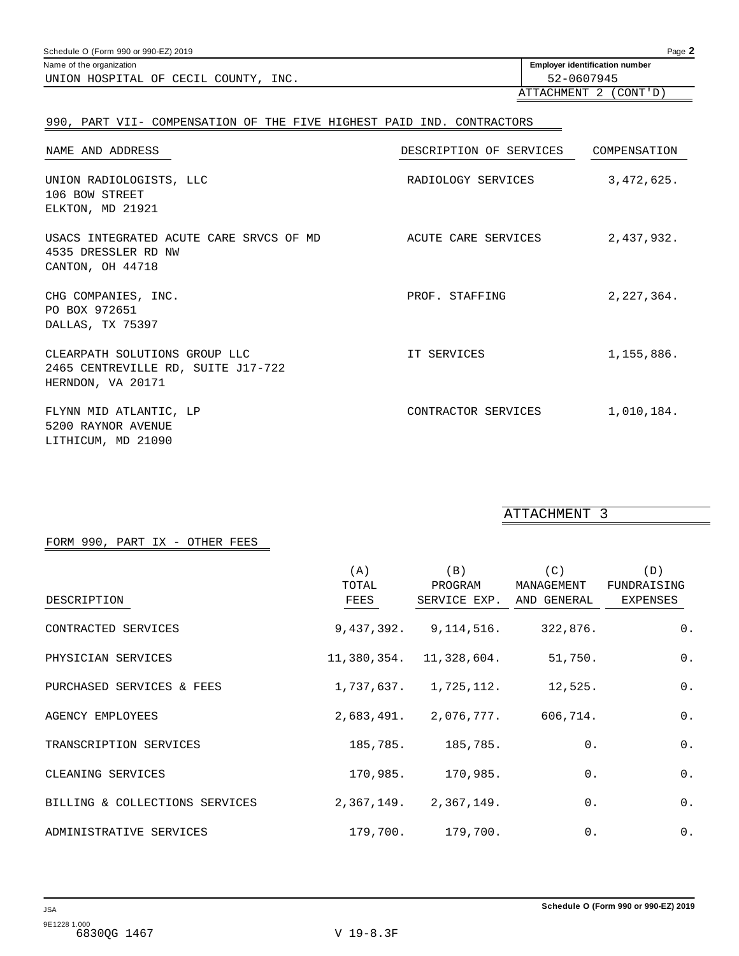| Schedule O (Form 990 or 990-EZ) 2019    | Page $\lambda$                        |
|-----------------------------------------|---------------------------------------|
| Name of the organization                | <b>Employer identification number</b> |
| INC.<br>UNION HOSPITAL OF CECIL COUNTY, | 52-0607945                            |
|                                         | 2 THE AILMENT C<br>(OMT T D)          |

## ATTACHMENT 2 (CONT'D)

## 990, PART VII- COMPENSATION OF THE FIVE HIGHEST PAID IND. CONTRACTORS

| NAME AND ADDRESS                                                                         | DESCRIPTION OF SERVICES | COMPENSATION |
|------------------------------------------------------------------------------------------|-------------------------|--------------|
| UNION RADIOLOGISTS, LLC<br>106 BOW STREET<br>ELKTON, MD 21921                            | RADIOLOGY SERVICES      | 3,472,625.   |
| USACS INTEGRATED ACUTE CARE SRVCS OF MD<br>4535 DRESSLER RD NW<br>CANTON, OH 44718       | ACUTE CARE SERVICES     | 2,437,932.   |
| CHG COMPANIES, INC.<br>PO BOX 972651<br>DALLAS, TX 75397                                 | PROF. STAFFING          | 2,227,364.   |
| CLEARPATH SOLUTIONS GROUP LLC<br>2465 CENTREVILLE RD, SUITE J17-722<br>HERNDON, VA 20171 | IT SERVICES             | 1,155,886.   |
| FLYNN MID ATLANTIC, LP<br>5200 RAYNOR AVENUE<br>LITHICUM, MD 21090                       | CONTRACTOR SERVICES     | 1,010,184.   |

ATTACHMENT 3

## FORM 990, PART IX - OTHER FEES

|                                | (A)        | (B)                                | (C)         | (D)         |
|--------------------------------|------------|------------------------------------|-------------|-------------|
|                                | TOTAL      | PROGRAM                            | MANAGEMENT  | FUNDRAISING |
| DESCRIPTION                    | FEES       | SERVICE EXP.                       | AND GENERAL | EXPENSES    |
| CONTRACTED SERVICES            | 9,437,392. | 9,114,516.                         | 322,876.    | 0.          |
| PHYSICIAN SERVICES             |            | $11,380,354.$ $11,328,604.$        | 51,750.     | 0.          |
| PURCHASED SERVICES & FEES      |            | 1,737,637.  1,725,112.             | 12,525.     | $0$ .       |
| AGENCY EMPLOYEES               |            | $2,683,491.$ $2,076,777.$ 606,714. |             | $0$ .       |
| TRANSCRIPTION SERVICES         |            | 185,785. 185,785.                  | 0.          | 0.          |
| CLEANING SERVICES              |            | 170,985. 170,985.                  | $0$ .       | 0.          |
| BILLING & COLLECTIONS SERVICES |            | $2,367,149.$ $2,367,149.$          | $0$ .       | 0.          |
| ADMINISTRATIVE SERVICES        |            | 179,700. 179,700.                  | $0$ .       | 0.          |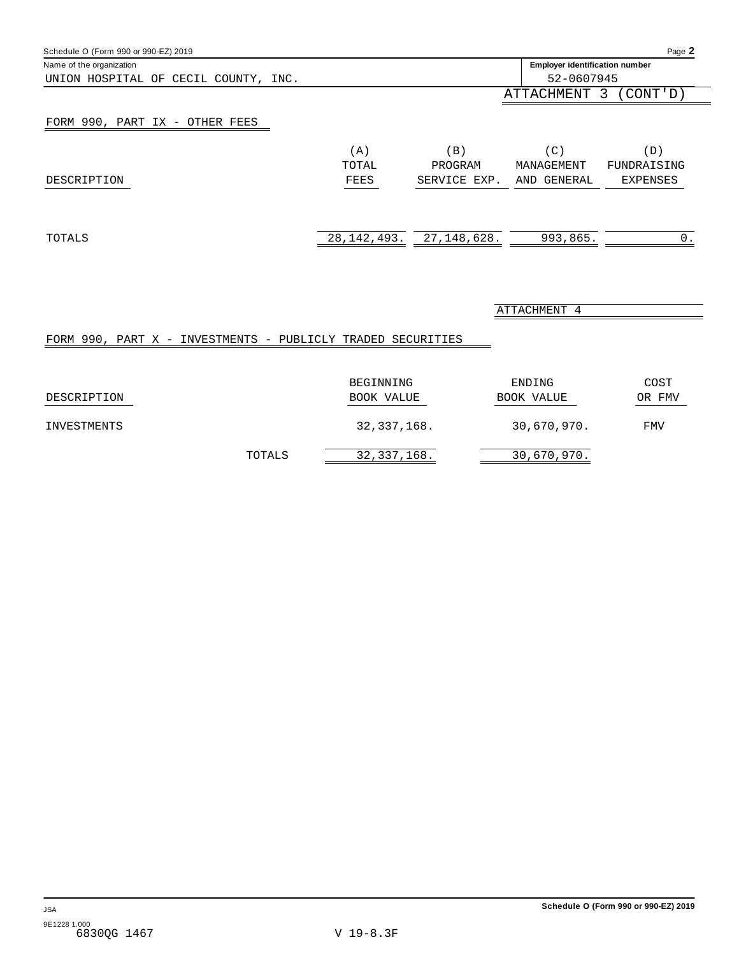| Schedule O (Form 990 or 990-EZ) 2019 |                      |                                |                                       | Page 2                                |
|--------------------------------------|----------------------|--------------------------------|---------------------------------------|---------------------------------------|
| Name of the organization             |                      |                                | <b>Employer identification number</b> |                                       |
| UNION HOSPITAL OF CECIL COUNTY, INC. |                      |                                | 52-0607945                            |                                       |
|                                      |                      |                                | ATTACHMENT                            | CONT'D)<br>-3                         |
| FORM 990, PART IX - OTHER FEES       |                      |                                |                                       |                                       |
| DESCRIPTION                          | (A)<br>TOTAL<br>FEES | (B)<br>PROGRAM<br>SERVICE EXP. | (C)<br>MANAGEMENT<br>AND GENERAL      | (D)<br>FUNDRAISING<br><b>EXPENSES</b> |
| TOTALS                               | 28, 142, 493.        | 27, 148, 628.                  | 993,865.                              | 0.                                    |

ATTACHMENT 4

## FORM 990, PART X - INVESTMENTS - PUBLICLY TRADED SECURITIES

| DESCRIPTION |        | BEGINNING<br>BOOK VALUE | ENDING<br>BOOK VALUE | COST<br>OR FMV |
|-------------|--------|-------------------------|----------------------|----------------|
| INVESTMENTS |        | 32,337,168.             | 30,670,970.          | FMV            |
|             | TOTALS | 32,337,168.             | 30,670,970.          |                |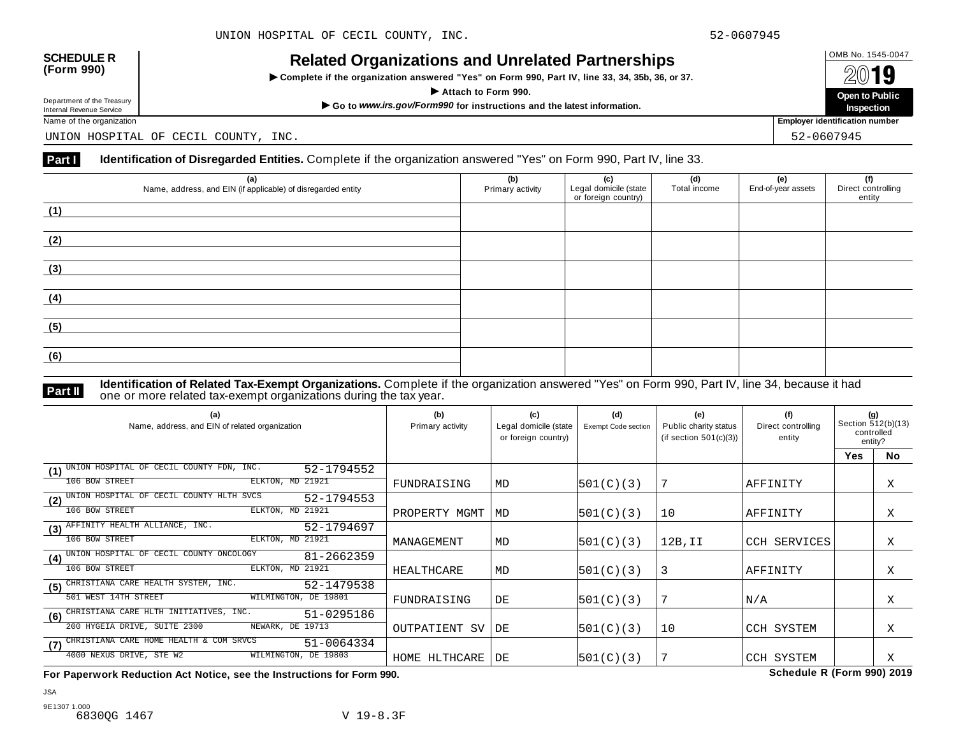# OMB No. 1545-0047 **SCHEDULE R (Form 990) Related Organizations and Unrelated Partnerships**

 $\triangleright$  Complete if the organization answered "Yes" on Form 990, Part IV, line 33, 34, 35b, 36, or 37.



Department of the Treasury<br>Internal Revenue Service

UNION HOSPITAL OF CECIL COUNTY, INC. 52-0607945

## **Part I Identification of Disregarded Entities.** Complete if the organization answered "Yes" on Form 990, Part IV, line 33.

| (a)<br>Name, address, and EIN (if applicable) of disregarded entity | (b)<br>Primary activity | (c)<br>Legal domicile (state<br>or foreign country) | (d)<br>Total income | (e)<br>End-of-year assets | (f)<br>Direct controlling<br>entity |
|---------------------------------------------------------------------|-------------------------|-----------------------------------------------------|---------------------|---------------------------|-------------------------------------|
| (1)                                                                 |                         |                                                     |                     |                           |                                     |
| (2)                                                                 |                         |                                                     |                     |                           |                                     |
| (3)                                                                 |                         |                                                     |                     |                           |                                     |
| (4)                                                                 |                         |                                                     |                     |                           |                                     |
| (5)                                                                 |                         |                                                     |                     |                           |                                     |
| (6)                                                                 |                         |                                                     |                     |                           |                                     |

**Identification of Related Tax-Exempt Organizations.** Complete if the organization answered "Yes" on Form 990, Part IV, line 34, because it had **Part II** one or more related tax-exempt organizations during the tax year.

| (a)<br>Name, address, and EIN of related organization         | (b)<br>Primary activity | (c)<br>Legal domicile (state<br>or foreign country) | (d)<br>Exempt Code section | (e)<br>Public charity status<br>(if section $501(c)(3)$ ) | (f)<br>Direct controlling<br>entity | (g)<br>Section 512(b)(13)<br>controlled<br>entity? |           |
|---------------------------------------------------------------|-------------------------|-----------------------------------------------------|----------------------------|-----------------------------------------------------------|-------------------------------------|----------------------------------------------------|-----------|
|                                                               |                         |                                                     |                            |                                                           |                                     | <b>Yes</b>                                         | <b>No</b> |
| UNION HOSPITAL OF CECIL COUNTY FDN, INC.<br>52-1794552<br>(1) |                         |                                                     |                            |                                                           |                                     |                                                    |           |
| ELKTON, MD 21921<br>106 BOW STREET                            | FUNDRAISING             | MD                                                  | 501(C)(3)                  |                                                           | AFFINITY                            |                                                    | Χ         |
| UNION HOSPITAL OF CECIL COUNTY HLTH SVCS<br>52-1794553<br>(2) |                         |                                                     |                            |                                                           |                                     |                                                    |           |
| ELKTON, MD 21921<br>106 BOW STREET                            | PROPERTY MGMT           | MD                                                  | 501(C)(3)                  | 10                                                        | AFFINITY                            |                                                    | Χ         |
| (3) AFFINITY HEALTH ALLIANCE, INC.<br>52-1794697              |                         |                                                     |                            |                                                           |                                     |                                                    |           |
| ELKTON, MD 21921<br>106 BOW STREET                            | MANAGEMENT              | MD                                                  | 501(C)(3)                  | $12B$ , II                                                | <b>CCH SERVICES</b>                 |                                                    | Χ         |
| UNION HOSPITAL OF CECIL COUNTY ONCOLOGY<br>81-2662359<br>(4)  |                         |                                                     |                            |                                                           |                                     |                                                    |           |
| 106 BOW STREET<br>ELKTON, MD 21921                            | HEALTHCARE              | MD                                                  | 501(C)(3)                  | 3                                                         | AFFINITY                            |                                                    | Χ         |
| CHRISTIANA CARE HEALTH SYSTEM, INC.<br>52-1479538<br>(5)      |                         |                                                     |                            |                                                           |                                     |                                                    |           |
| 501 WEST 14TH STREET<br>WILMINGTON, DE 19801                  | FUNDRAISING             | DE                                                  | 501(C)(3)                  |                                                           | N/A                                 |                                                    | X         |
| CHRISTIANA CARE HLTH INITIATIVES, INC.<br>51-0295186<br>(6)   |                         |                                                     |                            |                                                           |                                     |                                                    |           |
| 200 HYGEIA DRIVE, SUITE 2300<br>NEWARK, DE 19713              | OUTPATIENT SV           | DE                                                  | 501(C)(3)                  | 10                                                        | <b>CCH SYSTEM</b>                   |                                                    | Χ         |
| CHRISTIANA CARE HOME HEALTH & COM SRVCS<br>51-0064334<br>(7)  |                         |                                                     |                            |                                                           |                                     |                                                    |           |
| WILMINGTON, DE 19803<br>4000 NEXUS DRIVE, STE W2              | HOME HLTHCARE           | DE                                                  | 501(C)(3)                  |                                                           | <b>CCH SYSTEM</b>                   |                                                    | Χ         |

**For Paperwork Reduction Act Notice, see the Instructions for Form 990. Schedule R (Form 990) 2019**

JSA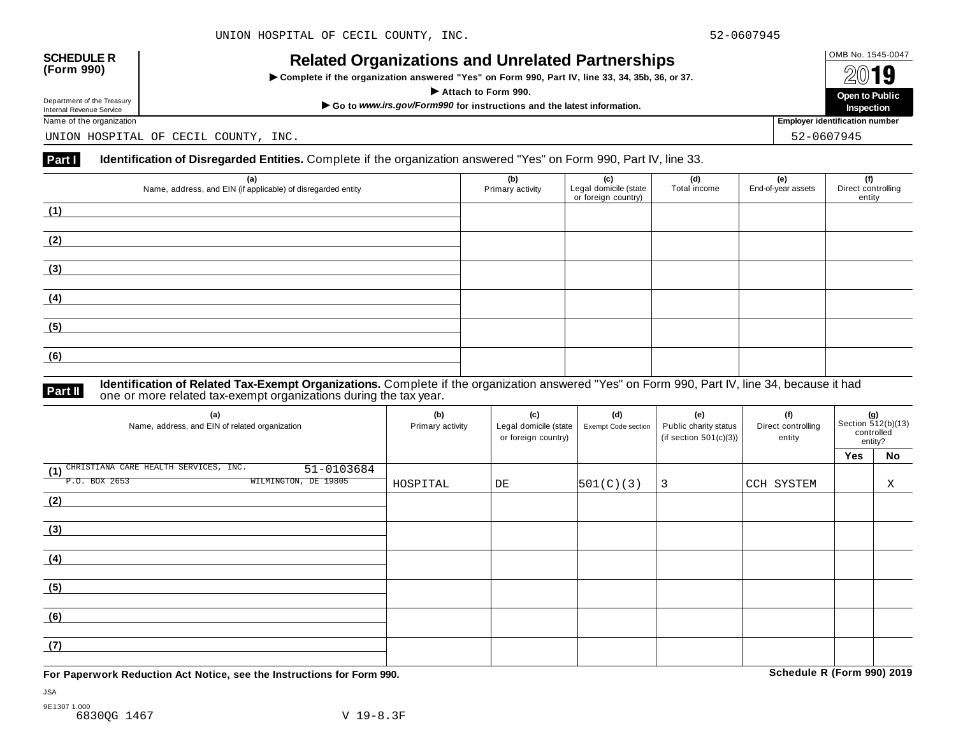# OMB No. 1545-0047 **SCHEDULE R (Form 990) Related Organizations and Unrelated Partnerships**

 $\triangleright$  Complete if the organization answered "Yes" on Form 990, Part IV, line 33, 34, 35b, 36, or 37.



Department of the Treasury<br>Internal Revenue Service

UNION HOSPITAL OF CECIL COUNTY, INC. 52-0607945

## **Part I Identification of Disregarded Entities.** Complete if the organization answered "Yes" on Form 990, Part IV, line 33.

| (a)<br>Name, address, and EIN (if applicable) of disregarded entity | (b)<br>Primary activity | (c)<br>Legal domicile (state<br>or foreign country) | (d)<br>Total income | (e)<br>End-of-year assets | (f)<br>Direct controlling<br>entity |
|---------------------------------------------------------------------|-------------------------|-----------------------------------------------------|---------------------|---------------------------|-------------------------------------|
| (1)                                                                 |                         |                                                     |                     |                           |                                     |
| (2)                                                                 |                         |                                                     |                     |                           |                                     |
| (3)                                                                 |                         |                                                     |                     |                           |                                     |
| (4)                                                                 |                         |                                                     |                     |                           |                                     |
| (5)                                                                 |                         |                                                     |                     |                           |                                     |
| (6)                                                                 |                         |                                                     |                     |                           |                                     |

## **Identification of Related Tax-Exempt Organizations.** Complete if the organization answered "Yes" on Form 990, Part IV, line 34, because it had **Part II** one or more related tax-exempt organizations during the tax year.

| (a)<br>Name, address, and EIN of related organization   | (b)<br>Primary activity | (c)<br>Legal domicile (state  <br>or foreign country) | (d)<br>Exempt Code section | (e)<br>Public charity status<br>(if section $501(c)(3)$ ) | (f)<br>Direct controlling<br>entity | $\Big  \text{Section 512(b)(13)}$<br>controlled<br>entity? |    |
|---------------------------------------------------------|-------------------------|-------------------------------------------------------|----------------------------|-----------------------------------------------------------|-------------------------------------|------------------------------------------------------------|----|
|                                                         |                         |                                                       |                            |                                                           |                                     | Yes                                                        | No |
| (1) CHRISTIANA CARE HEALTH SERVICES, INC.<br>51-0103684 |                         |                                                       |                            |                                                           |                                     |                                                            |    |
| P.O. BOX 2653<br>WILMINGTON, DE 19805                   | HOSPITAL                | DE                                                    | 501(C)(3)                  | 3                                                         | CCH SYSTEM                          |                                                            | Χ  |
| (2)                                                     |                         |                                                       |                            |                                                           |                                     |                                                            |    |
|                                                         |                         |                                                       |                            |                                                           |                                     |                                                            |    |
| (3)                                                     |                         |                                                       |                            |                                                           |                                     |                                                            |    |
|                                                         |                         |                                                       |                            |                                                           |                                     |                                                            |    |
| (4)                                                     |                         |                                                       |                            |                                                           |                                     |                                                            |    |
|                                                         |                         |                                                       |                            |                                                           |                                     |                                                            |    |
| (5)                                                     |                         |                                                       |                            |                                                           |                                     |                                                            |    |
|                                                         |                         |                                                       |                            |                                                           |                                     |                                                            |    |
| (6)                                                     |                         |                                                       |                            |                                                           |                                     |                                                            |    |
|                                                         |                         |                                                       |                            |                                                           |                                     |                                                            |    |
| (7)                                                     |                         |                                                       |                            |                                                           |                                     |                                                            |    |
|                                                         |                         |                                                       |                            |                                                           |                                     |                                                            |    |

**For Paperwork Reduction Act Notice, see the Instructions for Form 990. Schedule R (Form 990) 2019**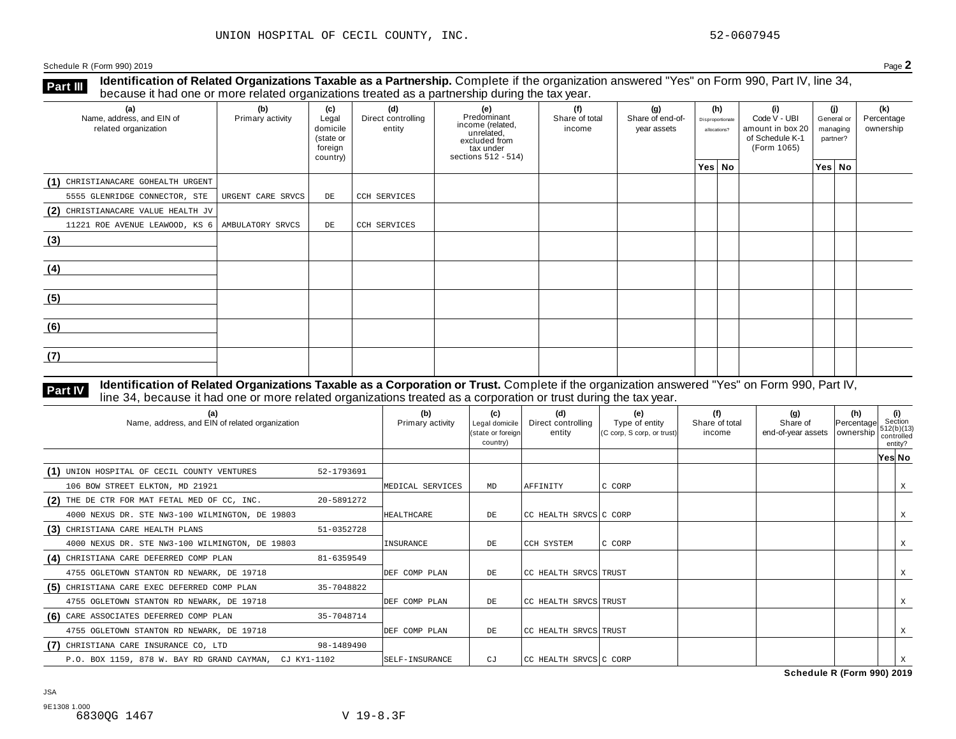**Identification of Related Organizations Taxable as a Partnership.** Complete if the organization answered "Yes" on Form 990, Part IV, line 34, **because it had one or more related organizations Taxable as a Partnership.** Complete it the organizations treated as a partnership during the tax year.

| (a)<br>Name, address, and EIN of<br>related organization | (b)<br>Primary activity | (c)<br>Legal<br>domicile<br>(state or<br>foreign<br>country) | (d)<br>Direct controlling<br>entity | ັ<br>(e)<br>Predominant<br>income (related,<br>unrelated,<br>excluded from<br>tax under<br>sections 512 - 514) | (f)<br>Share of total<br>income | (g)<br>Share of end-of-<br>year assets | (h)<br>Disproportionate<br>allocations? |  | (i)<br>Code V - UBI<br>amount in box 20<br>of Schedule K-1<br>(Form 1065) | (i)<br>General or<br>managing<br>partner? |        | (k)<br>Percentage<br>ownership |
|----------------------------------------------------------|-------------------------|--------------------------------------------------------------|-------------------------------------|----------------------------------------------------------------------------------------------------------------|---------------------------------|----------------------------------------|-----------------------------------------|--|---------------------------------------------------------------------------|-------------------------------------------|--------|--------------------------------|
|                                                          |                         |                                                              |                                     |                                                                                                                |                                 |                                        | Yes No                                  |  |                                                                           |                                           | Yes No |                                |
| (1) CHRISTIANACARE GOHEALTH URGENT                       |                         |                                                              |                                     |                                                                                                                |                                 |                                        |                                         |  |                                                                           |                                           |        |                                |
| 5555 GLENRIDGE CONNECTOR, STE                            | URGENT CARE SRVCS       | DE                                                           | CCH SERVICES                        |                                                                                                                |                                 |                                        |                                         |  |                                                                           |                                           |        |                                |
| (2) CHRISTIANACARE VALUE HEALTH JV                       |                         |                                                              |                                     |                                                                                                                |                                 |                                        |                                         |  |                                                                           |                                           |        |                                |
| 11221 ROE AVENUE LEAWOOD, KS 6   AMBULATORY SRVCS        |                         | DE                                                           | <b>CCH SERVICES</b>                 |                                                                                                                |                                 |                                        |                                         |  |                                                                           |                                           |        |                                |
| (3)                                                      |                         |                                                              |                                     |                                                                                                                |                                 |                                        |                                         |  |                                                                           |                                           |        |                                |
| (4)                                                      |                         |                                                              |                                     |                                                                                                                |                                 |                                        |                                         |  |                                                                           |                                           |        |                                |
| (5)                                                      |                         |                                                              |                                     |                                                                                                                |                                 |                                        |                                         |  |                                                                           |                                           |        |                                |
| (6)                                                      |                         |                                                              |                                     |                                                                                                                |                                 |                                        |                                         |  |                                                                           |                                           |        |                                |
| (7)                                                      |                         |                                                              |                                     |                                                                                                                |                                 |                                        |                                         |  |                                                                           |                                           |        |                                |

**Identification of Related Organizations Taxable as a Corporation or Trust.** Complete if the organization answered "Yes" on Form 990, Part IV, **Part IV** Identification of Related Organizations Taxable as a Corporation or Trust. Complete if the organization ansignation control line 34, because it had one or more related organizations treated as a corporation or tr

| (a)<br>Name, address, and EIN of related organization  |            | (b)<br>Primary activity | (c)<br>Legal domicile<br>(state or foreign<br>country) | (d)<br>Direct controlling<br>entity | (e)<br>Type of entity<br>(C corp, S corp, or trust) | (f)<br>Share of total<br>income | (g)<br>Share of<br>end-of-year assets   ownership | (h)<br>Percentage | (i)<br>Section<br>512(b)(13)<br>controlled<br>entity? |   |
|--------------------------------------------------------|------------|-------------------------|--------------------------------------------------------|-------------------------------------|-----------------------------------------------------|---------------------------------|---------------------------------------------------|-------------------|-------------------------------------------------------|---|
|                                                        |            |                         |                                                        |                                     |                                                     |                                 |                                                   |                   | Yes No                                                |   |
| (1) UNION HOSPITAL OF CECIL COUNTY VENTURES            | 52-1793691 |                         |                                                        |                                     |                                                     |                                 |                                                   |                   |                                                       |   |
| 106 BOW STREET ELKTON, MD 21921                        |            | MEDICAL SERVICES        | MD                                                     | AFFINITY                            | C CORP                                              |                                 |                                                   |                   |                                                       | X |
| (2) THE DE CTR FOR MAT FETAL MED OF CC, INC.           | 20-5891272 |                         |                                                        |                                     |                                                     |                                 |                                                   |                   |                                                       |   |
| 4000 NEXUS DR. STE NW3-100 WILMINGTON, DE 19803        |            | <b>HEALTHCARE</b>       | DE                                                     | CC HEALTH SRVCSIC CORP              |                                                     |                                 |                                                   |                   |                                                       | X |
| (3) CHRISTIANA CARE HEALTH PLANS                       | 51-0352728 |                         |                                                        |                                     |                                                     |                                 |                                                   |                   |                                                       |   |
| 4000 NEXUS DR. STE NW3-100 WILMINGTON, DE 19803        |            | INSURANCE               | DE                                                     | <b>CCH SYSTEM</b>                   | C CORP                                              |                                 |                                                   |                   |                                                       |   |
| (4) CHRISTIANA CARE DEFERRED COMP PLAN                 | 81-6359549 |                         |                                                        |                                     |                                                     |                                 |                                                   |                   |                                                       |   |
| 4755 OGLETOWN STANTON RD NEWARK, DE 19718              |            | DEF COMP PLAN           | DE                                                     | CC HEALTH SRVCS TRUST               |                                                     |                                 |                                                   |                   |                                                       | X |
| (5) CHRISTIANA CARE EXEC DEFERRED COMP PLAN            | 35-7048822 |                         |                                                        |                                     |                                                     |                                 |                                                   |                   |                                                       |   |
| 4755 OGLETOWN STANTON RD NEWARK, DE 19718              |            | DEF COMP PLAN           | DE                                                     | CC HEALTH SRVCS TRUST               |                                                     |                                 |                                                   |                   |                                                       | X |
| (6) CARE ASSOCIATES DEFERRED COMP PLAN                 | 35-7048714 |                         |                                                        |                                     |                                                     |                                 |                                                   |                   |                                                       |   |
| 4755 OGLETOWN STANTON RD NEWARK, DE 19718              |            | DEF COMP PLAN           | DE                                                     | CC HEALTH SRVCS TRUST               |                                                     |                                 |                                                   |                   |                                                       | X |
| (7) CHRISTIANA CARE INSURANCE CO, LTD                  | 98-1489490 |                         |                                                        |                                     |                                                     |                                 |                                                   |                   |                                                       |   |
| P.O. BOX 1159, 878 W. BAY RD GRAND CAYMAN, CJ KY1-1102 |            | SELF-INSURANCE          | CJ                                                     | CC HEALTH SRVCS C CORP              |                                                     |                                 |                                                   |                   |                                                       |   |

**Schedule R (Form 990) 2019**

JSA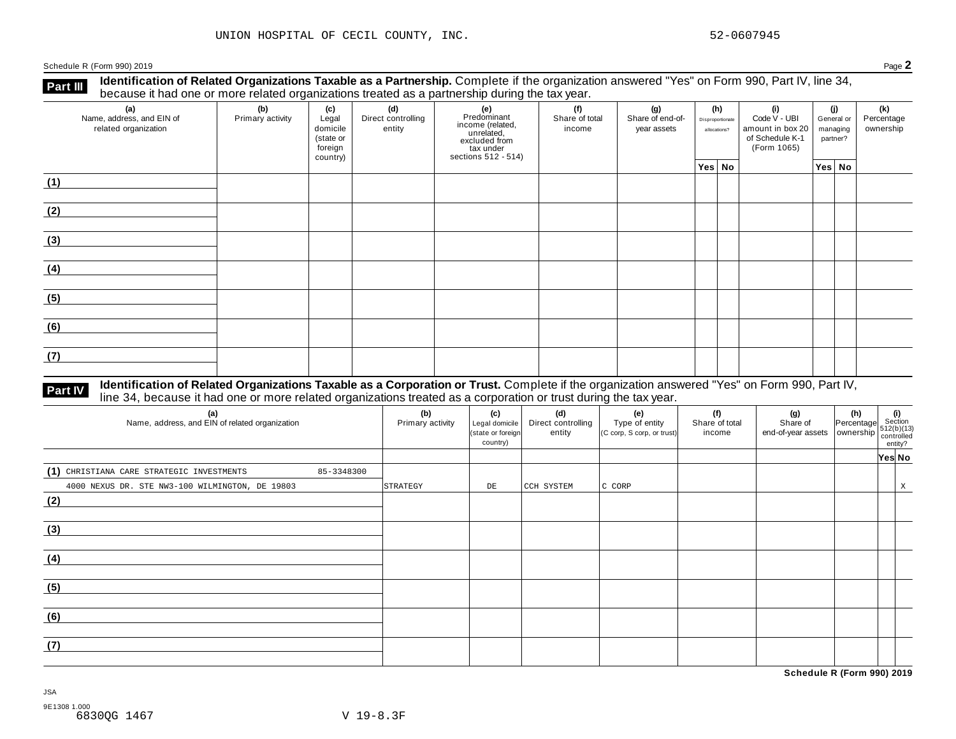**Part III** Identification of Related Organizations Taxable as a Partnership. Complete if the organization answered "Yes" on Form 990, Part IV, line 34,<br>because it had one or more related organizations treated as a partners

| (a)<br>Name, address, and EIN of<br>related organization | ັ<br>(b)<br>Primary activity | (c)<br>Legal<br>domicile<br>(state or<br>foreign<br>country) | .<br>(d)<br>Direct controlling<br>entity | ັ<br>(e)<br>Predominant<br>Frecomman<br>income (related,<br>unrelated,<br>excluded from<br>sections 512 - 514) | (f)<br>Share of total<br>income | (g)<br>Share of end-of-<br>year assets |        | (h)<br>Disproportionate<br>allocations? | (i)<br>Code V - UBI<br>amount in box 20<br>of Schedule K-1<br>(Form 1065) | (j)<br>General or<br>managing<br>partner? |        | (k)<br>Percentage<br>ownership |
|----------------------------------------------------------|------------------------------|--------------------------------------------------------------|------------------------------------------|----------------------------------------------------------------------------------------------------------------|---------------------------------|----------------------------------------|--------|-----------------------------------------|---------------------------------------------------------------------------|-------------------------------------------|--------|--------------------------------|
|                                                          |                              |                                                              |                                          |                                                                                                                |                                 |                                        | Yes No |                                         |                                                                           |                                           | Yes No |                                |
| (1)                                                      |                              |                                                              |                                          |                                                                                                                |                                 |                                        |        |                                         |                                                                           |                                           |        |                                |
| (2)                                                      |                              |                                                              |                                          |                                                                                                                |                                 |                                        |        |                                         |                                                                           |                                           |        |                                |
| (3)                                                      |                              |                                                              |                                          |                                                                                                                |                                 |                                        |        |                                         |                                                                           |                                           |        |                                |
| (4)                                                      |                              |                                                              |                                          |                                                                                                                |                                 |                                        |        |                                         |                                                                           |                                           |        |                                |
| (5)                                                      |                              |                                                              |                                          |                                                                                                                |                                 |                                        |        |                                         |                                                                           |                                           |        |                                |
| (6)                                                      |                              |                                                              |                                          |                                                                                                                |                                 |                                        |        |                                         |                                                                           |                                           |        |                                |
| (7)                                                      |                              |                                                              |                                          |                                                                                                                |                                 |                                        |        |                                         |                                                                           |                                           |        |                                |

## **Part IV** Identification of Related Organizations Taxable as a Corporation or Trust. Complete if the organization answered "Yes" on Form 990, Part IV,<br>line 34, because it had one or more related organizations treated as a

| (a)<br>Name, address, and EIN of related organization   | (b)<br>Primary activity | (c)<br>Legal domicile<br>(state or foreign<br>country) | (d)<br>Direct controlling<br>entity | (e)<br>Type of entity<br>(C corp, S corp, or trust) | (f)<br>Share of total<br>income | $\begin{array}{ c c }\n\hline\n\text{(g)} & \text{(h)} & \text{(i)} \\ \text{Share of } & \text{Percentage} & \text{Section} \\ \text{end-of-year assets} & \text{ ownership} & \text{controlled} \\ \hline\n\end{array}$ | entity? |   |
|---------------------------------------------------------|-------------------------|--------------------------------------------------------|-------------------------------------|-----------------------------------------------------|---------------------------------|---------------------------------------------------------------------------------------------------------------------------------------------------------------------------------------------------------------------------|---------|---|
|                                                         |                         |                                                        |                                     |                                                     |                                 |                                                                                                                                                                                                                           | Yes No  |   |
| (1) CHRISTIANA CARE STRATEGIC INVESTMENTS<br>85-3348300 |                         |                                                        |                                     |                                                     |                                 |                                                                                                                                                                                                                           |         |   |
| 4000 NEXUS DR. STE NW3-100 WILMINGTON, DE 19803         | STRATEGY                | DE                                                     | CCH SYSTEM                          | C CORP                                              |                                 |                                                                                                                                                                                                                           |         | X |
| (2)                                                     |                         |                                                        |                                     |                                                     |                                 |                                                                                                                                                                                                                           |         |   |
|                                                         |                         |                                                        |                                     |                                                     |                                 |                                                                                                                                                                                                                           |         |   |
| (3)                                                     |                         |                                                        |                                     |                                                     |                                 |                                                                                                                                                                                                                           |         |   |
|                                                         |                         |                                                        |                                     |                                                     |                                 |                                                                                                                                                                                                                           |         |   |
| (4)                                                     |                         |                                                        |                                     |                                                     |                                 |                                                                                                                                                                                                                           |         |   |
|                                                         |                         |                                                        |                                     |                                                     |                                 |                                                                                                                                                                                                                           |         |   |
| (5)                                                     |                         |                                                        |                                     |                                                     |                                 |                                                                                                                                                                                                                           |         |   |
|                                                         |                         |                                                        |                                     |                                                     |                                 |                                                                                                                                                                                                                           |         |   |
| (6)                                                     |                         |                                                        |                                     |                                                     |                                 |                                                                                                                                                                                                                           |         |   |
|                                                         |                         |                                                        |                                     |                                                     |                                 |                                                                                                                                                                                                                           |         |   |
| (7)                                                     |                         |                                                        |                                     |                                                     |                                 |                                                                                                                                                                                                                           |         |   |
|                                                         |                         |                                                        |                                     |                                                     |                                 |                                                                                                                                                                                                                           |         |   |

**Schedule R (Form 990) 2019**

JSA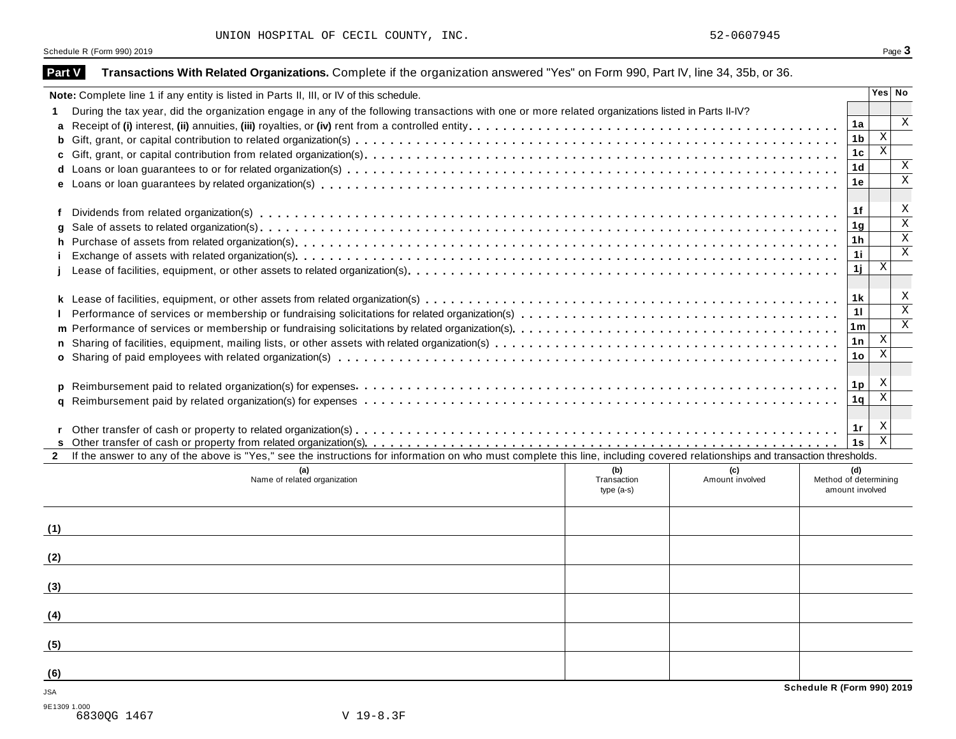UNION HOSPITAL OF CECIL COUNTY, INC. 52-0607945

Schedule R (Form 990) 2019 **Page 3** 

| Transactions With Related Organizations. Complete if the organization answered "Yes" on Form 990, Part IV, line 34, 35b, or 36.<br><b>Part V</b>                                               |                                   |                        |                                                 |                           |
|------------------------------------------------------------------------------------------------------------------------------------------------------------------------------------------------|-----------------------------------|------------------------|-------------------------------------------------|---------------------------|
| Note: Complete line 1 if any entity is listed in Parts II, III, or IV of this schedule.                                                                                                        |                                   |                        |                                                 | Yes No                    |
| During the tax year, did the organization engage in any of the following transactions with one or more related organizations listed in Parts II-IV?                                            |                                   |                        |                                                 |                           |
| a                                                                                                                                                                                              |                                   |                        | 1a                                              | X                         |
| b                                                                                                                                                                                              |                                   |                        | 1 <sub>b</sub>                                  | $\overline{X}$            |
| c                                                                                                                                                                                              |                                   |                        | 1c                                              | $\mathbf X$               |
| d                                                                                                                                                                                              |                                   |                        | 1 <sub>d</sub>                                  | X                         |
|                                                                                                                                                                                                |                                   |                        | 1e                                              | $\mathbf x$               |
| f                                                                                                                                                                                              |                                   |                        | 1f                                              | X                         |
| g                                                                                                                                                                                              |                                   |                        | 1g                                              | $\overline{X}$            |
| h                                                                                                                                                                                              |                                   |                        | 1 <sub>h</sub>                                  | $\mathbf X$               |
|                                                                                                                                                                                                |                                   |                        | 11                                              | $\mathbf x$               |
|                                                                                                                                                                                                |                                   |                        | 1j                                              | $\, {\rm X}$              |
|                                                                                                                                                                                                |                                   |                        | 1 k                                             | X                         |
|                                                                                                                                                                                                |                                   |                        | 11                                              | $\overline{X}$            |
| m                                                                                                                                                                                              |                                   |                        | 1m                                              | $\mathbf X$               |
| n                                                                                                                                                                                              |                                   |                        | 1n                                              | $\, {\rm X}$              |
|                                                                                                                                                                                                |                                   |                        | 10 <sub>1</sub>                                 | X                         |
|                                                                                                                                                                                                |                                   |                        | 1p                                              | X                         |
|                                                                                                                                                                                                |                                   |                        | 1q                                              | $\boldsymbol{\mathrm{X}}$ |
| q                                                                                                                                                                                              |                                   |                        |                                                 |                           |
|                                                                                                                                                                                                |                                   |                        | 1r                                              | X                         |
|                                                                                                                                                                                                |                                   |                        | 1s                                              | X                         |
| If the answer to any of the above is "Yes," see the instructions for information on who must complete this line, including covered relationships and transaction thresholds.<br>$\overline{2}$ |                                   |                        |                                                 |                           |
| (a)<br>Name of related organization                                                                                                                                                            | (b)<br>Transaction<br>$type(a-s)$ | (c)<br>Amount involved | (d)<br>Method of determining<br>amount involved |                           |
| (1)                                                                                                                                                                                            |                                   |                        |                                                 |                           |
| (2)                                                                                                                                                                                            |                                   |                        |                                                 |                           |
| (3)                                                                                                                                                                                            |                                   |                        |                                                 |                           |
| (4)                                                                                                                                                                                            |                                   |                        |                                                 |                           |
|                                                                                                                                                                                                |                                   |                        |                                                 |                           |
| (5)                                                                                                                                                                                            |                                   |                        |                                                 |                           |
| (6)                                                                                                                                                                                            |                                   |                        |                                                 |                           |
| <b>JSA</b>                                                                                                                                                                                     |                                   |                        | Schedule R (Form 990) 2019                      |                           |
| 9E1309 1.000<br>6830QG 1467<br>V 19-8.3F                                                                                                                                                       |                                   |                        |                                                 |                           |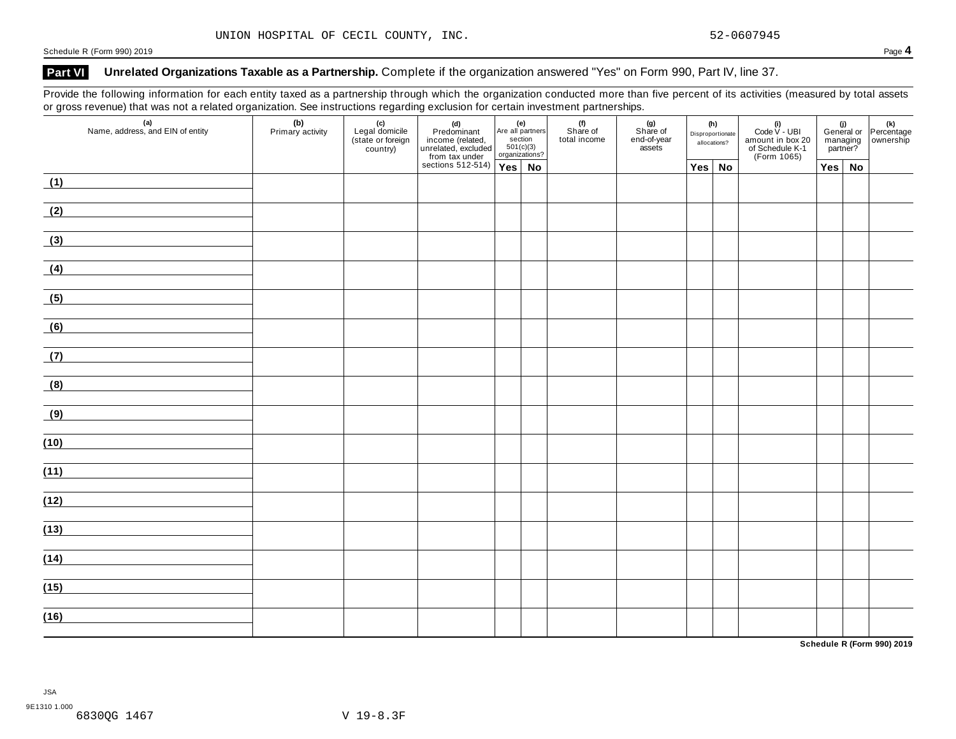## **Part VI Unrelated Organizations Taxable as a Partnership.** Complete if the organization answered "Yes" on Form 990, Part IV, line 37.

Provide the following information for each entity taxed as a partnership through which the organization conducted more than five percent of its activities (measured by total assets or gross revenue) that was not a related organization. See instructions regarding exclusion for certain investment partnerships.

| $\mathbf{z}$<br>(a)<br>Name, address, and EIN of entity                                                                     | (b)<br>Primary activity | ັ<br>(c)<br>Legal domicile    |                                                                                                                   |  |  | (f)<br>Share of | . .                                      |                                  | (h)           |                                                                             |                      |               |                                                    |
|-----------------------------------------------------------------------------------------------------------------------------|-------------------------|-------------------------------|-------------------------------------------------------------------------------------------------------------------|--|--|-----------------|------------------------------------------|----------------------------------|---------------|-----------------------------------------------------------------------------|----------------------|---------------|----------------------------------------------------|
|                                                                                                                             |                         | (state or foreign<br>country) | (d)<br>Predominant<br>income (related,<br>unrelated, excluded<br>from tax under<br>sections 512-514)<br>Pes<br>No |  |  | total income    | (g)<br>Share of<br>end-of-year<br>assets | Disproportionate<br>allocations? |               | (i)<br>Code $V - UBI$<br>amount in box 20<br>of Schedule K-1<br>(Form 1065) | managing<br>partner? |               | (i)<br>General or Percentage<br>managing ownership |
|                                                                                                                             |                         |                               |                                                                                                                   |  |  |                 |                                          |                                  | $Yes \mid No$ |                                                                             |                      | $Yes \mid No$ |                                                    |
| (1)                                                                                                                         |                         |                               |                                                                                                                   |  |  |                 |                                          |                                  |               |                                                                             |                      |               |                                                    |
| (2)                                                                                                                         |                         |                               |                                                                                                                   |  |  |                 |                                          |                                  |               |                                                                             |                      |               |                                                    |
| (3)                                                                                                                         |                         |                               |                                                                                                                   |  |  |                 |                                          |                                  |               |                                                                             |                      |               |                                                    |
| (4)                                                                                                                         |                         |                               |                                                                                                                   |  |  |                 |                                          |                                  |               |                                                                             |                      |               |                                                    |
| (5)                                                                                                                         |                         |                               |                                                                                                                   |  |  |                 |                                          |                                  |               |                                                                             |                      |               |                                                    |
| (6)<br><u> 1990 - Jan Jawa Barat, prima prima prima prima prima prima prima prima prima prima prima prima prima prima p</u> |                         |                               |                                                                                                                   |  |  |                 |                                          |                                  |               |                                                                             |                      |               |                                                    |
| (7)<br>and the company of the company of                                                                                    |                         |                               |                                                                                                                   |  |  |                 |                                          |                                  |               |                                                                             |                      |               |                                                    |
| (8)                                                                                                                         |                         |                               |                                                                                                                   |  |  |                 |                                          |                                  |               |                                                                             |                      |               |                                                    |
| (9)                                                                                                                         |                         |                               |                                                                                                                   |  |  |                 |                                          |                                  |               |                                                                             |                      |               |                                                    |
| (10)                                                                                                                        |                         |                               |                                                                                                                   |  |  |                 |                                          |                                  |               |                                                                             |                      |               |                                                    |
| (11)                                                                                                                        |                         |                               |                                                                                                                   |  |  |                 |                                          |                                  |               |                                                                             |                      |               |                                                    |
| (12)                                                                                                                        |                         |                               |                                                                                                                   |  |  |                 |                                          |                                  |               |                                                                             |                      |               |                                                    |
| (13)                                                                                                                        |                         |                               |                                                                                                                   |  |  |                 |                                          |                                  |               |                                                                             |                      |               |                                                    |
|                                                                                                                             |                         |                               |                                                                                                                   |  |  |                 |                                          |                                  |               |                                                                             |                      |               |                                                    |
| (14)                                                                                                                        |                         |                               |                                                                                                                   |  |  |                 |                                          |                                  |               |                                                                             |                      |               |                                                    |
| (15)                                                                                                                        |                         |                               |                                                                                                                   |  |  |                 |                                          |                                  |               |                                                                             |                      |               |                                                    |
| (16)                                                                                                                        |                         |                               |                                                                                                                   |  |  |                 |                                          |                                  |               |                                                                             |                      |               |                                                    |

**Schedule R (Form 990) 2019**